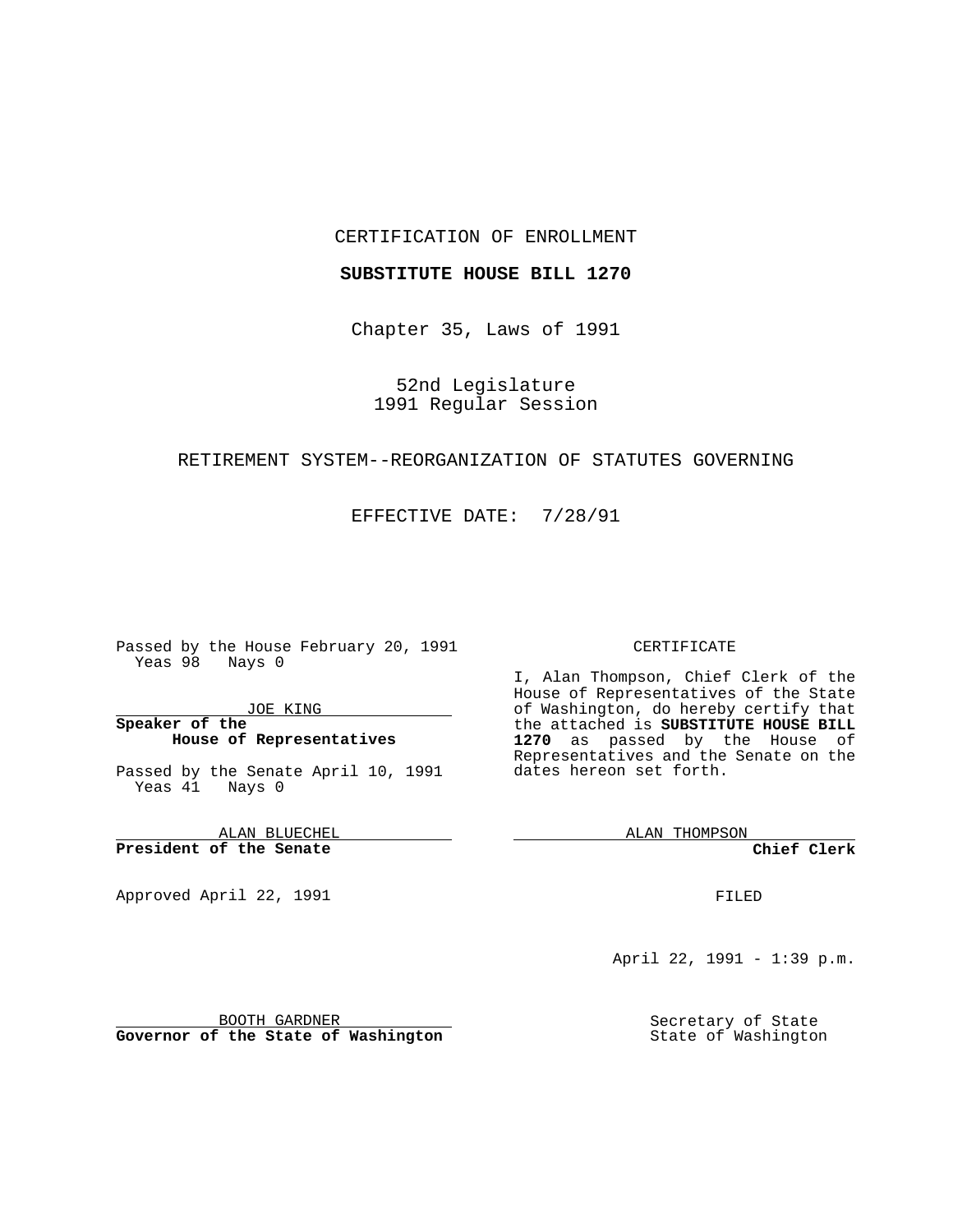#### CERTIFICATION OF ENROLLMENT

#### **SUBSTITUTE HOUSE BILL 1270**

Chapter 35, Laws of 1991

52nd Legislature 1991 Regular Session

### RETIREMENT SYSTEM--REORGANIZATION OF STATUTES GOVERNING

EFFECTIVE DATE: 7/28/91

Passed by the House February 20, 1991 Yeas 98 Nays 0

JOE KING

### **Speaker of the House of Representatives**

Passed by the Senate April 10, 1991 Yeas  $4\overline{1}$  Nays 0

ALAN BLUECHEL **President of the Senate**

Approved April 22, 1991

#### CERTIFICATE

I, Alan Thompson, Chief Clerk of the House of Representatives of the State of Washington, do hereby certify that the attached is **SUBSTITUTE HOUSE BILL 1270** as passed by the House of Representatives and the Senate on the dates hereon set forth.

ALAN THOMPSON

**Chief Clerk**

FILED

April 22, 1991 - 1:39 p.m.

BOOTH GARDNER **Governor of the State of Washington** Secretary of State State of Washington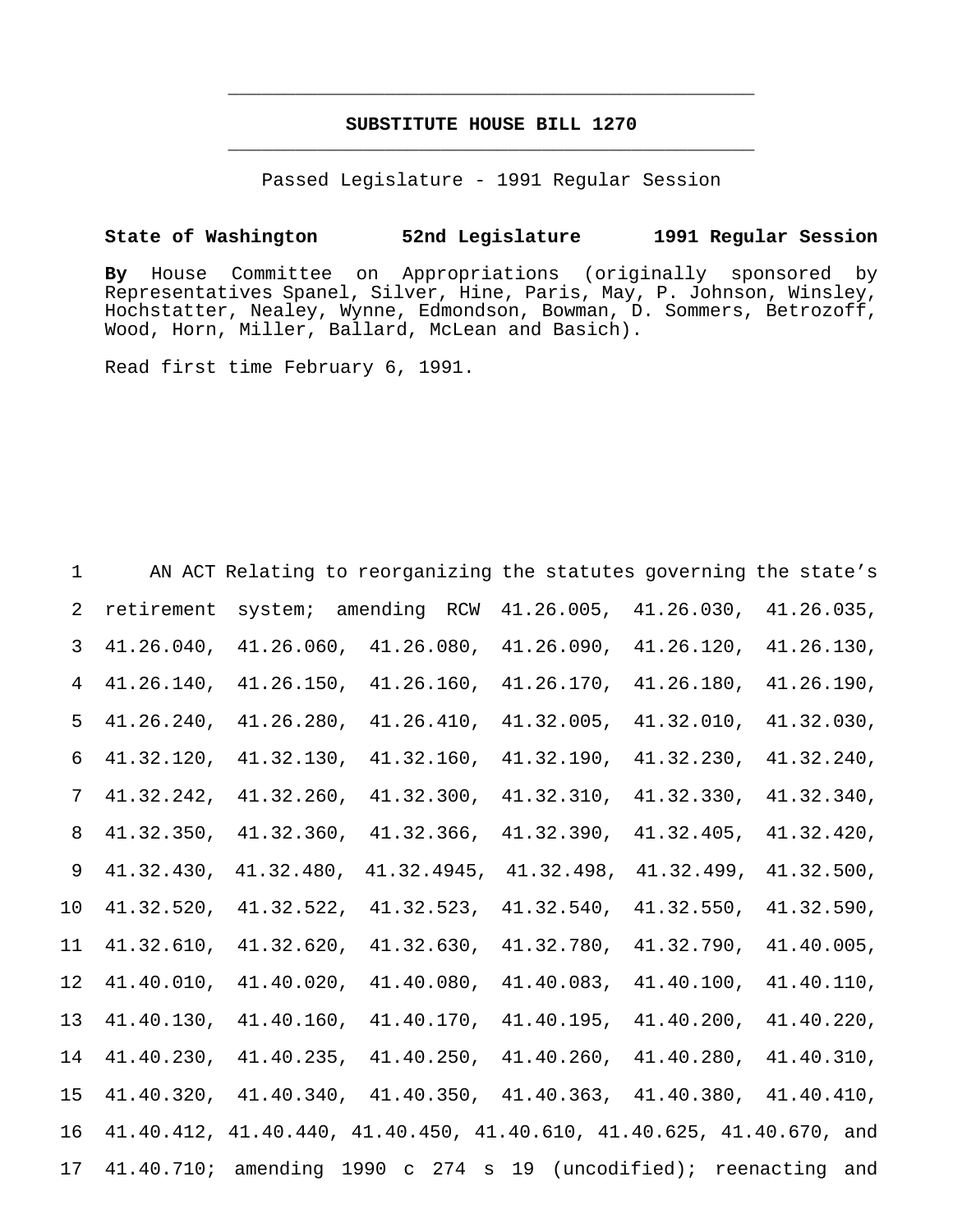## **SUBSTITUTE HOUSE BILL 1270** \_\_\_\_\_\_\_\_\_\_\_\_\_\_\_\_\_\_\_\_\_\_\_\_\_\_\_\_\_\_\_\_\_\_\_\_\_\_\_\_\_\_\_\_\_\_\_

\_\_\_\_\_\_\_\_\_\_\_\_\_\_\_\_\_\_\_\_\_\_\_\_\_\_\_\_\_\_\_\_\_\_\_\_\_\_\_\_\_\_\_\_\_\_\_

Passed Legislature - 1991 Regular Session

### **State of Washington 52nd Legislature 1991 Regular Session**

**By** House Committee on Appropriations (originally sponsored by Representatives Spanel, Silver, Hine, Paris, May, P. Johnson, Winsley, Hochstatter, Nealey, Wynne, Edmondson, Bowman, D. Sommers, Betrozoff, Wood, Horn, Miller, Ballard, McLean and Basich).

Read first time February 6, 1991.

| $\mathbf{1}$   |               |               | AN ACT Relating to reorganizing the statutes governing the state's                  |               |            |               |
|----------------|---------------|---------------|-------------------------------------------------------------------------------------|---------------|------------|---------------|
| $\overline{2}$ | retirement    |               | system; amending RCW 41.26.005,                                                     |               | 41.26.030, | 41.26.035,    |
| $\mathsf{3}$   | 41.26.040,    | 41.26.060,    | 41.26.080,                                                                          | 41.26.090,    | 41.26.120, | 41.26.130,    |
| $\overline{4}$ | 41.26.140,    | 41.26.150,    | 41.26.160,                                                                          | 41.26.170,    | 41.26.180, | 41.26.190,    |
| 5              | $41.26.240$ , | 41.26.280,    | 41.26.410,                                                                          | $41.32.005$ , | 41.32.010, | 41.32.030,    |
| 6              | $41.32.120$ , | 41.32.130,    | 41.32.160,                                                                          | 41.32.190,    | 41.32.230, | 41.32.240,    |
| 7              | 41.32.242,    | 41.32.260,    | 41.32.300,                                                                          | 41.32.310,    | 41.32.330, | 41.32.340,    |
| 8              | 41.32.350,    | 41.32.360,    | $41.32.366$ ,                                                                       | 41.32.390,    | 41.32.405, | 41.32.420,    |
| 9              | 41.32.430,    | 41.32.480,    | 41.32.4945,                                                                         | 41.32.498,    | 41.32.499, | 41.32.500,    |
| 10             | 41.32.520,    | 41.32.522,    | 41.32.523,                                                                          | 41.32.540,    | 41.32.550, | 41.32.590,    |
| 11             | 41.32.610,    | 41.32.620,    | 41.32.630,                                                                          | 41.32.780,    | 41.32.790, | 41.40.005,    |
| 12             | 41.40.010,    | $41.40.020$ , | 41.40.080,                                                                          | 41.40.083,    | 41.40.100, | 41.40.110,    |
| 13             | 41.40.130,    | 41.40.160,    | 41.40.170,                                                                          | 41.40.195,    | 41.40.200, | $41.40.220$ , |
| 14             | $41.40.230$ , | $41.40.235$ , | $41.40.250$ ,                                                                       | $41.40.260$ , | 41.40.280, | 41.40.310,    |
| 15             |               |               | $41.40.320$ , $41.40.340$ , $41.40.350$ , $41.40.363$ , $41.40.380$ , $41.40.410$ , |               |            |               |
| 16             |               |               | 41.40.412, 41.40.440, 41.40.450, 41.40.610, 41.40.625, 41.40.670, and               |               |            |               |
| 17             |               |               | 41.40.710; amending 1990 c 274 s 19 (uncodified); reenacting and                    |               |            |               |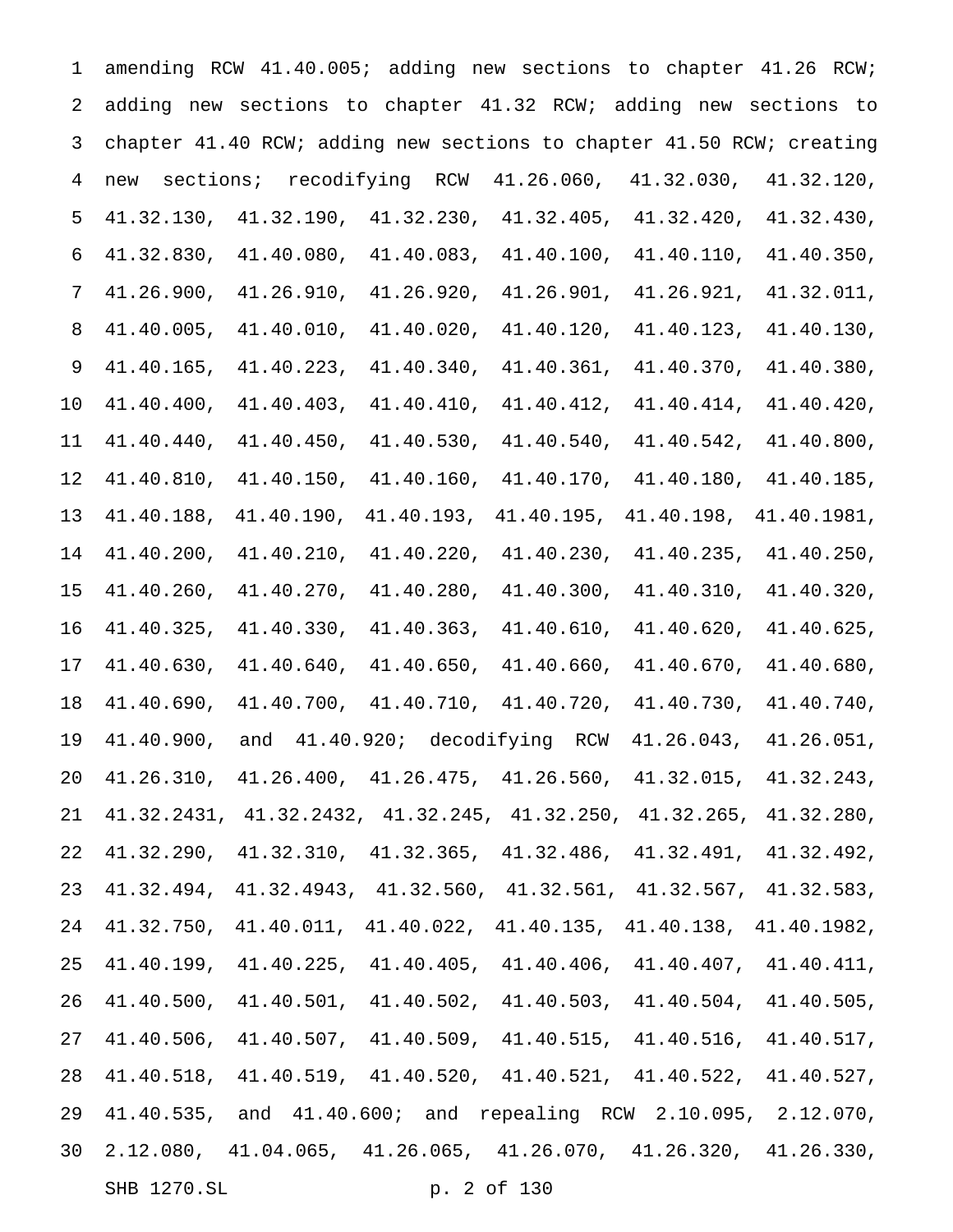| 1              |                  | amending RCW 41.40.005; adding new sections to chapter 41.26 RCW;                    |                            |                       |                                                         |             |
|----------------|------------------|--------------------------------------------------------------------------------------|----------------------------|-----------------------|---------------------------------------------------------|-------------|
| 2              |                  | adding new sections to chapter 41.32 RCW; adding new sections to                     |                            |                       |                                                         |             |
| 3              |                  | chapter 41.40 RCW; adding new sections to chapter 41.50 RCW; creating                |                            |                       |                                                         |             |
| $\overline{4}$ | sections;<br>new | recodifying                                                                          | RCW                        | 41.26.060,            | 41.32.030,                                              | 41.32.120,  |
| 5              | 41.32.130,       | 41.32.190,                                                                           | 41.32.230,                 | 41.32.405,            | 41.32.420,                                              | 41.32.430,  |
| 6              | 41.32.830,       | 41.40.080,                                                                           | 41.40.083,                 | 41.40.100,            | 41.40.110,                                              | 41.40.350,  |
| 7              | 41.26.900,       | 41.26.910,                                                                           | 41.26.920,                 | 41.26.901,            | 41.26.921,                                              | 41.32.011,  |
| 8              | 41.40.005,       | 41.40.010,                                                                           | 41.40.020,                 | 41.40.120,            | 41.40.123,                                              | 41.40.130,  |
| 9              | 41.40.165,       | 41.40.223,                                                                           | 41.40.340,                 | 41.40.361,            | 41.40.370,                                              | 41.40.380,  |
| 10             | 41.40.400,       | 41.40.403,                                                                           | 41.40.410,                 | 41.40.412,            | 41.40.414,                                              | 41.40.420,  |
| 11             | 41.40.440,       | 41.40.450,                                                                           | 41.40.530,                 | 41.40.540,            | 41.40.542,                                              | 41.40.800,  |
| 12             | 41.40.810,       | 41.40.150,                                                                           | 41.40.160,                 | 41.40.170,            | 41.40.180,                                              | 41.40.185,  |
| 13             | 41.40.188,       | 41.40.190,                                                                           | 41.40.193,                 | 41.40.195,            | 41.40.198,                                              | 41.40.1981, |
| 14             | 41.40.200,       | 41.40.210,                                                                           | 41.40.220,                 | 41.40.230,            | 41.40.235,                                              | 41.40.250,  |
| 15             | 41.40.260,       | 41.40.270,                                                                           | 41.40.280,                 | 41.40.300,            | 41.40.310,                                              | 41.40.320,  |
| 16             | 41.40.325,       | 41.40.330,                                                                           | 41.40.363,                 | 41.40.610,            | 41.40.620,                                              | 41.40.625,  |
| 17             | 41.40.630,       | 41.40.640,                                                                           | 41.40.650,                 | 41.40.660,            | 41.40.670,                                              | 41.40.680,  |
| 18             | 41.40.690,       | 41.40.700,                                                                           |                            | 41.40.710, 41.40.720, | 41.40.730,                                              | 41.40.740,  |
| 19             | 41.40.900,       | and                                                                                  | 41.40.920; decodifying RCW |                       | 41.26.043,                                              | 41.26.051,  |
| 20             |                  | $41.26.310$ , $41.26.400$ , $41.26.475$ , $41.26.560$ , $41.32.015$ , $41.32.243$ ,  |                            |                       |                                                         |             |
| 21             |                  | $41.32.2431, 41.32.2432, 41.32.245, 41.32.250, 41.32.265, 41.32.280,$                |                            |                       |                                                         |             |
| 22             |                  | $41.32.290, 41.32.310, 41.32.365, 41.32.486, 41.32.491, 41.32.492,$                  |                            |                       |                                                         |             |
| 23             | 41.32.494,       |                                                                                      |                            |                       | 41.32.4943, 41.32.560, 41.32.561, 41.32.567, 41.32.583, |             |
| 24             |                  | $41.32.750$ , $41.40.011$ , $41.40.022$ , $41.40.135$ , $41.40.138$ , $41.40.1982$ , |                            |                       |                                                         |             |
| 25             |                  | $41.40.199$ , $41.40.225$ , $41.40.405$ , $41.40.406$ , $41.40.407$ , $41.40.411$ ,  |                            |                       |                                                         |             |
| 26             |                  | $41.40.500, 41.40.501, 41.40.502, 41.40.503, 41.40.504, 41.40.505,$                  |                            |                       |                                                         |             |
| 27             |                  | $41.40.506$ , $41.40.507$ , $41.40.509$ , $41.40.515$ , $41.40.516$ , $41.40.517$ ,  |                            |                       |                                                         |             |
| 28             |                  | $41.40.518$ , $41.40.519$ , $41.40.520$ , $41.40.521$ , $41.40.522$ , $41.40.527$ ,  |                            |                       |                                                         |             |
| 29             |                  | 41.40.535, and 41.40.600; and repealing RCW 2.10.095, 2.12.070,                      |                            |                       |                                                         |             |
| 30             |                  | $2.12.080, 41.04.065, 41.26.065, 41.26.070, 41.26.320, 41.26.330,$                   |                            |                       |                                                         |             |
|                | SHB 1270.SL      |                                                                                      |                            | p. 2 of 130           |                                                         |             |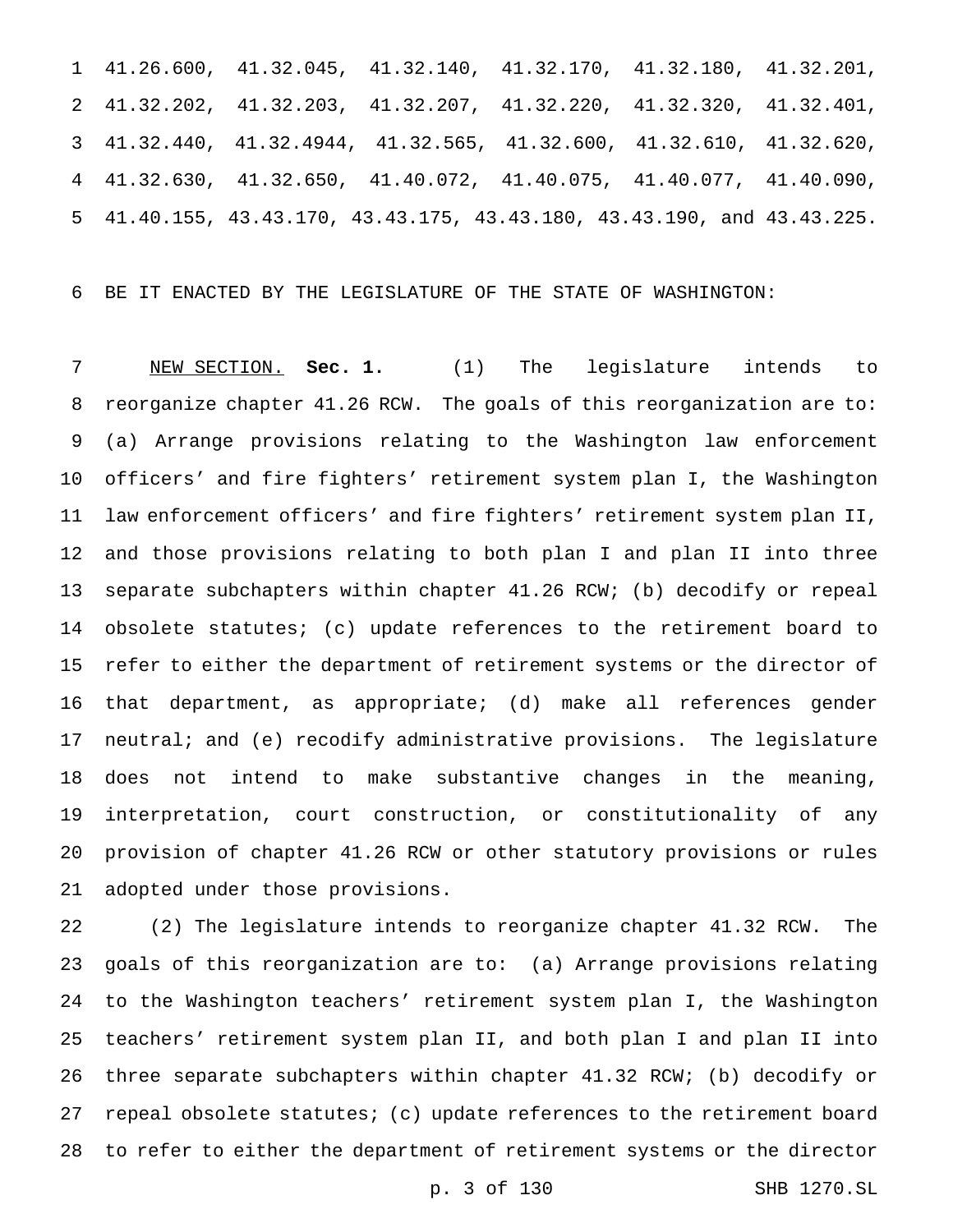41.26.600, 41.32.045, 41.32.140, 41.32.170, 41.32.180, 41.32.201, 41.32.202, 41.32.203, 41.32.207, 41.32.220, 41.32.320, 41.32.401, 41.32.440, 41.32.4944, 41.32.565, 41.32.600, 41.32.610, 41.32.620, 41.32.630, 41.32.650, 41.40.072, 41.40.075, 41.40.077, 41.40.090, 41.40.155, 43.43.170, 43.43.175, 43.43.180, 43.43.190, and 43.43.225.

BE IT ENACTED BY THE LEGISLATURE OF THE STATE OF WASHINGTON:

 NEW SECTION. **Sec. 1.** (1) The legislature intends to reorganize chapter 41.26 RCW. The goals of this reorganization are to: (a) Arrange provisions relating to the Washington law enforcement officers' and fire fighters' retirement system plan I, the Washington law enforcement officers' and fire fighters' retirement system plan II, and those provisions relating to both plan I and plan II into three separate subchapters within chapter 41.26 RCW; (b) decodify or repeal obsolete statutes; (c) update references to the retirement board to refer to either the department of retirement systems or the director of that department, as appropriate; (d) make all references gender 17 neutral; and (e) recodify administrative provisions. The legislature does not intend to make substantive changes in the meaning, interpretation, court construction, or constitutionality of any provision of chapter 41.26 RCW or other statutory provisions or rules adopted under those provisions.

 (2) The legislature intends to reorganize chapter 41.32 RCW. The goals of this reorganization are to: (a) Arrange provisions relating to the Washington teachers' retirement system plan I, the Washington teachers' retirement system plan II, and both plan I and plan II into three separate subchapters within chapter 41.32 RCW; (b) decodify or repeal obsolete statutes; (c) update references to the retirement board to refer to either the department of retirement systems or the director

p. 3 of 130 SHB 1270.SL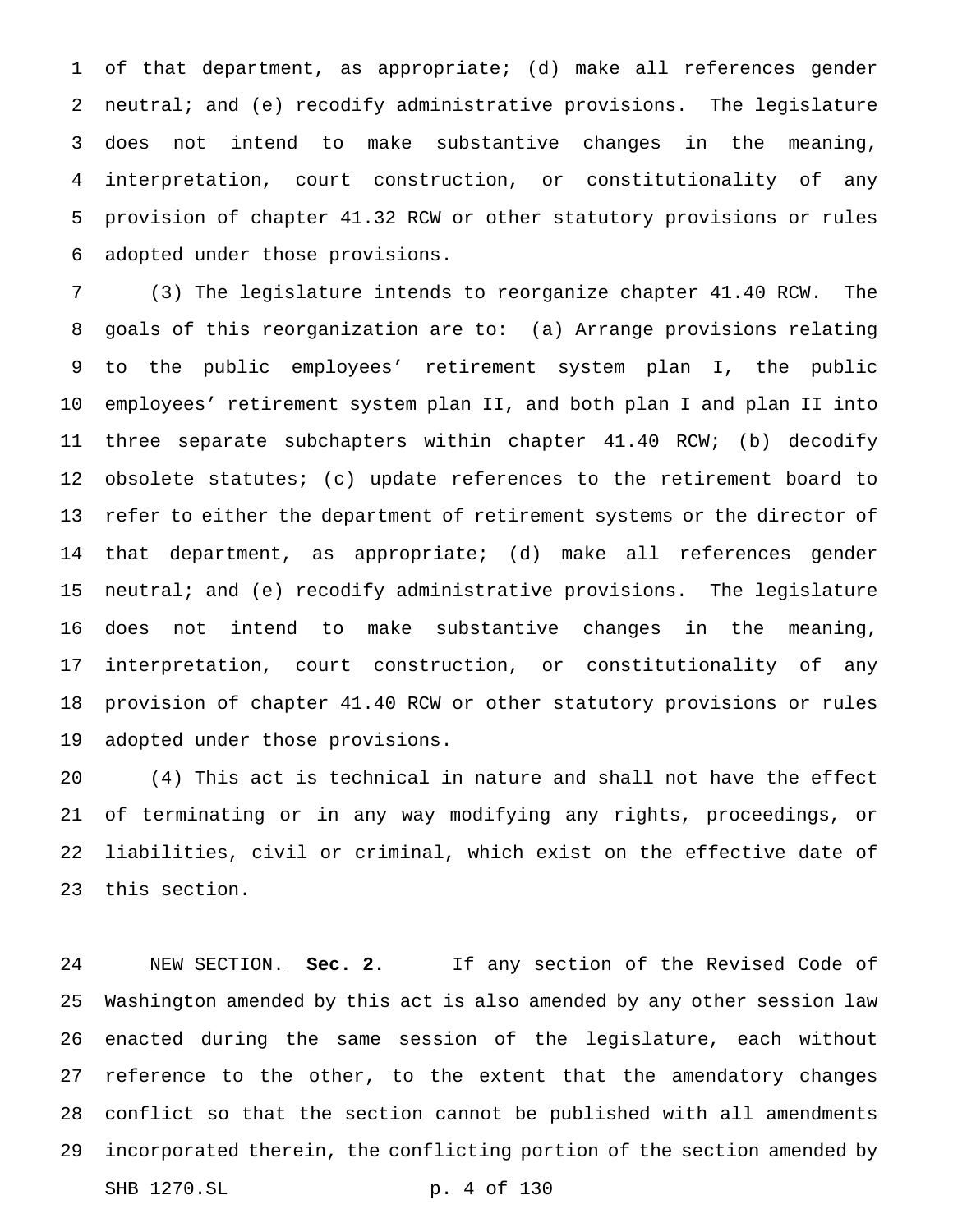of that department, as appropriate; (d) make all references gender neutral; and (e) recodify administrative provisions. The legislature does not intend to make substantive changes in the meaning, interpretation, court construction, or constitutionality of any provision of chapter 41.32 RCW or other statutory provisions or rules adopted under those provisions.

 (3) The legislature intends to reorganize chapter 41.40 RCW. The goals of this reorganization are to: (a) Arrange provisions relating to the public employees' retirement system plan I, the public employees' retirement system plan II, and both plan I and plan II into three separate subchapters within chapter 41.40 RCW; (b) decodify obsolete statutes; (c) update references to the retirement board to refer to either the department of retirement systems or the director of that department, as appropriate; (d) make all references gender neutral; and (e) recodify administrative provisions. The legislature does not intend to make substantive changes in the meaning, interpretation, court construction, or constitutionality of any provision of chapter 41.40 RCW or other statutory provisions or rules adopted under those provisions.

 (4) This act is technical in nature and shall not have the effect of terminating or in any way modifying any rights, proceedings, or liabilities, civil or criminal, which exist on the effective date of this section.

 NEW SECTION. **Sec. 2.** If any section of the Revised Code of Washington amended by this act is also amended by any other session law enacted during the same session of the legislature, each without reference to the other, to the extent that the amendatory changes conflict so that the section cannot be published with all amendments incorporated therein, the conflicting portion of the section amended by SHB 1270.SL p. 4 of 130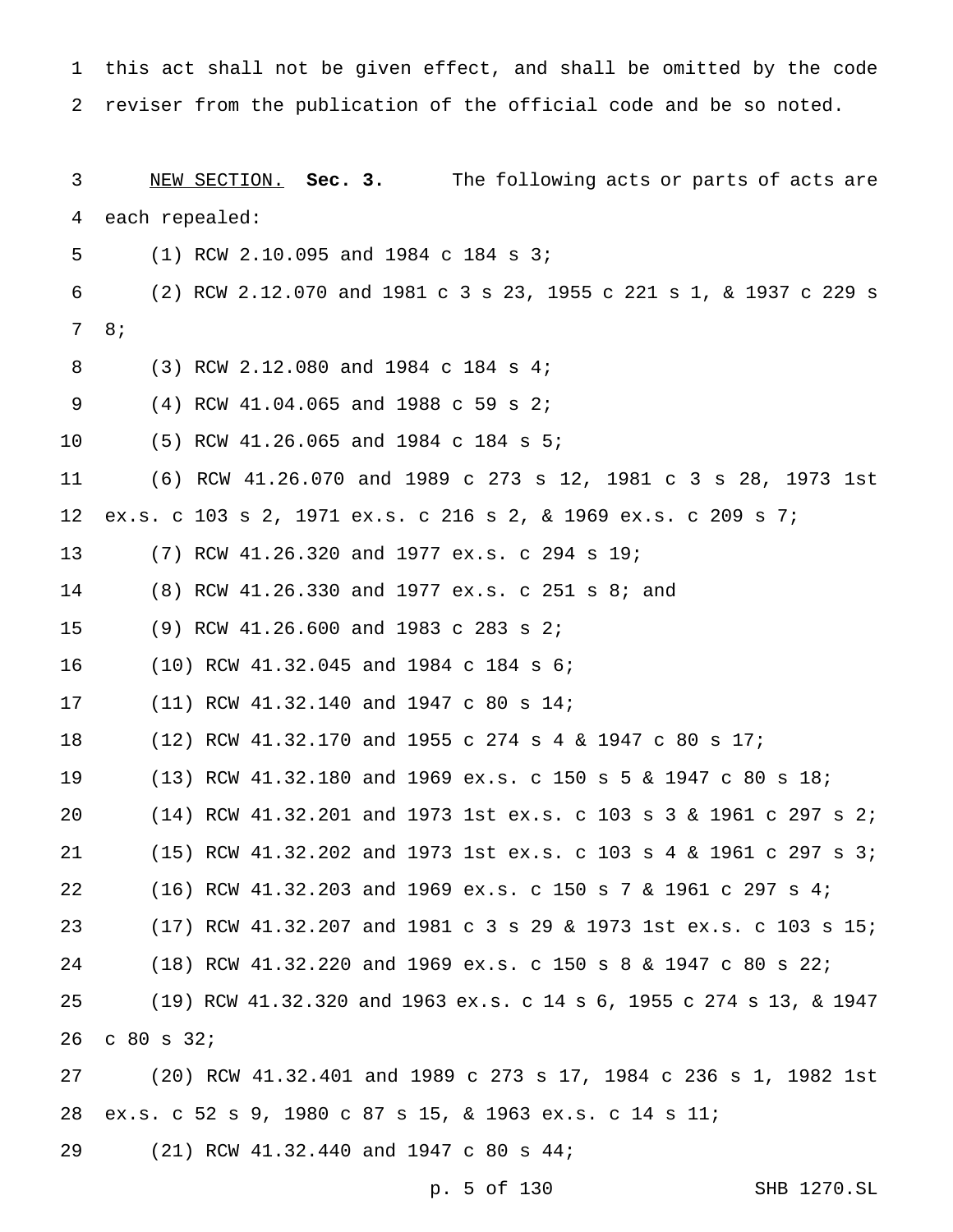this act shall not be given effect, and shall be omitted by the code reviser from the publication of the official code and be so noted. NEW SECTION. **Sec. 3.** The following acts or parts of acts are each repealed: (1) RCW 2.10.095 and 1984 c 184 s 3; (2) RCW 2.12.070 and 1981 c 3 s 23, 1955 c 221 s 1, & 1937 c 229 s 8; (3) RCW 2.12.080 and 1984 c 184 s 4; (4) RCW 41.04.065 and 1988 c 59 s 2; (5) RCW 41.26.065 and 1984 c 184 s 5; (6) RCW 41.26.070 and 1989 c 273 s 12, 1981 c 3 s 28, 1973 1st ex.s. c 103 s 2, 1971 ex.s. c 216 s 2, & 1969 ex.s. c 209 s 7; (7) RCW 41.26.320 and 1977 ex.s. c 294 s 19; (8) RCW 41.26.330 and 1977 ex.s. c 251 s 8; and (9) RCW 41.26.600 and 1983 c 283 s 2; (10) RCW 41.32.045 and 1984 c 184 s 6; (11) RCW 41.32.140 and 1947 c 80 s 14; (12) RCW 41.32.170 and 1955 c 274s4& 1947 c 80 s 17; (13) RCW 41.32.180 and 1969 ex.s. c 150s5& 1947 c 80 s 18; (14) RCW 41.32.201 and 1973 1st ex.s. c 103s3& 1961 c 297 s 2; (15) RCW 41.32.202 and 1973 1st ex.s. c 103s4& 1961 c 297 s 3; (16) RCW 41.32.203 and 1969 ex.s. c 150s7& 1961 c 297 s 4; (17) RCW 41.32.207 and 1981 c 3 s 29 & 1973 1st ex.s. c 103 s 15; (18) RCW 41.32.220 and 1969 ex.s. c 150s8& 1947 c 80 s 22; (19) RCW 41.32.320 and 1963 ex.s. c 14 s 6, 1955 c 274 s 13, & 1947 c 80 s 32; (20) RCW 41.32.401 and 1989 c 273 s 17, 1984 c 236 s 1, 1982 1st ex.s. c 52 s 9, 1980 c 87 s 15, & 1963 ex.s. c 14 s 11; (21) RCW 41.32.440 and 1947 c 80 s 44;

p. 5 of 130 SHB 1270.SL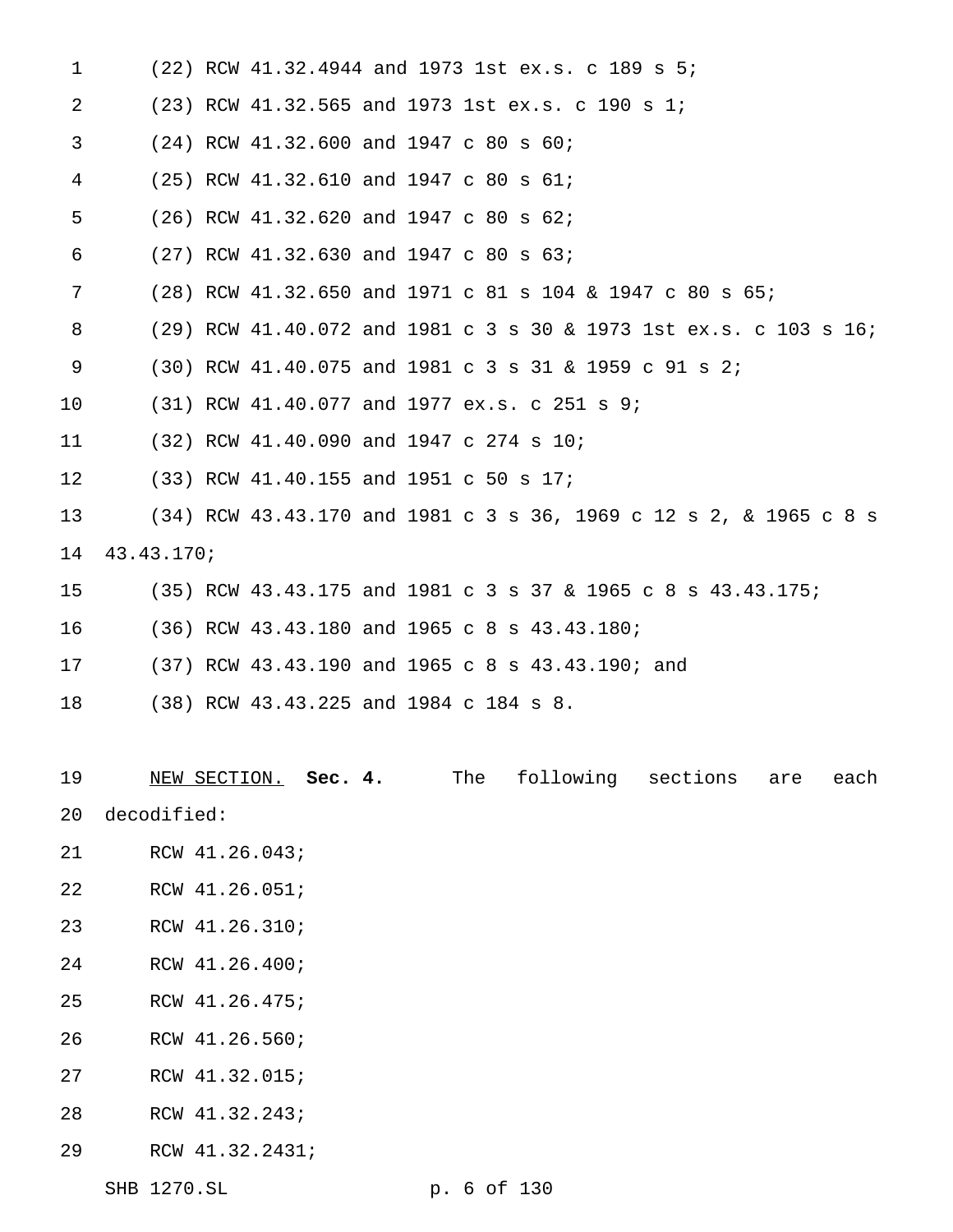| 1  |                      |  | (22) RCW 41.32.4944 and 1973 1st ex.s. c 189 s 5;                 |
|----|----------------------|--|-------------------------------------------------------------------|
| 2  |                      |  | $(23)$ RCW 41.32.565 and 1973 1st ex.s. c 190 s 1;                |
| 3  |                      |  | $(24)$ RCW 41.32.600 and 1947 c 80 s 60;                          |
| 4  |                      |  | (25) RCW 41.32.610 and 1947 c 80 s 61;                            |
| 5  |                      |  | (26) RCW 41.32.620 and 1947 c 80 s 62;                            |
| 6  |                      |  | (27) RCW 41.32.630 and 1947 c 80 s 63;                            |
| 7  |                      |  | (28) RCW 41.32.650 and 1971 c 81 s 104 & 1947 c 80 s 65;          |
| 8  |                      |  | (29) RCW 41.40.072 and 1981 c 3 s 30 & 1973 1st ex.s. c 103 s 16; |
| 9  |                      |  | (30) RCW 41.40.075 and 1981 c 3 s 31 & 1959 c 91 s 2;             |
| 10 |                      |  | (31) RCW 41.40.077 and 1977 ex.s. c 251 s 9;                      |
| 11 |                      |  | (32) RCW 41.40.090 and 1947 c 274 s 10;                           |
| 12 |                      |  | (33) RCW 41.40.155 and 1951 c 50 s 17;                            |
| 13 |                      |  | (34) RCW 43.43.170 and 1981 c 3 s 36, 1969 c 12 s 2, & 1965 c 8 s |
| 14 | 43.43.170;           |  |                                                                   |
| 15 |                      |  | (35) RCW 43.43.175 and 1981 c 3 s 37 & 1965 c 8 s 43.43.175;      |
| 16 |                      |  | (36) RCW 43.43.180 and 1965 c 8 s 43.43.180;                      |
| 17 |                      |  | (37) RCW 43.43.190 and 1965 c 8 s 43.43.190; and                  |
| 18 |                      |  | (38) RCW 43.43.225 and 1984 c 184 s 8.                            |
|    |                      |  |                                                                   |
| 19 | NEW SECTION. Sec. 4. |  | following<br>The<br>sections<br>each<br>are                       |
| 20 | decodified:          |  |                                                                   |
| 21 | RCW 41.26.043;       |  |                                                                   |
| 22 | RCW 41.26.051;       |  |                                                                   |
| 23 | RCW 41.26.310;       |  |                                                                   |
| 24 | RCW 41.26.400;       |  |                                                                   |
| 25 | RCW 41.26.475;       |  |                                                                   |
| 26 | RCW 41.26.560;       |  |                                                                   |
| 27 | RCW 41.32.015;       |  |                                                                   |
| 28 | RCW 41.32.243;       |  |                                                                   |
| 29 | RCW 41.32.2431;      |  |                                                                   |
|    | SHB 1270.SL          |  | p. 6 of 130                                                       |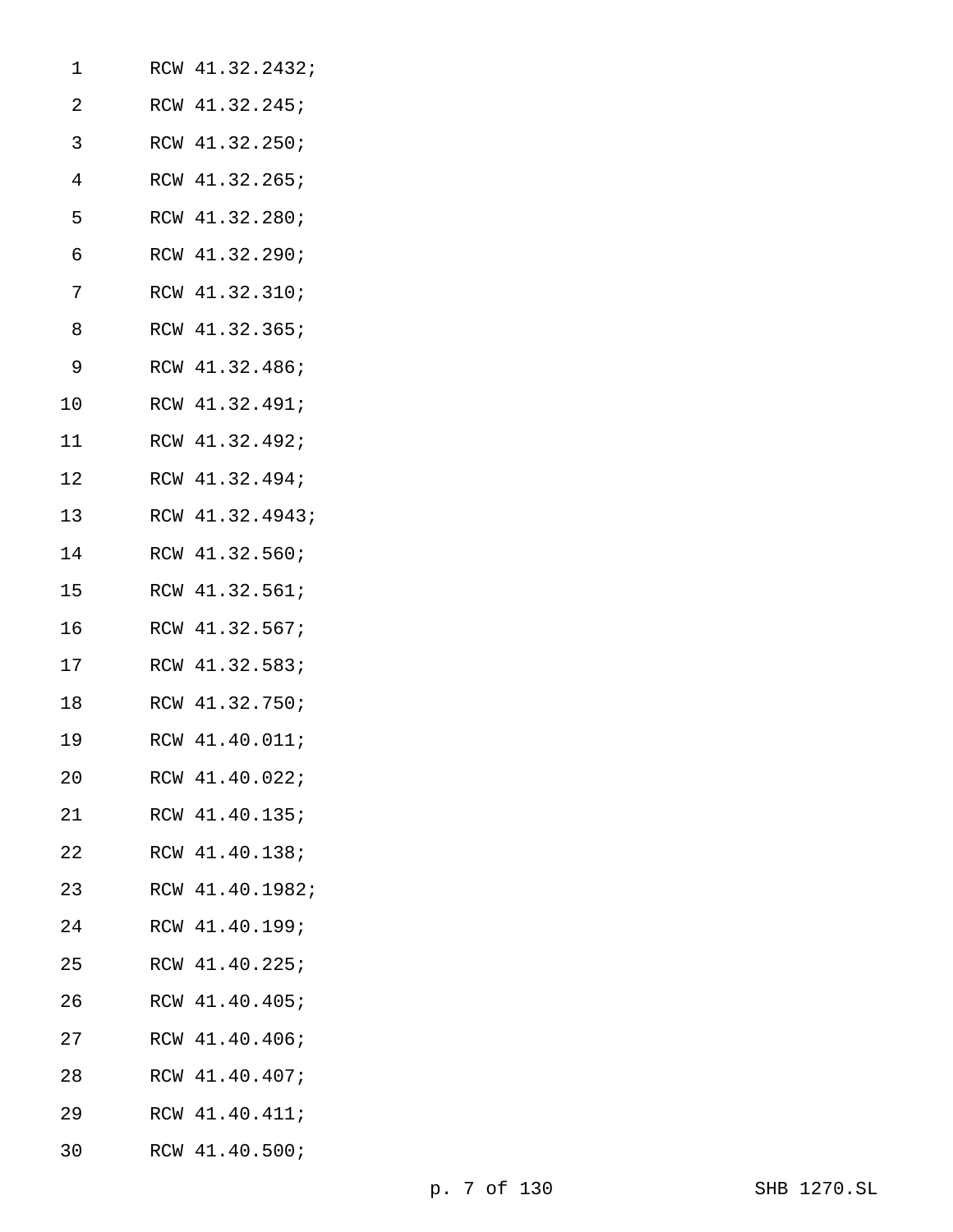| 1  | RCW 41.32.2432; |
|----|-----------------|
| 2  | RCW 41.32.245;  |
| 3  | RCW 41.32.250;  |
| 4  | RCW 41.32.265;  |
| 5  | RCW 41.32.280;  |
| 6  | RCW 41.32.290;  |
| 7  | RCW 41.32.310;  |
| 8  | RCW 41.32.365;  |
| 9  | RCW 41.32.486;  |
| 10 | RCW 41.32.491;  |
| 11 | RCW 41.32.492;  |
| 12 | RCW 41.32.494;  |
| 13 | RCW 41.32.4943; |
| 14 | RCW 41.32.560;  |
| 15 | RCW 41.32.561;  |
| 16 | RCW 41.32.567;  |
| 17 | RCW 41.32.583;  |
| 18 | RCW 41.32.750;  |
| 19 | RCW 41.40.011;  |
| 20 | RCW 41.40.022;  |
| 21 | RCW 41.40.135;  |
| 22 | RCW 41.40.138;  |
| 23 | RCW 41.40.1982; |
| 24 | RCW 41.40.199;  |
| 25 | RCW 41.40.225;  |
| 26 | RCW 41.40.405;  |
| 27 | RCW 41.40.406;  |
| 28 | RCW 41.40.407;  |
| 29 | RCW 41.40.411;  |
| 30 | RCW 41.40.500;  |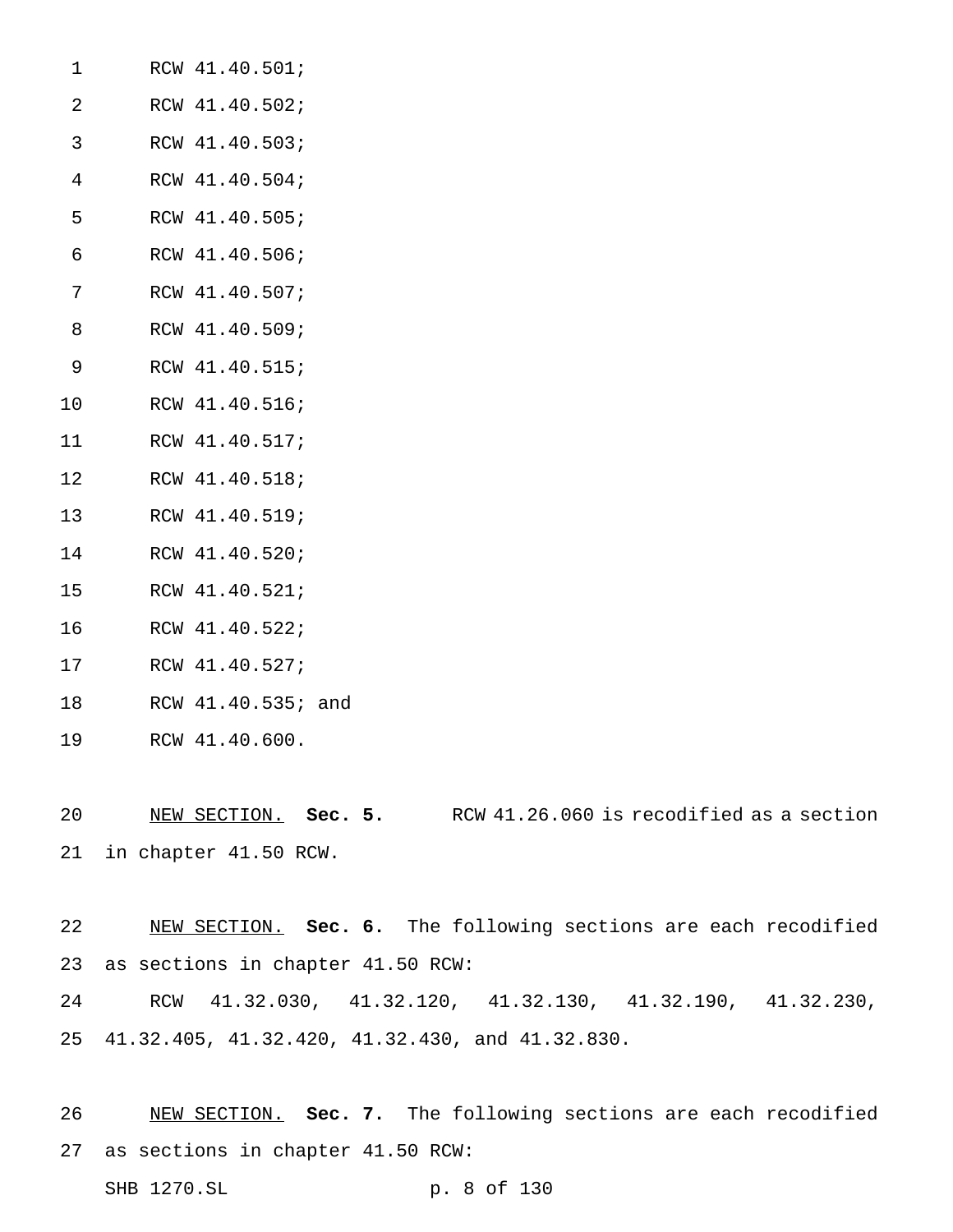| RCW 41.40.501; |
|----------------|
| RCW 41.40.502; |
| RCW 41.40.503; |
| RCW 41.40.504; |
| RCW 41.40.505; |
| RCW 41.40.506; |
| RCW 41.40.507; |
| RCW 41.40.509; |
| RCW 41.40.515; |
| RCW 41.40.516; |
| RCW 41.40.517; |
| RCW 41.40.518; |
| RCW 41.40.519; |
| RCW 41.40.520; |
| RCW 41.40.521; |
| RCW 41.40.522; |
|                |

- RCW 41.40.527;
- RCW 41.40.535; and
- RCW 41.40.600.

 NEW SECTION. **Sec. 5.** RCW 41.26.060 is recodified as a section in chapter 41.50 RCW.

 NEW SECTION. **Sec. 6.** The following sections are each recodified as sections in chapter 41.50 RCW:

 RCW 41.32.030, 41.32.120, 41.32.130, 41.32.190, 41.32.230, 41.32.405, 41.32.420, 41.32.430, and 41.32.830.

 NEW SECTION. **Sec. 7.** The following sections are each recodified as sections in chapter 41.50 RCW: SHB 1270.SL p. 8 of 130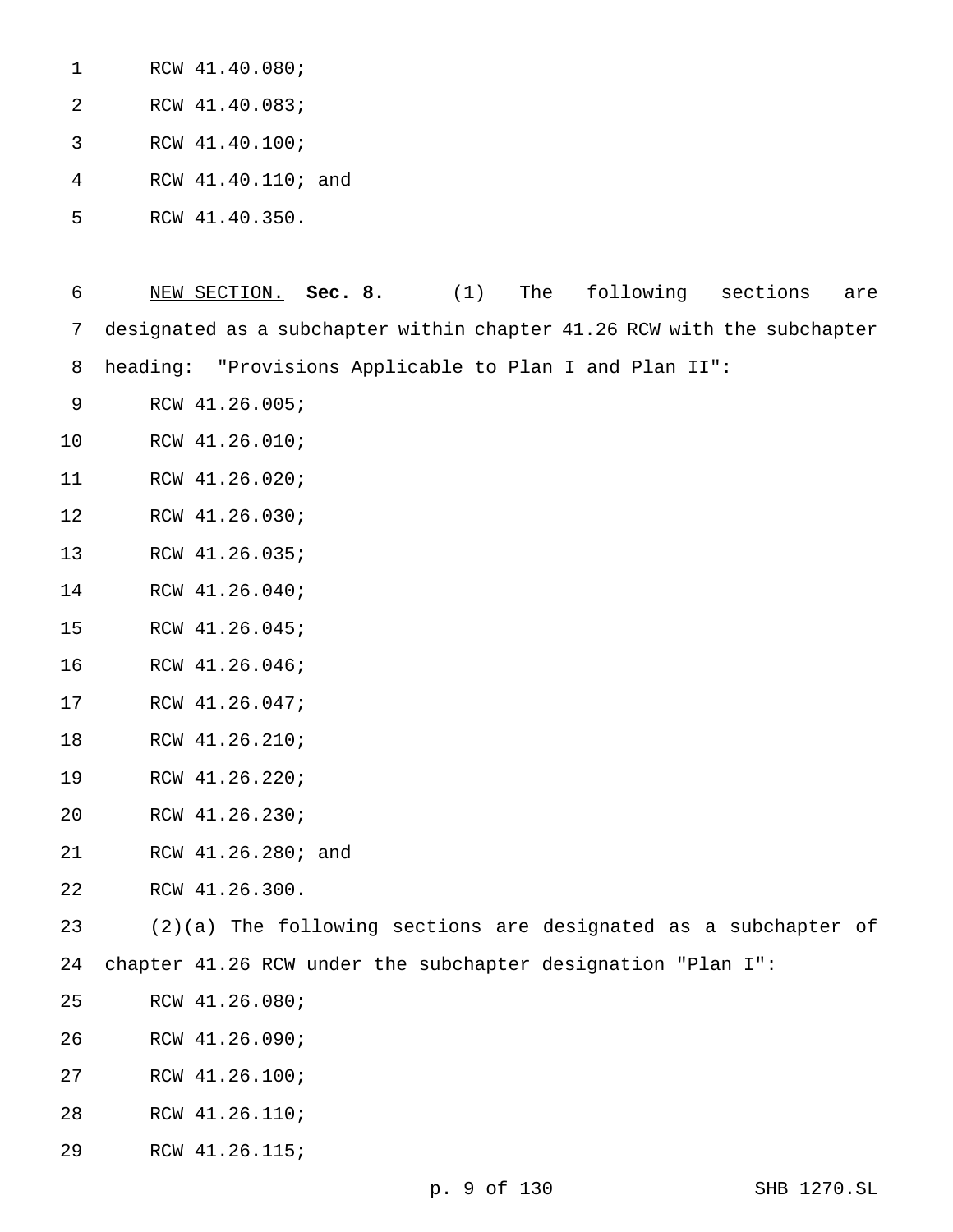| 1  | RCW 41.40.080;     |  |
|----|--------------------|--|
| -2 | RCW 41.40.083;     |  |
| -3 | RCW 41.40.100;     |  |
| 4  | RCW 41.40.110; and |  |
| 5  | RCW 41.40.350.     |  |

 NEW SECTION. **Sec. 8.** (1) The following sections are designated as a subchapter within chapter 41.26 RCW with the subchapter heading: "Provisions Applicable to Plan I and Plan II":

- RCW 41.26.005;
- RCW 41.26.010;
- RCW 41.26.020;
- RCW 41.26.030;
- RCW 41.26.035;
- RCW 41.26.040;
- RCW 41.26.045;
- RCW 41.26.046;
- RCW 41.26.047;
- RCW 41.26.210;
- RCW 41.26.220;
- RCW 41.26.230;
- RCW 41.26.280; and
- RCW 41.26.300.

(2)(a) The following sections are designated as a subchapter of

- chapter 41.26 RCW under the subchapter designation "Plan I":
- RCW 41.26.080;
- RCW 41.26.090;
- RCW 41.26.100;
- RCW 41.26.110;
- RCW 41.26.115;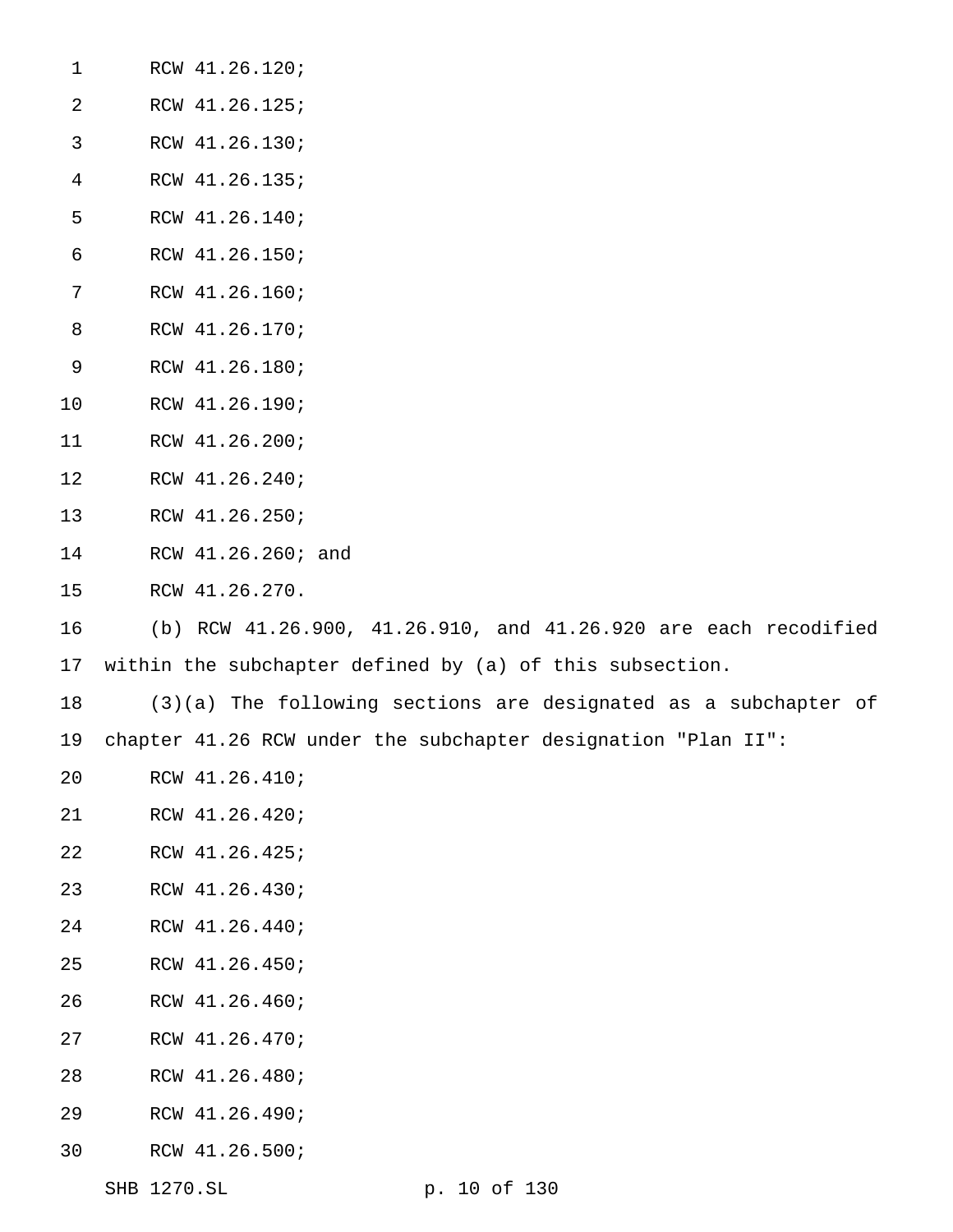| $\mathbf{1}$   | RCW 41.26.120;                                                    |
|----------------|-------------------------------------------------------------------|
| $\overline{2}$ | RCW 41.26.125;                                                    |
| 3              | RCW 41.26.130;                                                    |
| $\overline{4}$ | RCW 41.26.135;                                                    |
| 5              | RCW 41.26.140;                                                    |
| $\epsilon$     | RCW 41.26.150;                                                    |
| 7              | RCW 41.26.160;                                                    |
| 8              | RCW 41.26.170;                                                    |
| 9              | RCW 41.26.180;                                                    |
| 10             | RCW 41.26.190;                                                    |
| 11             | RCW 41.26.200;                                                    |
| 12             | RCW 41.26.240;                                                    |
| 13             | RCW 41.26.250;                                                    |
| 14             | RCW 41.26.260; and                                                |
| 15             | RCW 41.26.270.                                                    |
| 16             | (b) RCW 41.26.900, 41.26.910, and 41.26.920 are each recodified   |
| 17             | within the subchapter defined by (a) of this subsection.          |
| 18             | $(3)(a)$ The following sections are designated as a subchapter of |
| 19             | chapter 41.26 RCW under the subchapter designation "Plan II":     |
| 20             | RCW 41.26.410;                                                    |
| 21             | RCW 41.26.420;                                                    |
| 22             | RCW 41.26.425;                                                    |
| 23             | RCW 41.26.430;                                                    |
| 24             | RCW 41.26.440;                                                    |
| 25             | RCW 41.26.450;                                                    |
| 26             | RCW 41.26.460;                                                    |
| 27             | RCW 41.26.470;                                                    |
| 28             | RCW 41.26.480;                                                    |
| 29             | RCW 41.26.490;                                                    |

RCW 41.26.500;

SHB 1270.SL p. 10 of 130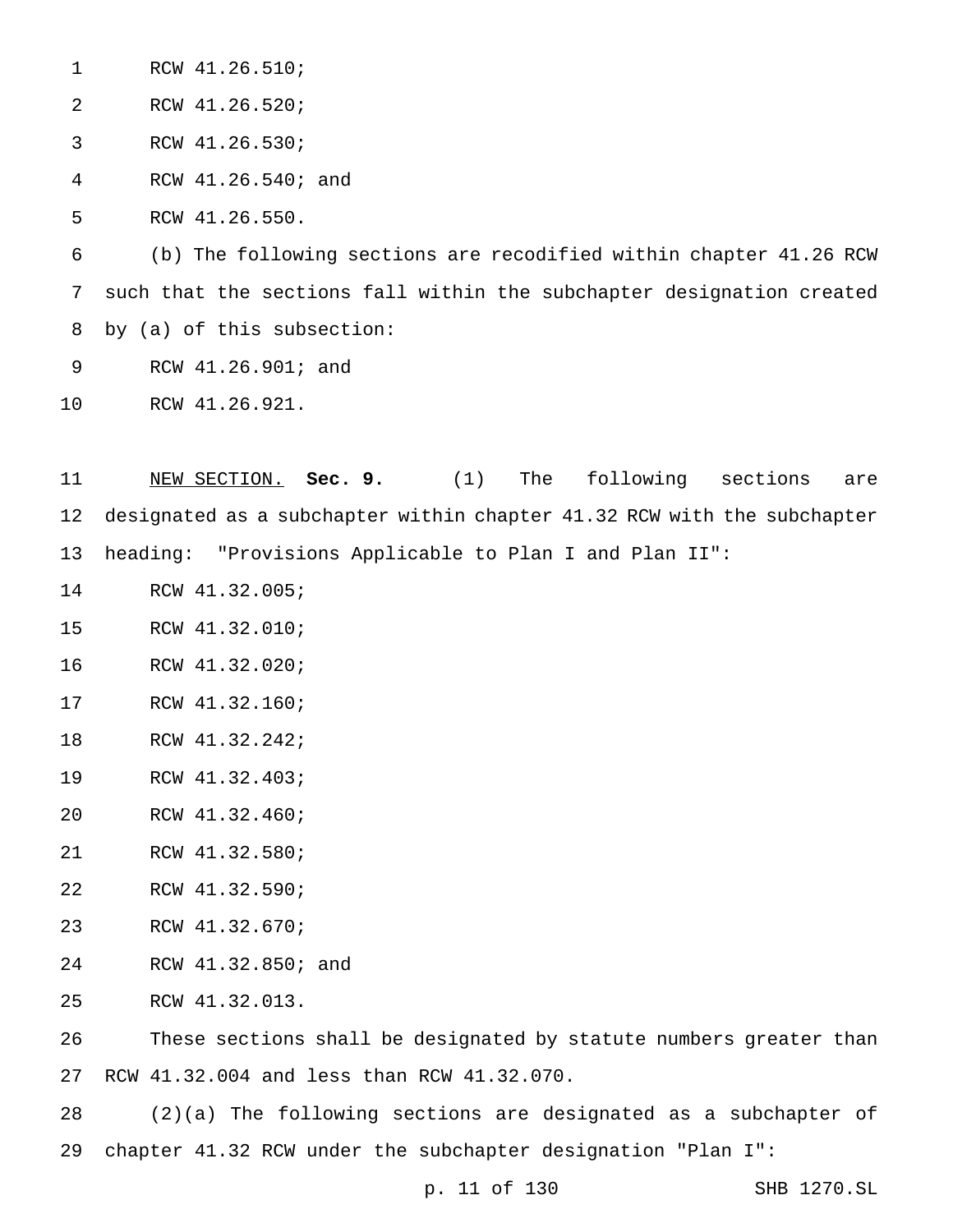RCW 41.26.510;

RCW 41.26.520;

RCW 41.26.530;

RCW 41.26.540; and

RCW 41.26.550.

 (b) The following sections are recodified within chapter 41.26 RCW such that the sections fall within the subchapter designation created by (a) of this subsection:

RCW 41.26.901; and

RCW 41.26.921.

 NEW SECTION. **Sec. 9.** (1) The following sections are designated as a subchapter within chapter 41.32 RCW with the subchapter heading: "Provisions Applicable to Plan I and Plan II":

- RCW 41.32.005;
- RCW 41.32.010;
- RCW 41.32.020;
- RCW 41.32.160;
- RCW 41.32.242;
- RCW 41.32.403;
- RCW 41.32.460;
- RCW 41.32.580;
- RCW 41.32.590;
- RCW 41.32.670;
- RCW 41.32.850; and
- RCW 41.32.013.

 These sections shall be designated by statute numbers greater than RCW 41.32.004 and less than RCW 41.32.070.

 (2)(a) The following sections are designated as a subchapter of chapter 41.32 RCW under the subchapter designation "Plan I":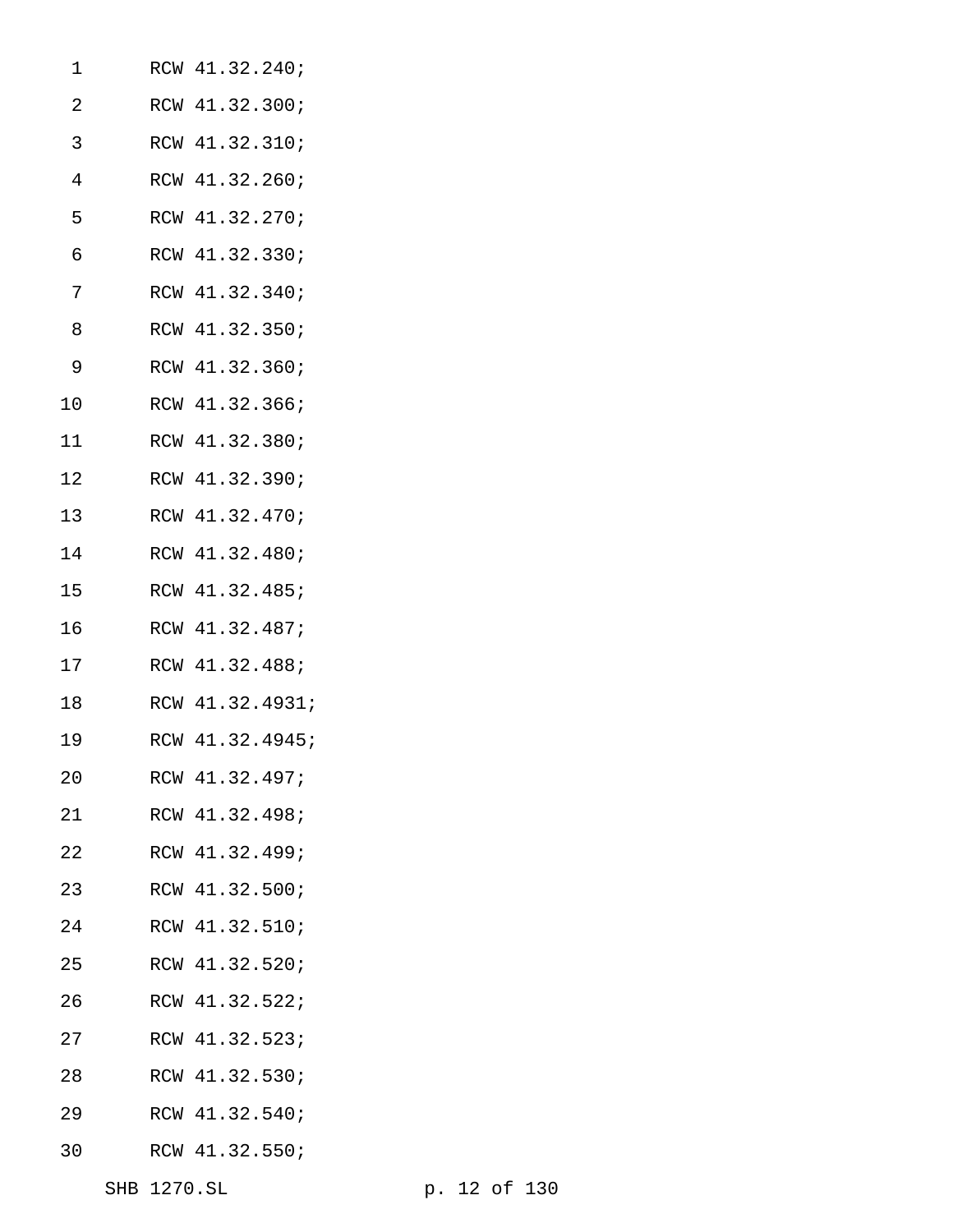| 1  | RCW 41.32.240;  |
|----|-----------------|
| 2  | RCW 41.32.300;  |
| 3  | RCW 41.32.310;  |
| 4  | RCW 41.32.260;  |
| 5  | RCW 41.32.270;  |
| 6  | RCW 41.32.330;  |
| 7  | RCW 41.32.340;  |
| 8  | RCW 41.32.350;  |
| 9  | RCW 41.32.360;  |
| 10 | RCW 41.32.366;  |
| 11 | RCW 41.32.380;  |
| 12 | RCW 41.32.390;  |
| 13 | RCW 41.32.470;  |
| 14 | RCW 41.32.480;  |
| 15 | RCW 41.32.485;  |
| 16 | RCW 41.32.487;  |
| 17 | RCW 41.32.488;  |
| 18 | RCW 41.32.4931; |
| 19 | RCW 41.32.4945; |
| 20 | RCW 41.32.497;  |
| 21 | RCW 41.32.498;  |
| 22 | RCW 41.32.499;  |
| 23 | RCW 41.32.500;  |
| 24 | RCW 41.32.510;  |
| 25 | RCW 41.32.520;  |
| 26 | RCW 41.32.522;  |
| 27 | RCW 41.32.523;  |
| 28 | RCW 41.32.530;  |
| 29 | RCW 41.32.540;  |
| 30 | RCW 41.32.550;  |
|    |                 |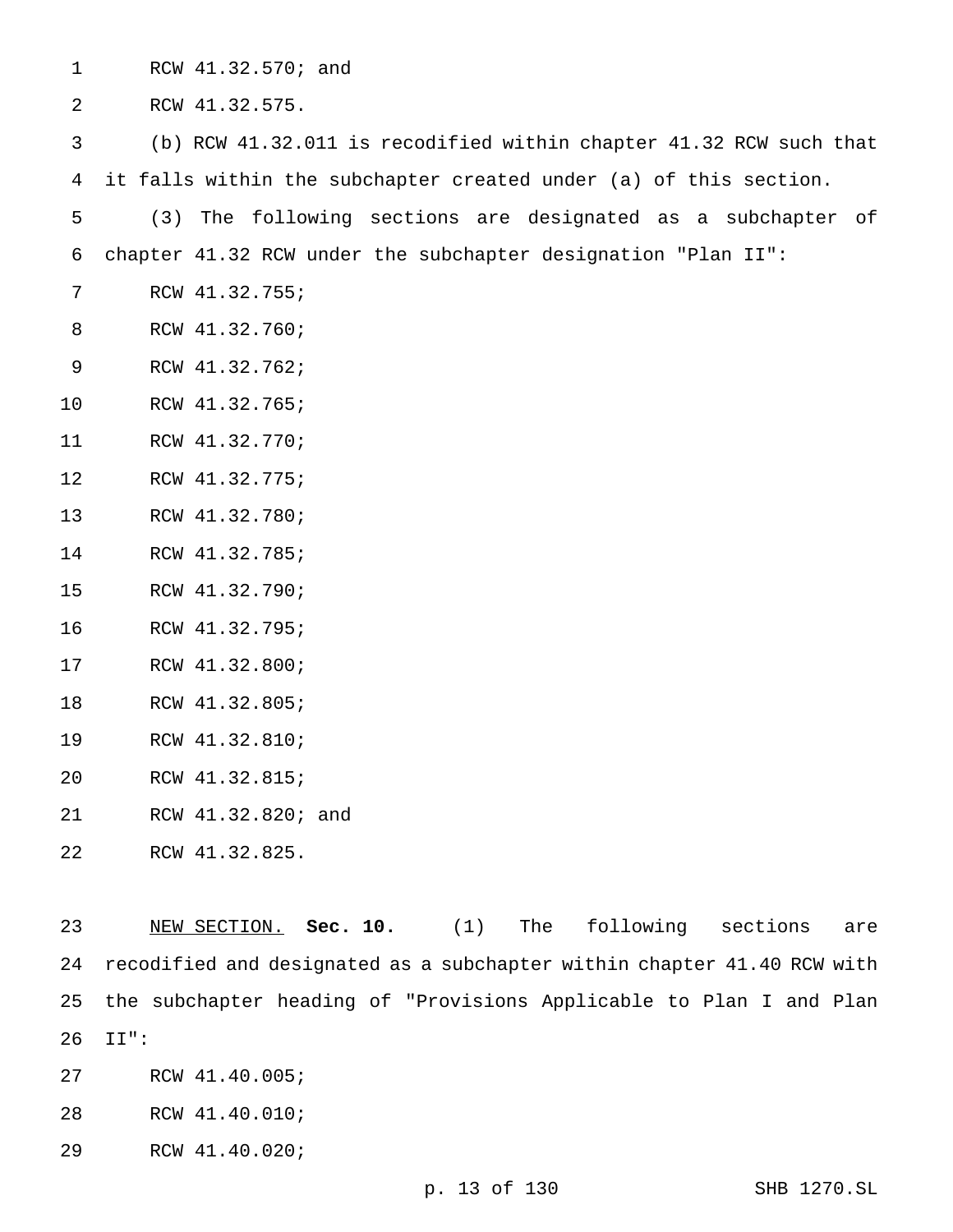| $\mathbf{1}$ |     | RCW 41.32.570; and                                                 |
|--------------|-----|--------------------------------------------------------------------|
| 2            |     | RCW 41.32.575.                                                     |
| 3            |     | (b) RCW 41.32.011 is recodified within chapter 41.32 RCW such that |
| 4            |     | it falls within the subchapter created under (a) of this section.  |
| 5            | (3) | The following sections are designated as a subchapter of           |
| 6            |     | chapter 41.32 RCW under the subchapter designation "Plan II":      |
| 7            |     | RCW 41.32.755;                                                     |
| 8            |     | RCW 41.32.760;                                                     |
| 9            |     | RCW 41.32.762;                                                     |
| 10           |     | RCW 41.32.765;                                                     |
| 11           |     | RCW 41.32.770;                                                     |
| 12           |     | RCW 41.32.775;                                                     |
| 13           |     | RCW 41.32.780;                                                     |
| 14           |     | RCW 41.32.785;                                                     |
| 15           |     | RCW 41.32.790;                                                     |
| 16           |     | RCW 41.32.795;                                                     |
| 17           |     | RCW 41.32.800;                                                     |
| 18           |     | RCW 41.32.805;                                                     |
| 19           |     | RCW 41.32.810;                                                     |
| 20           |     | RCW 41.32.815;                                                     |
| 21           |     | RCW 41.32.820; and                                                 |
| 22           |     | RCW 41.32.825.                                                     |
|              |     |                                                                    |

 NEW SECTION. **Sec. 10.** (1) The following sections are recodified and designated as a subchapter within chapter 41.40 RCW with the subchapter heading of "Provisions Applicable to Plan I and Plan II":

RCW 41.40.005;

RCW 41.40.010;

RCW 41.40.020;

p. 13 of 130 SHB 1270.SL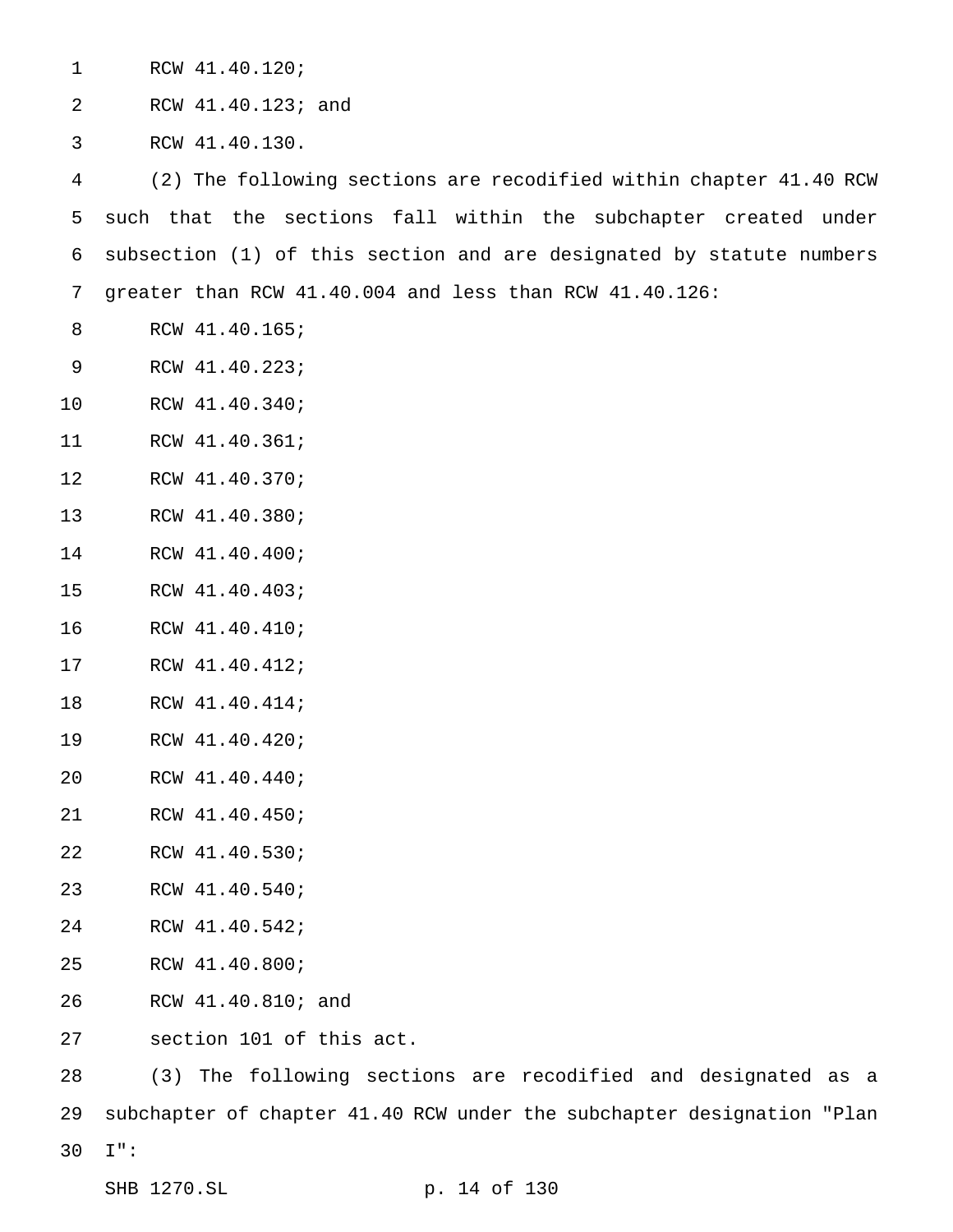| $\mathbf 1$ | RCW 41.40.120;                                                       |  |  |  |
|-------------|----------------------------------------------------------------------|--|--|--|
| 2           | RCW 41.40.123; and                                                   |  |  |  |
| 3           | RCW 41.40.130.                                                       |  |  |  |
| 4           | (2) The following sections are recodified within chapter 41.40 RCW   |  |  |  |
| 5           | such that the sections fall within the subchapter created under      |  |  |  |
| 6           | subsection (1) of this section and are designated by statute numbers |  |  |  |
| 7           | greater than RCW 41.40.004 and less than RCW 41.40.126:              |  |  |  |
| 8           | RCW 41.40.165;                                                       |  |  |  |
| 9           | RCW 41.40.223;                                                       |  |  |  |
| 10          | RCW 41.40.340;                                                       |  |  |  |
| 11          | RCW 41.40.361;                                                       |  |  |  |
| 12          | RCW 41.40.370;                                                       |  |  |  |
| 13          | RCW 41.40.380;                                                       |  |  |  |
| 14          | RCW 41.40.400;                                                       |  |  |  |
| 15          | RCW 41.40.403;                                                       |  |  |  |
| 16          | RCW 41.40.410;                                                       |  |  |  |
| 17          | RCW 41.40.412;                                                       |  |  |  |
| 18          | RCW 41.40.414;                                                       |  |  |  |
| 19          | RCW 41.40.420;                                                       |  |  |  |
| 20          | RCW 41.40.440;                                                       |  |  |  |
| 21          | RCW 41.40.450;                                                       |  |  |  |
| 22          | RCW 41.40.530;                                                       |  |  |  |
| 23          | RCW 41.40.540;                                                       |  |  |  |
| 24          | RCW 41.40.542;                                                       |  |  |  |
| 25          | RCW 41.40.800;                                                       |  |  |  |
| 26          | RCW 41.40.810; and                                                   |  |  |  |
| 27          | section 101 of this act.                                             |  |  |  |
| 28          | The following sections are recodified and designated as a<br>(3)     |  |  |  |

 subchapter of chapter 41.40 RCW under the subchapter designation "Plan I":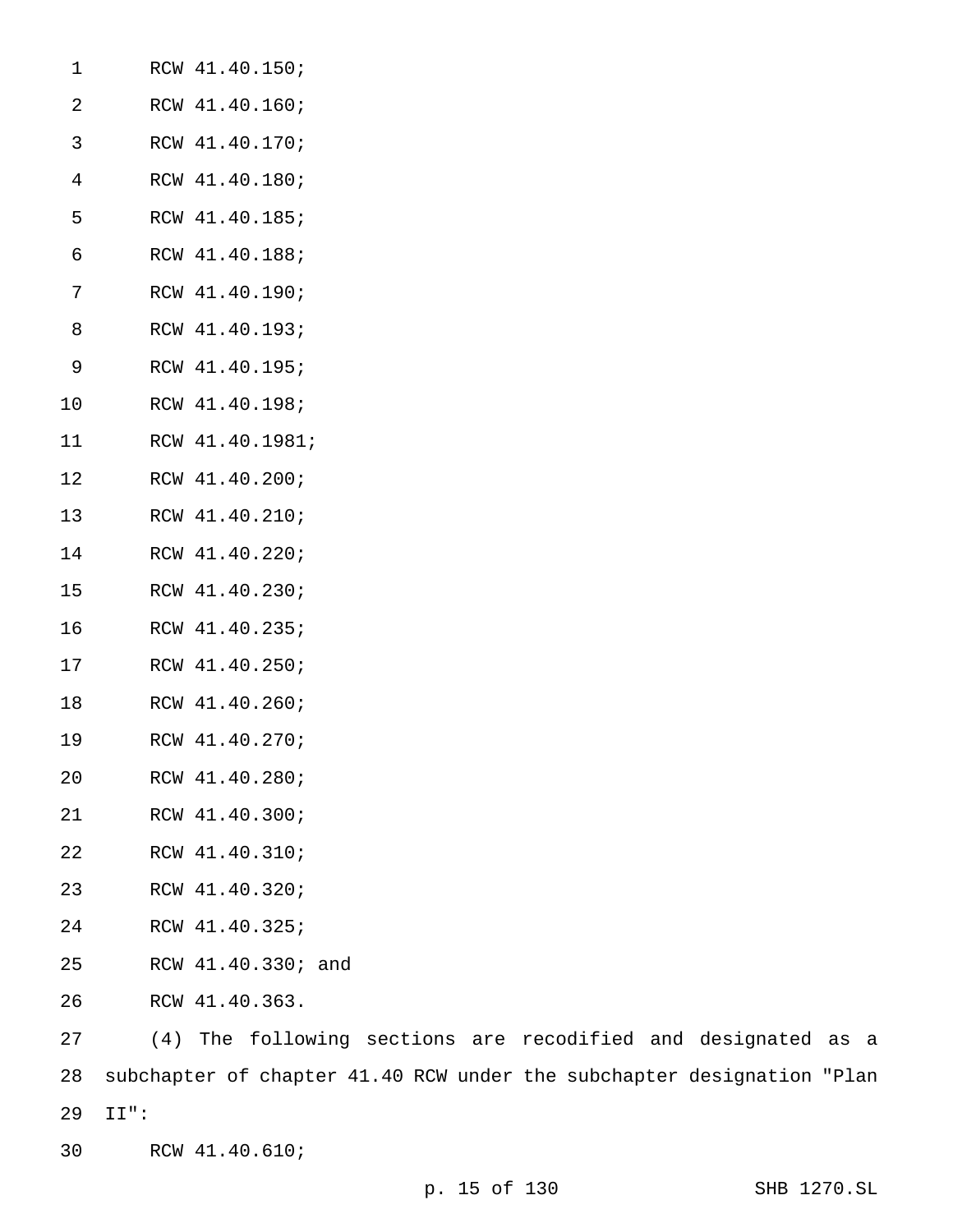| 1  | RCW 41.40.150;     |
|----|--------------------|
| 2  | RCW 41.40.160;     |
| 3  | RCW 41.40.170;     |
| 4  | RCW 41.40.180;     |
| 5  | RCW 41.40.185;     |
| 6  | RCW 41.40.188;     |
| 7  | RCW 41.40.190;     |
| 8  | RCW 41.40.193;     |
| 9  | RCW 41.40.195;     |
| 10 | RCW 41.40.198;     |
| 11 | RCW 41.40.1981;    |
| 12 | RCW 41.40.200;     |
| 13 | RCW 41.40.210;     |
| 14 | RCW 41.40.220;     |
| 15 | RCW 41.40.230;     |
| 16 | RCW 41.40.235;     |
| 17 | RCW 41.40.250;     |
| 18 | RCW 41.40.260;     |
| 19 | RCW 41.40.270;     |
| 20 | RCW 41.40.280;     |
| 21 | RCW 41.40.300;     |
| 22 | RCW 41.40.310;     |
| 23 | RCW 41.40.320;     |
| 24 | RCW 41.40.325;     |
| 25 | RCW 41.40.330; and |
| 26 | RCW 41.40.363.     |
| 27 | (4) The following  |

(4) The following sections are recodified and designated as a subchapter of chapter 41.40 RCW under the subchapter designation "Plan II":

RCW 41.40.610;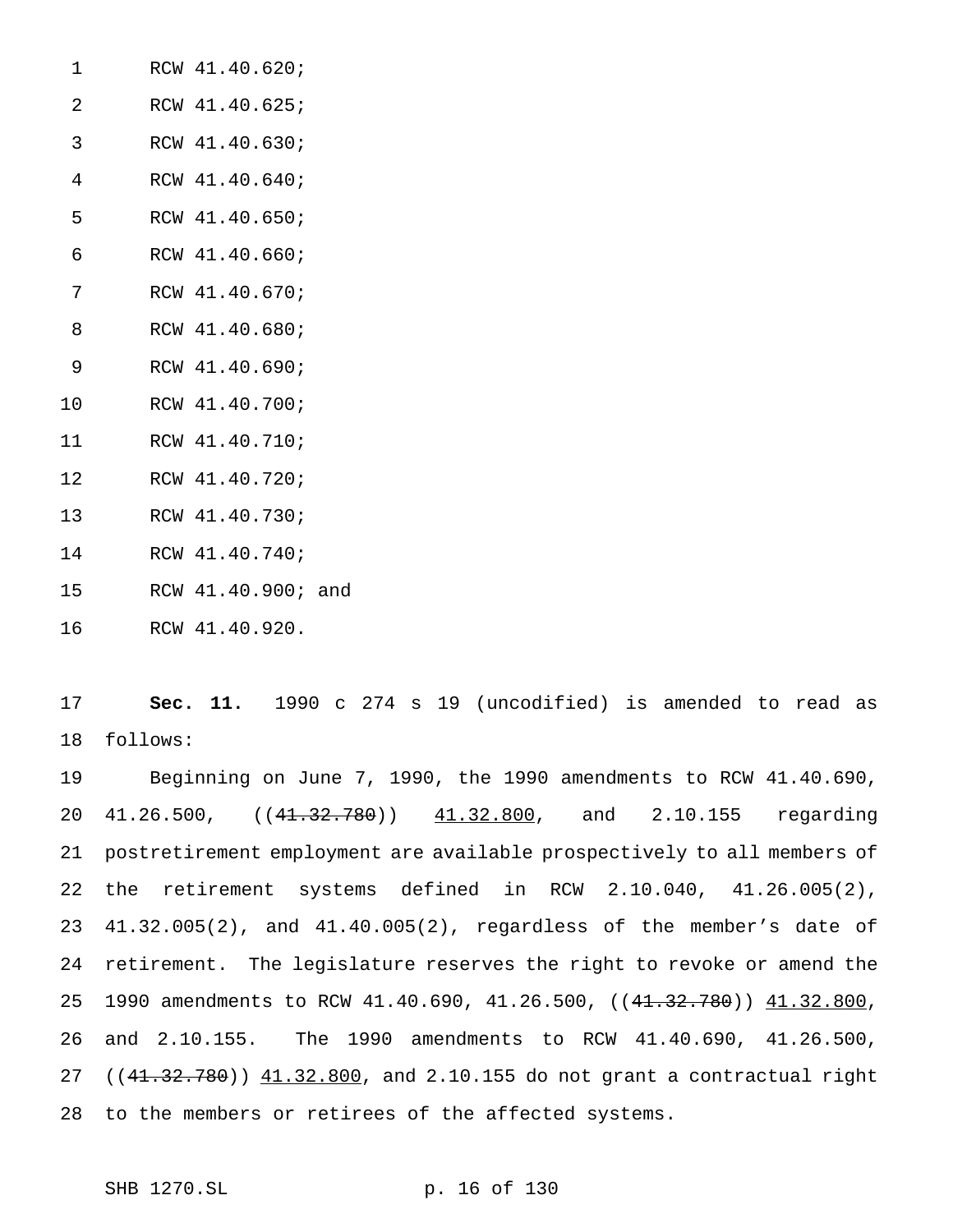| 1  | RCW 41.40.620; |
|----|----------------|
| 2  | RCW 41.40.625; |
| 3  | RCW 41.40.630; |
| 4  | RCW 41.40.640; |
| 5  | RCW 41.40.650; |
| 6  | RCW 41.40.660; |
| 7  | RCW 41.40.670; |
| 8  | RCW 41.40.680; |
| 9  | RCW 41.40.690; |
| 10 | RCW 41.40.700; |
| 11 | RCW 41.40.710; |
| 12 | RCW 41.40.720; |
| 13 | RCW 41.40.730; |
|    |                |

- 
- 
- 
- RCW 41.40.740;
- RCW 41.40.900; and
- RCW 41.40.920.

 **Sec. 11.** 1990 c 274 s 19 (uncodified) is amended to read as follows:

 Beginning on June 7, 1990, the 1990 amendments to RCW 41.40.690, 20 41.26.500,  $((41.32.780))$  41.32.800, and 2.10.155 regarding postretirement employment are available prospectively to all members of the retirement systems defined in RCW 2.10.040, 41.26.005(2), 41.32.005(2), and 41.40.005(2), regardless of the member's date of retirement. The legislature reserves the right to revoke or amend the 25 1990 amendments to RCW 41.40.690, 41.26.500, ((41.32.780)) 41.32.800, and 2.10.155. The 1990 amendments to RCW 41.40.690, 41.26.500, 27 ((41.32.780)) 41.32.800, and 2.10.155 do not grant a contractual right to the members or retirees of the affected systems.

SHB 1270.SL p. 16 of 130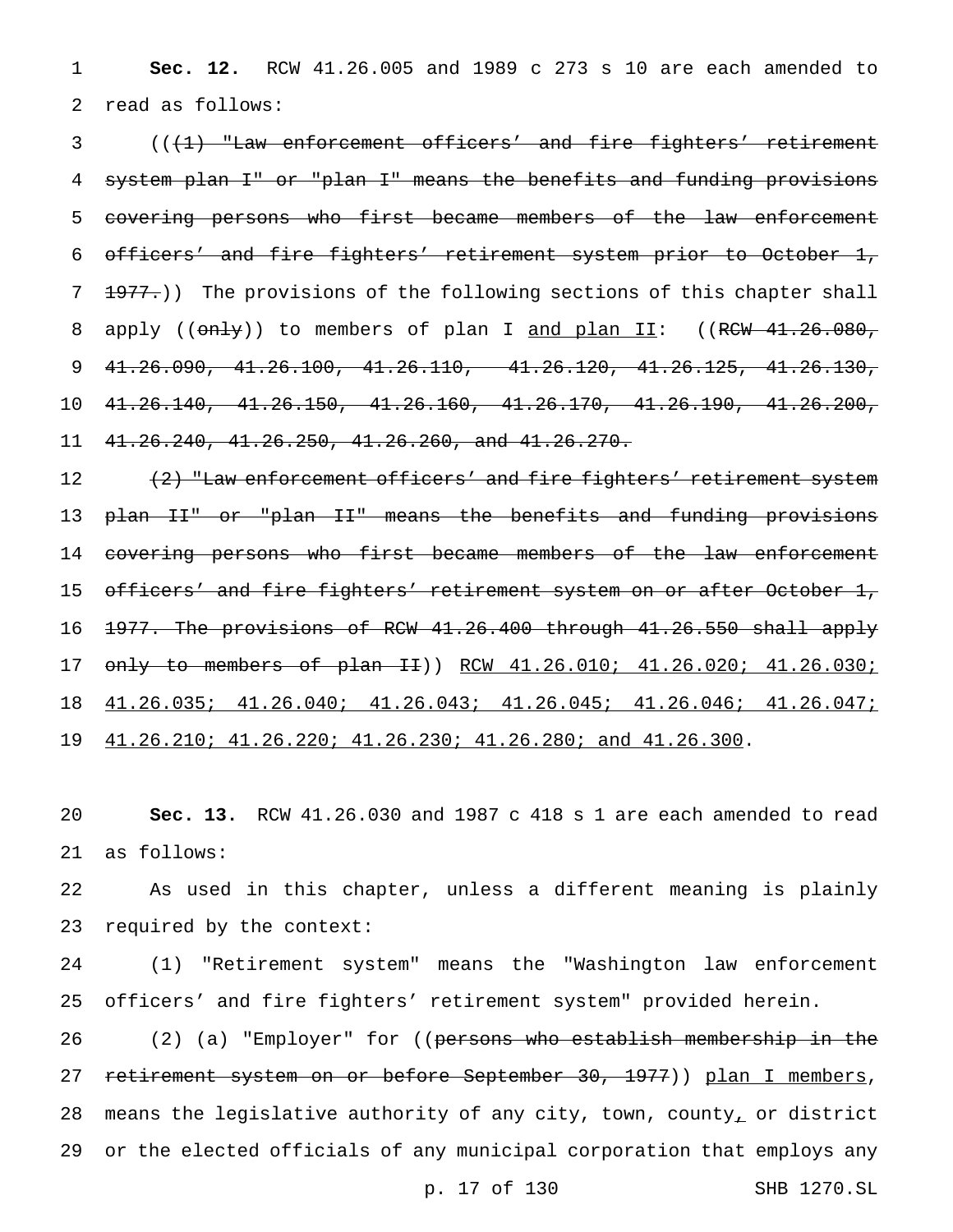**Sec. 12.** RCW 41.26.005 and 1989 c 273 s 10 are each amended to read as follows:

3 ((<del>(1) "Law enforcement officers' and fire fighters' retirement</del> system plan I" or "plan I" means the benefits and funding provisions covering persons who first became members of the law enforcement officers' and fire fighters' retirement system prior to October 1, 7 1977.)) The provisions of the following sections of this chapter shall 8 apply (( $\text{only}$ ) to members of plan I and plan II: ((RCW 41.26.080, 41.26.090, 41.26.100, 41.26.110, 41.26.120, 41.26.125, 41.26.130, 41.26.140, 41.26.150, 41.26.160, 41.26.170, 41.26.190, 41.26.200, 41.26.240, 41.26.250, 41.26.260, and 41.26.270.

12 (<del>2) "Law enforcement officers' and fire fighters' retirement system</del> 13 <del>plan II" or "plan II" means the benefits and funding provisions</del> 14 covering persons who first became members of the law enforcement 15 officers' and fire fighters' retirement system on or after October 1, 1977. The provisions of RCW 41.26.400 through 41.26.550 shall apply only to members of plan II)) RCW 41.26.010; 41.26.020; 41.26.030; 41.26.035; 41.26.040; 41.26.043; 41.26.045; 41.26.046; 41.26.047; 41.26.210; 41.26.220; 41.26.230; 41.26.280; and 41.26.300.

 **Sec. 13.** RCW 41.26.030 and 1987 c 418 s 1 are each amended to read as follows:

 As used in this chapter, unless a different meaning is plainly required by the context:

 (1) "Retirement system" means the "Washington law enforcement officers' and fire fighters' retirement system" provided herein.

26 (2) (a) "Employer" for ((persons who establish membership in the 27 retirement system on or before September 30, 1977)) plan I members, means the legislative authority of any city, town, county, or district or the elected officials of any municipal corporation that employs any

p. 17 of 130 SHB 1270.SL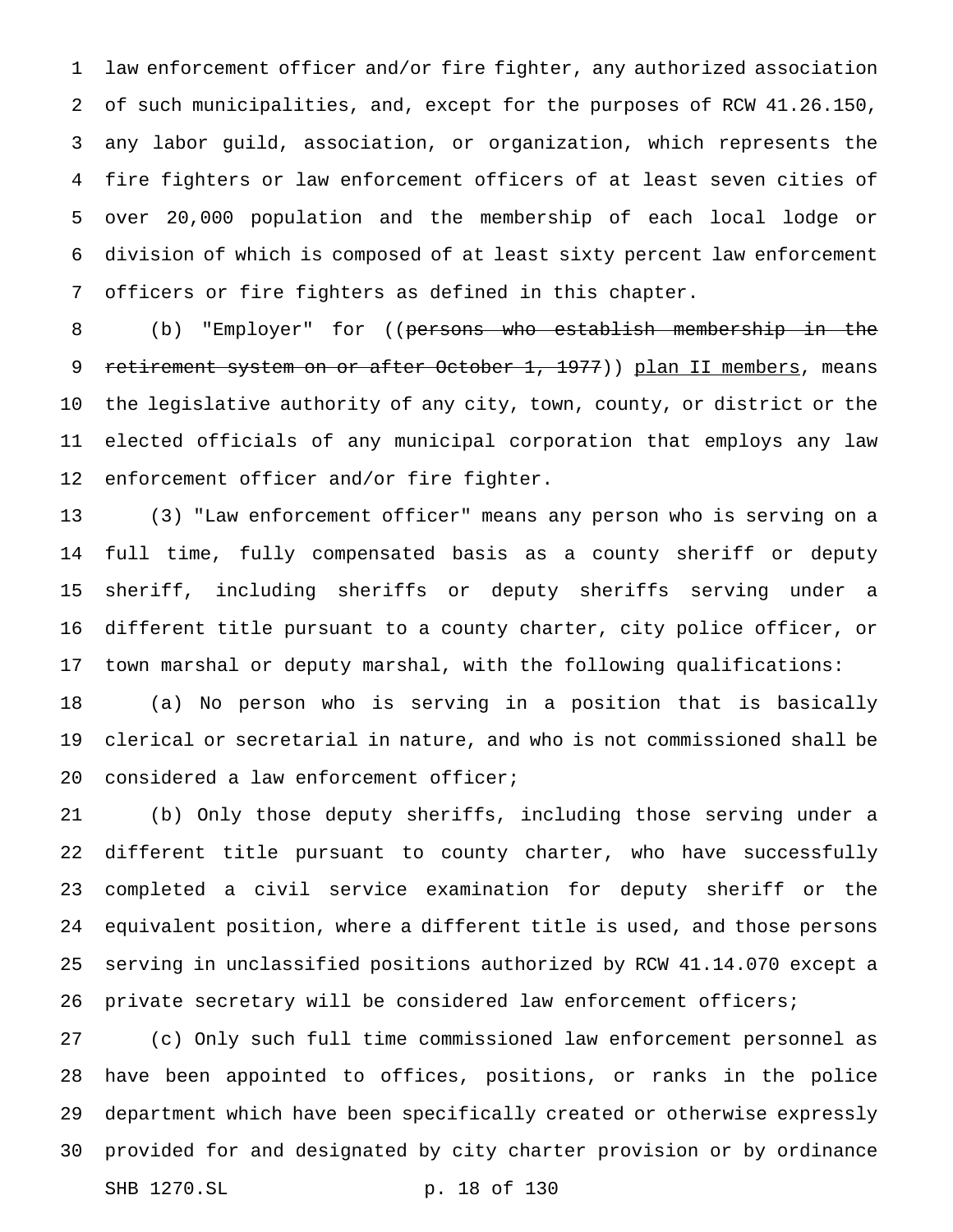law enforcement officer and/or fire fighter, any authorized association of such municipalities, and, except for the purposes of RCW 41.26.150, any labor guild, association, or organization, which represents the fire fighters or law enforcement officers of at least seven cities of over 20,000 population and the membership of each local lodge or division of which is composed of at least sixty percent law enforcement officers or fire fighters as defined in this chapter.

 (b) "Employer" for ((persons who establish membership in the 9 retirement system on or after October 1, 1977)) plan II members, means the legislative authority of any city, town, county, or district or the elected officials of any municipal corporation that employs any law enforcement officer and/or fire fighter.

 (3) "Law enforcement officer" means any person who is serving on a full time, fully compensated basis as a county sheriff or deputy sheriff, including sheriffs or deputy sheriffs serving under a different title pursuant to a county charter, city police officer, or town marshal or deputy marshal, with the following qualifications: (a) No person who is serving in a position that is basically clerical or secretarial in nature, and who is not commissioned shall be considered a law enforcement officer;

 (b) Only those deputy sheriffs, including those serving under a different title pursuant to county charter, who have successfully completed a civil service examination for deputy sheriff or the equivalent position, where a different title is used, and those persons serving in unclassified positions authorized by RCW 41.14.070 except a private secretary will be considered law enforcement officers;

 (c) Only such full time commissioned law enforcement personnel as have been appointed to offices, positions, or ranks in the police department which have been specifically created or otherwise expressly provided for and designated by city charter provision or by ordinance SHB 1270.SL p. 18 of 130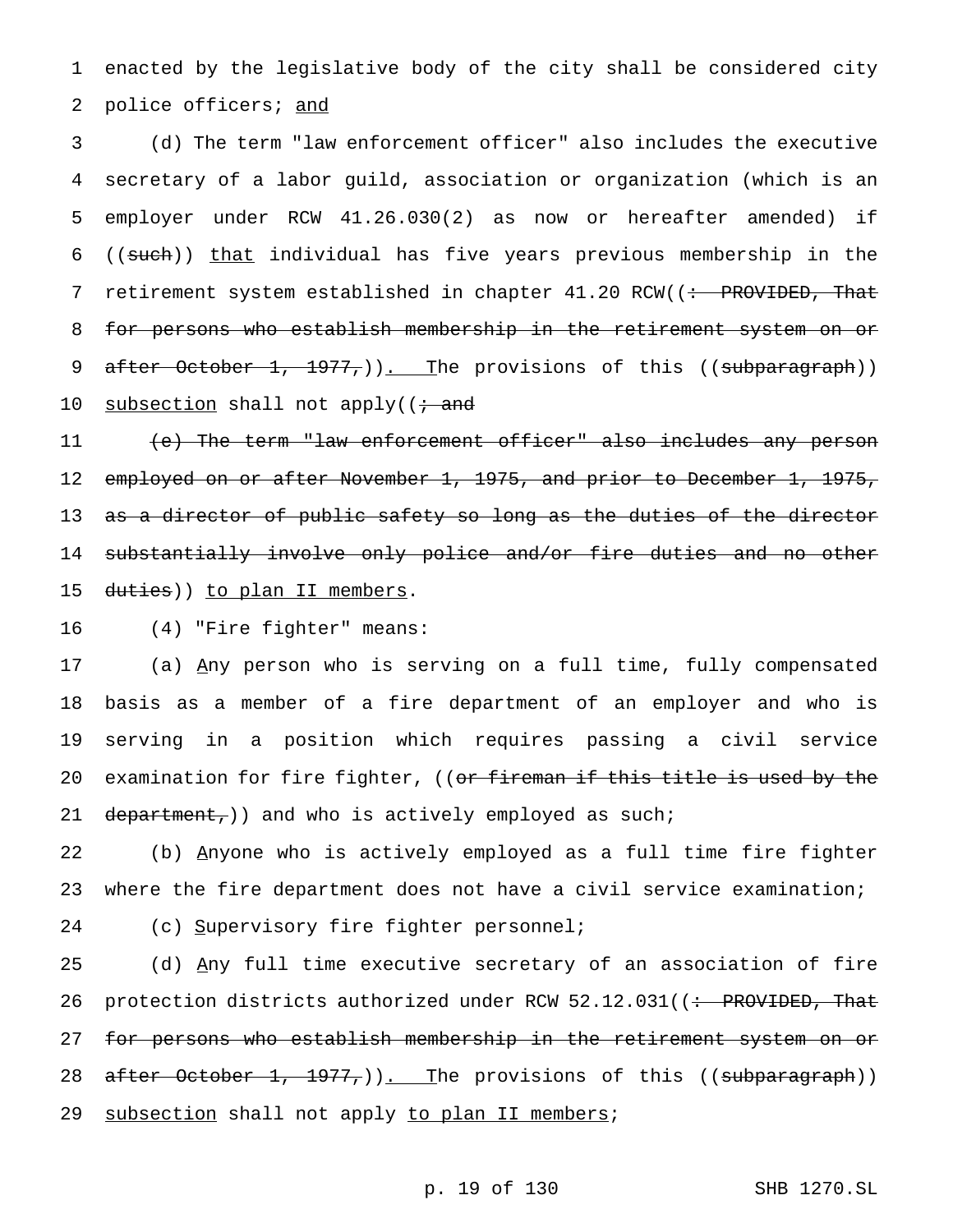1 enacted by the legislative body of the city shall be considered city 2 police officers; and

3 (d) The term "law enforcement officer" also includes the executive 4 secretary of a labor guild, association or organization (which is an 5 employer under RCW 41.26.030(2) as now or hereafter amended) if 6 ((such)) that individual has five years previous membership in the 7 retirement system established in chapter 41.20 RCW((: PROVIDED, That 8 for persons who establish membership in the retirement system on or 9 after October 1, 1977,)). The provisions of this ((subparagraph)) 10 subsection shall not apply( $\mathfrak{t}$  and

11 (e) The term "law enforcement officer" also includes any person 12 employed on or after November 1, 1975, and prior to December 1, 1975, 13 a<del>s a director of public safety so long as the duties of the director</del> 14 substantially involve only police and/or fire duties and no other 15 duties)) to plan II members.

16 (4) "Fire fighter" means:

17 (a) Any person who is serving on a full time, fully compensated 18 basis as a member of a fire department of an employer and who is 19 serving in a position which requires passing a civil service 20 examination for fire fighter, ((or fireman if this title is used by the 21 department,)) and who is actively employed as such;

22 (b) Anyone who is actively employed as a full time fire fighter 23 where the fire department does not have a civil service examination;

24 (c) Supervisory fire fighter personnel;

25 (d) Any full time executive secretary of an association of fire 26 protection districts authorized under RCW 52.12.031((: PROVIDED, That 27 for persons who establish membership in the retirement system on or 28 after October 1, 1977,)). The provisions of this ((subparagraph)) 29 subsection shall not apply to plan II members;

## p. 19 of 130 SHB 1270.SL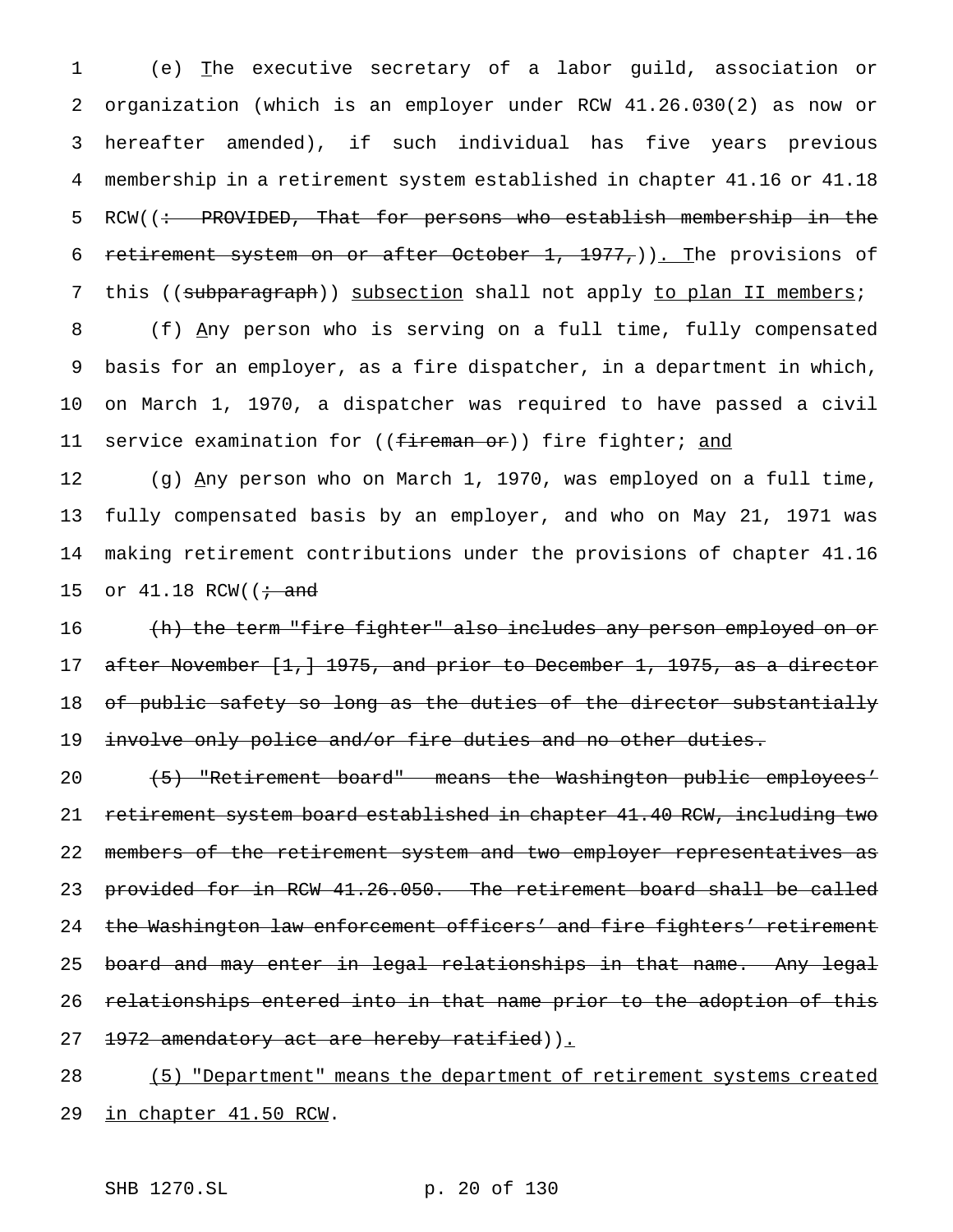(e) The executive secretary of a labor guild, association or organization (which is an employer under RCW 41.26.030(2) as now or hereafter amended), if such individual has five years previous membership in a retirement system established in chapter 41.16 or 41.18 5 RCW((: PROVIDED, That for persons who establish membership in the 6 retirement system on or after October  $1, 1977,$ )). The provisions of 7 this ((subparagraph)) subsection shall not apply to plan II members; (f) Any person who is serving on a full time, fully compensated basis for an employer, as a fire dispatcher, in a department in which, on March 1, 1970, a dispatcher was required to have passed a civil 11 service examination for ((<del>fireman or</del>)) fire fighter; and

 (g) Any person who on March 1, 1970, was employed on a full time, fully compensated basis by an employer, and who on May 21, 1971 was making retirement contributions under the provisions of chapter 41.16 15 or  $41.18$  RCW( $\left(\frac{1}{11}\right)$  and

16 (h) the term "fire fighter" also includes any person employed on or 17 after November [1, ] 1975, and prior to December 1, 1975, as a director 18 of public safety so long as the duties of the director substantially 19 involve only police and/or fire duties and no other duties.

20 (5) "Retirement board" means the Washington public employees' 21 retirement system board established in chapter 41.40 RCW, including two 22 members of the retirement system and two employer representatives as 23 provided for in RCW 41.26.050. The retirement board shall be called 24 the Washington law enforcement officers' and fire fighters' retirement 25 board and may enter in legal relationships in that name. Any legal 26 relationships entered into in that name prior to the adoption of this 27 1972 amendatory act are hereby ratified)).

28 (5) "Department" means the department of retirement systems created 29 in chapter 41.50 RCW.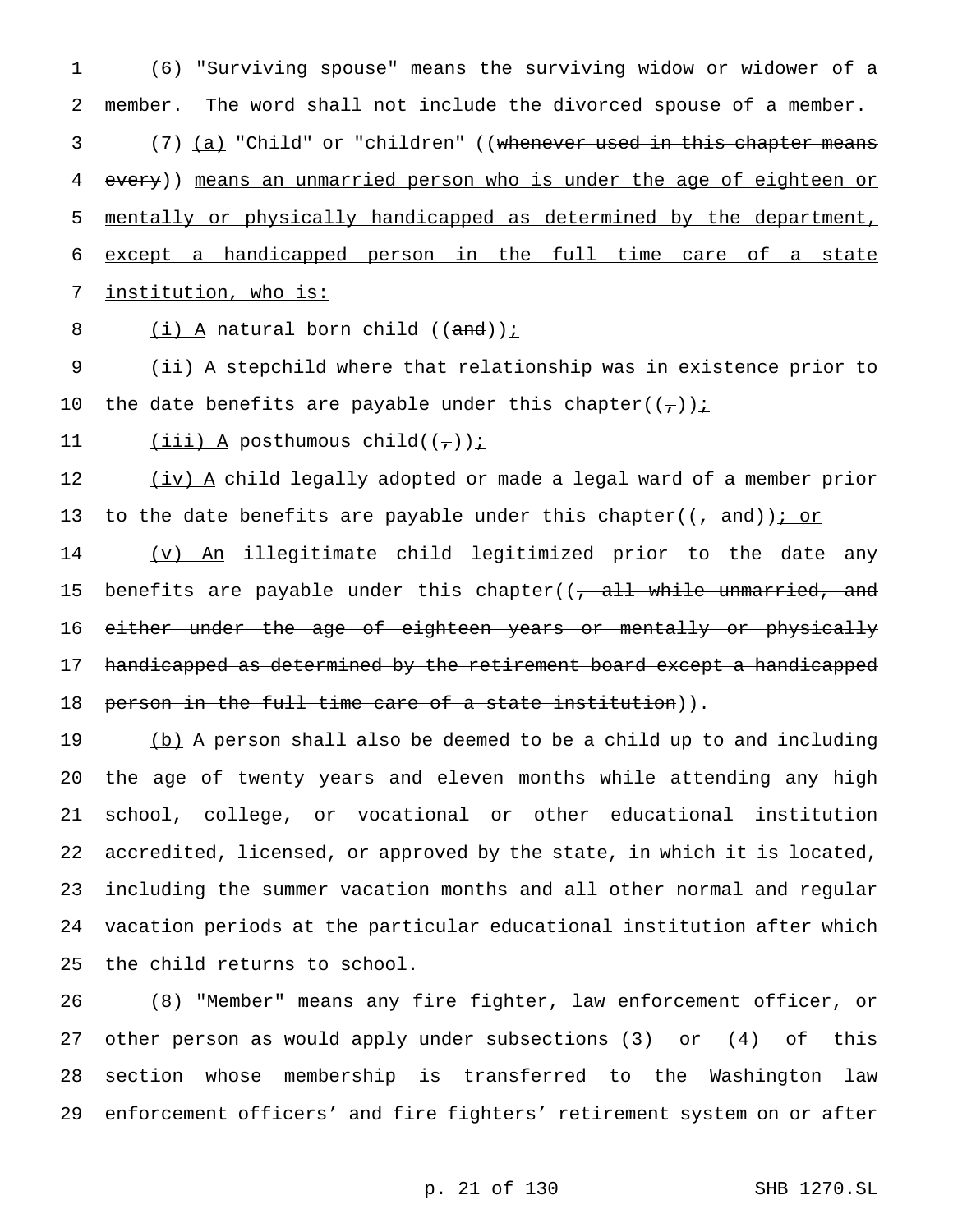(6) "Surviving spouse" means the surviving widow or widower of a member. The word shall not include the divorced spouse of a member. 3 (7) <u>(a)</u> "Child" or "children" ((whenever used in this chapter means 4 every)) means an unmarried person who is under the age of eighteen or mentally or physically handicapped as determined by the department, except a handicapped person in the full time care of a state institution, who is:

8  $(i)$  A natural born child  $((and))$  *i* 

9 (ii) A stepchild where that relationship was in existence prior to 10 the date benefits are payable under this chapter( $(\tau)$ ) i

11  $(iii)$  A posthumous child( $(\tau)$ );

12 (iv) A child legally adopted or made a legal ward of a member prior 13 to the date benefits are payable under this chapter( $(\frac{1}{2}$  and)); or

14 (v) An illegitimate child legitimized prior to the date any 15 benefits are payable under this chapter((<del>, all while unmarried, and</del> 16 either under the age of eighteen years or mentally or physically 17 handicapped as determined by the retirement board except a handicapped 18 person in the full time care of a state institution)).

19 (b) A person shall also be deemed to be a child up to and including the age of twenty years and eleven months while attending any high school, college, or vocational or other educational institution accredited, licensed, or approved by the state, in which it is located, including the summer vacation months and all other normal and regular vacation periods at the particular educational institution after which the child returns to school.

 (8) "Member" means any fire fighter, law enforcement officer, or other person as would apply under subsections (3) or (4) of this section whose membership is transferred to the Washington law enforcement officers' and fire fighters' retirement system on or after

# p. 21 of 130 SHB 1270.SL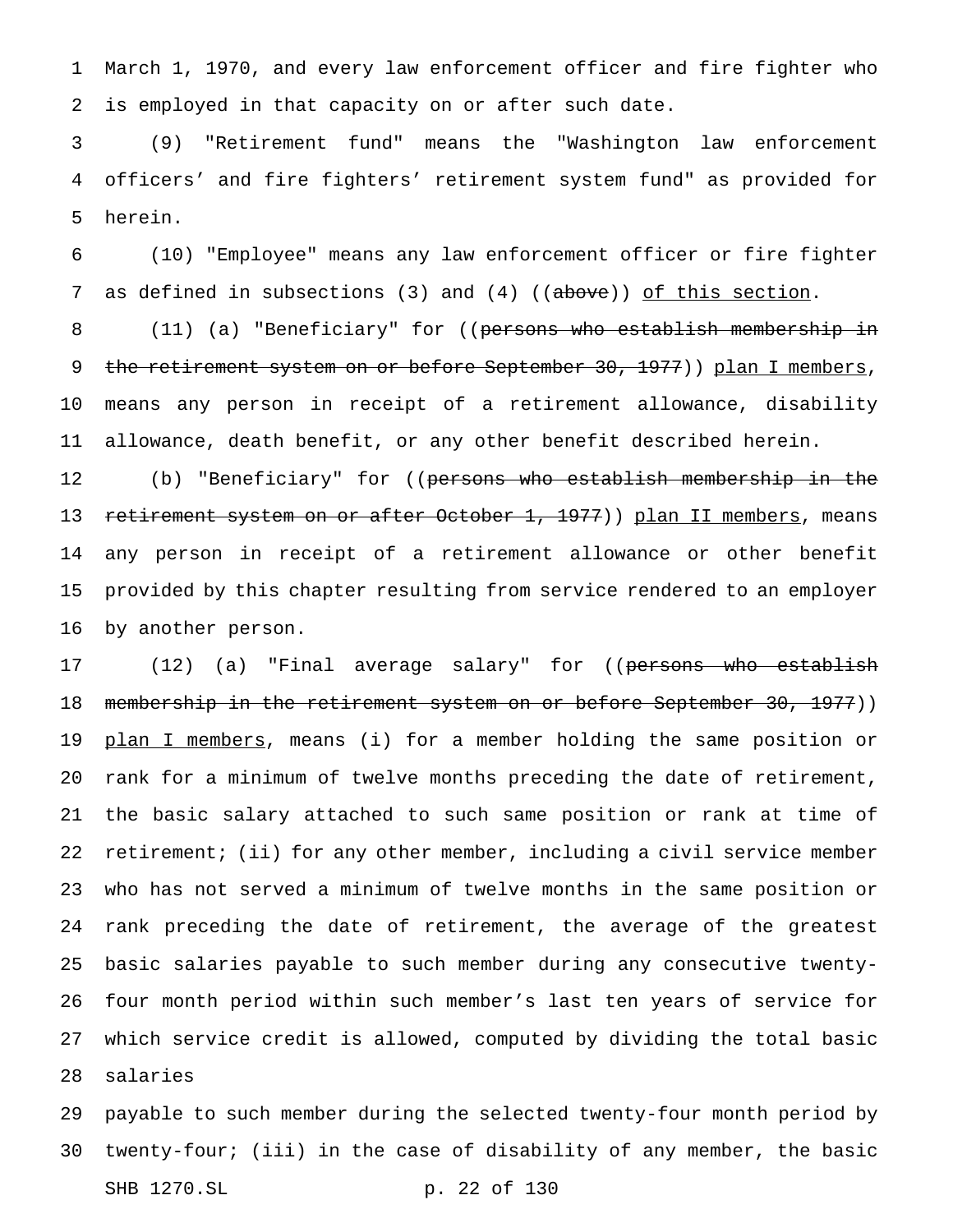March 1, 1970, and every law enforcement officer and fire fighter who is employed in that capacity on or after such date.

 (9) "Retirement fund" means the "Washington law enforcement officers' and fire fighters' retirement system fund" as provided for herein.

 (10) "Employee" means any law enforcement officer or fire fighter 7 as defined in subsections (3) and (4) ((above)) of this section.

8 (11) (a) "Beneficiary" for ((persons who establish membership in 9 the retirement system on or before September 30, 1977)) plan I members, means any person in receipt of a retirement allowance, disability allowance, death benefit, or any other benefit described herein.

12 (b) "Beneficiary" for ((<del>persons who establish membership in the</del> 13 retirement system on or after October 1, 1977)) plan II members, means any person in receipt of a retirement allowance or other benefit provided by this chapter resulting from service rendered to an employer by another person.

17 (12) (a) "Final average salary" for ((persons who establish 18 membership in the retirement system on or before September 30, 1977)) 19 plan I members, means (i) for a member holding the same position or rank for a minimum of twelve months preceding the date of retirement, the basic salary attached to such same position or rank at time of retirement; (ii) for any other member, including a civil service member who has not served a minimum of twelve months in the same position or rank preceding the date of retirement, the average of the greatest basic salaries payable to such member during any consecutive twenty- four month period within such member's last ten years of service for which service credit is allowed, computed by dividing the total basic salaries

 payable to such member during the selected twenty-four month period by twenty-four; (iii) in the case of disability of any member, the basic SHB 1270.SL p. 22 of 130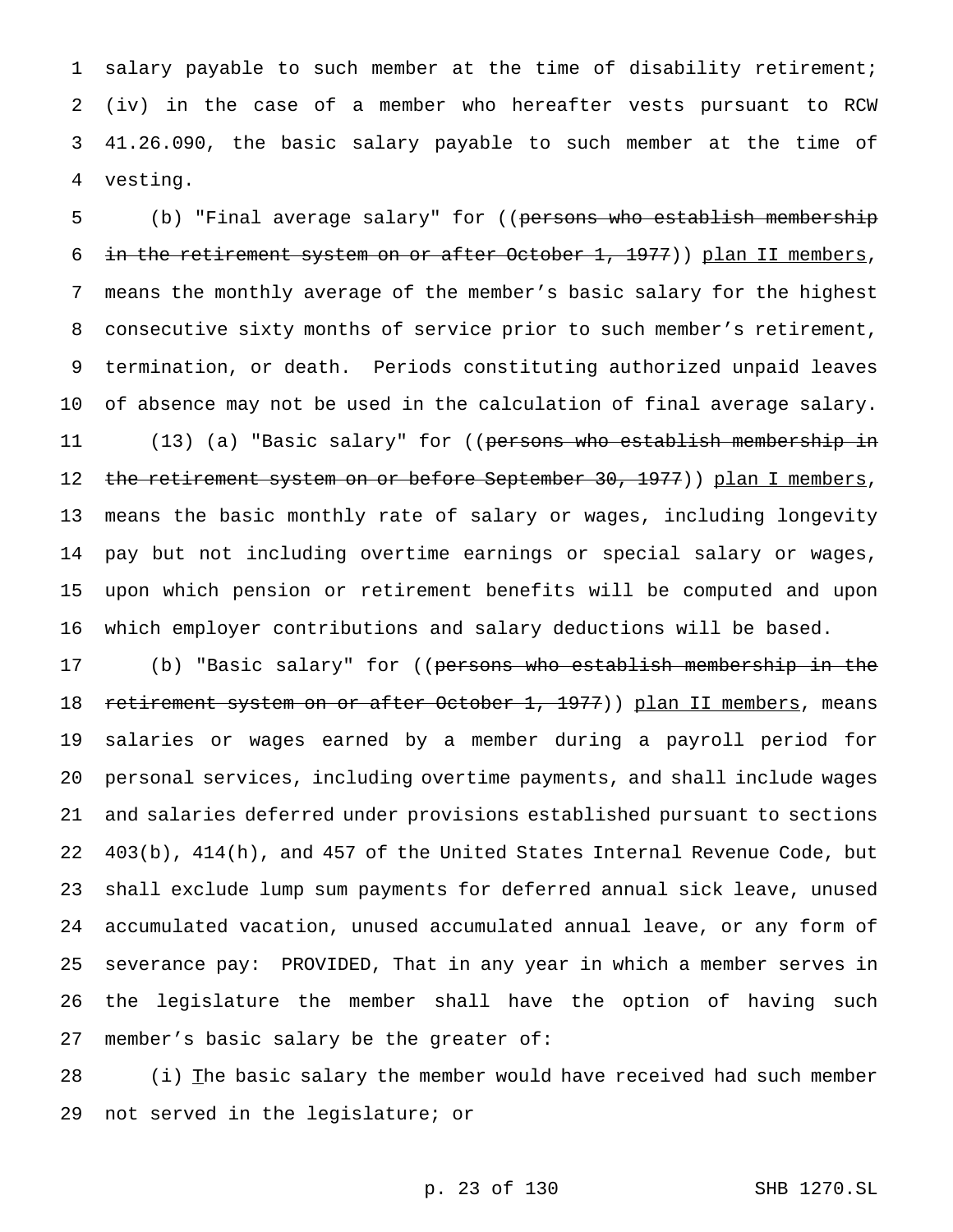salary payable to such member at the time of disability retirement; (iv) in the case of a member who hereafter vests pursuant to RCW 41.26.090, the basic salary payable to such member at the time of vesting.

5 (b) "Final average salary" for ((persons who establish membership 6 in the retirement system on or after October 1, 1977)) plan II members, means the monthly average of the member's basic salary for the highest consecutive sixty months of service prior to such member's retirement, termination, or death. Periods constituting authorized unpaid leaves of absence may not be used in the calculation of final average salary. 11 (13) (a) "Basic salary" for ((persons who establish membership in 12 the retirement system on or before September 30, 1977)) plan I members, means the basic monthly rate of salary or wages, including longevity pay but not including overtime earnings or special salary or wages, upon which pension or retirement benefits will be computed and upon which employer contributions and salary deductions will be based.

 (b) "Basic salary" for ((persons who establish membership in the 18 retirement system on or after October 1, 1977)) plan II members, means salaries or wages earned by a member during a payroll period for personal services, including overtime payments, and shall include wages and salaries deferred under provisions established pursuant to sections 403(b), 414(h), and 457 of the United States Internal Revenue Code, but shall exclude lump sum payments for deferred annual sick leave, unused accumulated vacation, unused accumulated annual leave, or any form of severance pay: PROVIDED, That in any year in which a member serves in the legislature the member shall have the option of having such member's basic salary be the greater of:

28 (i) The basic salary the member would have received had such member not served in the legislature; or

p. 23 of 130 SHB 1270.SL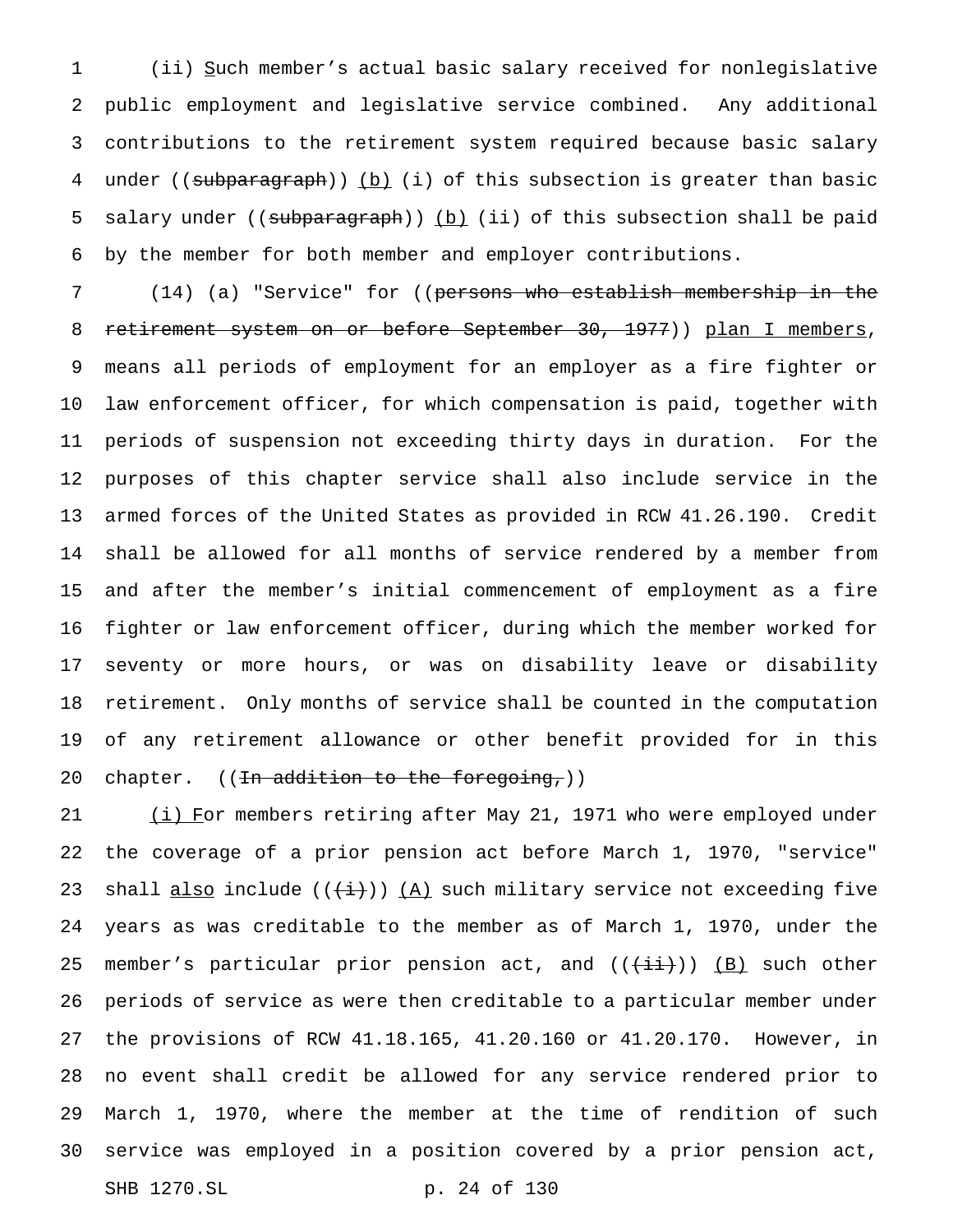(ii) Such member's actual basic salary received for nonlegislative public employment and legislative service combined. Any additional contributions to the retirement system required because basic salary 4 under ((subparagraph)) (b) (i) of this subsection is greater than basic 5 salary under ((subparagraph)) (b) (ii) of this subsection shall be paid by the member for both member and employer contributions.

 (14) (a) "Service" for ((persons who establish membership in the 8 retirement system on or before September 30, 1977)) plan I members, means all periods of employment for an employer as a fire fighter or law enforcement officer, for which compensation is paid, together with periods of suspension not exceeding thirty days in duration. For the purposes of this chapter service shall also include service in the armed forces of the United States as provided in RCW 41.26.190. Credit shall be allowed for all months of service rendered by a member from and after the member's initial commencement of employment as a fire fighter or law enforcement officer, during which the member worked for seventy or more hours, or was on disability leave or disability retirement. Only months of service shall be counted in the computation of any retirement allowance or other benefit provided for in this 20 chapter. ((In addition to the foregoing,))

21 (i) For members retiring after May 21, 1971 who were employed under the coverage of a prior pension act before March 1, 1970, "service" 23 shall also include  $((+i))$   $(A)$  such military service not exceeding five years as was creditable to the member as of March 1, 1970, under the 25 member's particular prior pension act, and  $((+i+1))$  (B) such other periods of service as were then creditable to a particular member under the provisions of RCW 41.18.165, 41.20.160 or 41.20.170. However, in no event shall credit be allowed for any service rendered prior to March 1, 1970, where the member at the time of rendition of such service was employed in a position covered by a prior pension act, SHB 1270.SL p. 24 of 130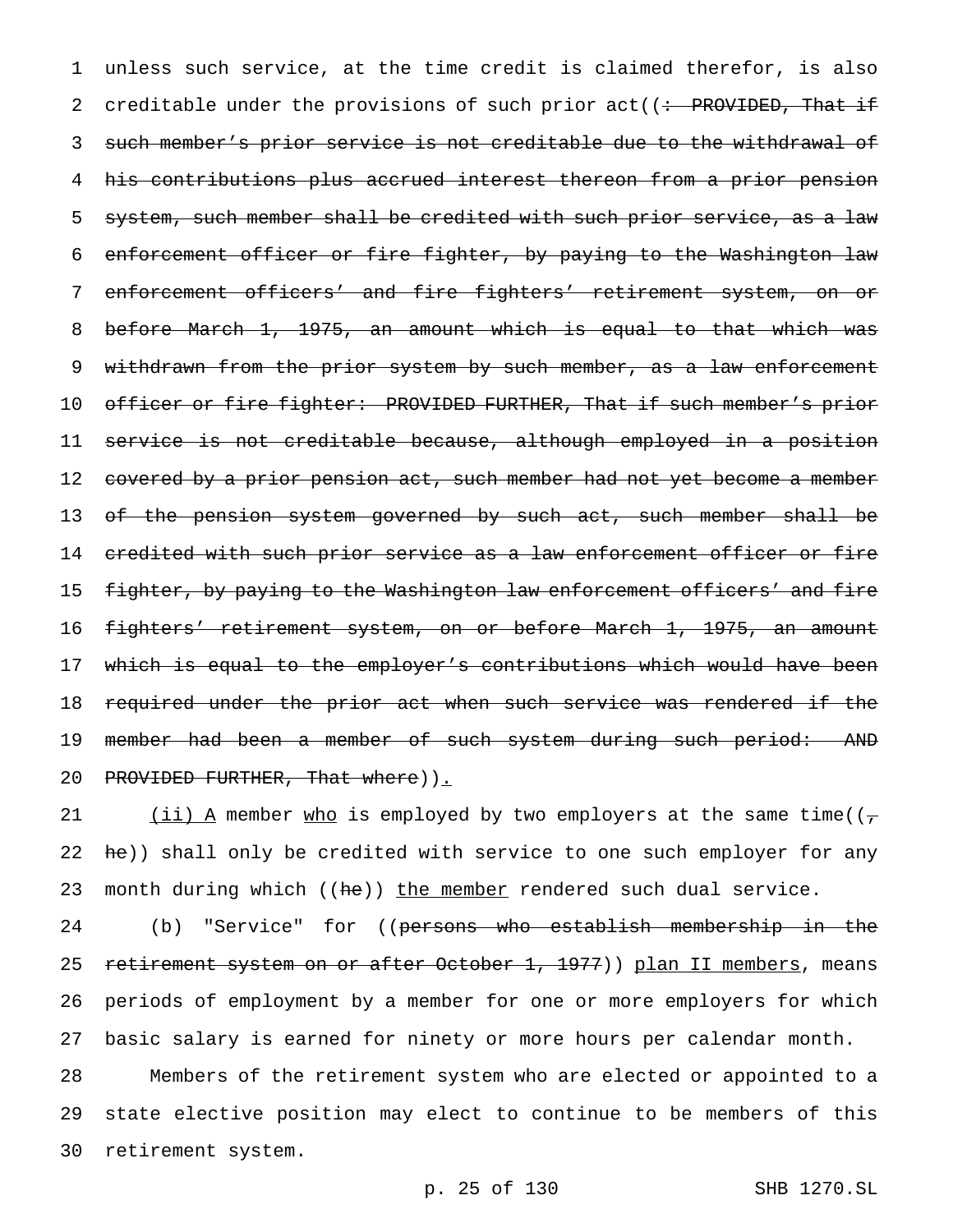1 unless such service, at the time credit is claimed therefor, is also 2 creditable under the provisions of such prior act((: PROVIDED, That if 3 such member's prior service is not creditable due to the withdrawal of 4 his contributions plus accrued interest thereon from a prior pension 5 system, such member shall be credited with such prior service, as a law 6 enforcement officer or fire fighter, by paying to the Washington law 7 enforcement officers' and fire fighters' retirement system, on or 8 before March 1, 1975, an amount which is equal to that which was 9 withdrawn from the prior system by such member, as a law enforcement 10 officer or fire fighter: PROVIDED FURTHER, That if such member's prior 11 service is not creditable because, although employed in a position 12 covered by a prior pension act, such member had not yet become a member 13 of the pension system governed by such act, such member shall be 14 credited with such prior service as a law enforcement officer or fire 15 fighter, by paying to the Washington law enforcement officers' and fire 16 fighters' retirement system, on or before March 1, 1975, an amount 17 which is equal to the employer's contributions which would have been 18 required under the prior act when such service was rendered if the 19 member had been a member of such system during such period: AND 20 PROVIDED FURTHER, That where) ).

21 (ii) A member who is employed by two employers at the same time( $(\tau$ 22 he)) shall only be credited with service to one such employer for any 23 month during which ((he)) the member rendered such dual service.

24 (b) "Service" for ((<del>persons who establish membership in the</del> 25 retirement system on or after October 1, 1977)) plan II members, means 26 periods of employment by a member for one or more employers for which 27 basic salary is earned for ninety or more hours per calendar month. 28 Members of the retirement system who are elected or appointed to a

29 state elective position may elect to continue to be members of this 30 retirement system.

p. 25 of 130 SHB 1270.SL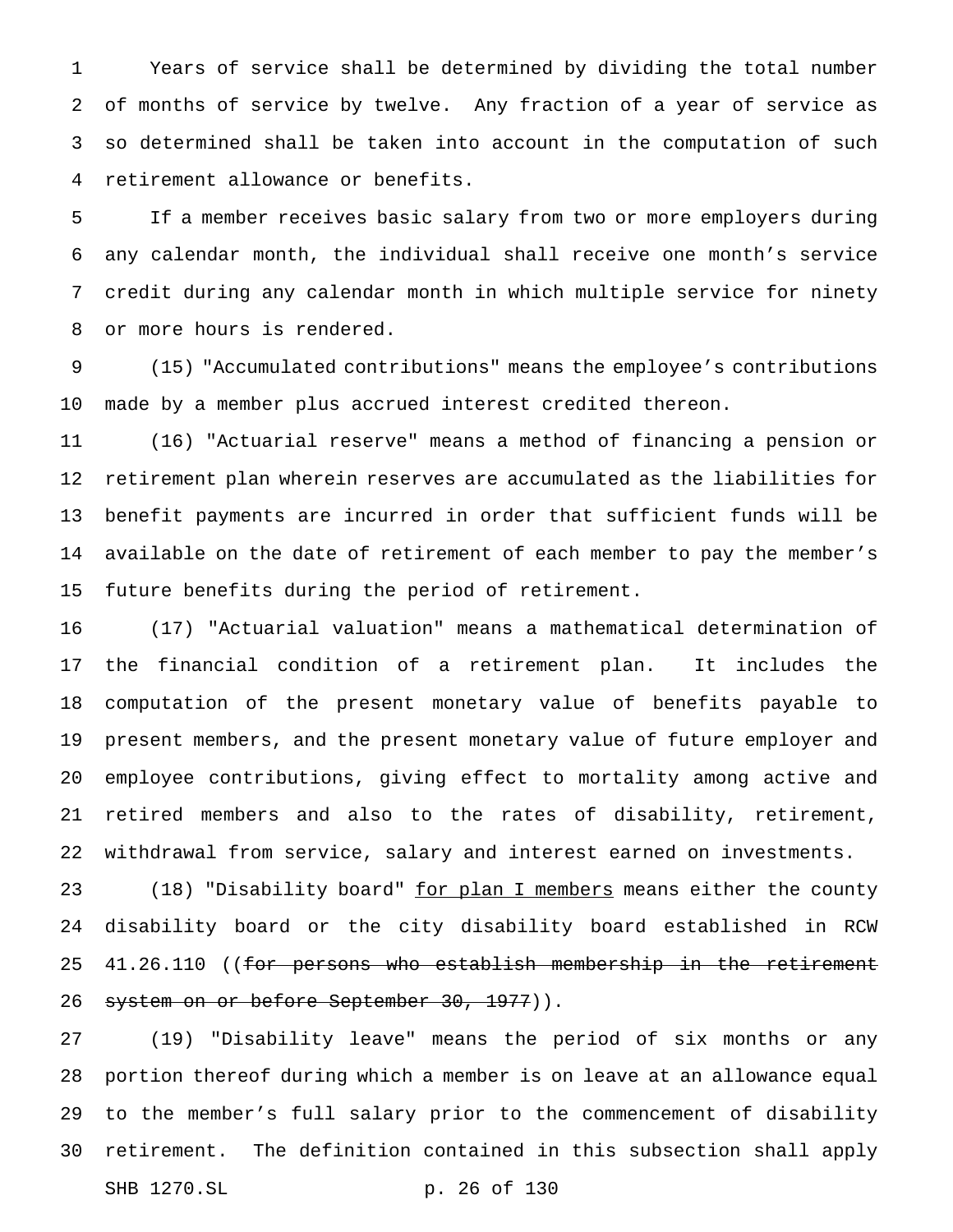Years of service shall be determined by dividing the total number of months of service by twelve. Any fraction of a year of service as so determined shall be taken into account in the computation of such retirement allowance or benefits.

 If a member receives basic salary from two or more employers during any calendar month, the individual shall receive one month's service credit during any calendar month in which multiple service for ninety or more hours is rendered.

 (15) "Accumulated contributions" means the employee's contributions made by a member plus accrued interest credited thereon.

 (16) "Actuarial reserve" means a method of financing a pension or retirement plan wherein reserves are accumulated as the liabilities for benefit payments are incurred in order that sufficient funds will be available on the date of retirement of each member to pay the member's future benefits during the period of retirement.

 (17) "Actuarial valuation" means a mathematical determination of the financial condition of a retirement plan. It includes the computation of the present monetary value of benefits payable to present members, and the present monetary value of future employer and employee contributions, giving effect to mortality among active and retired members and also to the rates of disability, retirement, withdrawal from service, salary and interest earned on investments.

23 (18) "Disability board" for plan I members means either the county disability board or the city disability board established in RCW 25 41.26.110 ((for persons who establish membership in the retirement 26 system on or before September 30, 1977)).

 (19) "Disability leave" means the period of six months or any portion thereof during which a member is on leave at an allowance equal to the member's full salary prior to the commencement of disability retirement. The definition contained in this subsection shall apply SHB 1270.SL p. 26 of 130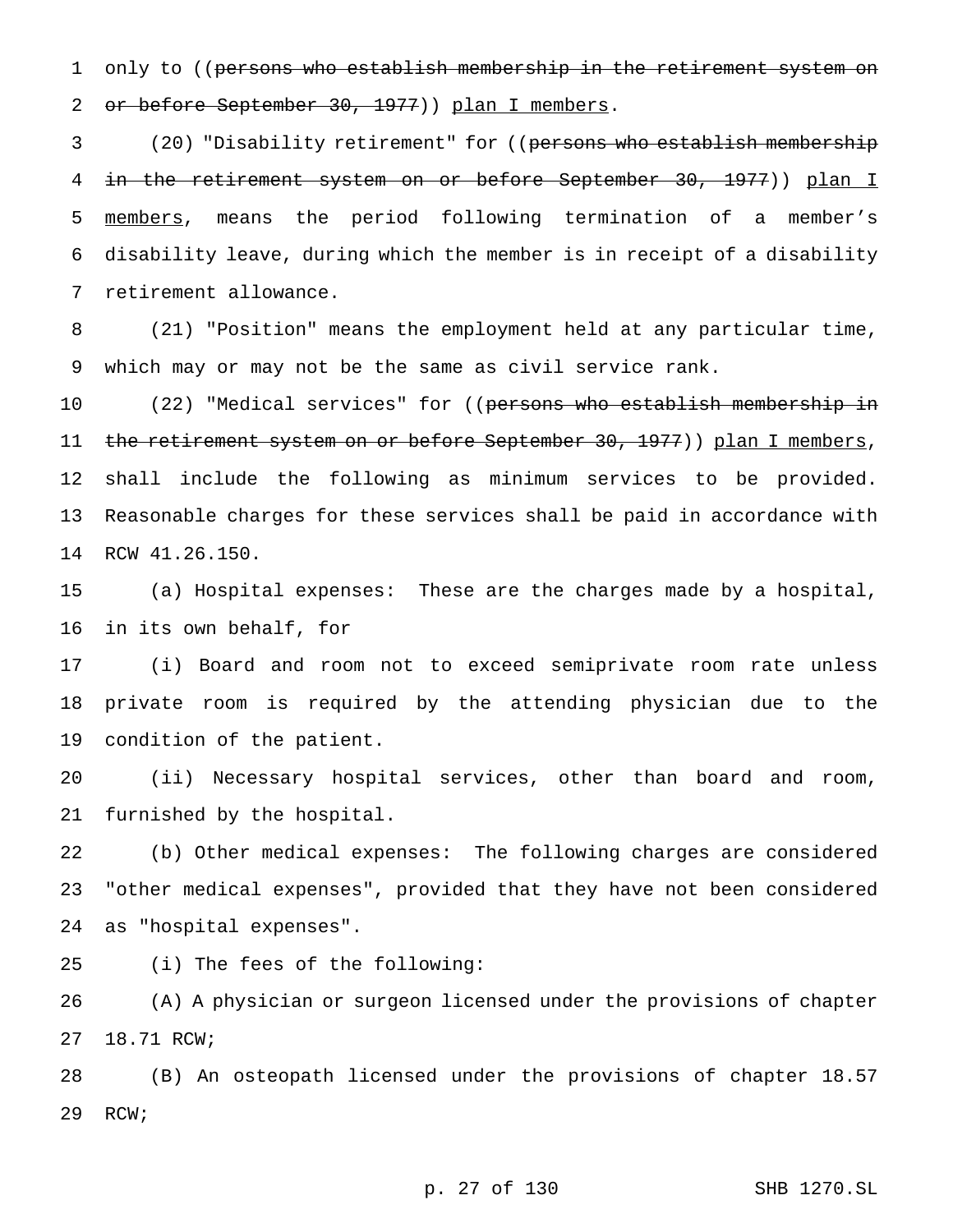1 only to ((persons who establish membership in the retirement system on 2 or before September 30, 1977)) plan I members.

3 (20) "Disability retirement" for ((persons who establish membership in the retirement system on or before September 30, 1977)) plan I members, means the period following termination of a member's disability leave, during which the member is in receipt of a disability retirement allowance.

 (21) "Position" means the employment held at any particular time, which may or may not be the same as civil service rank.

10 (22) "Medical services" for ((persons who establish membership in 11 the retirement system on or before September 30, 1977)) plan I members, shall include the following as minimum services to be provided. Reasonable charges for these services shall be paid in accordance with RCW 41.26.150.

 (a) Hospital expenses: These are the charges made by a hospital, in its own behalf, for

 (i) Board and room not to exceed semiprivate room rate unless private room is required by the attending physician due to the condition of the patient.

 (ii) Necessary hospital services, other than board and room, furnished by the hospital.

 (b) Other medical expenses: The following charges are considered "other medical expenses", provided that they have not been considered as "hospital expenses".

(i) The fees of the following:

 (A) A physician or surgeon licensed under the provisions of chapter 18.71 RCW;

 (B) An osteopath licensed under the provisions of chapter 18.57 RCW;

p. 27 of 130 SHB 1270.SL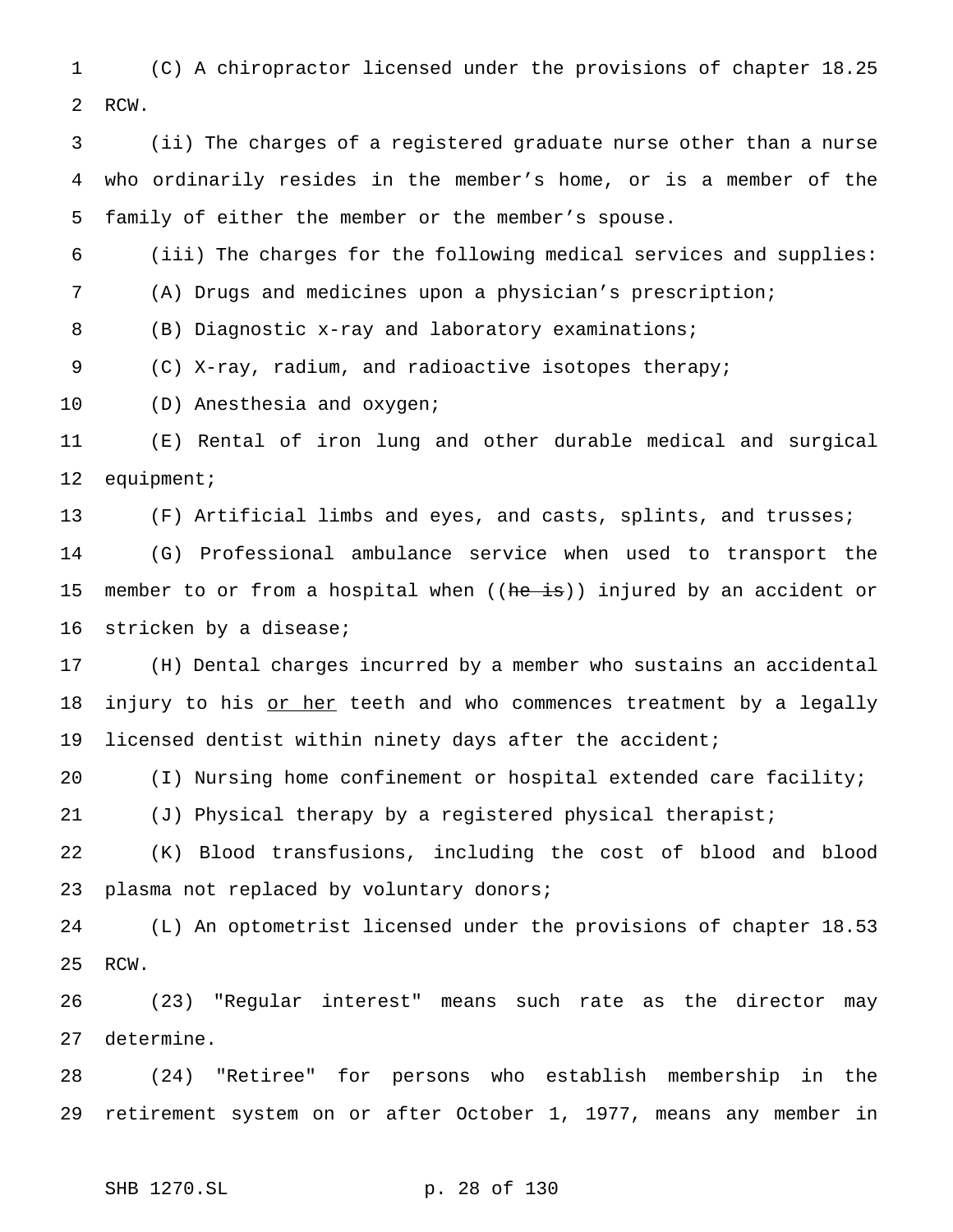(C) A chiropractor licensed under the provisions of chapter 18.25 RCW.

 (ii) The charges of a registered graduate nurse other than a nurse who ordinarily resides in the member's home, or is a member of the family of either the member or the member's spouse.

(iii) The charges for the following medical services and supplies:

(A) Drugs and medicines upon a physician's prescription;

(B) Diagnostic x-ray and laboratory examinations;

(C) X-ray, radium, and radioactive isotopes therapy;

(D) Anesthesia and oxygen;

 (E) Rental of iron lung and other durable medical and surgical equipment;

(F) Artificial limbs and eyes, and casts, splints, and trusses;

 (G) Professional ambulance service when used to transport the 15 member to or from a hospital when ((he is)) injured by an accident or stricken by a disease;

 (H) Dental charges incurred by a member who sustains an accidental 18 injury to his or her teeth and who commences treatment by a legally licensed dentist within ninety days after the accident;

(I) Nursing home confinement or hospital extended care facility;

(J) Physical therapy by a registered physical therapist;

 (K) Blood transfusions, including the cost of blood and blood 23 plasma not replaced by voluntary donors;

 (L) An optometrist licensed under the provisions of chapter 18.53 RCW.

 (23) "Regular interest" means such rate as the director may determine.

 (24) "Retiree" for persons who establish membership in the retirement system on or after October 1, 1977, means any member in

SHB 1270.SL p. 28 of 130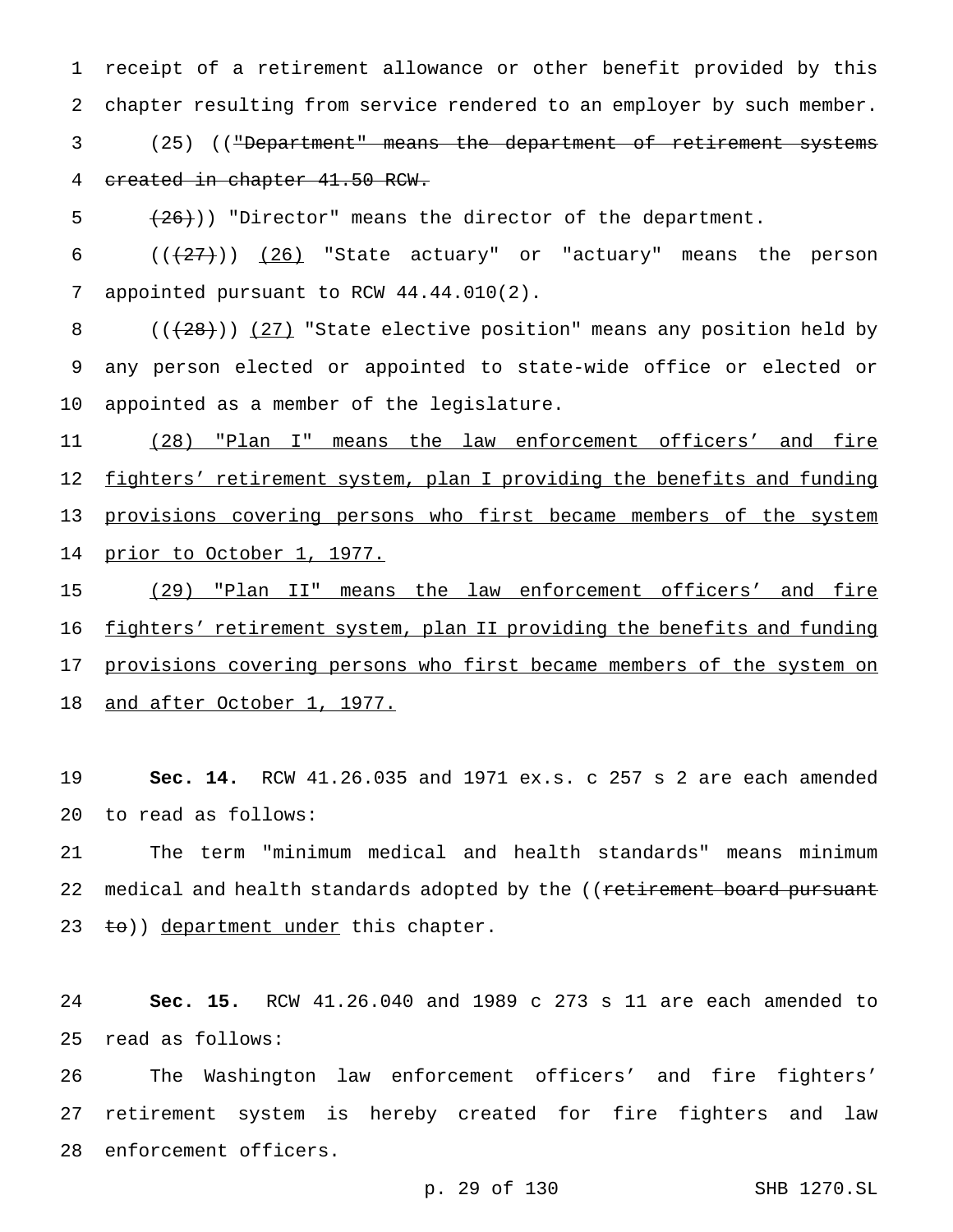receipt of a retirement allowance or other benefit provided by this chapter resulting from service rendered to an employer by such member.

 (25) (("Department" means the department of retirement systems created in chapter 41.50 RCW.

 $(26)$ )) "Director" means the director of the department.

 $((+27))$   $(26)$  "State actuary" or "actuary" means the person appointed pursuant to RCW 44.44.010(2).

8  $((+28))$   $(27)$  "State elective position" means any position held by any person elected or appointed to state-wide office or elected or appointed as a member of the legislature.

11 (28) "Plan I" means the law enforcement officers' and fire 12 fighters' retirement system, plan I providing the benefits and funding 13 provisions covering persons who first became members of the system 14 prior to October 1, 1977.

 (29) "Plan II" means the law enforcement officers' and fire 16 fighters' retirement system, plan II providing the benefits and funding 17 provisions covering persons who first became members of the system on and after October 1, 1977.

 **Sec. 14.** RCW 41.26.035 and 1971 ex.s. c 257 s 2 are each amended to read as follows:

 The term "minimum medical and health standards" means minimum 22 medical and health standards adopted by the ((retirement board pursuant 23 to)) department under this chapter.

 **Sec. 15.** RCW 41.26.040 and 1989 c 273 s 11 are each amended to read as follows:

 The Washington law enforcement officers' and fire fighters' retirement system is hereby created for fire fighters and law enforcement officers.

p. 29 of 130 SHB 1270.SL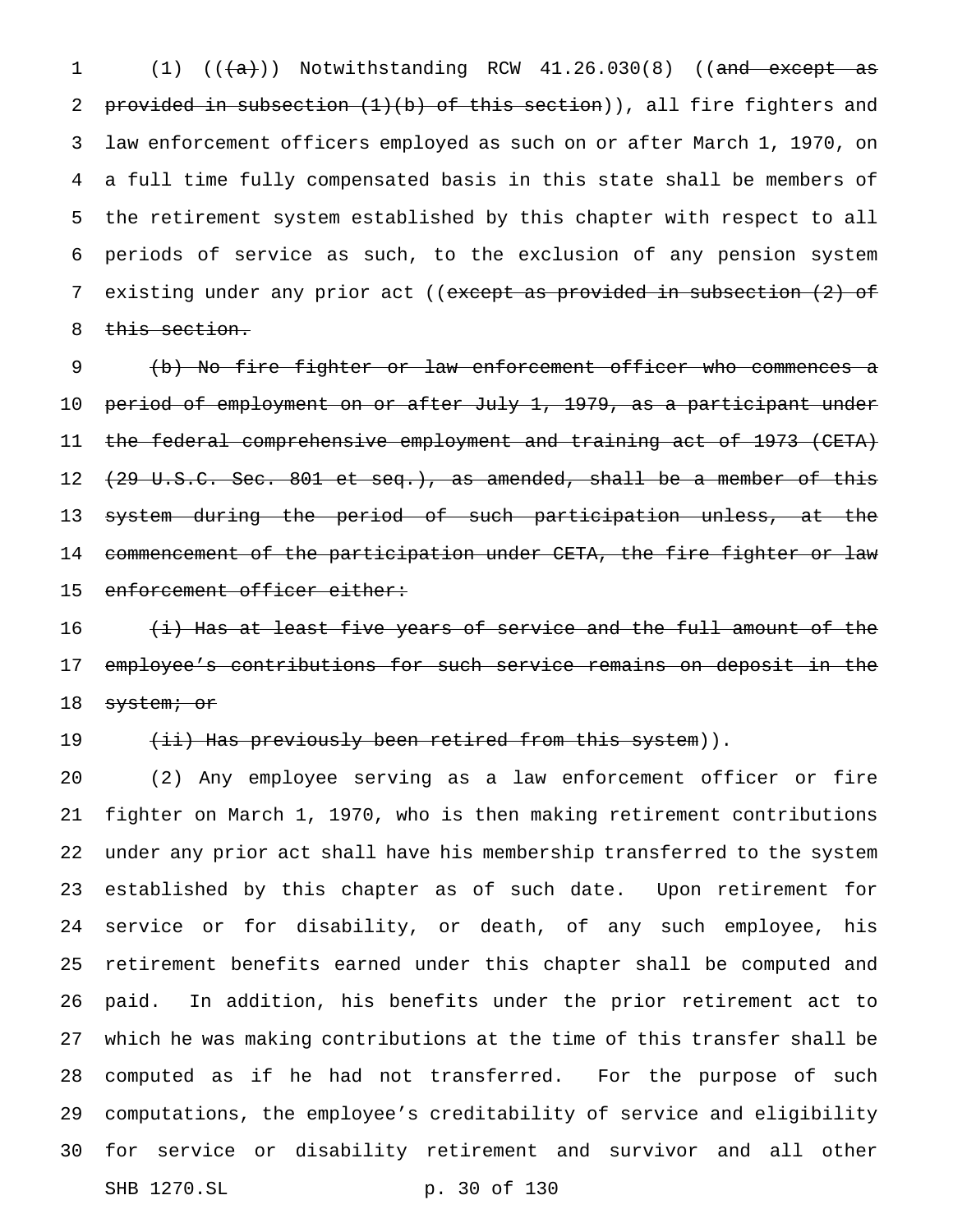$(1)$   $((+a))$  Notwithstanding RCW  $41.26.030(8)$  ((and except as 2 provided in subsection  $(1)(b)$  of this section)), all fire fighters and law enforcement officers employed as such on or after March 1, 1970, on a full time fully compensated basis in this state shall be members of the retirement system established by this chapter with respect to all periods of service as such, to the exclusion of any pension system 7 existing under any prior act ((except as provided in subsection (2) of 8 this section.

 (b) No fire fighter or law enforcement officer who commences a period of employment on or after July 1, 1979, as a participant under the federal comprehensive employment and training act of 1973 (CETA) 12 <del>(29 U.S.C. Sec. 801 et seq.), as amended, shall be a member of this</del> 13 <del>system during the period of such participation unless, at the</del> 14 commencement of the participation under CETA, the fire fighter or law 15 enforcement officer either:

 $\overline{\text{4i}}$  Has at least five years of service and the full amount of the employee's contributions for such service remains on deposit in the 18 system; or

## 19 (ii) Has previously been retired from this system)).

 (2) Any employee serving as a law enforcement officer or fire fighter on March 1, 1970, who is then making retirement contributions under any prior act shall have his membership transferred to the system established by this chapter as of such date. Upon retirement for service or for disability, or death, of any such employee, his retirement benefits earned under this chapter shall be computed and paid. In addition, his benefits under the prior retirement act to which he was making contributions at the time of this transfer shall be computed as if he had not transferred. For the purpose of such computations, the employee's creditability of service and eligibility for service or disability retirement and survivor and all other SHB 1270.SL p. 30 of 130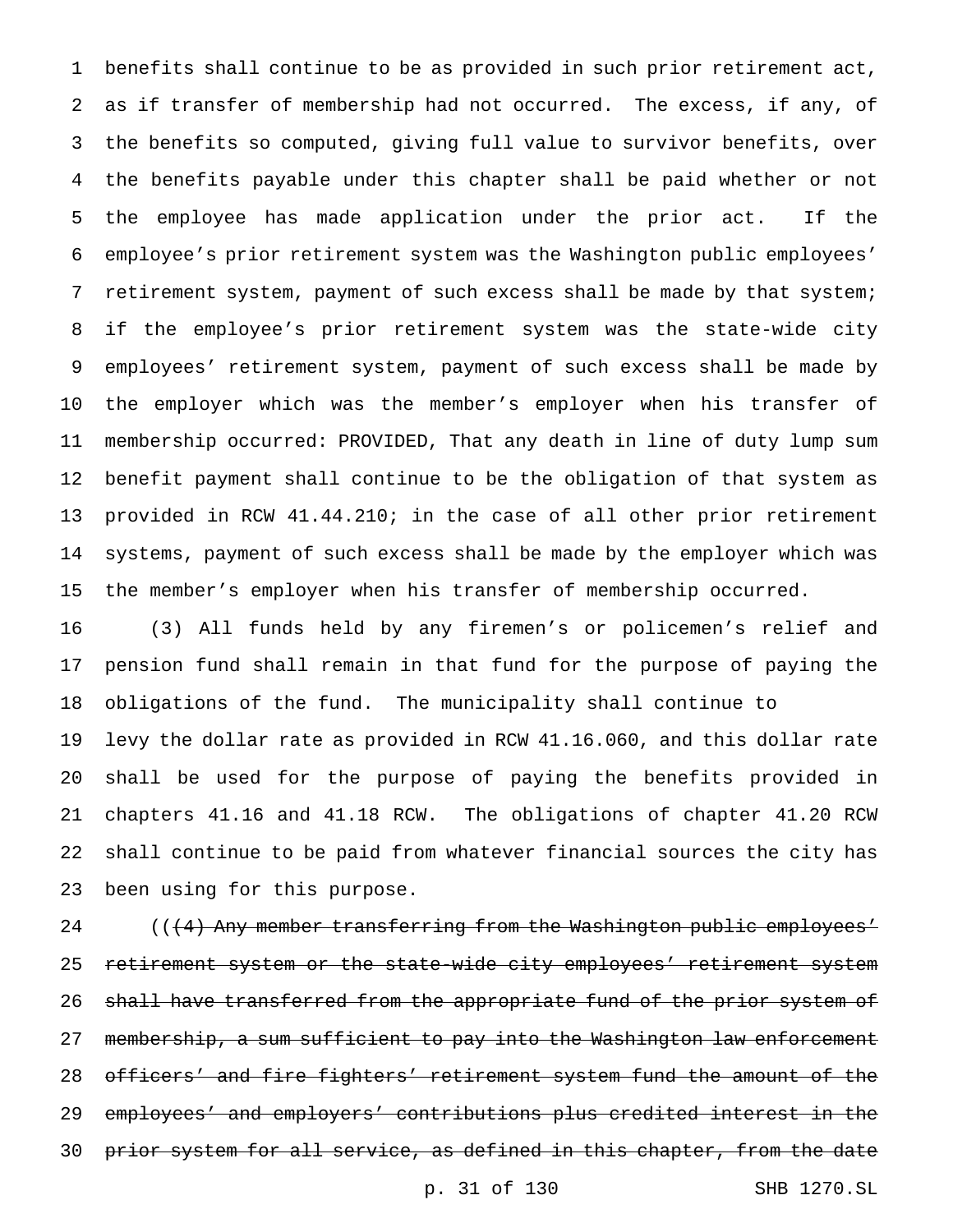benefits shall continue to be as provided in such prior retirement act, as if transfer of membership had not occurred. The excess, if any, of the benefits so computed, giving full value to survivor benefits, over the benefits payable under this chapter shall be paid whether or not the employee has made application under the prior act. If the employee's prior retirement system was the Washington public employees' retirement system, payment of such excess shall be made by that system; if the employee's prior retirement system was the state-wide city employees' retirement system, payment of such excess shall be made by the employer which was the member's employer when his transfer of membership occurred: PROVIDED, That any death in line of duty lump sum benefit payment shall continue to be the obligation of that system as provided in RCW 41.44.210; in the case of all other prior retirement systems, payment of such excess shall be made by the employer which was the member's employer when his transfer of membership occurred.

 (3) All funds held by any firemen's or policemen's relief and pension fund shall remain in that fund for the purpose of paying the obligations of the fund. The municipality shall continue to levy the dollar rate as provided in RCW 41.16.060, and this dollar rate shall be used for the purpose of paying the benefits provided in chapters 41.16 and 41.18 RCW. The obligations of chapter 41.20 RCW shall continue to be paid from whatever financial sources the city has been using for this purpose.

24 (((4) Any member transferring from the Washington public employees' 25 retirement system or the state-wide city employees' retirement system 26 shall have transferred from the appropriate fund of the prior system of 27 membership, a sum sufficient to pay into the Washington law enforcement officers' and fire fighters' retirement system fund the amount of the employees' and employers' contributions plus credited interest in the 30 prior system for all service, as defined in this chapter, from the date

p. 31 of 130 SHB 1270.SL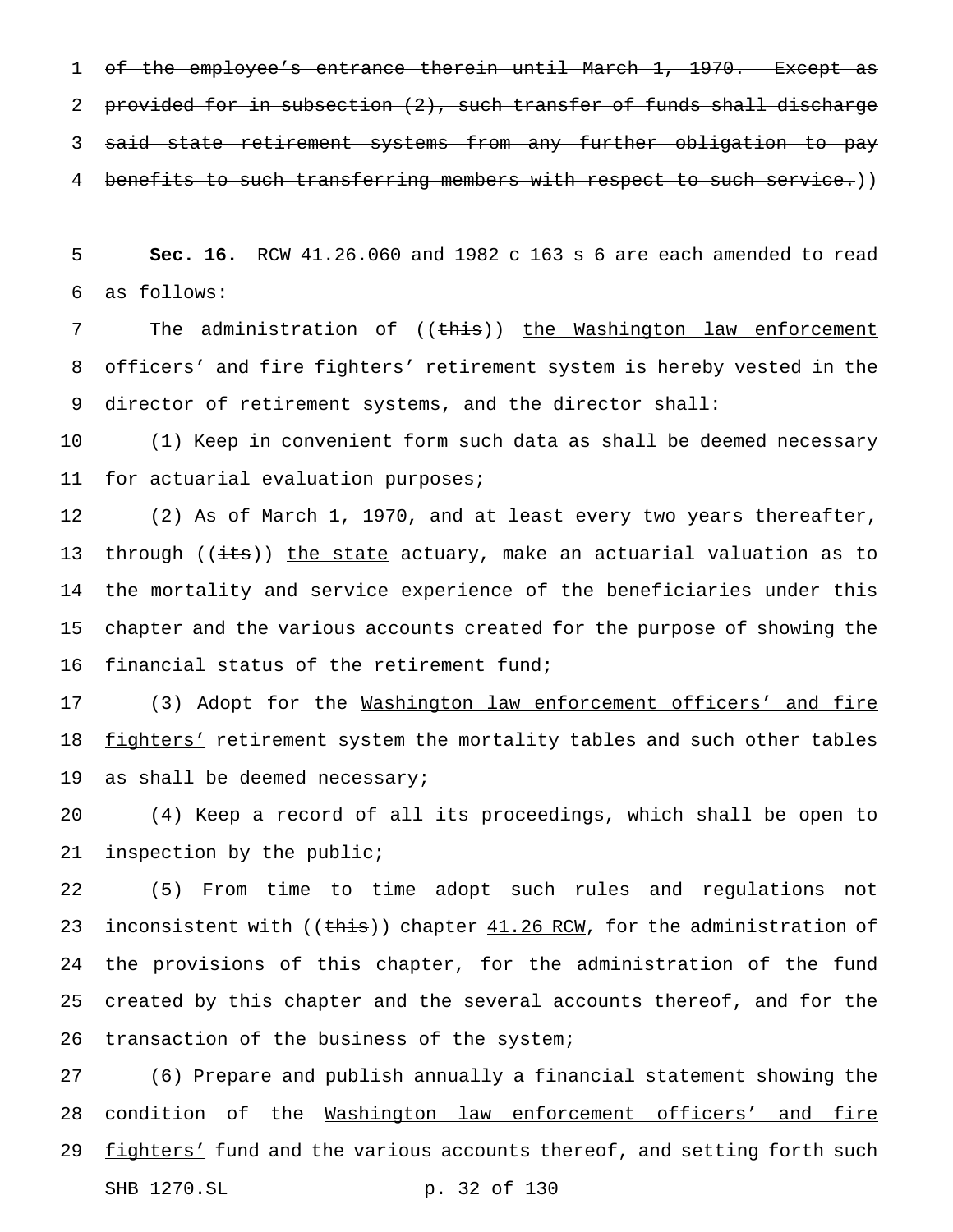1 of the employee's entrance therein until March 1, 1970. Except as 2 provided for in subsection (2), such transfer of funds shall discharge said state retirement systems from any further obligation to pay 4 benefits to such transferring members with respect to such service.))

 **Sec. 16.** RCW 41.26.060 and 1982 c 163 s 6 are each amended to read as follows:

7 The administration of ((this)) the Washington law enforcement 8 officers' and fire fighters' retirement system is hereby vested in the director of retirement systems, and the director shall:

 (1) Keep in convenient form such data as shall be deemed necessary for actuarial evaluation purposes;

 (2) As of March 1, 1970, and at least every two years thereafter, 13 through ((its)) the state actuary, make an actuarial valuation as to the mortality and service experience of the beneficiaries under this chapter and the various accounts created for the purpose of showing the financial status of the retirement fund;

 (3) Adopt for the Washington law enforcement officers' and fire 18 fighters' retirement system the mortality tables and such other tables 19 as shall be deemed necessary;

 (4) Keep a record of all its proceedings, which shall be open to inspection by the public;

 (5) From time to time adopt such rules and regulations not 23 inconsistent with ((this)) chapter 41.26 RCM, for the administration of the provisions of this chapter, for the administration of the fund created by this chapter and the several accounts thereof, and for the transaction of the business of the system;

 (6) Prepare and publish annually a financial statement showing the condition of the Washington law enforcement officers' and fire 29 fighters' fund and the various accounts thereof, and setting forth such SHB 1270.SL p. 32 of 130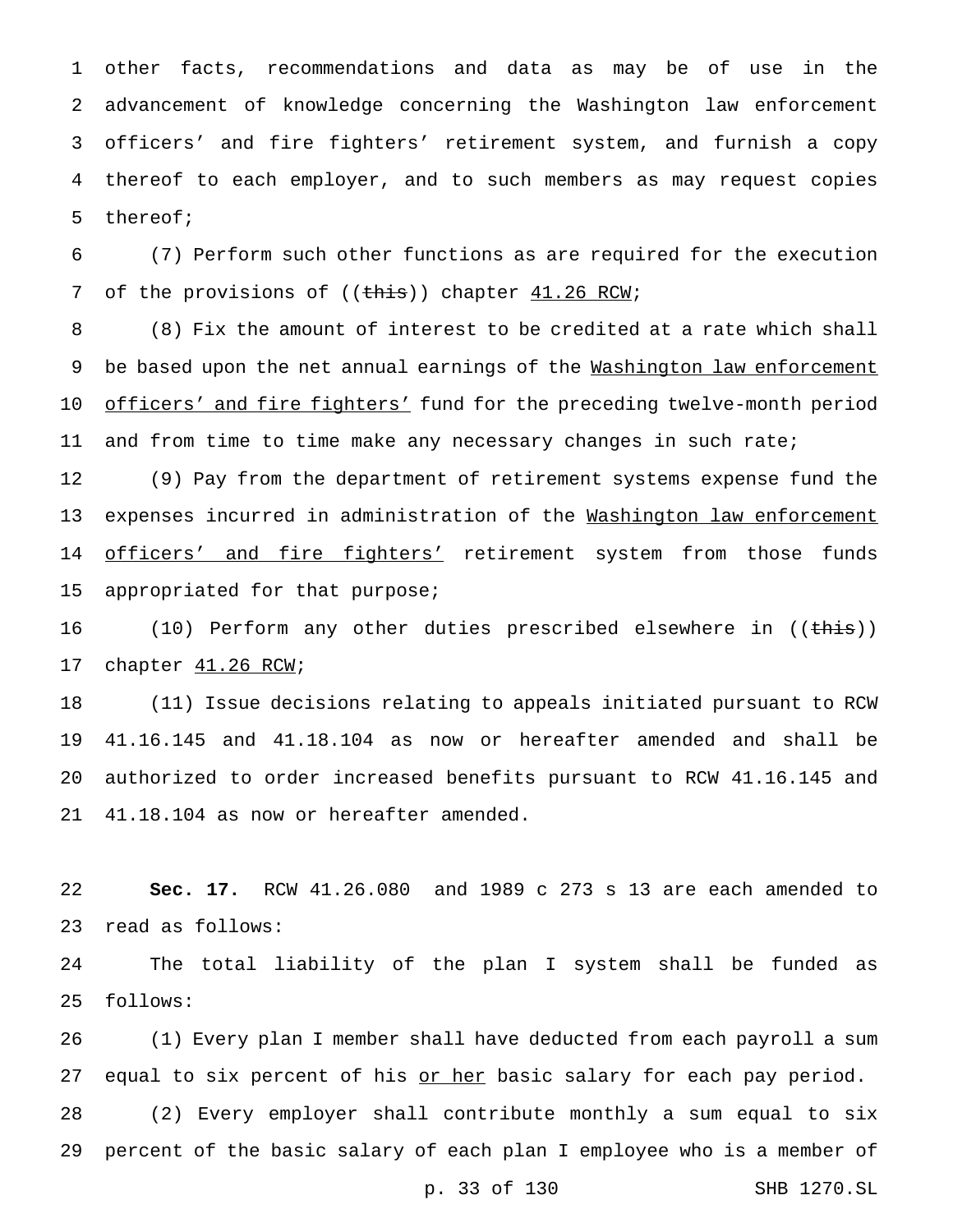other facts, recommendations and data as may be of use in the advancement of knowledge concerning the Washington law enforcement officers' and fire fighters' retirement system, and furnish a copy thereof to each employer, and to such members as may request copies thereof;

 (7) Perform such other functions as are required for the execution 7 of the provisions of ((this)) chapter 41.26 RCW;

 (8) Fix the amount of interest to be credited at a rate which shall 9 be based upon the net annual earnings of the Washington law enforcement officers' and fire fighters' fund for the preceding twelve-month period 11 and from time to time make any necessary changes in such rate;

 (9) Pay from the department of retirement systems expense fund the 13 expenses incurred in administration of the Washington law enforcement 14 officers' and fire fighters' retirement system from those funds appropriated for that purpose;

16 (10) Perform any other duties prescribed elsewhere in ((this)) 17 chapter  $41.26$  RCW;

 (11) Issue decisions relating to appeals initiated pursuant to RCW 41.16.145 and 41.18.104 as now or hereafter amended and shall be authorized to order increased benefits pursuant to RCW 41.16.145 and 41.18.104 as now or hereafter amended.

 **Sec. 17.** RCW 41.26.080 and 1989 c 273 s 13 are each amended to read as follows:

 The total liability of the plan I system shall be funded as follows:

 (1) Every plan I member shall have deducted from each payroll a sum 27 equal to six percent of his or her basic salary for each pay period.

 (2) Every employer shall contribute monthly a sum equal to six percent of the basic salary of each plan I employee who is a member of

p. 33 of 130 SHB 1270.SL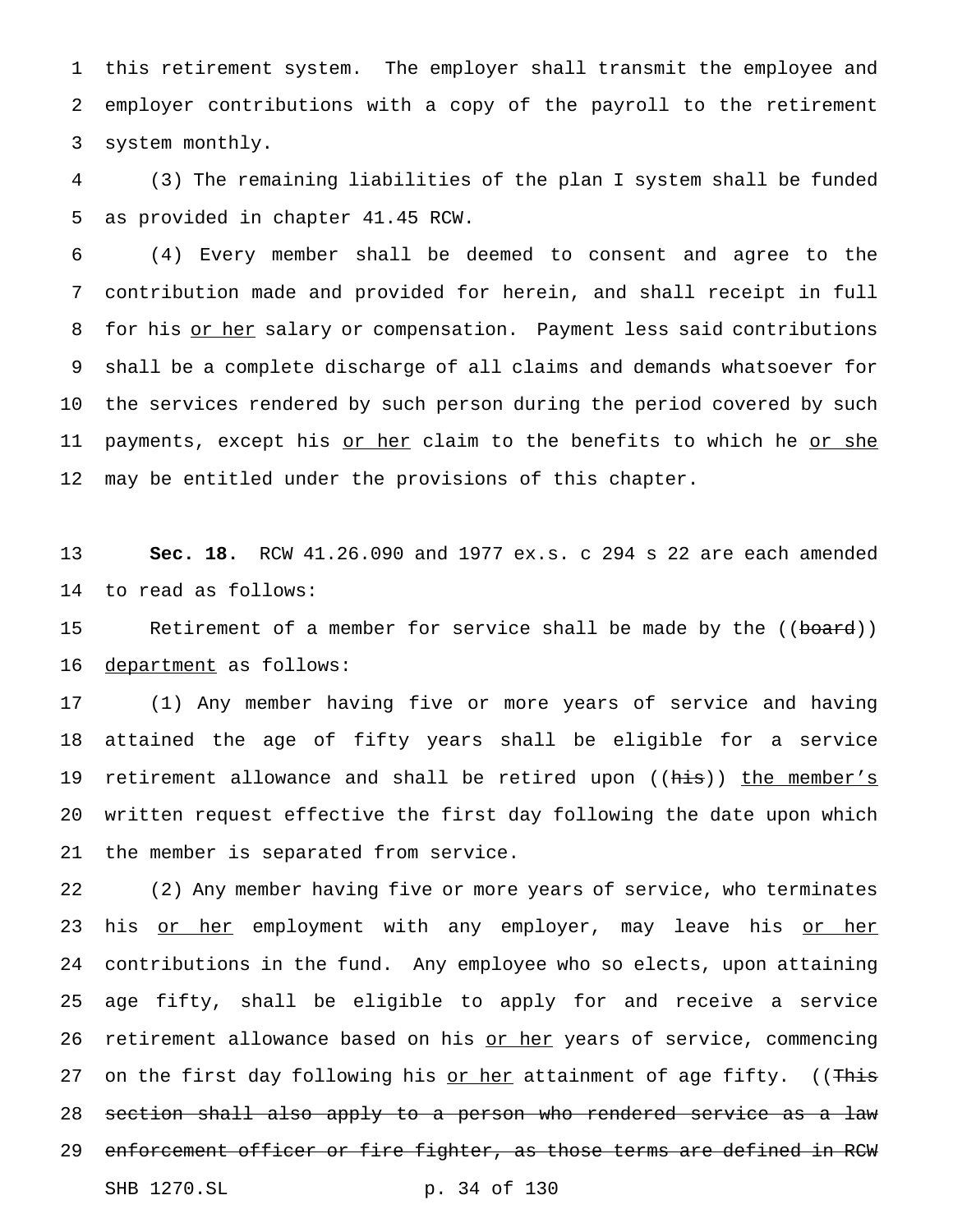this retirement system. The employer shall transmit the employee and employer contributions with a copy of the payroll to the retirement system monthly.

 (3) The remaining liabilities of the plan I system shall be funded as provided in chapter 41.45 RCW.

 (4) Every member shall be deemed to consent and agree to the contribution made and provided for herein, and shall receipt in full 8 for his or her salary or compensation. Payment less said contributions shall be a complete discharge of all claims and demands whatsoever for the services rendered by such person during the period covered by such 11 payments, except his or her claim to the benefits to which he or she may be entitled under the provisions of this chapter.

 **Sec. 18.** RCW 41.26.090 and 1977 ex.s. c 294 s 22 are each amended to read as follows:

15 Retirement of a member for service shall be made by the ((board)) 16 department as follows:

 (1) Any member having five or more years of service and having attained the age of fifty years shall be eligible for a service 19 retirement allowance and shall be retired upon ((his)) the member's written request effective the first day following the date upon which the member is separated from service.

 (2) Any member having five or more years of service, who terminates 23 his <u>or her</u> employment with any employer, may leave his <u>or her</u> contributions in the fund. Any employee who so elects, upon attaining age fifty, shall be eligible to apply for and receive a service 26 retirement allowance based on his or her years of service, commencing 27 on the first day following his or her attainment of age fifty. ((This 28 section shall also apply to a person who rendered service as a law 29 enforcement officer or fire fighter, as those terms are defined in RCW SHB 1270.SL p. 34 of 130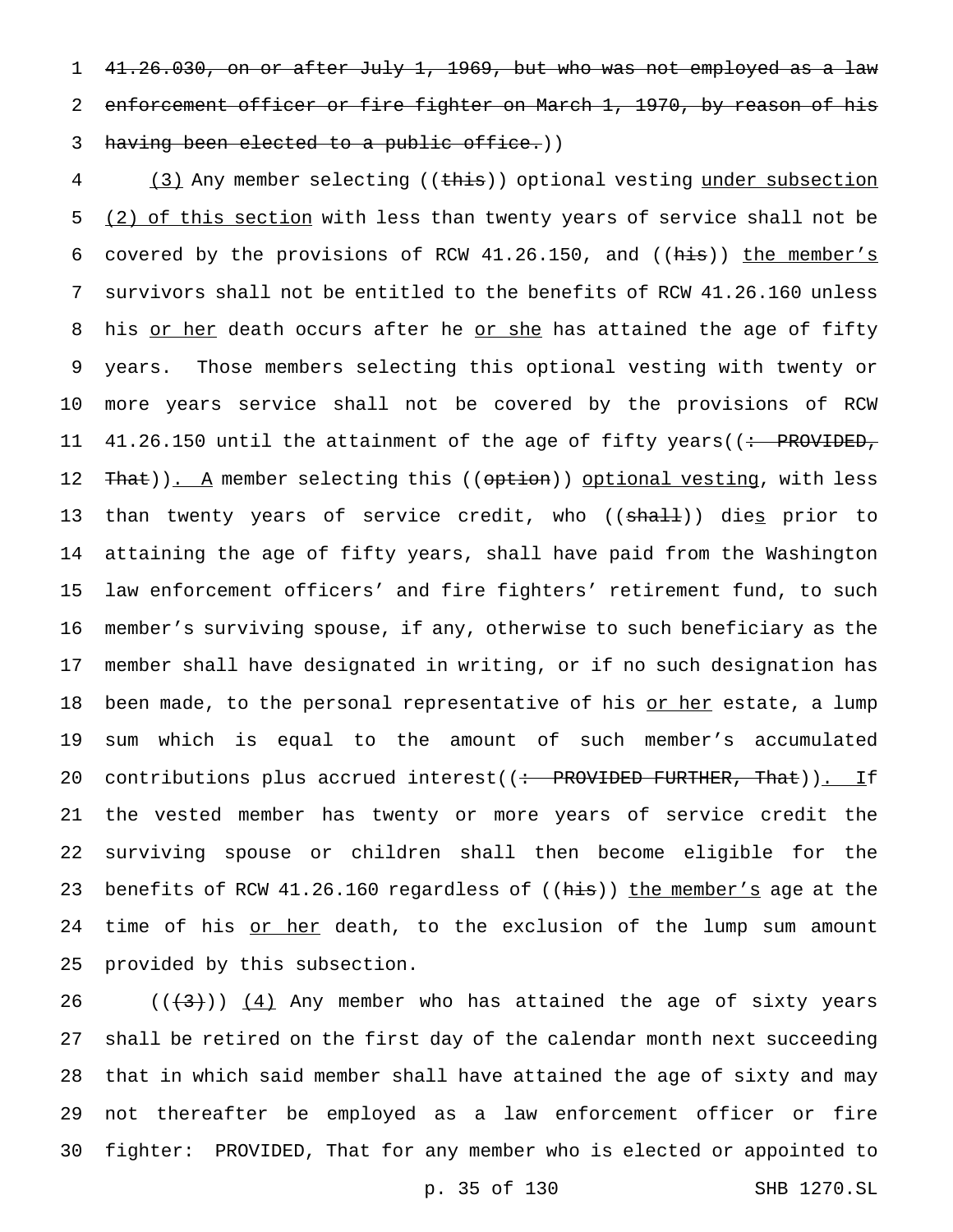41.26.030, on or after July 1, 1969, but who was not employed as a law 2 enforcement officer or fire fighter on March 1, 1970, by reason of his 3 having been elected to a public office.))

 (3) Any member selecting ((this)) optional vesting under subsection 5 (2) of this section with less than twenty years of service shall not be covered by the provisions of RCW 41.26.150, and ((his)) the member's survivors shall not be entitled to the benefits of RCW 41.26.160 unless 8 his or her death occurs after he or she has attained the age of fifty years. Those members selecting this optional vesting with twenty or more years service shall not be covered by the provisions of RCW 11 41.26.150 until the attainment of the age of fifty years((<del>: PROVIDED,</del> 12 That)). A member selecting this ((option)) optional vesting, with less 13 than twenty years of service credit, who ((<del>shall</del>)) die<u>s</u> prior to attaining the age of fifty years, shall have paid from the Washington law enforcement officers' and fire fighters' retirement fund, to such member's surviving spouse, if any, otherwise to such beneficiary as the member shall have designated in writing, or if no such designation has 18 been made, to the personal representative of his or her estate, a lump sum which is equal to the amount of such member's accumulated 20 contributions plus accrued interest((: PROVIDED FURTHER, That)). If the vested member has twenty or more years of service credit the surviving spouse or children shall then become eligible for the 23 benefits of RCW 41.26.160 regardless of ((his)) the member's age at the 24 time of his or her death, to the exclusion of the lump sum amount provided by this subsection.

 $((+3))$   $(4)$  Any member who has attained the age of sixty years shall be retired on the first day of the calendar month next succeeding that in which said member shall have attained the age of sixty and may not thereafter be employed as a law enforcement officer or fire fighter: PROVIDED, That for any member who is elected or appointed to

p. 35 of 130 SHB 1270.SL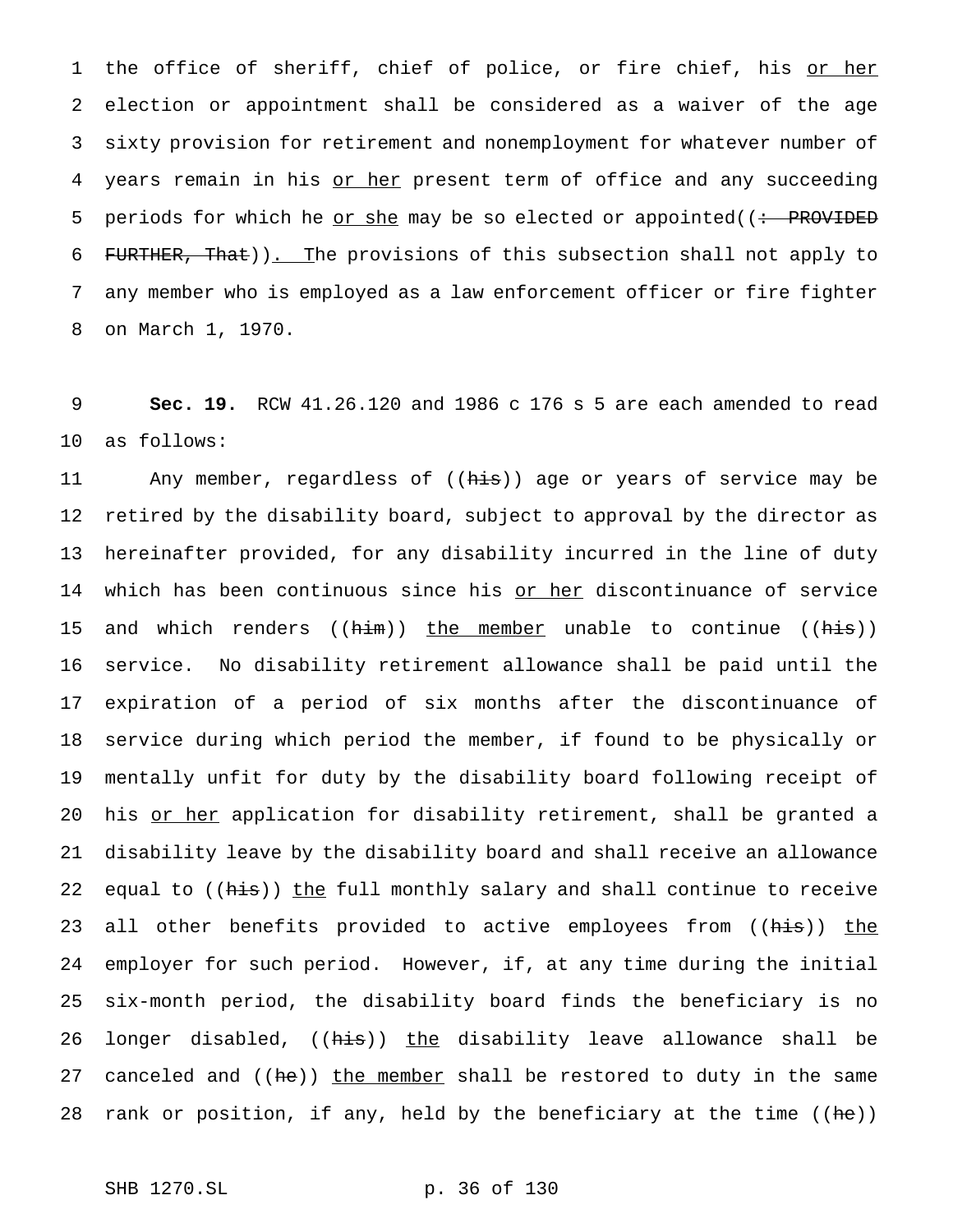1 the office of sheriff, chief of police, or fire chief, his or her election or appointment shall be considered as a waiver of the age sixty provision for retirement and nonemployment for whatever number of 4 years remain in his or her present term of office and any succeeding 5 periods for which he <u>or she</u> may be so elected or appointed( $($ : PROVIDED FURTHER, That)). The provisions of this subsection shall not apply to any member who is employed as a law enforcement officer or fire fighter on March 1, 1970.

9 **Sec. 19.** RCW 41.26.120 and 1986 c 176 s 5 are each amended to read 10 as follows:

11 Any member, regardless of ((his)) age or years of service may be 12 retired by the disability board, subject to approval by the director as 13 hereinafter provided, for any disability incurred in the line of duty 14 which has been continuous since his or her discontinuance of service 15 and which renders ((<del>him</del>)) <u>the member</u> unable to continue ((h<del>is</del>)) 16 service. No disability retirement allowance shall be paid until the 17 expiration of a period of six months after the discontinuance of 18 service during which period the member, if found to be physically or 19 mentally unfit for duty by the disability board following receipt of 20 his or her application for disability retirement, shall be granted a 21 disability leave by the disability board and shall receive an allowance 22 equal to ((his)) the full monthly salary and shall continue to receive 23 all other benefits provided to active employees from ((his)) the 24 employer for such period. However, if, at any time during the initial 25 six-month period, the disability board finds the beneficiary is no 26 longer disabled, ((his)) the disability leave allowance shall be 27 canceled and ((he)) the member shall be restored to duty in the same 28 rank or position, if any, held by the beneficiary at the time  $((he))$ 

```
SHB 1270.SL p. 36 of 130
```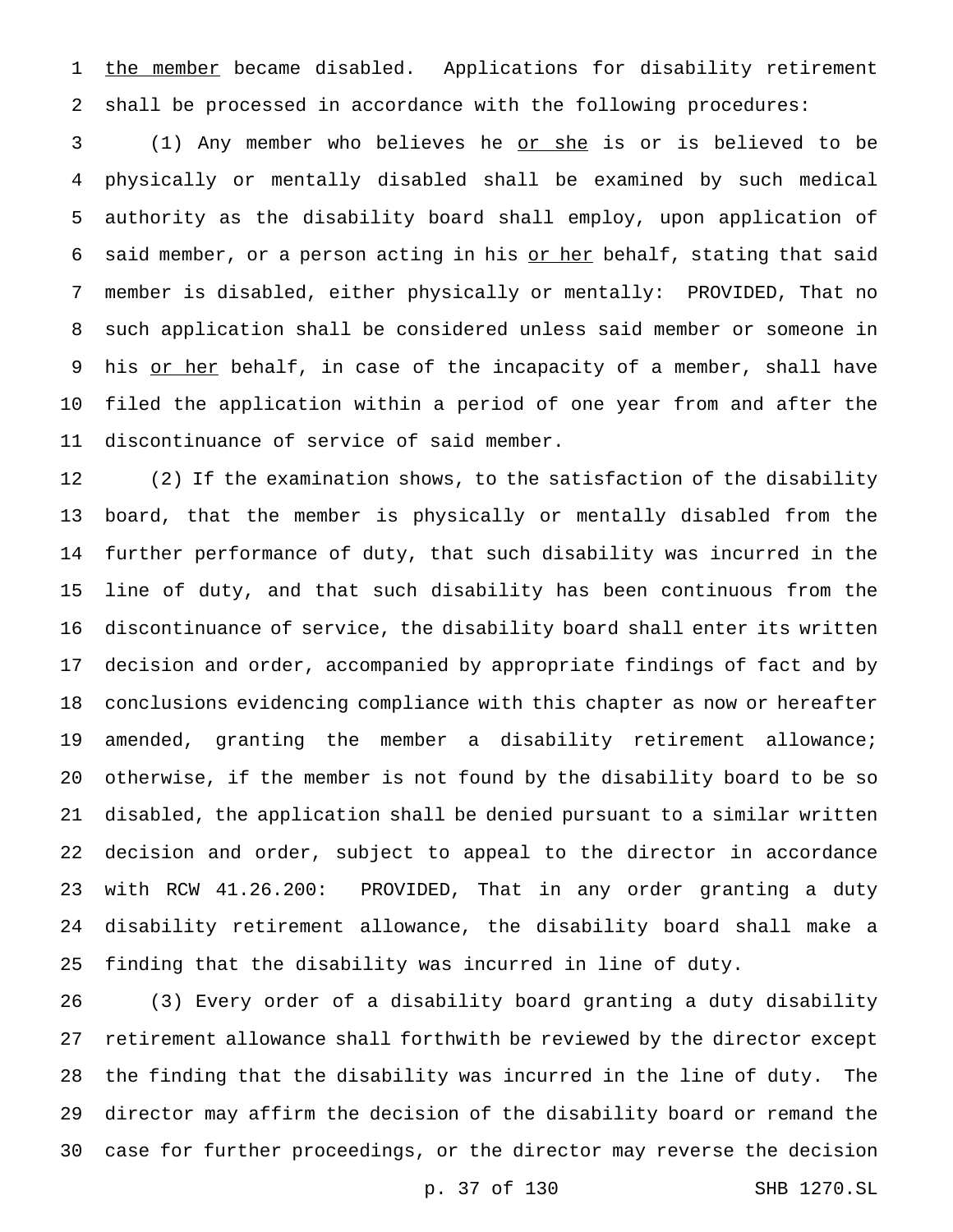1 the member became disabled. Applications for disability retirement shall be processed in accordance with the following procedures:

 (1) Any member who believes he or she is or is believed to be physically or mentally disabled shall be examined by such medical authority as the disability board shall employ, upon application of 6 said member, or a person acting in his or her behalf, stating that said member is disabled, either physically or mentally: PROVIDED, That no such application shall be considered unless said member or someone in 9 his or her behalf, in case of the incapacity of a member, shall have filed the application within a period of one year from and after the discontinuance of service of said member.

 (2) If the examination shows, to the satisfaction of the disability board, that the member is physically or mentally disabled from the further performance of duty, that such disability was incurred in the line of duty, and that such disability has been continuous from the discontinuance of service, the disability board shall enter its written decision and order, accompanied by appropriate findings of fact and by conclusions evidencing compliance with this chapter as now or hereafter amended, granting the member a disability retirement allowance; otherwise, if the member is not found by the disability board to be so disabled, the application shall be denied pursuant to a similar written decision and order, subject to appeal to the director in accordance with RCW 41.26.200: PROVIDED, That in any order granting a duty disability retirement allowance, the disability board shall make a finding that the disability was incurred in line of duty.

 (3) Every order of a disability board granting a duty disability retirement allowance shall forthwith be reviewed by the director except the finding that the disability was incurred in the line of duty. The director may affirm the decision of the disability board or remand the case for further proceedings, or the director may reverse the decision

p. 37 of 130 SHB 1270.SL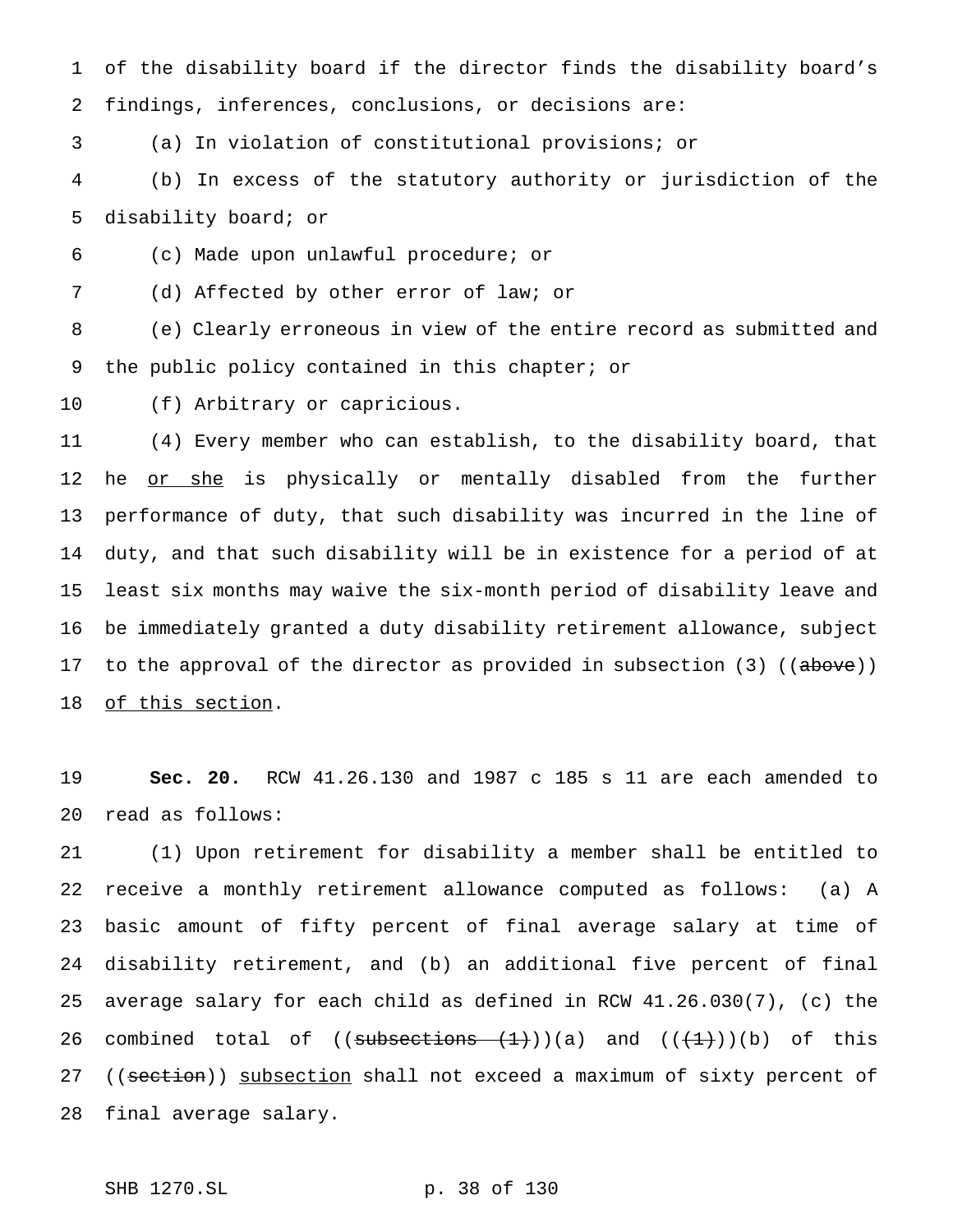of the disability board if the director finds the disability board's findings, inferences, conclusions, or decisions are:

(a) In violation of constitutional provisions; or

 (b) In excess of the statutory authority or jurisdiction of the disability board; or

(c) Made upon unlawful procedure; or

(d) Affected by other error of law; or

 (e) Clearly erroneous in view of the entire record as submitted and the public policy contained in this chapter; or

(f) Arbitrary or capricious.

 (4) Every member who can establish, to the disability board, that 12 he <u>or she</u> is physically or mentally disabled from the further performance of duty, that such disability was incurred in the line of duty, and that such disability will be in existence for a period of at least six months may waive the six-month period of disability leave and be immediately granted a duty disability retirement allowance, subject 17 to the approval of the director as provided in subsection (3) ((above)) of this section.

 **Sec. 20.** RCW 41.26.130 and 1987 c 185 s 11 are each amended to read as follows:

 (1) Upon retirement for disability a member shall be entitled to receive a monthly retirement allowance computed as follows: (a) A basic amount of fifty percent of final average salary at time of disability retirement, and (b) an additional five percent of final average salary for each child as defined in RCW 41.26.030(7), (c) the 26 combined total of  $((\text{subsections } (+)))(a)$  and  $((+)+))$ (b) of this 27 ((section)) subsection shall not exceed a maximum of sixty percent of final average salary.

SHB 1270.SL p. 38 of 130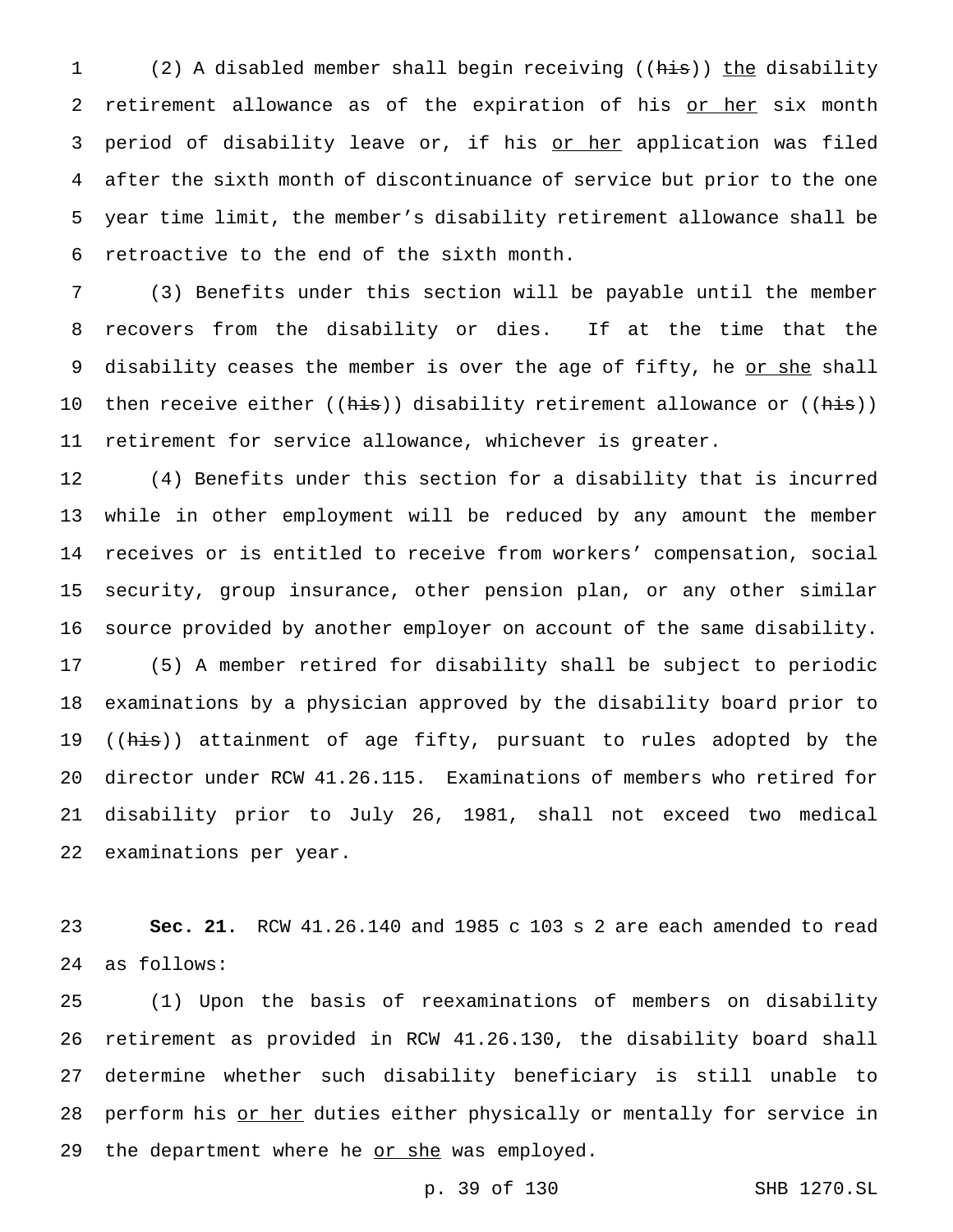1 (2) A disabled member shall begin receiving ((his)) the disability 2 retirement allowance as of the expiration of his or her six month 3 period of disability leave or, if his or her application was filed after the sixth month of discontinuance of service but prior to the one year time limit, the member's disability retirement allowance shall be retroactive to the end of the sixth month.

 (3) Benefits under this section will be payable until the member recovers from the disability or dies. If at the time that the 9 disability ceases the member is over the age of fifty, he or she shall 10 then receive either ((his)) disability retirement allowance or ((his)) retirement for service allowance, whichever is greater.

 (4) Benefits under this section for a disability that is incurred while in other employment will be reduced by any amount the member receives or is entitled to receive from workers' compensation, social security, group insurance, other pension plan, or any other similar source provided by another employer on account of the same disability. (5) A member retired for disability shall be subject to periodic examinations by a physician approved by the disability board prior to 19 ((his)) attainment of age fifty, pursuant to rules adopted by the director under RCW 41.26.115. Examinations of members who retired for disability prior to July 26, 1981, shall not exceed two medical examinations per year.

 **Sec. 21.** RCW 41.26.140 and 1985 c 103 s 2 are each amended to read as follows:

 (1) Upon the basis of reexaminations of members on disability retirement as provided in RCW 41.26.130, the disability board shall determine whether such disability beneficiary is still unable to 28 perform his or her duties either physically or mentally for service in 29 the department where he or she was employed.

```
p. 39 of 130 SHB 1270.SL
```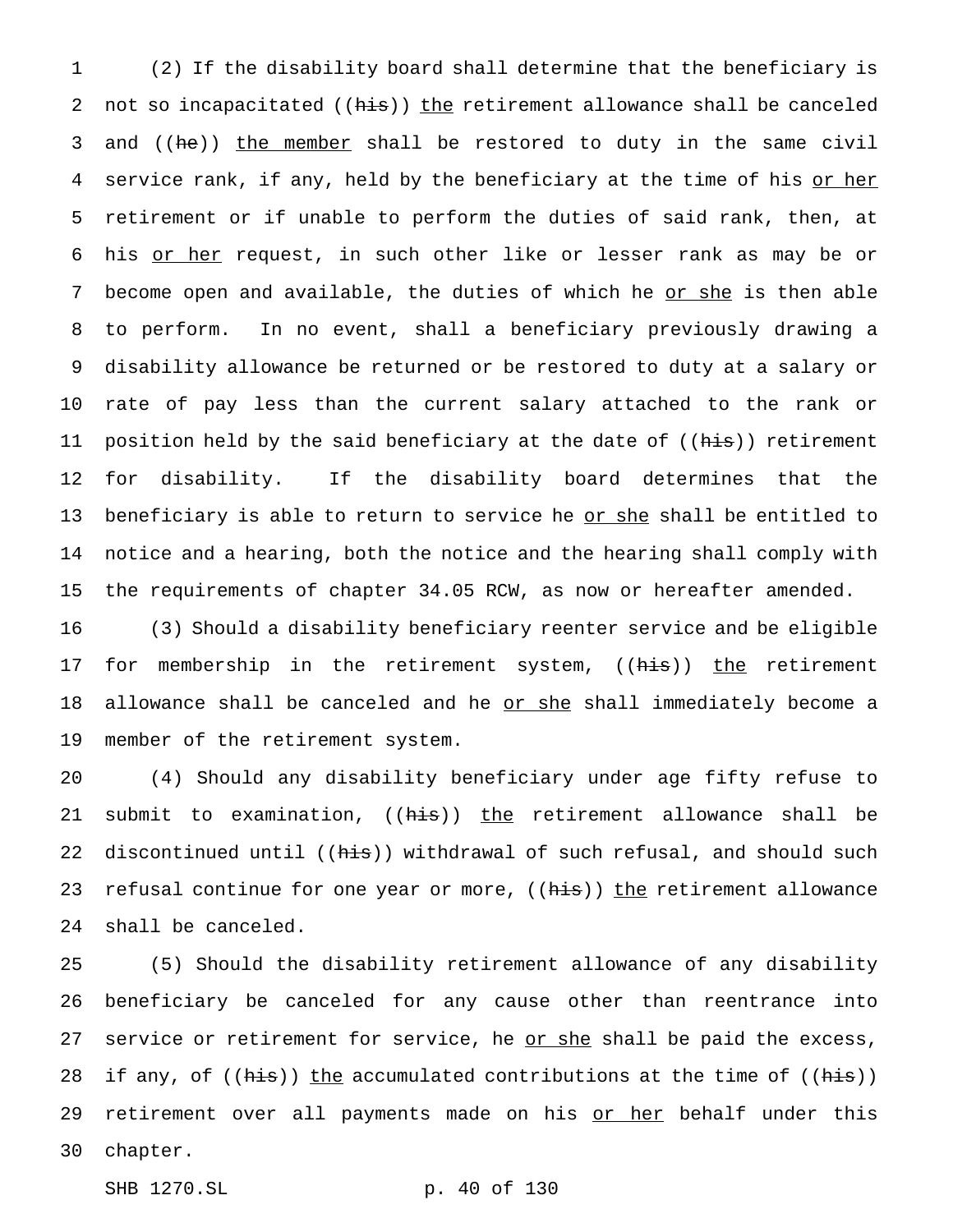1 (2) If the disability board shall determine that the beneficiary is 2 not so incapacitated ((his)) the retirement allowance shall be canceled 3 and ((he)) the member shall be restored to duty in the same civil 4 service rank, if any, held by the beneficiary at the time of his or her 5 retirement or if unable to perform the duties of said rank, then, at 6 his or her request, in such other like or lesser rank as may be or 7 become open and available, the duties of which he or she is then able 8 to perform. In no event, shall a beneficiary previously drawing a 9 disability allowance be returned or be restored to duty at a salary or 10 rate of pay less than the current salary attached to the rank or 11 position held by the said beneficiary at the date of ((his)) retirement 12 for disability. If the disability board determines that the 13 beneficiary is able to return to service he <u>or she</u> shall be entitled to 14 notice and a hearing, both the notice and the hearing shall comply with 15 the requirements of chapter 34.05 RCW, as now or hereafter amended.

16 (3) Should a disability beneficiary reenter service and be eligible 17 for membership in the retirement system, ((his)) the retirement 18 allowance shall be canceled and he or she shall immediately become a 19 member of the retirement system.

20 (4) Should any disability beneficiary under age fifty refuse to 21 submit to examination, ((his)) the retirement allowance shall be 22 discontinued until ((his)) withdrawal of such refusal, and should such 23 refusal continue for one year or more, ((his)) the retirement allowance 24 shall be canceled.

25 (5) Should the disability retirement allowance of any disability 26 beneficiary be canceled for any cause other than reentrance into 27 service or retirement for service, he or she shall be paid the excess, 28 if any, of  $((his))$  the accumulated contributions at the time of  $((his))$ 29 retirement over all payments made on his or her behalf under this 30 chapter.

SHB 1270.SL p. 40 of 130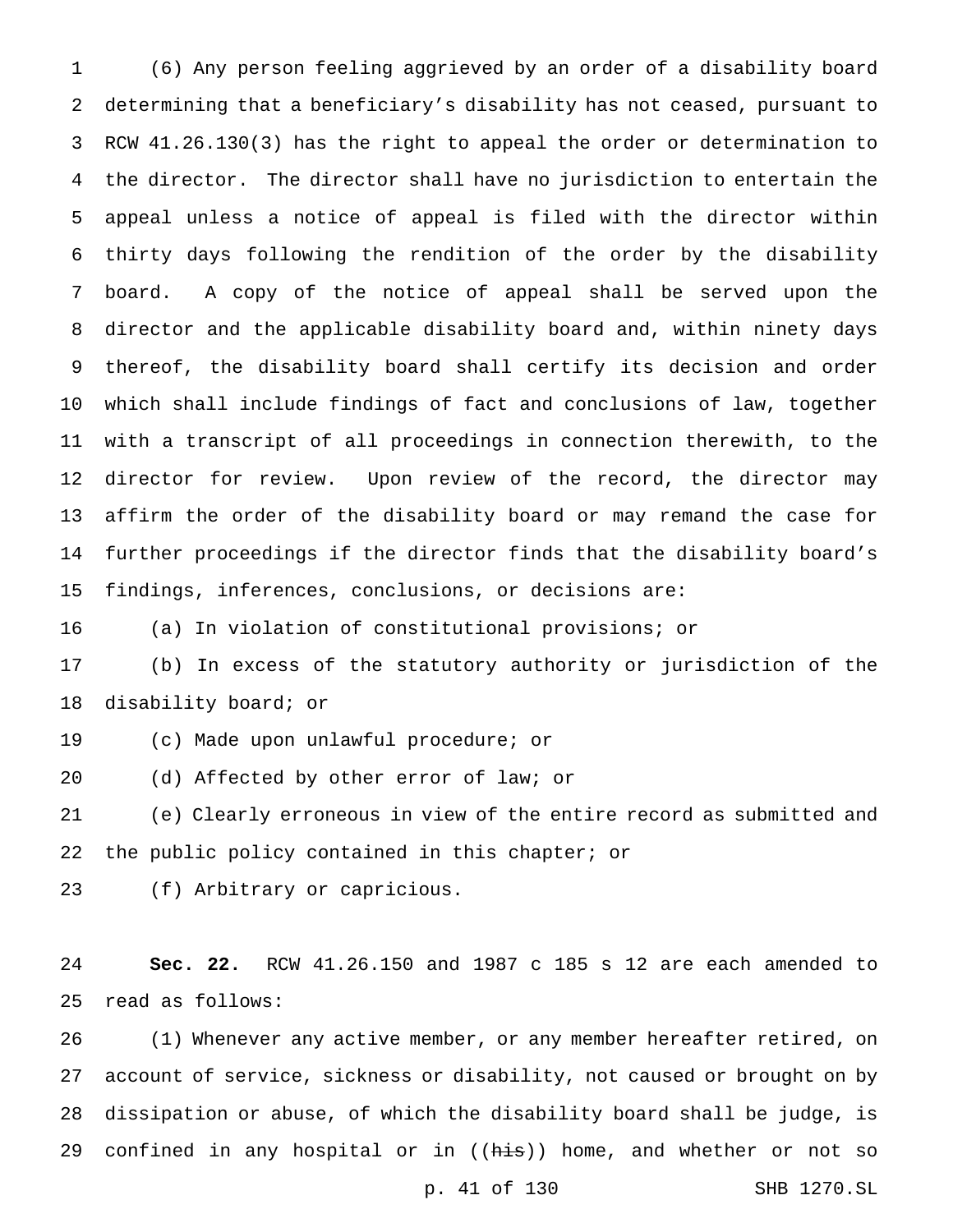(6) Any person feeling aggrieved by an order of a disability board determining that a beneficiary's disability has not ceased, pursuant to RCW 41.26.130(3) has the right to appeal the order or determination to the director. The director shall have no jurisdiction to entertain the appeal unless a notice of appeal is filed with the director within thirty days following the rendition of the order by the disability board. A copy of the notice of appeal shall be served upon the director and the applicable disability board and, within ninety days thereof, the disability board shall certify its decision and order which shall include findings of fact and conclusions of law, together with a transcript of all proceedings in connection therewith, to the director for review. Upon review of the record, the director may affirm the order of the disability board or may remand the case for further proceedings if the director finds that the disability board's findings, inferences, conclusions, or decisions are:

(a) In violation of constitutional provisions; or

 (b) In excess of the statutory authority or jurisdiction of the disability board; or

(c) Made upon unlawful procedure; or

(d) Affected by other error of law; or

 (e) Clearly erroneous in view of the entire record as submitted and 22 the public policy contained in this chapter; or

(f) Arbitrary or capricious.

 **Sec. 22.** RCW 41.26.150 and 1987 c 185 s 12 are each amended to read as follows:

 (1) Whenever any active member, or any member hereafter retired, on account of service, sickness or disability, not caused or brought on by dissipation or abuse, of which the disability board shall be judge, is 29 confined in any hospital or in ((his)) home, and whether or not so

p. 41 of 130 SHB 1270.SL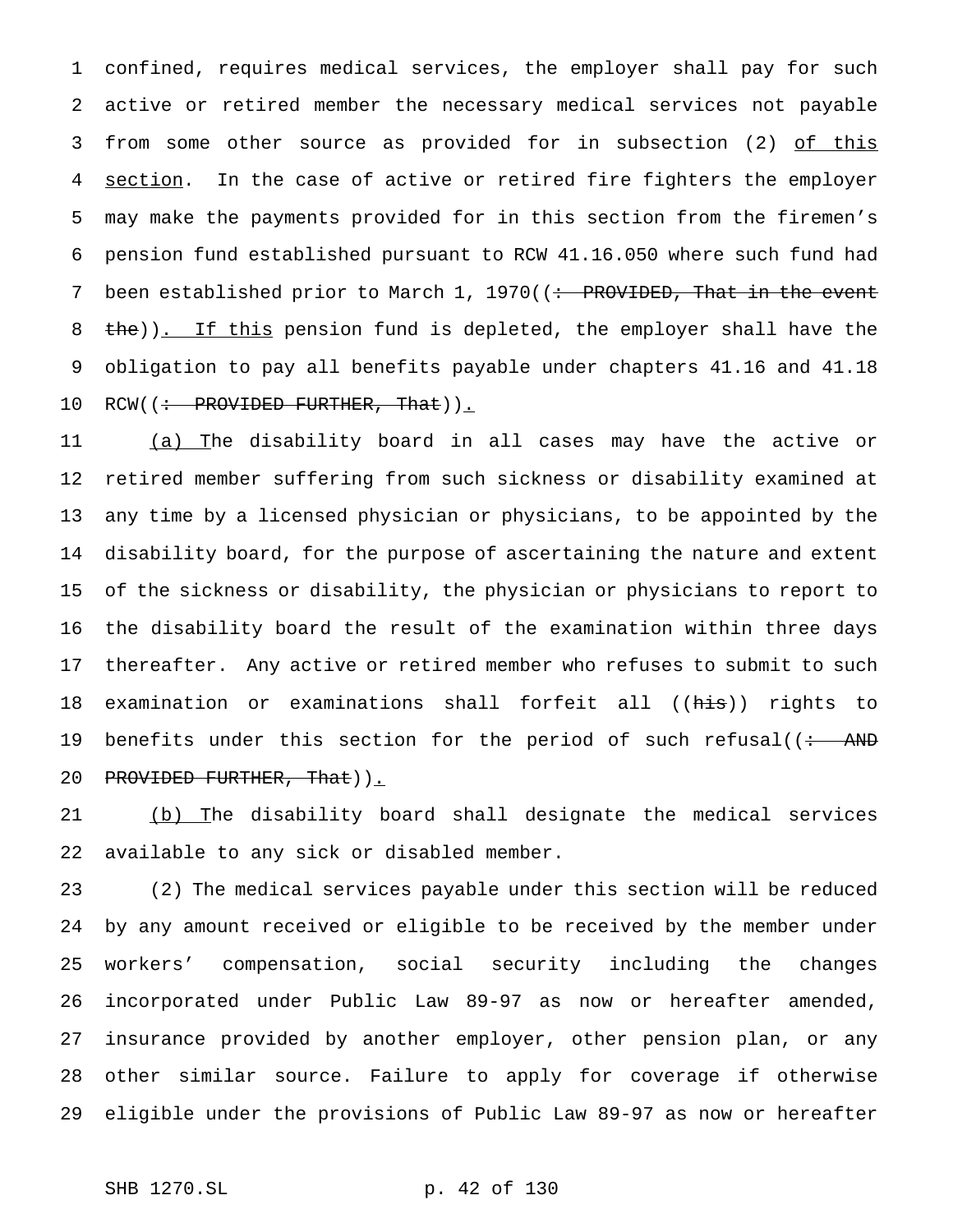confined, requires medical services, the employer shall pay for such active or retired member the necessary medical services not payable 3 from some other source as provided for in subsection (2) of this 4 section. In the case of active or retired fire fighters the employer may make the payments provided for in this section from the firemen's pension fund established pursuant to RCW 41.16.050 where such fund had 7 been established prior to March 1, 1970((: PROVIDED, That in the event 8 the)). If this pension fund is depleted, the employer shall have the obligation to pay all benefits payable under chapters 41.16 and 41.18 10 RCW((: PROVIDED FURTHER, That)).

 (a) The disability board in all cases may have the active or retired member suffering from such sickness or disability examined at any time by a licensed physician or physicians, to be appointed by the disability board, for the purpose of ascertaining the nature and extent of the sickness or disability, the physician or physicians to report to the disability board the result of the examination within three days thereafter. Any active or retired member who refuses to submit to such examination or examinations shall forfeit all ((his)) rights to 19 benefits under this section for the period of such refusal( $\left(\div\right)$  AND 20 PROVIDED FURTHER, That)).

 (b) The disability board shall designate the medical services available to any sick or disabled member.

 (2) The medical services payable under this section will be reduced by any amount received or eligible to be received by the member under workers' compensation, social security including the changes incorporated under Public Law 89-97 as now or hereafter amended, insurance provided by another employer, other pension plan, or any other similar source. Failure to apply for coverage if otherwise eligible under the provisions of Public Law 89-97 as now or hereafter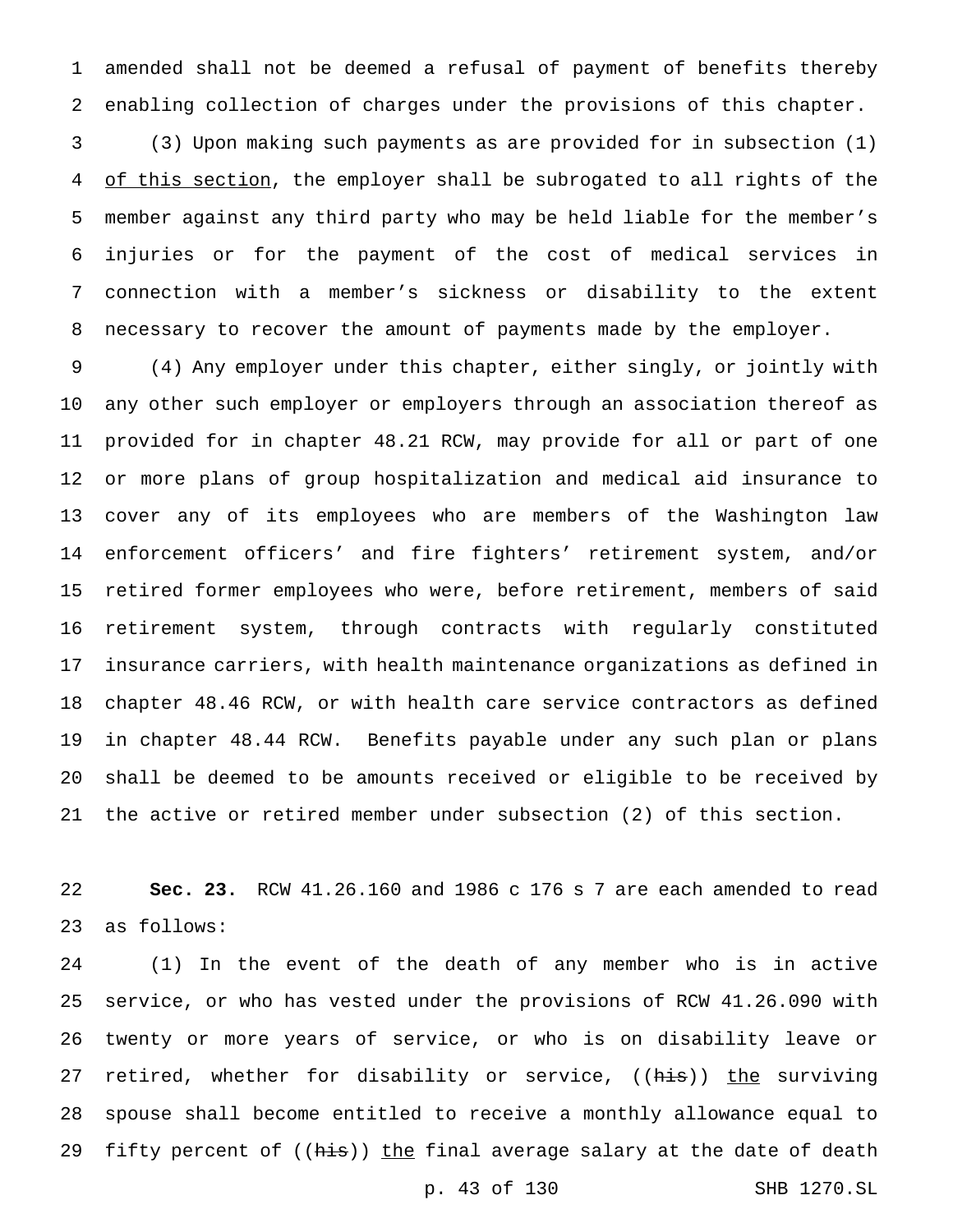amended shall not be deemed a refusal of payment of benefits thereby enabling collection of charges under the provisions of this chapter.

 (3) Upon making such payments as are provided for in subsection (1) 4 of this section, the employer shall be subrogated to all rights of the member against any third party who may be held liable for the member's injuries or for the payment of the cost of medical services in connection with a member's sickness or disability to the extent necessary to recover the amount of payments made by the employer.

 (4) Any employer under this chapter, either singly, or jointly with any other such employer or employers through an association thereof as provided for in chapter 48.21 RCW, may provide for all or part of one or more plans of group hospitalization and medical aid insurance to cover any of its employees who are members of the Washington law enforcement officers' and fire fighters' retirement system, and/or retired former employees who were, before retirement, members of said retirement system, through contracts with regularly constituted insurance carriers, with health maintenance organizations as defined in chapter 48.46 RCW, or with health care service contractors as defined in chapter 48.44 RCW. Benefits payable under any such plan or plans shall be deemed to be amounts received or eligible to be received by the active or retired member under subsection (2) of this section.

 **Sec. 23.** RCW 41.26.160 and 1986 c 176 s 7 are each amended to read as follows:

 (1) In the event of the death of any member who is in active service, or who has vested under the provisions of RCW 41.26.090 with twenty or more years of service, or who is on disability leave or 27 retired, whether for disability or service, ((his)) the surviving spouse shall become entitled to receive a monthly allowance equal to 29 fifty percent of ((his)) the final average salary at the date of death

p. 43 of 130 SHB 1270.SL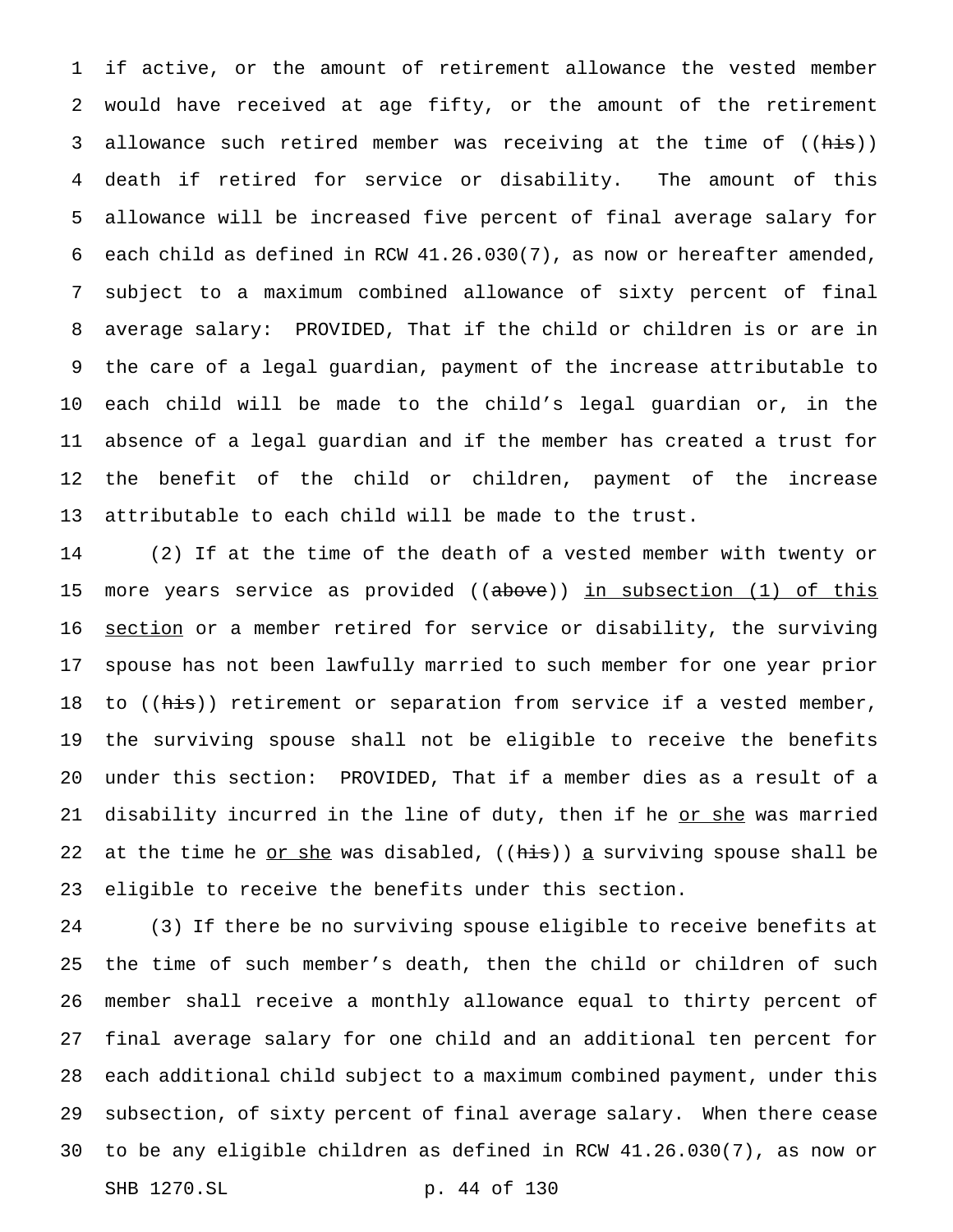if active, or the amount of retirement allowance the vested member would have received at age fifty, or the amount of the retirement 3 allowance such retired member was receiving at the time of ((his)) death if retired for service or disability. The amount of this allowance will be increased five percent of final average salary for each child as defined in RCW 41.26.030(7), as now or hereafter amended, subject to a maximum combined allowance of sixty percent of final average salary: PROVIDED, That if the child or children is or are in the care of a legal guardian, payment of the increase attributable to each child will be made to the child's legal guardian or, in the absence of a legal guardian and if the member has created a trust for the benefit of the child or children, payment of the increase attributable to each child will be made to the trust.

 (2) If at the time of the death of a vested member with twenty or 15 more years service as provided ((above)) in subsection (1) of this 16 <u>section</u> or a member retired for service or disability, the surviving spouse has not been lawfully married to such member for one year prior 18 to ((his)) retirement or separation from service if a vested member, the surviving spouse shall not be eligible to receive the benefits under this section: PROVIDED, That if a member dies as a result of a 21 disability incurred in the line of duty, then if he or she was married 22 at the time he <u>or she</u> was disabled,  $((his))$  a surviving spouse shall be eligible to receive the benefits under this section.

 (3) If there be no surviving spouse eligible to receive benefits at the time of such member's death, then the child or children of such member shall receive a monthly allowance equal to thirty percent of final average salary for one child and an additional ten percent for each additional child subject to a maximum combined payment, under this subsection, of sixty percent of final average salary. When there cease to be any eligible children as defined in RCW 41.26.030(7), as now or SHB 1270.SL p. 44 of 130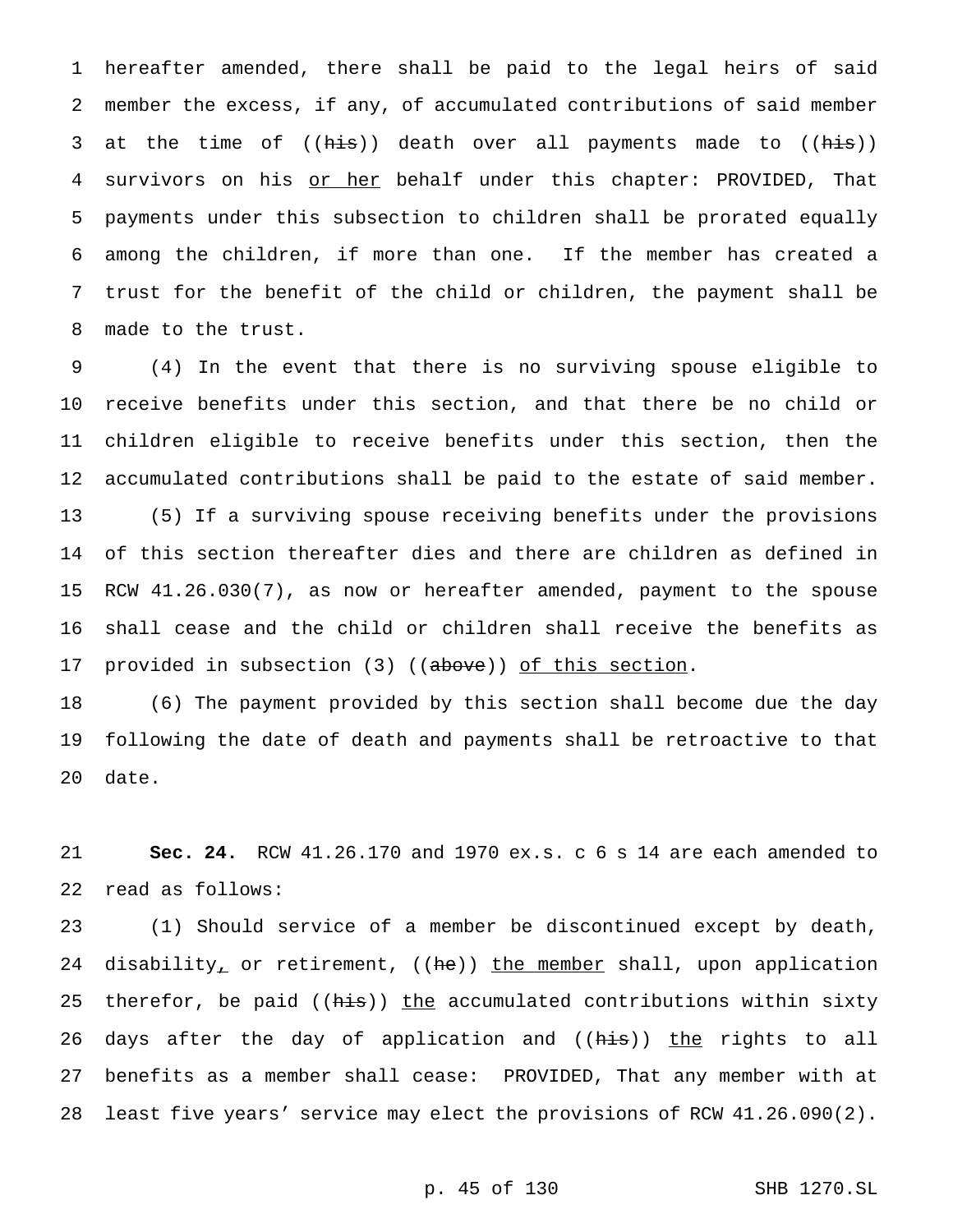hereafter amended, there shall be paid to the legal heirs of said member the excess, if any, of accumulated contributions of said member 3 at the time of ((his)) death over all payments made to ((his)) 4 survivors on his or her behalf under this chapter: PROVIDED, That payments under this subsection to children shall be prorated equally among the children, if more than one. If the member has created a trust for the benefit of the child or children, the payment shall be made to the trust.

 (4) In the event that there is no surviving spouse eligible to receive benefits under this section, and that there be no child or children eligible to receive benefits under this section, then the accumulated contributions shall be paid to the estate of said member. (5) If a surviving spouse receiving benefits under the provisions of this section thereafter dies and there are children as defined in RCW 41.26.030(7), as now or hereafter amended, payment to the spouse shall cease and the child or children shall receive the benefits as 17 provided in subsection (3) ((above)) of this section.

 (6) The payment provided by this section shall become due the day following the date of death and payments shall be retroactive to that date.

 **Sec. 24.** RCW 41.26.170 and 1970 ex.s. c 6 s 14 are each amended to read as follows:

 (1) Should service of a member be discontinued except by death, 24 disability<sub>*r*</sub> or retirement, ((he)) the member shall, upon application 25 therefor, be paid ( $(his)$ ) the accumulated contributions within sixty 26 days after the day of application and ((his)) the rights to all benefits as a member shall cease: PROVIDED, That any member with at least five years' service may elect the provisions of RCW 41.26.090(2).

## p. 45 of 130 SHB 1270.SL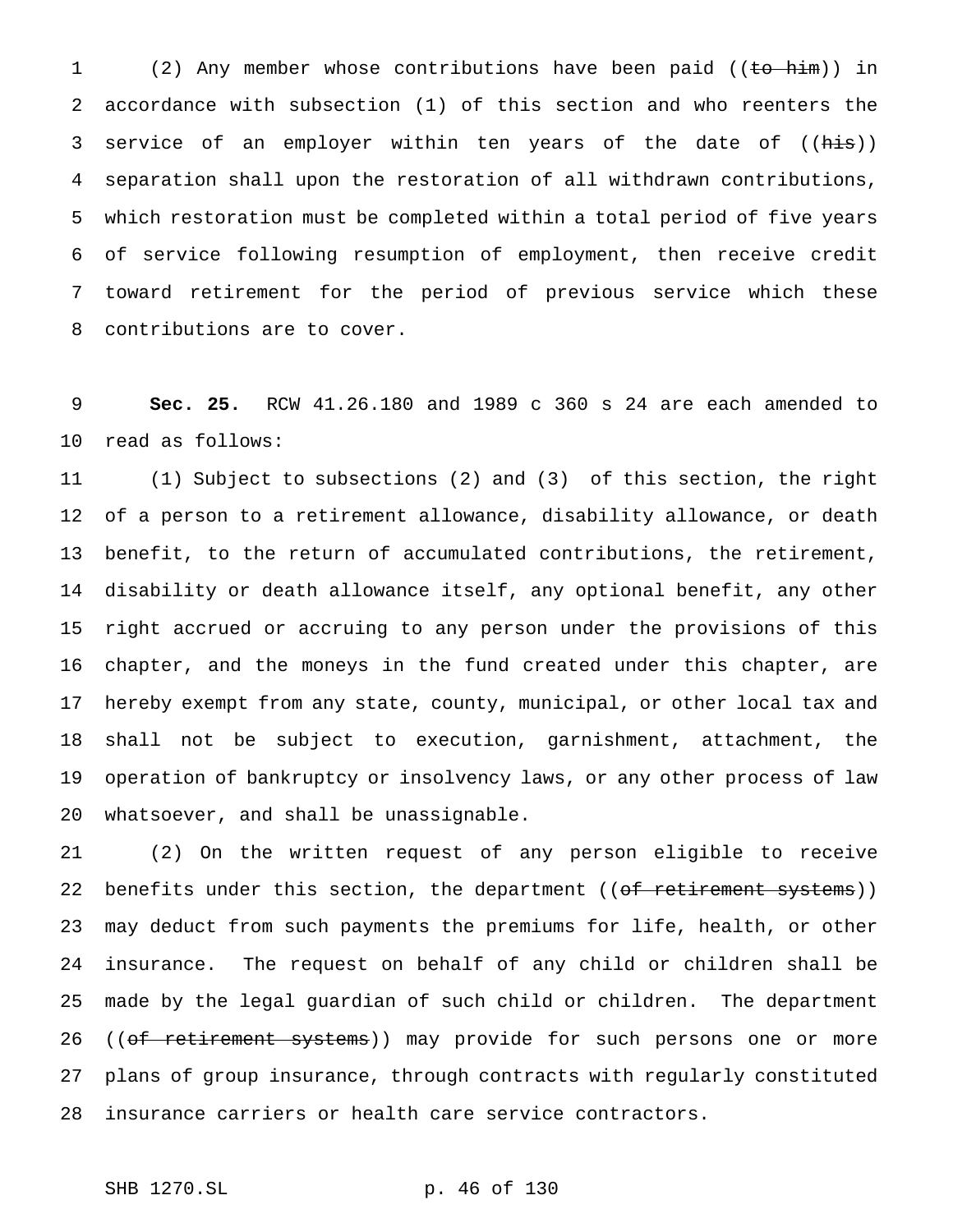1 (2) Any member whose contributions have been paid ((to him)) in accordance with subsection (1) of this section and who reenters the 3 service of an employer within ten years of the date of ((his)) separation shall upon the restoration of all withdrawn contributions, which restoration must be completed within a total period of five years of service following resumption of employment, then receive credit toward retirement for the period of previous service which these contributions are to cover.

 **Sec. 25.** RCW 41.26.180 and 1989 c 360 s 24 are each amended to read as follows:

 (1) Subject to subsections (2) and (3) of this section, the right of a person to a retirement allowance, disability allowance, or death benefit, to the return of accumulated contributions, the retirement, disability or death allowance itself, any optional benefit, any other right accrued or accruing to any person under the provisions of this chapter, and the moneys in the fund created under this chapter, are hereby exempt from any state, county, municipal, or other local tax and shall not be subject to execution, garnishment, attachment, the operation of bankruptcy or insolvency laws, or any other process of law whatsoever, and shall be unassignable.

 (2) On the written request of any person eligible to receive 22 benefits under this section, the department ((of retirement systems)) may deduct from such payments the premiums for life, health, or other insurance. The request on behalf of any child or children shall be made by the legal guardian of such child or children. The department 26 ((of retirement systems)) may provide for such persons one or more plans of group insurance, through contracts with regularly constituted insurance carriers or health care service contractors.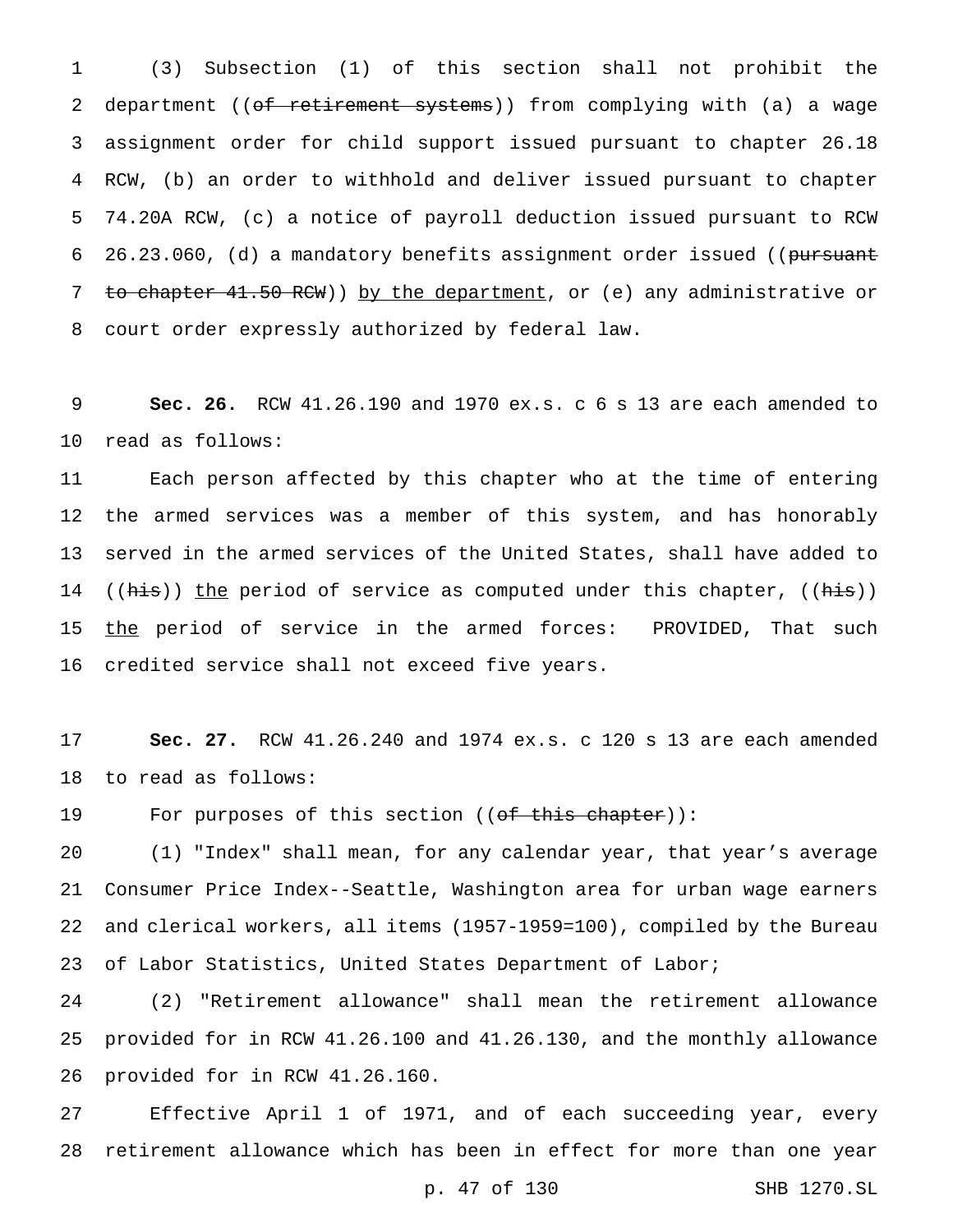(3) Subsection (1) of this section shall not prohibit the 2 department ((of retirement systems)) from complying with (a) a wage assignment order for child support issued pursuant to chapter 26.18 RCW, (b) an order to withhold and deliver issued pursuant to chapter 74.20A RCW, (c) a notice of payroll deduction issued pursuant to RCW 6 26.23.060, (d) a mandatory benefits assignment order issued ((pursuant 7 to chapter 41.50 RCW)) by the department, or (e) any administrative or court order expressly authorized by federal law.

 **Sec. 26.** RCW 41.26.190 and 1970 ex.s. c 6 s 13 are each amended to read as follows:

 Each person affected by this chapter who at the time of entering 12 the armed services was a member of this system, and has honorably served in the armed services of the United States, shall have added to 14 ((his)) the period of service as computed under this chapter, ((his)) 15 the period of service in the armed forces: PROVIDED, That such credited service shall not exceed five years.

 **Sec. 27.** RCW 41.26.240 and 1974 ex.s. c 120 s 13 are each amended to read as follows:

19 For purposes of this section ((of this chapter)):

 (1) "Index" shall mean, for any calendar year, that year's average Consumer Price Index--Seattle, Washington area for urban wage earners and clerical workers, all items (1957-1959=100), compiled by the Bureau of Labor Statistics, United States Department of Labor;

 (2) "Retirement allowance" shall mean the retirement allowance provided for in RCW 41.26.100 and 41.26.130, and the monthly allowance provided for in RCW 41.26.160.

 Effective April 1 of 1971, and of each succeeding year, every retirement allowance which has been in effect for more than one year

p. 47 of 130 SHB 1270.SL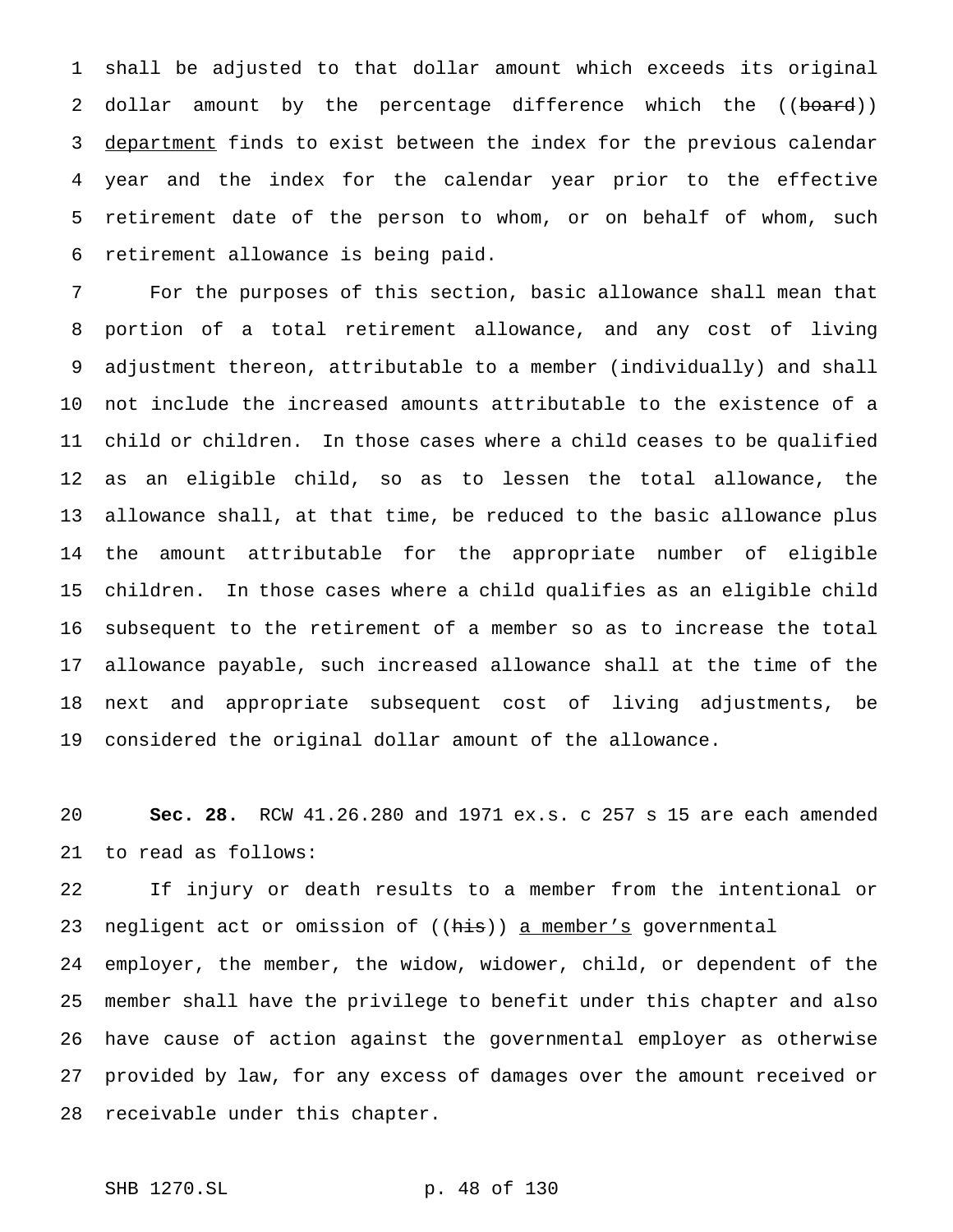shall be adjusted to that dollar amount which exceeds its original 2 dollar amount by the percentage difference which the ((board)) 3 department finds to exist between the index for the previous calendar year and the index for the calendar year prior to the effective retirement date of the person to whom, or on behalf of whom, such retirement allowance is being paid.

 For the purposes of this section, basic allowance shall mean that portion of a total retirement allowance, and any cost of living adjustment thereon, attributable to a member (individually) and shall not include the increased amounts attributable to the existence of a child or children. In those cases where a child ceases to be qualified as an eligible child, so as to lessen the total allowance, the allowance shall, at that time, be reduced to the basic allowance plus the amount attributable for the appropriate number of eligible children. In those cases where a child qualifies as an eligible child subsequent to the retirement of a member so as to increase the total allowance payable, such increased allowance shall at the time of the next and appropriate subsequent cost of living adjustments, be considered the original dollar amount of the allowance.

 **Sec. 28.** RCW 41.26.280 and 1971 ex.s. c 257 s 15 are each amended to read as follows:

 If injury or death results to a member from the intentional or 23 negligent act or omission of ((his)) a member's governmental

 employer, the member, the widow, widower, child, or dependent of the member shall have the privilege to benefit under this chapter and also have cause of action against the governmental employer as otherwise provided by law, for any excess of damages over the amount received or receivable under this chapter.

```
SHB 1270.SL p. 48 of 130
```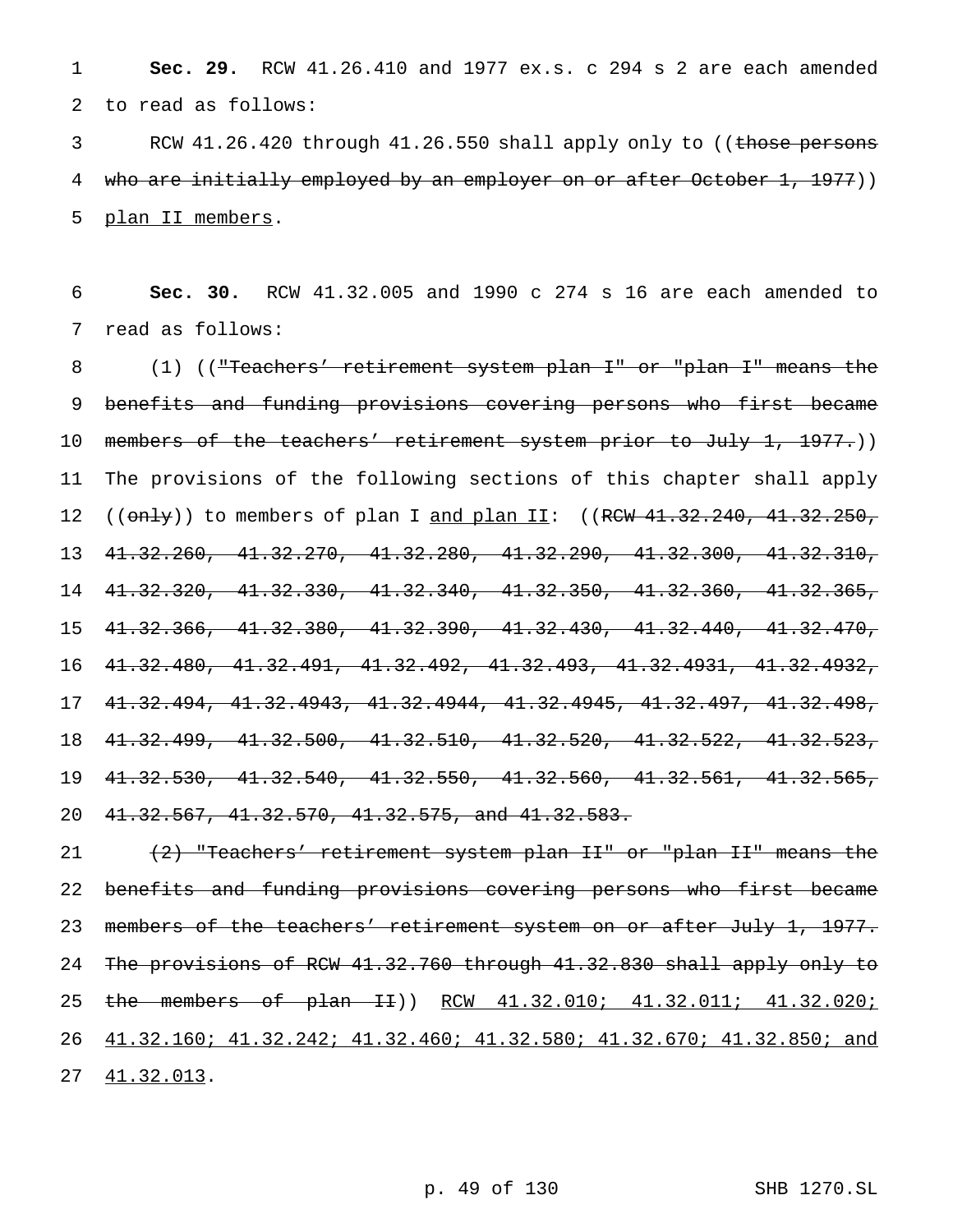**Sec. 29.** RCW 41.26.410 and 1977 ex.s. c 294 s 2 are each amended to read as follows:

3 RCW 41.26.420 through 41.26.550 shall apply only to ((those persons 4 who are initially employed by an employer on or after October 1, 1977)) plan II members.

 **Sec. 30.** RCW 41.32.005 and 1990 c 274 s 16 are each amended to read as follows:

 (1) (("Teachers' retirement system plan I" or "plan I" means the benefits and funding provisions covering persons who first became 10 members of the teachers' retirement system prior to July 1, 1977.)) The provisions of the following sections of this chapter shall apply 12 (( $\text{only}$ )) to members of plan I and plan II: ((RCW  $41.32.240$ ,  $41.32.250$ , 41.32.260, 41.32.270, 41.32.280, 41.32.290, 41.32.300, 41.32.310, 41.32.320, 41.32.330, 41.32.340, 41.32.350, 41.32.360, 41.32.365, 41.32.366, 41.32.380, 41.32.390, 41.32.430, 41.32.440, 41.32.470, 41.32.480, 41.32.491, 41.32.492, 41.32.493, 41.32.4931, 41.32.4932, 41.32.494, 41.32.4943, 41.32.4944, 41.32.4945, 41.32.497, 41.32.498, 41.32.499, 41.32.500, 41.32.510, 41.32.520, 41.32.522, 41.32.523, 41.32.530, 41.32.540, 41.32.550, 41.32.560, 41.32.561, 41.32.565, 41.32.567, 41.32.570, 41.32.575, and 41.32.583.

21 (2) "Teachers' retirement system plan II" or "plan II" means the benefits and funding provisions covering persons who first became 23 members of the teachers' retirement system on or after July 1, 1977. The provisions of RCW 41.32.760 through 41.32.830 shall apply only to 25 the members of plan II)) RCW 41.32.010; 41.32.011; 41.32.020; 41.32.160; 41.32.242; 41.32.460; 41.32.580; 41.32.670; 41.32.850; and 41.32.013.

p. 49 of 130 SHB 1270.SL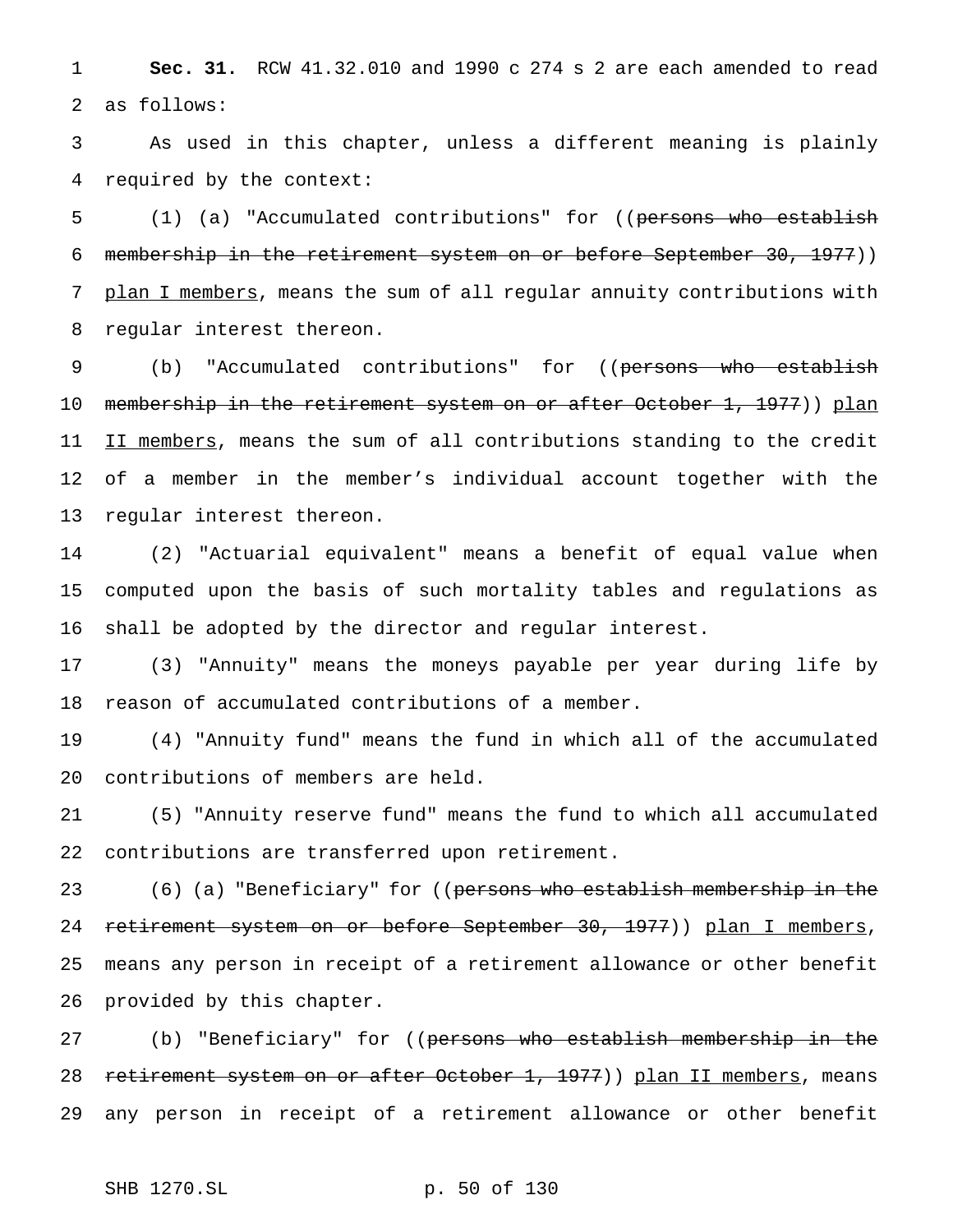**Sec. 31.** RCW 41.32.010 and 1990 c 274 s 2 are each amended to read as follows:

 As used in this chapter, unless a different meaning is plainly required by the context:

5 (1) (a) "Accumulated contributions" for ((persons who establish membership in the retirement system on or before September 30, 1977)) 7 plan I members, means the sum of all regular annuity contributions with regular interest thereon.

9 (b) "Accumulated contributions" for ((persons who establish 10 membership in the retirement system on or after October 1, 1977)) plan 11 II members, means the sum of all contributions standing to the credit of a member in the member's individual account together with the regular interest thereon.

 (2) "Actuarial equivalent" means a benefit of equal value when computed upon the basis of such mortality tables and regulations as shall be adopted by the director and regular interest.

 (3) "Annuity" means the moneys payable per year during life by reason of accumulated contributions of a member.

 (4) "Annuity fund" means the fund in which all of the accumulated contributions of members are held.

 (5) "Annuity reserve fund" means the fund to which all accumulated contributions are transferred upon retirement.

23 (6) (a) "Beneficiary" for ((persons who establish membership in the 24 retirement system on or before September 30, 1977)) plan I members, means any person in receipt of a retirement allowance or other benefit provided by this chapter.

27 (b) "Beneficiary" for ((<del>persons who establish membership in the</del> 28 retirement system on or after October 1, 1977)) plan II members, means any person in receipt of a retirement allowance or other benefit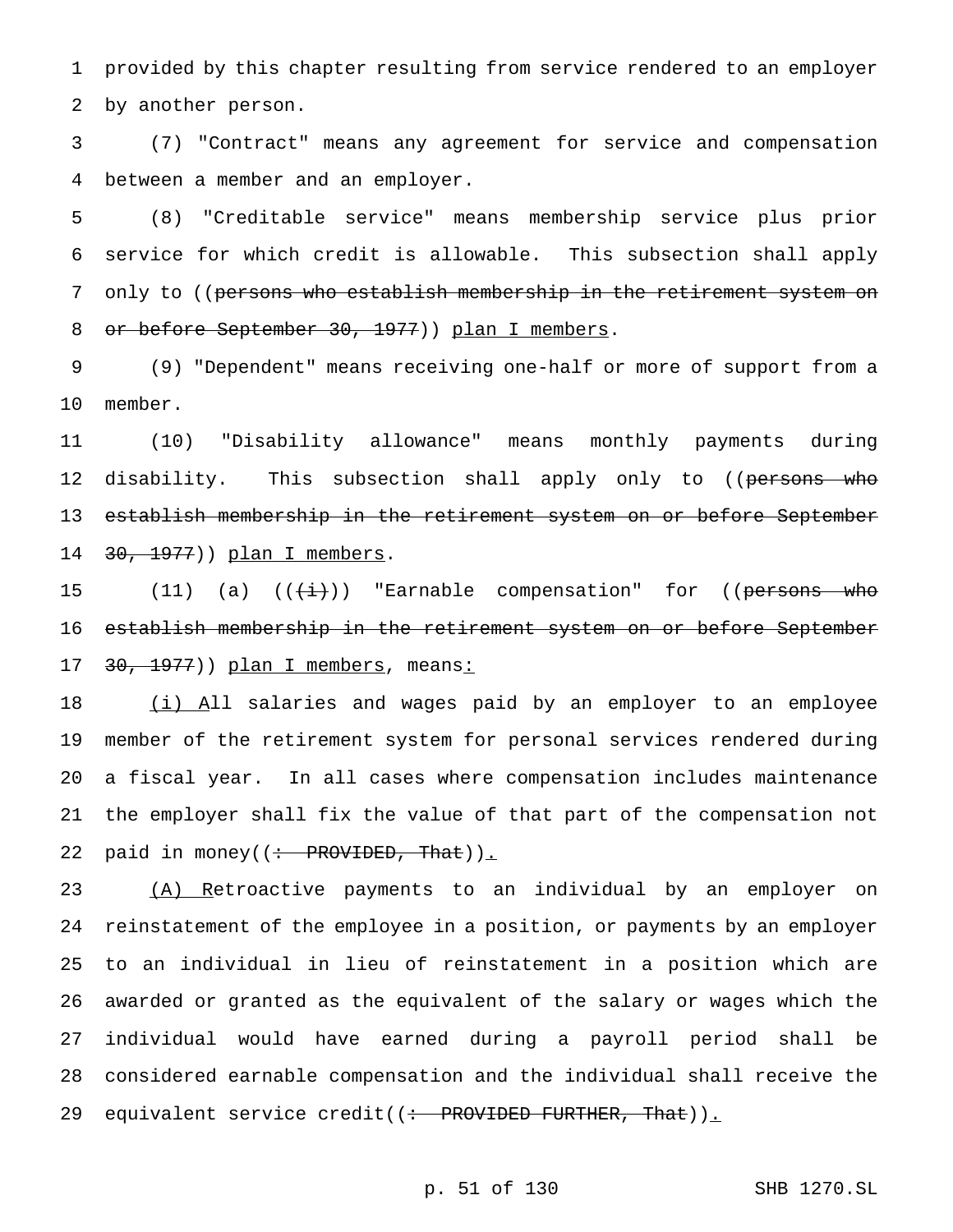provided by this chapter resulting from service rendered to an employer by another person.

 (7) "Contract" means any agreement for service and compensation between a member and an employer.

 (8) "Creditable service" means membership service plus prior service for which credit is allowable. This subsection shall apply 7 only to ((persons who establish membership in the retirement system on 8 or before September 30, 1977)) plan I members.

 (9) "Dependent" means receiving one-half or more of support from a member.

 (10) "Disability allowance" means monthly payments during 12 disability. This subsection shall apply only to ((persons who establish membership in the retirement system on or before September 14 30, 1977)) plan I members.

15 (11) (a)  $((\overleftrightarrow{i}))$  "Earnable compensation" for ((persons who establish membership in the retirement system on or before September 17 30, 1977)) plan I members, means:

18 (i) All salaries and wages paid by an employer to an employee member of the retirement system for personal services rendered during a fiscal year. In all cases where compensation includes maintenance the employer shall fix the value of that part of the compensation not 22 paid in money( $\div$  PROVIDED, That)).

23 (A) Retroactive payments to an individual by an employer on reinstatement of the employee in a position, or payments by an employer to an individual in lieu of reinstatement in a position which are awarded or granted as the equivalent of the salary or wages which the individual would have earned during a payroll period shall be considered earnable compensation and the individual shall receive the 29 equivalent service credit((: PROVIDED FURTHER, That)).

## p. 51 of 130 SHB 1270.SL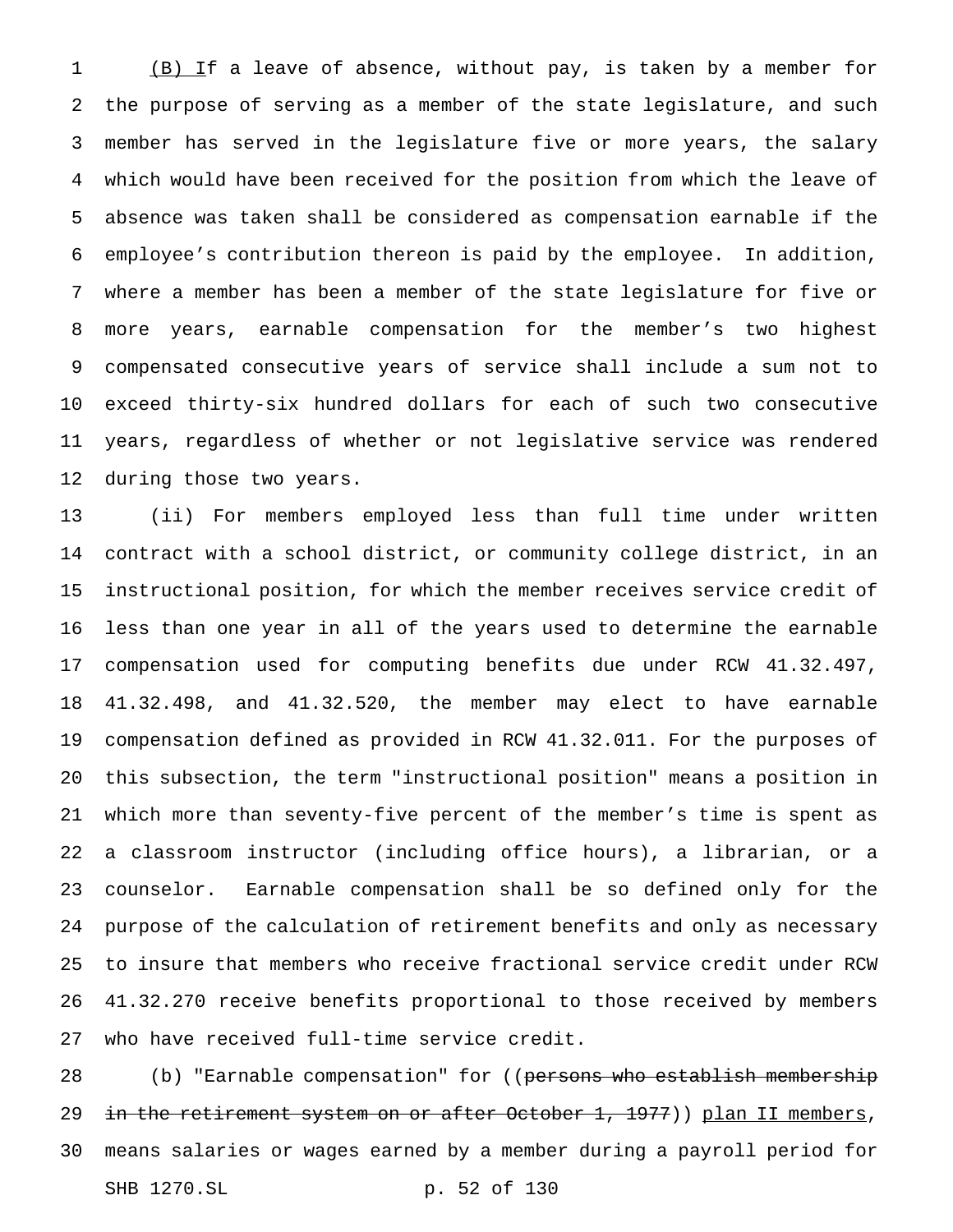(B) If a leave of absence, without pay, is taken by a member for the purpose of serving as a member of the state legislature, and such member has served in the legislature five or more years, the salary which would have been received for the position from which the leave of absence was taken shall be considered as compensation earnable if the employee's contribution thereon is paid by the employee. In addition, where a member has been a member of the state legislature for five or more years, earnable compensation for the member's two highest compensated consecutive years of service shall include a sum not to exceed thirty-six hundred dollars for each of such two consecutive years, regardless of whether or not legislative service was rendered during those two years.

 (ii) For members employed less than full time under written contract with a school district, or community college district, in an instructional position, for which the member receives service credit of less than one year in all of the years used to determine the earnable compensation used for computing benefits due under RCW 41.32.497, 41.32.498, and 41.32.520, the member may elect to have earnable compensation defined as provided in RCW 41.32.011. For the purposes of this subsection, the term "instructional position" means a position in which more than seventy-five percent of the member's time is spent as a classroom instructor (including office hours), a librarian, or a counselor. Earnable compensation shall be so defined only for the purpose of the calculation of retirement benefits and only as necessary to insure that members who receive fractional service credit under RCW 41.32.270 receive benefits proportional to those received by members who have received full-time service credit.

28 (b) "Earnable compensation" for ((persons who establish membership 29 in the retirement system on or after October 1, 1977)) plan II members, means salaries or wages earned by a member during a payroll period for SHB 1270.SL p. 52 of 130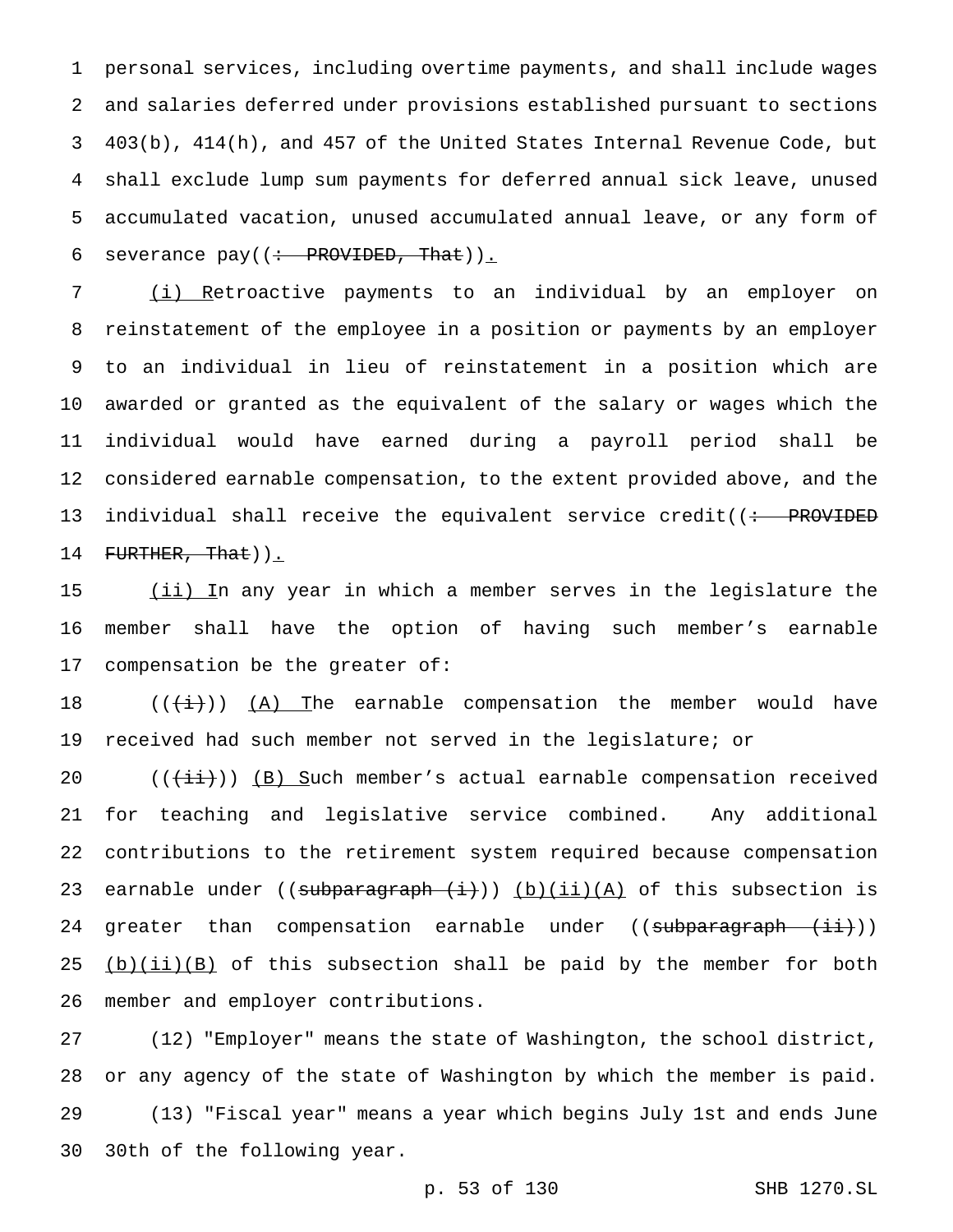personal services, including overtime payments, and shall include wages and salaries deferred under provisions established pursuant to sections 403(b), 414(h), and 457 of the United States Internal Revenue Code, but shall exclude lump sum payments for deferred annual sick leave, unused accumulated vacation, unused accumulated annual leave, or any form of 6 severance pay( $(\div$  PROVIDED, That)).

 (i) Retroactive payments to an individual by an employer on reinstatement of the employee in a position or payments by an employer to an individual in lieu of reinstatement in a position which are awarded or granted as the equivalent of the salary or wages which the individual would have earned during a payroll period shall be considered earnable compensation, to the extent provided above, and the 13 individual shall receive the equivalent service credit((<del>: PROVIDED</del> 14 FURTHER, That)).

15 (ii) In any year in which a member serves in the legislature the member shall have the option of having such member's earnable compensation be the greater of:

 $((\overleftrightarrow{t}))$  (A) The earnable compensation the member would have received had such member not served in the legislature; or

 $((\overrightarrow{\pm i}))$  (B) Such member's actual earnable compensation received for teaching and legislative service combined. Any additional contributions to the retirement system required because compensation 23 earnable under (( $subparamphi(+)+$ )) (b)(ii)(A) of this subsection is 24 greater than compensation earnable under ((subparagraph (ii)))  $(b)(ii)(B)$  of this subsection shall be paid by the member for both member and employer contributions.

 (12) "Employer" means the state of Washington, the school district, or any agency of the state of Washington by which the member is paid. (13) "Fiscal year" means a year which begins July 1st and ends June 30th of the following year.

```
p. 53 of 130 SHB 1270.SL
```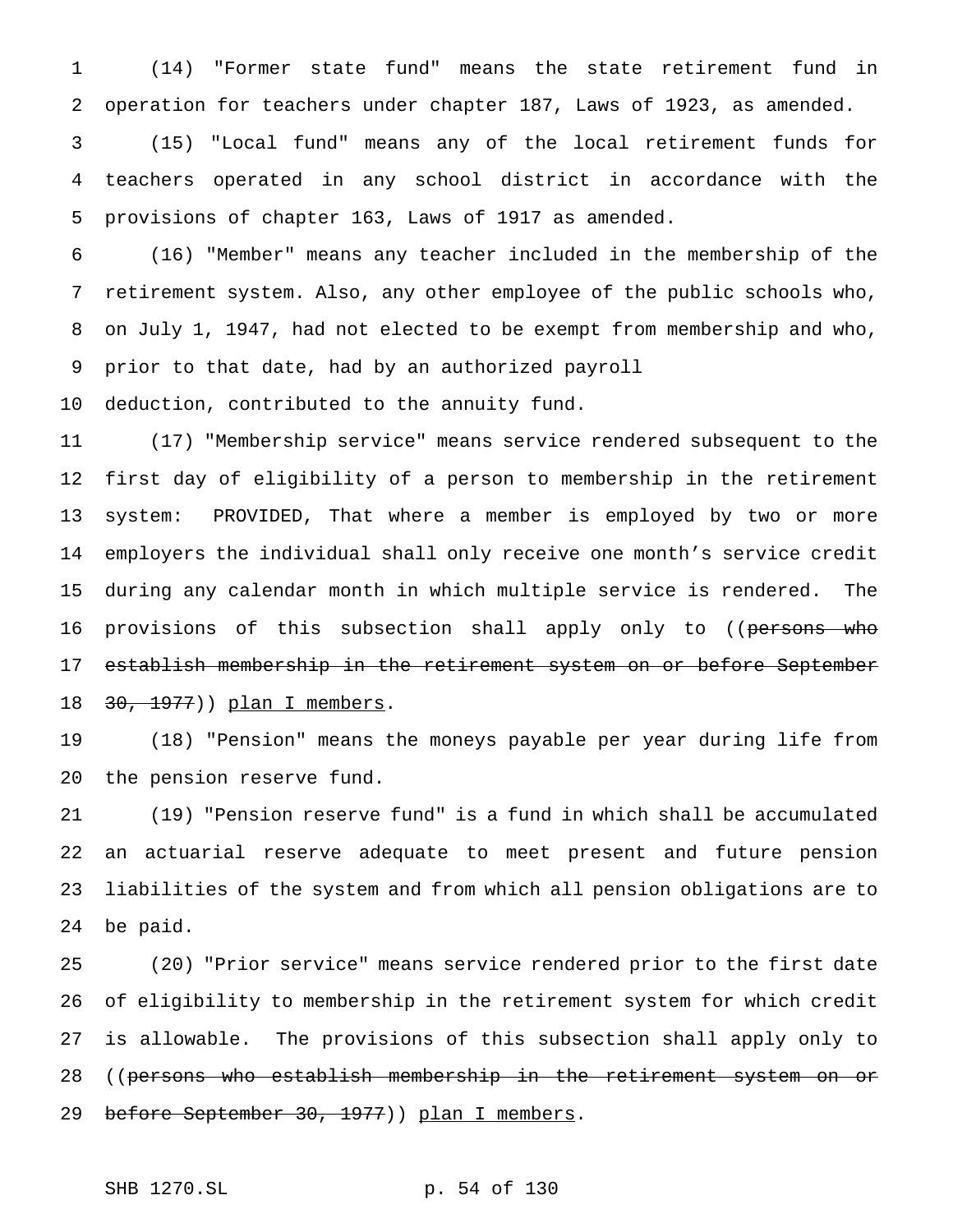(14) "Former state fund" means the state retirement fund in operation for teachers under chapter 187, Laws of 1923, as amended. (15) "Local fund" means any of the local retirement funds for teachers operated in any school district in accordance with the provisions of chapter 163, Laws of 1917 as amended.

 (16) "Member" means any teacher included in the membership of the retirement system. Also, any other employee of the public schools who, on July 1, 1947, had not elected to be exempt from membership and who, prior to that date, had by an authorized payroll

deduction, contributed to the annuity fund.

 (17) "Membership service" means service rendered subsequent to the first day of eligibility of a person to membership in the retirement system: PROVIDED, That where a member is employed by two or more employers the individual shall only receive one month's service credit during any calendar month in which multiple service is rendered. The 16 provisions of this subsection shall apply only to ((persons who establish membership in the retirement system on or before September 18 30, 1977) ) plan I members.

 (18) "Pension" means the moneys payable per year during life from the pension reserve fund.

 (19) "Pension reserve fund" is a fund in which shall be accumulated an actuarial reserve adequate to meet present and future pension liabilities of the system and from which all pension obligations are to be paid.

 (20) "Prior service" means service rendered prior to the first date of eligibility to membership in the retirement system for which credit is allowable. The provisions of this subsection shall apply only to 28 ((persons who establish membership in the retirement system on or 29 before September 30, 1977)) plan I members.

SHB 1270.SL p. 54 of 130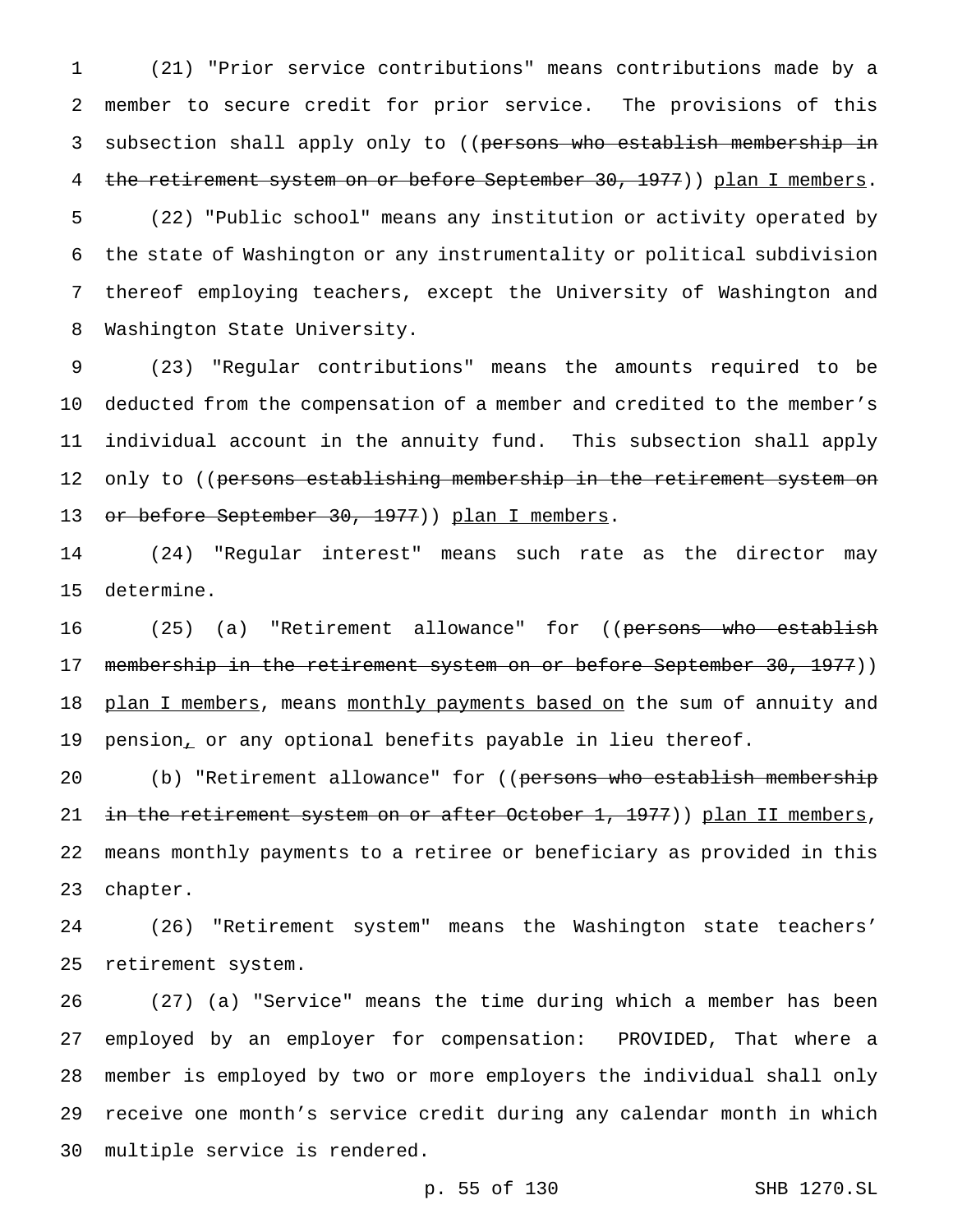(21) "Prior service contributions" means contributions made by a member to secure credit for prior service. The provisions of this 3 subsection shall apply only to ((persons who establish membership in 4 the retirement system on or before September 30, 1977)) plan I members.

 (22) "Public school" means any institution or activity operated by the state of Washington or any instrumentality or political subdivision thereof employing teachers, except the University of Washington and Washington State University.

 (23) "Regular contributions" means the amounts required to be deducted from the compensation of a member and credited to the member's individual account in the annuity fund. This subsection shall apply 12 only to ((persons establishing membership in the retirement system on 13 or before September 30, 1977)) plan I members.

 (24) "Regular interest" means such rate as the director may determine.

16 (25) (a) "Retirement allowance" for ((persons who establish 17 membership in the retirement system on or before September 30, 1977)) 18 plan I members, means monthly payments based on the sum of annuity and pension, or any optional benefits payable in lieu thereof.

20 (b) "Retirement allowance" for ((persons who establish membership 21 in the retirement system on or after October 1, 1977)) plan II members, means monthly payments to a retiree or beneficiary as provided in this chapter.

 (26) "Retirement system" means the Washington state teachers' retirement system.

 (27) (a) "Service" means the time during which a member has been employed by an employer for compensation: PROVIDED, That where a member is employed by two or more employers the individual shall only receive one month's service credit during any calendar month in which multiple service is rendered.

p. 55 of 130 SHB 1270.SL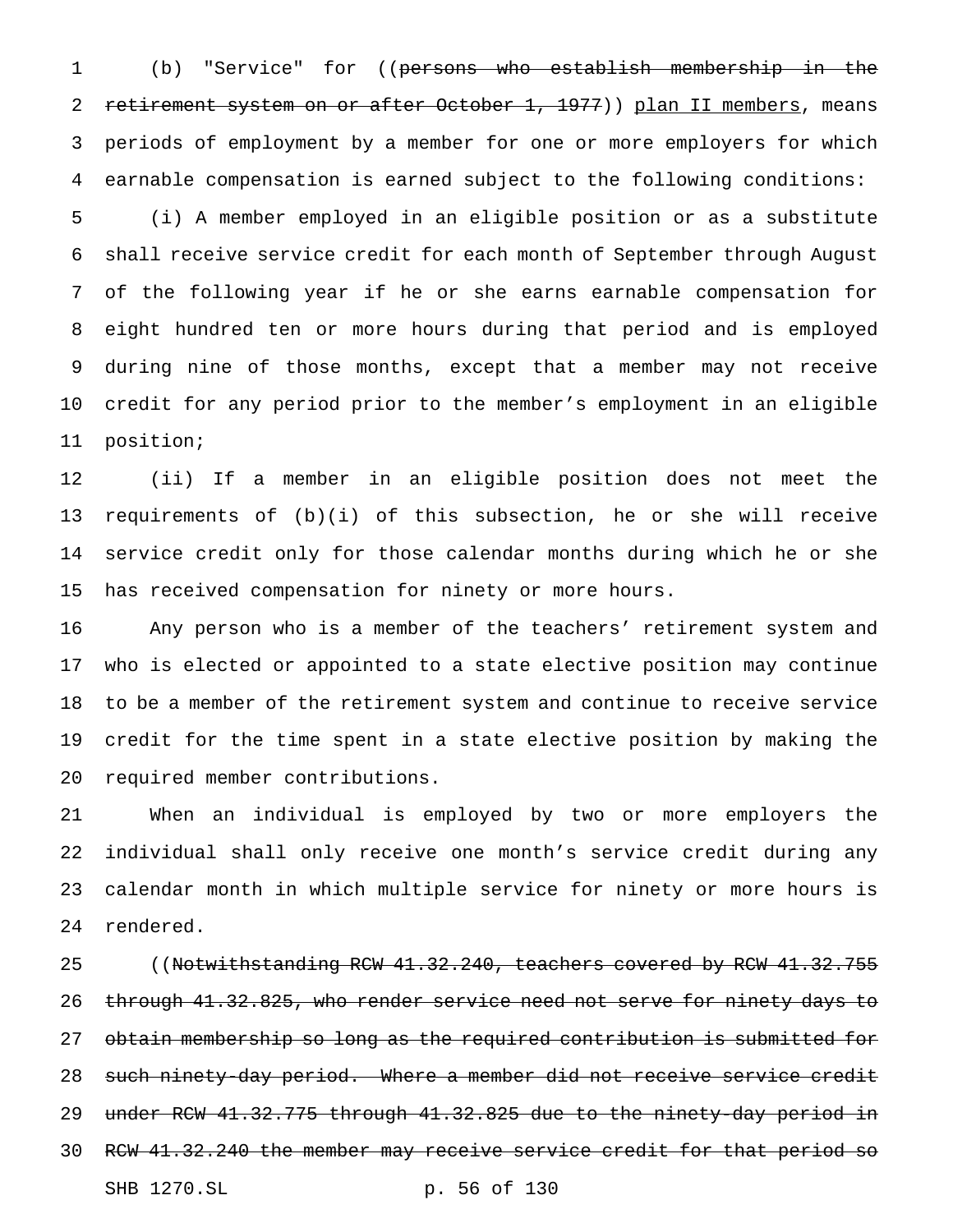(b) "Service" for ((persons who establish membership in the 2 retirement system on or after October 1, 1977)) plan II members, means periods of employment by a member for one or more employers for which earnable compensation is earned subject to the following conditions:

 (i) A member employed in an eligible position or as a substitute shall receive service credit for each month of September through August of the following year if he or she earns earnable compensation for eight hundred ten or more hours during that period and is employed during nine of those months, except that a member may not receive credit for any period prior to the member's employment in an eligible position;

 (ii) If a member in an eligible position does not meet the requirements of (b)(i) of this subsection, he or she will receive service credit only for those calendar months during which he or she has received compensation for ninety or more hours.

 Any person who is a member of the teachers' retirement system and who is elected or appointed to a state elective position may continue to be a member of the retirement system and continue to receive service credit for the time spent in a state elective position by making the required member contributions.

 When an individual is employed by two or more employers the individual shall only receive one month's service credit during any calendar month in which multiple service for ninety or more hours is rendered.

25 ((Notwithstanding RCW 41.32.240, teachers covered by RCW 41.32.755 through 41.32.825, who render service need not serve for ninety days to obtain membership so long as the required contribution is submitted for such ninety-day period. Where a member did not receive service credit under RCW 41.32.775 through 41.32.825 due to the ninety-day period in 30 RCW 41.32.240 the member may receive service credit for that period so SHB 1270.SL p. 56 of 130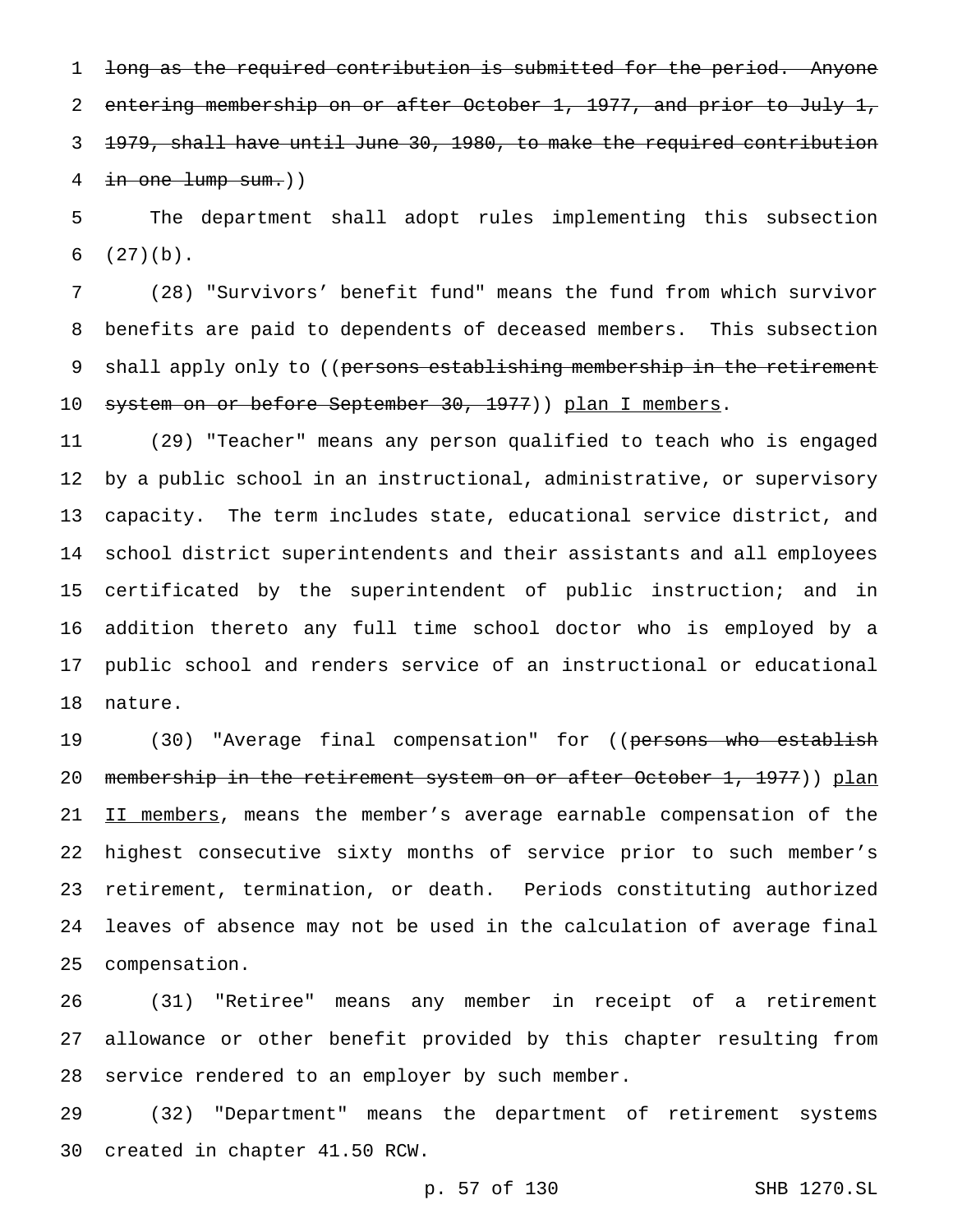1 long as the required contribution is submitted for the period. Anyone 2 entering membership on or after October 1, 1977, and prior to July 1, 1979, shall have until June 30, 1980, to make the required contribution 4 in one lump sum.))

 The department shall adopt rules implementing this subsection (27)(b).

 (28) "Survivors' benefit fund" means the fund from which survivor benefits are paid to dependents of deceased members. This subsection 9 shall apply only to ((persons establishing membership in the retirement 10 system on or before September 30, 1977)) plan I members.

 (29) "Teacher" means any person qualified to teach who is engaged by a public school in an instructional, administrative, or supervisory capacity. The term includes state, educational service district, and school district superintendents and their assistants and all employees certificated by the superintendent of public instruction; and in addition thereto any full time school doctor who is employed by a public school and renders service of an instructional or educational nature.

19 (30) "Average final compensation" for ((<del>persons who establish</del> 20 membership in the retirement system on or after October 1, 1977)) plan 21 II members, means the member's average earnable compensation of the highest consecutive sixty months of service prior to such member's retirement, termination, or death. Periods constituting authorized leaves of absence may not be used in the calculation of average final compensation.

 (31) "Retiree" means any member in receipt of a retirement allowance or other benefit provided by this chapter resulting from service rendered to an employer by such member.

 (32) "Department" means the department of retirement systems created in chapter 41.50 RCW.

p. 57 of 130 SHB 1270.SL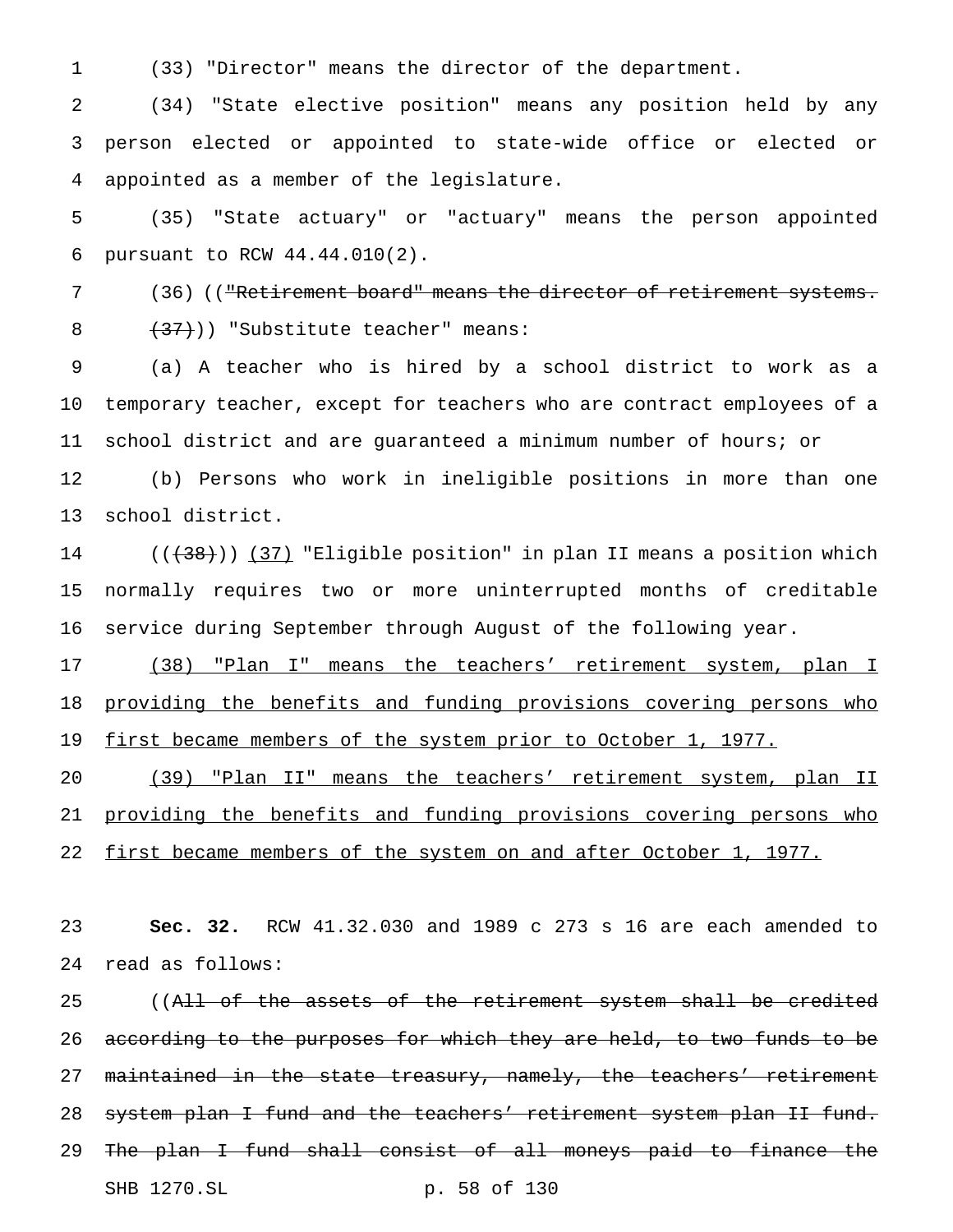(33) "Director" means the director of the department.

 (34) "State elective position" means any position held by any person elected or appointed to state-wide office or elected or appointed as a member of the legislature.

 (35) "State actuary" or "actuary" means the person appointed pursuant to RCW 44.44.010(2).

 (36) (("Retirement board" means the director of retirement systems. 8  $(37)$ ) "Substitute teacher" means:

 (a) A teacher who is hired by a school district to work as a temporary teacher, except for teachers who are contract employees of a school district and are guaranteed a minimum number of hours; or (b) Persons who work in ineligible positions in more than one

school district.

14 ((<del>(38)</del>)) <u>(37)</u> "Eligible position" in plan II means a position which normally requires two or more uninterrupted months of creditable service during September through August of the following year.

17 (38) "Plan I" means the teachers' retirement system, plan I providing the benefits and funding provisions covering persons who 19 first became members of the system prior to October 1, 1977.

 (39) "Plan II" means the teachers' retirement system, plan II 21 providing the benefits and funding provisions covering persons who 22 first became members of the system on and after October 1, 1977.

 **Sec. 32.** RCW 41.32.030 and 1989 c 273 s 16 are each amended to read as follows:

25 ((All of the assets of the retirement system shall be credited 26 according to the purposes for which they are held, to two funds to be 27 maintained in the state treasury, namely, the teachers' retirement 28 system plan I fund and the teachers' retirement system plan II fund. The plan I fund shall consist of all moneys paid to finance the SHB 1270.SL p. 58 of 130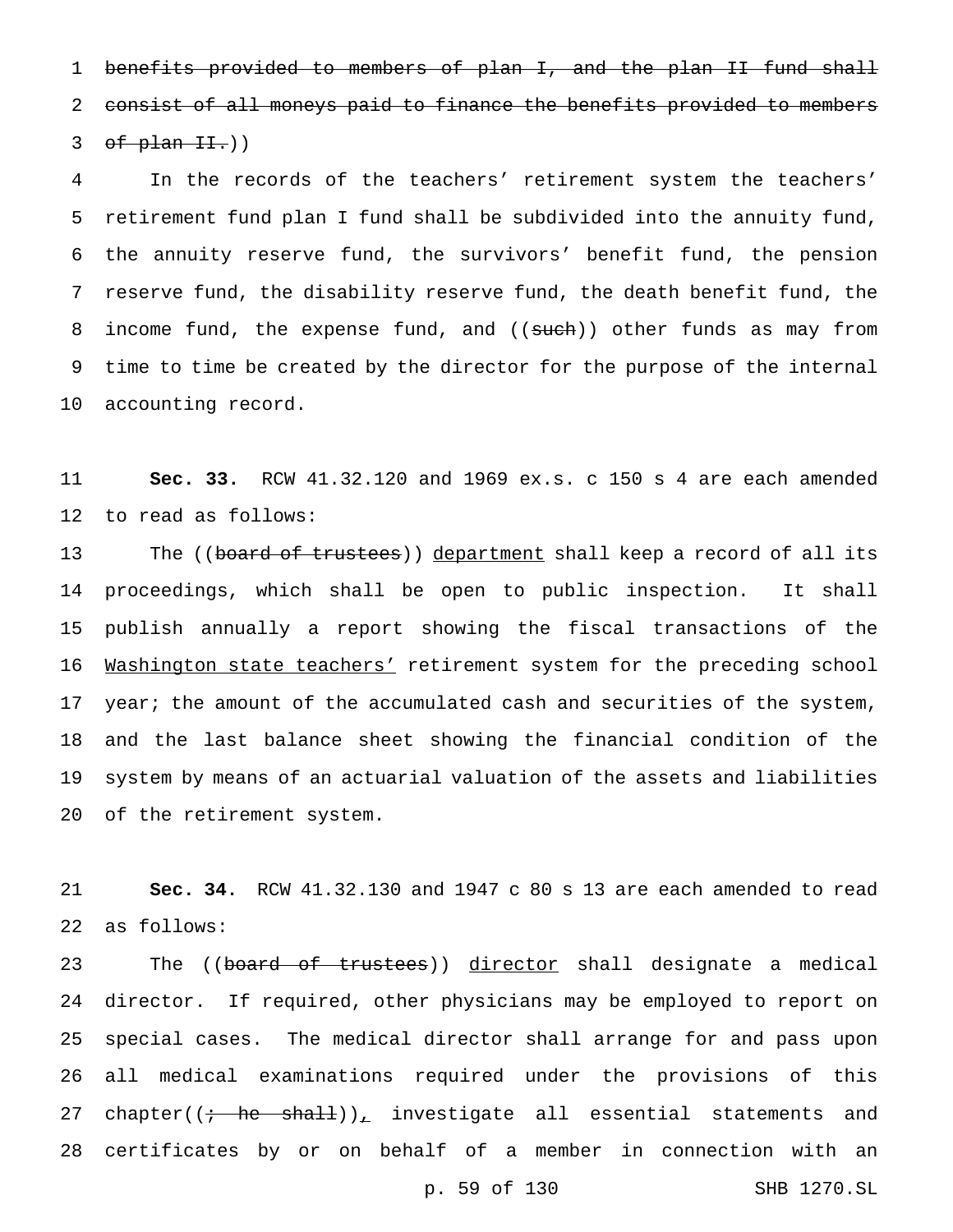benefits provided to members of plan I, and the plan II fund shall consist of all moneys paid to finance the benefits provided to members of plan II.)

 In the records of the teachers' retirement system the teachers' retirement fund plan I fund shall be subdivided into the annuity fund, the annuity reserve fund, the survivors' benefit fund, the pension reserve fund, the disability reserve fund, the death benefit fund, the 8 income fund, the expense fund, and ((such)) other funds as may from time to time be created by the director for the purpose of the internal accounting record.

 **Sec. 33.** RCW 41.32.120 and 1969 ex.s. c 150 s 4 are each amended to read as follows:

13 The ((board of trustees)) department shall keep a record of all its proceedings, which shall be open to public inspection. It shall publish annually a report showing the fiscal transactions of the 16 Washington state teachers' retirement system for the preceding school 17 year; the amount of the accumulated cash and securities of the system, and the last balance sheet showing the financial condition of the system by means of an actuarial valuation of the assets and liabilities of the retirement system.

 **Sec. 34.** RCW 41.32.130 and 1947 c 80 s 13 are each amended to read as follows:

23 The ((board of trustees)) director shall designate a medical director. If required, other physicians may be employed to report on special cases. The medical director shall arrange for and pass upon all medical examinations required under the provisions of this 27 chapter( $(i - he - shaH)$ ), investigate all essential statements and certificates by or on behalf of a member in connection with an

p. 59 of 130 SHB 1270.SL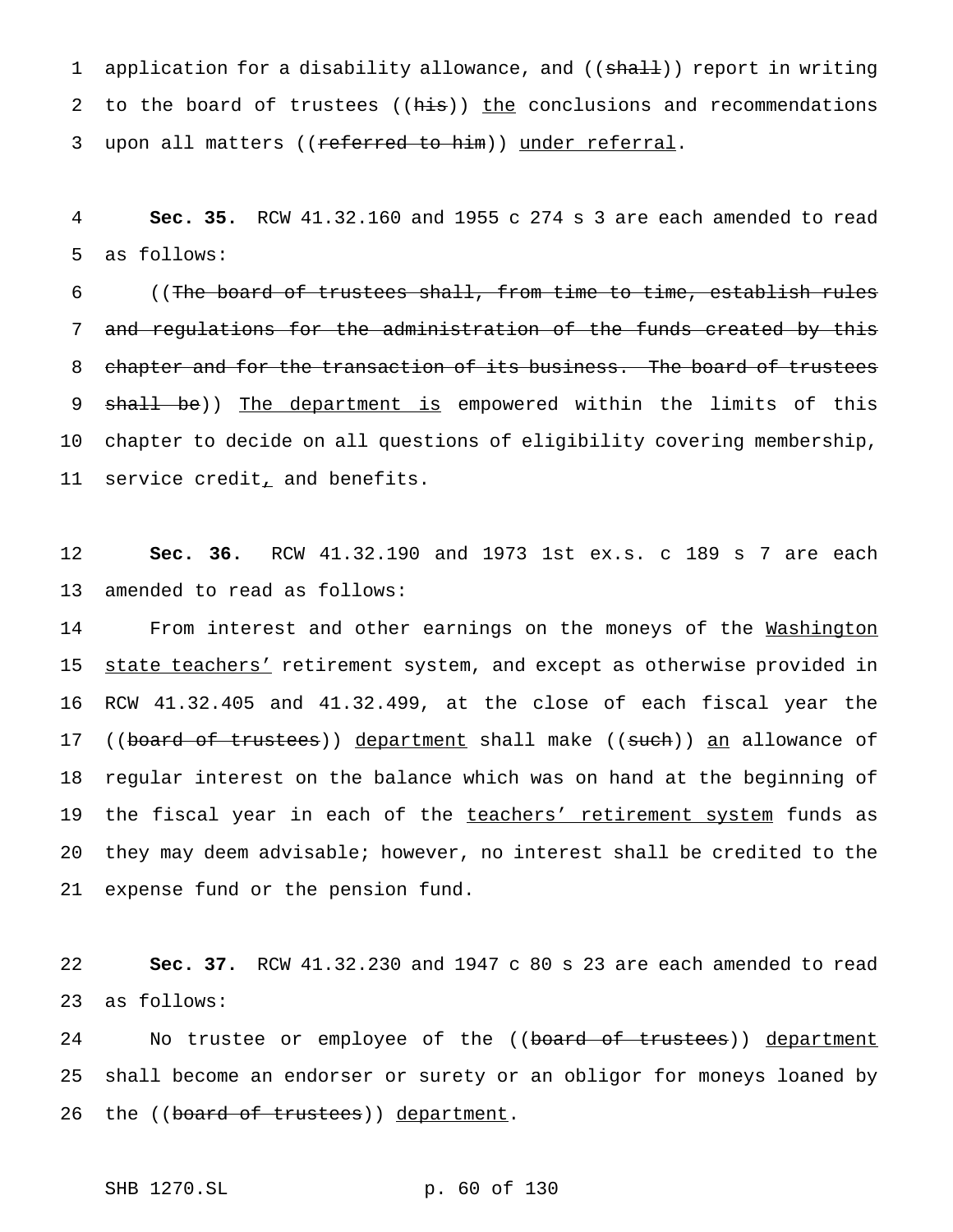1 application for a disability allowance, and ((shall)) report in writing 2 to the board of trustees ((his)) the conclusions and recommendations 3 upon all matters ((referred to him)) under referral.

4 **Sec. 35.** RCW 41.32.160 and 1955 c 274 s 3 are each amended to read 5 as follows:

6 ((The board of trustees shall, from time to time, establish rules 7 and regulations for the administration of the funds created by this 8 chapter and for the transaction of its business. The board of trustees 9 shall be)) The department is empowered within the limits of this 10 chapter to decide on all questions of eligibility covering membership, 11 service credit, and benefits.

12 **Sec. 36.** RCW 41.32.190 and 1973 1st ex.s. c 189 s 7 are each 13 amended to read as follows:

14 From interest and other earnings on the moneys of the Washington 15 state teachers' retirement system, and except as otherwise provided in 16 RCW 41.32.405 and 41.32.499, at the close of each fiscal year the 17 ((board of trustees)) department shall make ((such)) an allowance of 18 regular interest on the balance which was on hand at the beginning of 19 the fiscal year in each of the teachers' retirement system funds as 20 they may deem advisable; however, no interest shall be credited to the 21 expense fund or the pension fund.

22 **Sec. 37.** RCW 41.32.230 and 1947 c 80 s 23 are each amended to read 23 as follows:

24 Mo trustee or employee of the ((board of trustees)) department 25 shall become an endorser or surety or an obligor for moneys loaned by 26 the ((board of trustees)) department.

SHB 1270.SL p. 60 of 130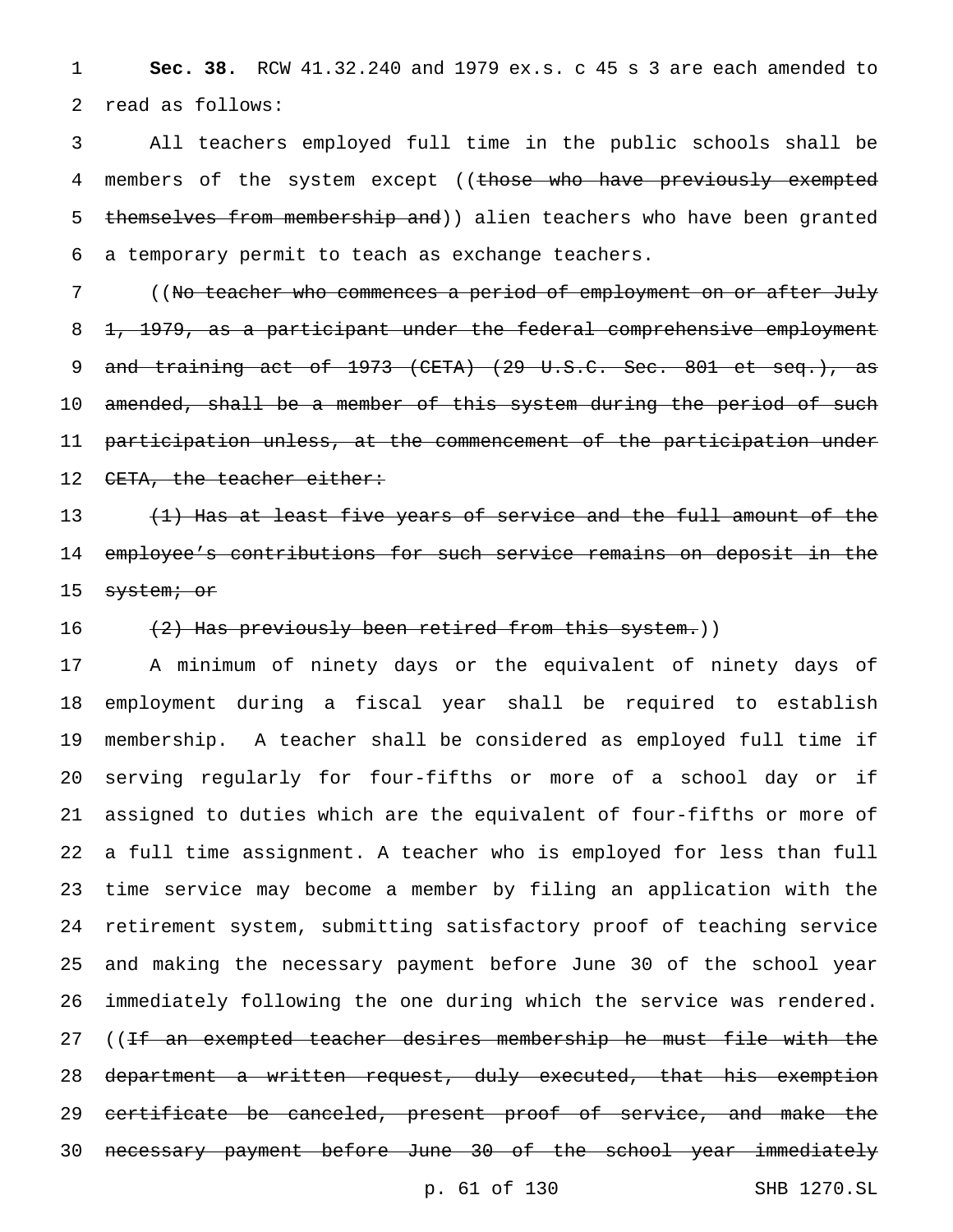**Sec. 38.** RCW 41.32.240 and 1979 ex.s. c 45 s 3 are each amended to read as follows:

 All teachers employed full time in the public schools shall be 4 members of the system except ((those who have previously exempted 5 themselves from membership and)) alien teachers who have been granted a temporary permit to teach as exchange teachers.

 ((No teacher who commences a period of employment on or after July 1, 1979, as a participant under the federal comprehensive employment 9 and training act of 1973 (CETA) (29 U.S.C. Sec. 801 et seq.), as 10 amended, shall be a member of this system during the period of such participation unless, at the commencement of the participation under 12 CETA, the teacher either:

13 (1) Has at least five years of service and the full amount of the employee's contributions for such service remains on deposit in the 15 <del>system; or</del>

16 (2) Has previously been retired from this system.))

 A minimum of ninety days or the equivalent of ninety days of employment during a fiscal year shall be required to establish membership. A teacher shall be considered as employed full time if serving regularly for four-fifths or more of a school day or if assigned to duties which are the equivalent of four-fifths or more of a full time assignment. A teacher who is employed for less than full time service may become a member by filing an application with the retirement system, submitting satisfactory proof of teaching service and making the necessary payment before June 30 of the school year immediately following the one during which the service was rendered. 27 ((<del>If an exempted teacher desires membership he must file with the</del> department a written request, duly executed, that his exemption certificate be canceled, present proof of service, and make the necessary payment before June 30 of the school year immediately

p. 61 of 130 SHB 1270.SL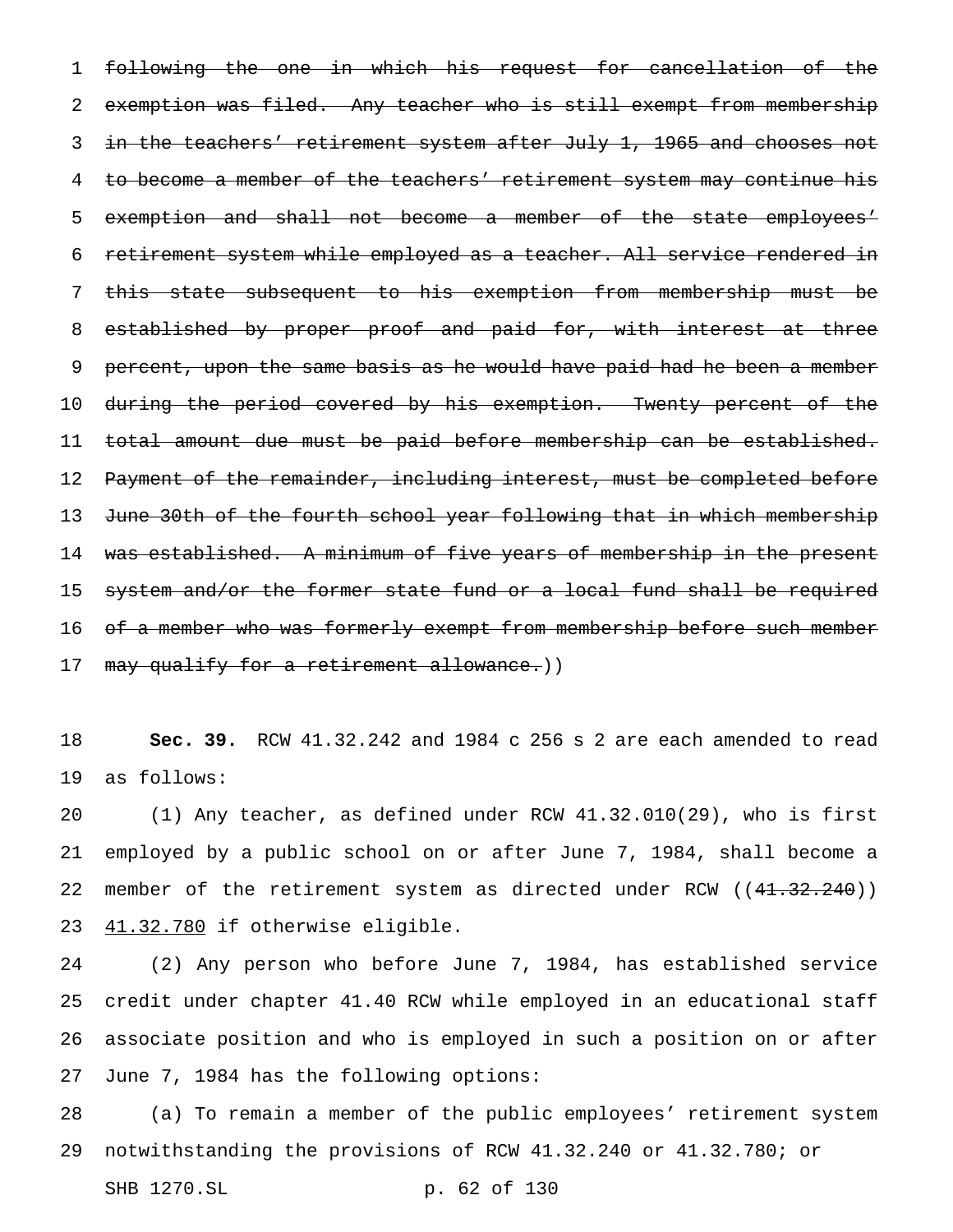following the one in which his request for cancellation of the exemption was filed. Any teacher who is still exempt from membership 3 in the teachers' retirement system after July 1, 1965 and chooses not 4 to become a member of the teachers' retirement system may continue his exemption and shall not become a member of the state employees' retirement system while employed as a teacher. All service rendered in this state subsequent to his exemption from membership must be 8 established by proper proof and paid for, with interest at three percent, upon the same basis as he would have paid had he been a member during the period covered by his exemption. Twenty percent of the total amount due must be paid before membership can be established. 12 Payment of the remainder, including interest, must be completed before 13 June 30th of the fourth school year following that in which membership was established. A minimum of five years of membership in the present 15 system and/or the former state fund or a local fund shall be required 16 of a member who was formerly exempt from membership before such member 17 may qualify for a retirement allowance.))

 **Sec. 39.** RCW 41.32.242 and 1984 c 256 s 2 are each amended to read as follows:

 (1) Any teacher, as defined under RCW 41.32.010(29), who is first employed by a public school on or after June 7, 1984, shall become a 22 member of the retirement system as directed under RCW ((41.32.240)) 41.32.780 if otherwise eligible.

 (2) Any person who before June 7, 1984, has established service credit under chapter 41.40 RCW while employed in an educational staff associate position and who is employed in such a position on or after June 7, 1984 has the following options:

 (a) To remain a member of the public employees' retirement system notwithstanding the provisions of RCW 41.32.240 or 41.32.780; or

SHB 1270.SL p. 62 of 130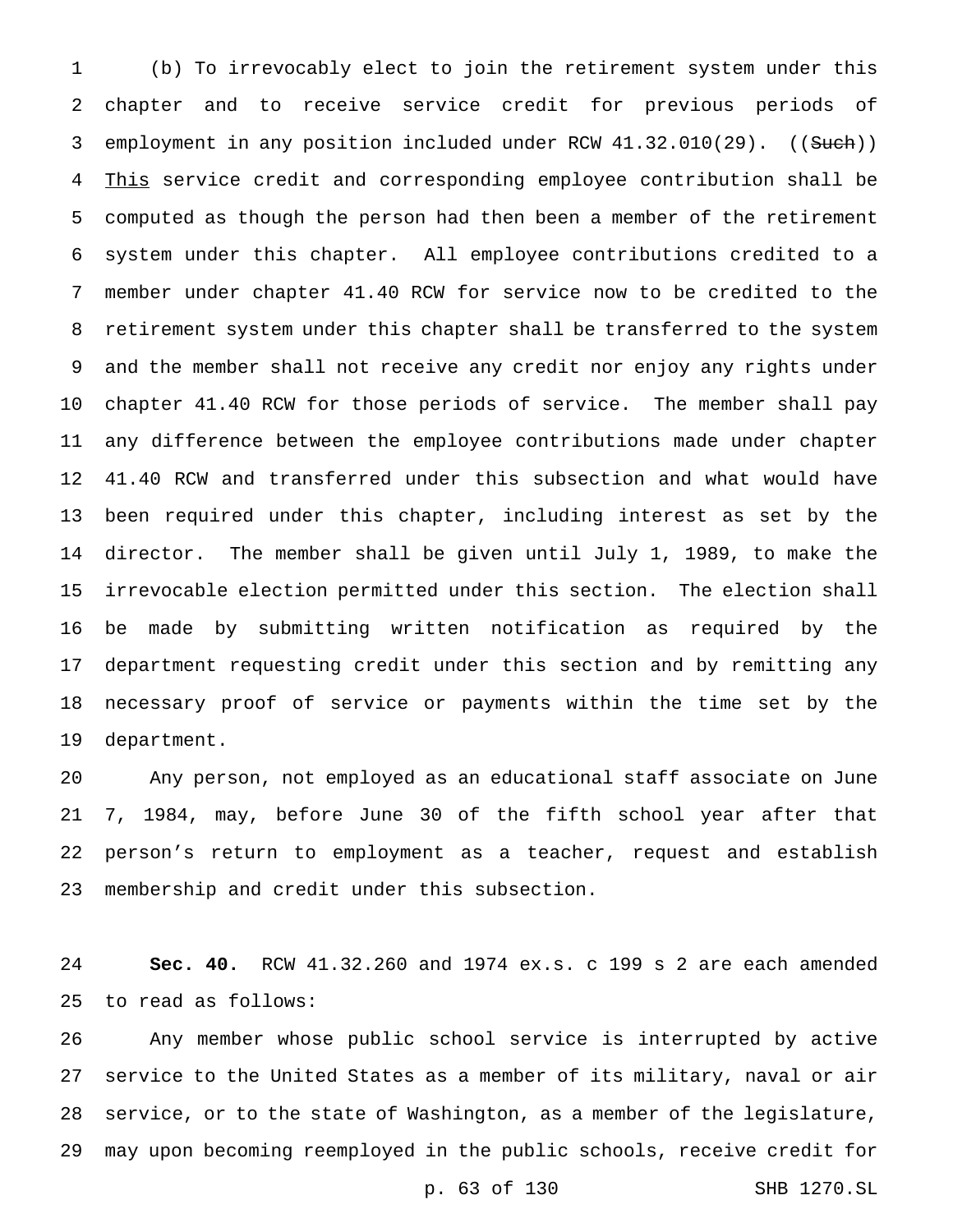(b) To irrevocably elect to join the retirement system under this chapter and to receive service credit for previous periods of 3 employment in any position included under RCW 41.32.010(29). ((Such)) This service credit and corresponding employee contribution shall be computed as though the person had then been a member of the retirement system under this chapter. All employee contributions credited to a member under chapter 41.40 RCW for service now to be credited to the retirement system under this chapter shall be transferred to the system and the member shall not receive any credit nor enjoy any rights under chapter 41.40 RCW for those periods of service. The member shall pay any difference between the employee contributions made under chapter 41.40 RCW and transferred under this subsection and what would have been required under this chapter, including interest as set by the director. The member shall be given until July 1, 1989, to make the irrevocable election permitted under this section. The election shall be made by submitting written notification as required by the department requesting credit under this section and by remitting any necessary proof of service or payments within the time set by the department.

 Any person, not employed as an educational staff associate on June 7, 1984, may, before June 30 of the fifth school year after that person's return to employment as a teacher, request and establish membership and credit under this subsection.

 **Sec. 40.** RCW 41.32.260 and 1974 ex.s. c 199 s 2 are each amended to read as follows:

 Any member whose public school service is interrupted by active service to the United States as a member of its military, naval or air service, or to the state of Washington, as a member of the legislature, may upon becoming reemployed in the public schools, receive credit for

p. 63 of 130 SHB 1270.SL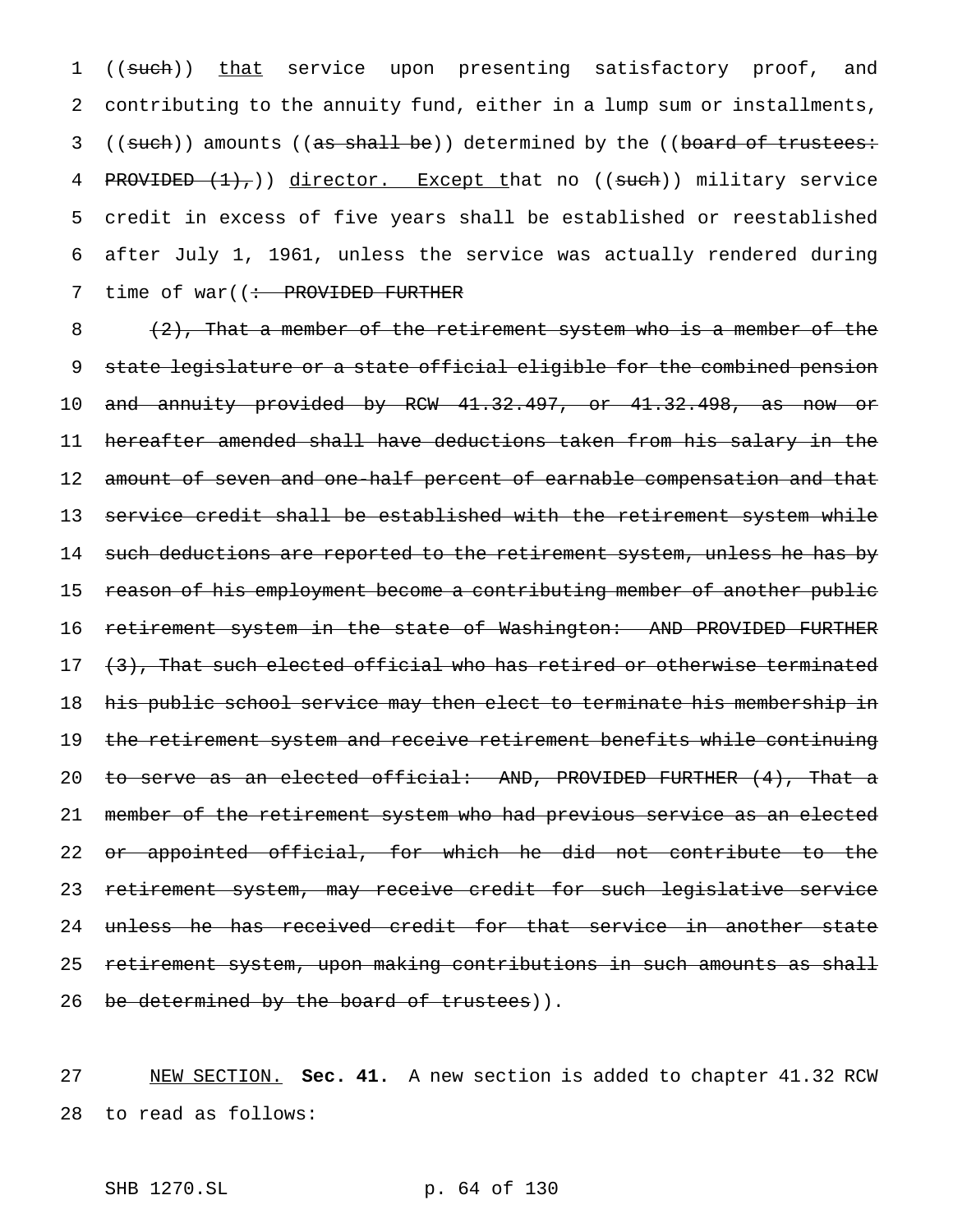1 ((such)) that service upon presenting satisfactory proof, and 2 contributing to the annuity fund, either in a lump sum or installments, 3 ((such)) amounts ((as shall be)) determined by the ((board of trustees: 4 PROVIDED  $(1)$ , )) director. Except that no ((such)) military service 5 credit in excess of five years shall be established or reestablished 6 after July 1, 1961, unless the service was actually rendered during 7 time of war((: PROVIDED FURTHER

 $(2)$ , That a member of the retirement system who is a member of the state legislature or a state official eligible for the combined pension and annuity provided by RCW 41.32.497, or 41.32.498, as now or hereafter amended shall have deductions taken from his salary in the 12 amount of seven and one-half percent of earnable compensation and that 13 service credit shall be established with the retirement system while 14 such deductions are reported to the retirement system, unless he has by 15 reason of his employment become a contributing member of another public 16 retirement system in the state of Washington: AND PROVIDED FURTHER  $(3)$ , That such elected official who has retired or otherwise terminated his public school service may then elect to terminate his membership in the retirement system and receive retirement benefits while continuing to serve as an elected official: AND, PROVIDED FURTHER (4), That a 21 member of the retirement system who had previous service as an elected or appointed official, for which he did not contribute to the retirement system, may receive credit for such legislative service unless he has received credit for that service in another state retirement system, upon making contributions in such amounts as shall 26 be determined by the board of trustees)).

27 NEW SECTION. **Sec. 41.** A new section is added to chapter 41.32 RCW 28 to read as follows:

SHB 1270.SL p. 64 of 130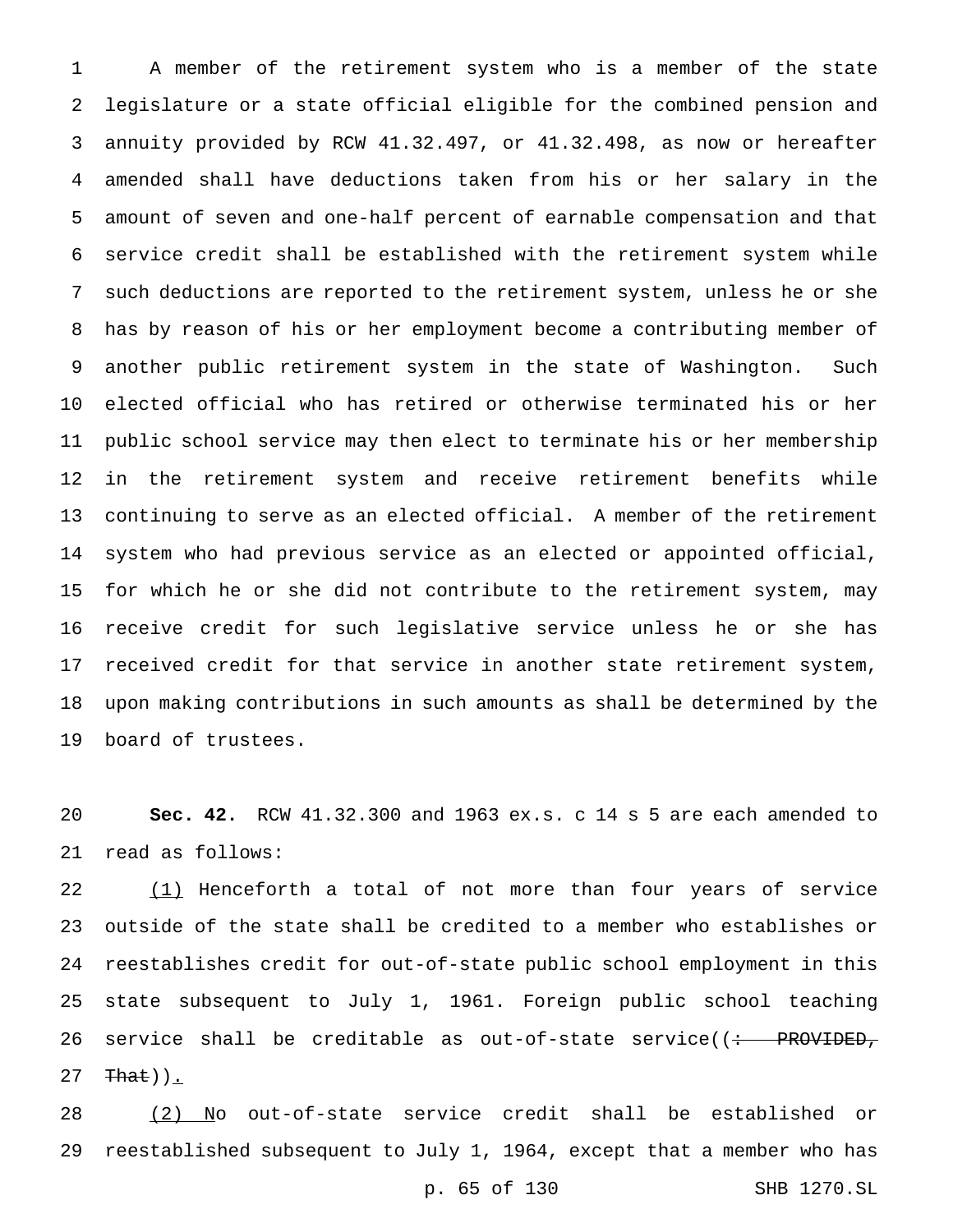A member of the retirement system who is a member of the state legislature or a state official eligible for the combined pension and annuity provided by RCW 41.32.497, or 41.32.498, as now or hereafter amended shall have deductions taken from his or her salary in the amount of seven and one-half percent of earnable compensation and that service credit shall be established with the retirement system while such deductions are reported to the retirement system, unless he or she has by reason of his or her employment become a contributing member of another public retirement system in the state of Washington. Such elected official who has retired or otherwise terminated his or her public school service may then elect to terminate his or her membership in the retirement system and receive retirement benefits while continuing to serve as an elected official. A member of the retirement system who had previous service as an elected or appointed official, for which he or she did not contribute to the retirement system, may receive credit for such legislative service unless he or she has received credit for that service in another state retirement system, upon making contributions in such amounts as shall be determined by the board of trustees.

 **Sec. 42.** RCW 41.32.300 and 1963 ex.s. c 14 s 5 are each amended to read as follows:

22 (1) Henceforth a total of not more than four years of service outside of the state shall be credited to a member who establishes or reestablishes credit for out-of-state public school employment in this state subsequent to July 1, 1961. Foreign public school teaching 26 service shall be creditable as out-of-state service( $\left( \div \quad \text{PROVIDED}_{\tau} \right)$ That)).

 (2) No out-of-state service credit shall be established or reestablished subsequent to July 1, 1964, except that a member who has

p. 65 of 130 SHB 1270.SL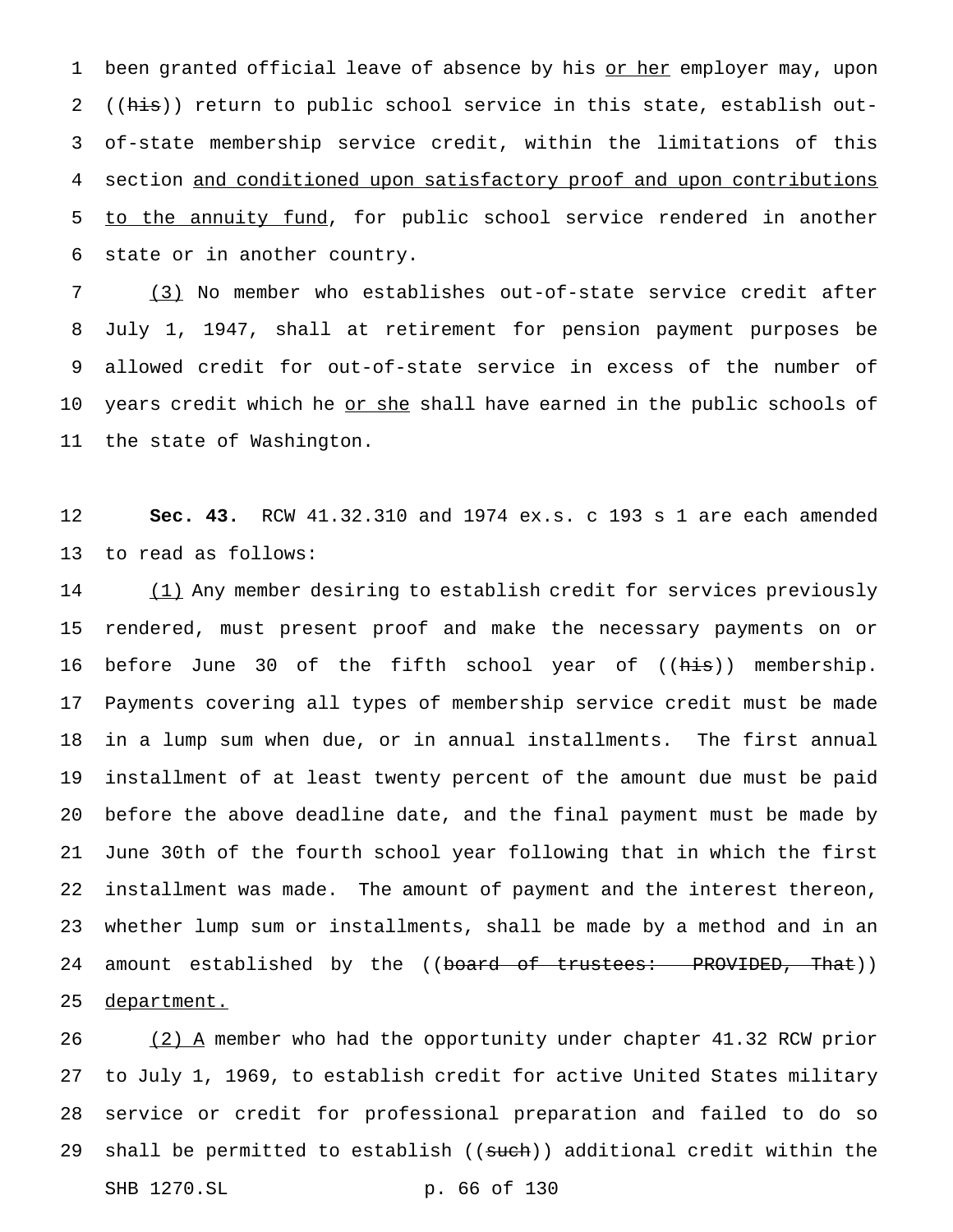1 been granted official leave of absence by his or her employer may, upon 2 ((his)) return to public school service in this state, establish out- of-state membership service credit, within the limitations of this section and conditioned upon satisfactory proof and upon contributions 5 to the annuity fund, for public school service rendered in another state or in another country.

 (3) No member who establishes out-of-state service credit after July 1, 1947, shall at retirement for pension payment purposes be allowed credit for out-of-state service in excess of the number of 10 years credit which he <u>or she</u> shall have earned in the public schools of the state of Washington.

 **Sec. 43.** RCW 41.32.310 and 1974 ex.s. c 193 s 1 are each amended to read as follows:

 (1) Any member desiring to establish credit for services previously rendered, must present proof and make the necessary payments on or 16 before June 30 of the fifth school year of ((his)) membership. Payments covering all types of membership service credit must be made in a lump sum when due, or in annual installments. The first annual installment of at least twenty percent of the amount due must be paid before the above deadline date, and the final payment must be made by June 30th of the fourth school year following that in which the first installment was made. The amount of payment and the interest thereon, whether lump sum or installments, shall be made by a method and in an 24 amount established by the ((board of trustees: PROVIDED, That)) department.

26 (2) A member who had the opportunity under chapter 41.32 RCW prior to July 1, 1969, to establish credit for active United States military service or credit for professional preparation and failed to do so 29 shall be permitted to establish ((such)) additional credit within the SHB 1270.SL p. 66 of 130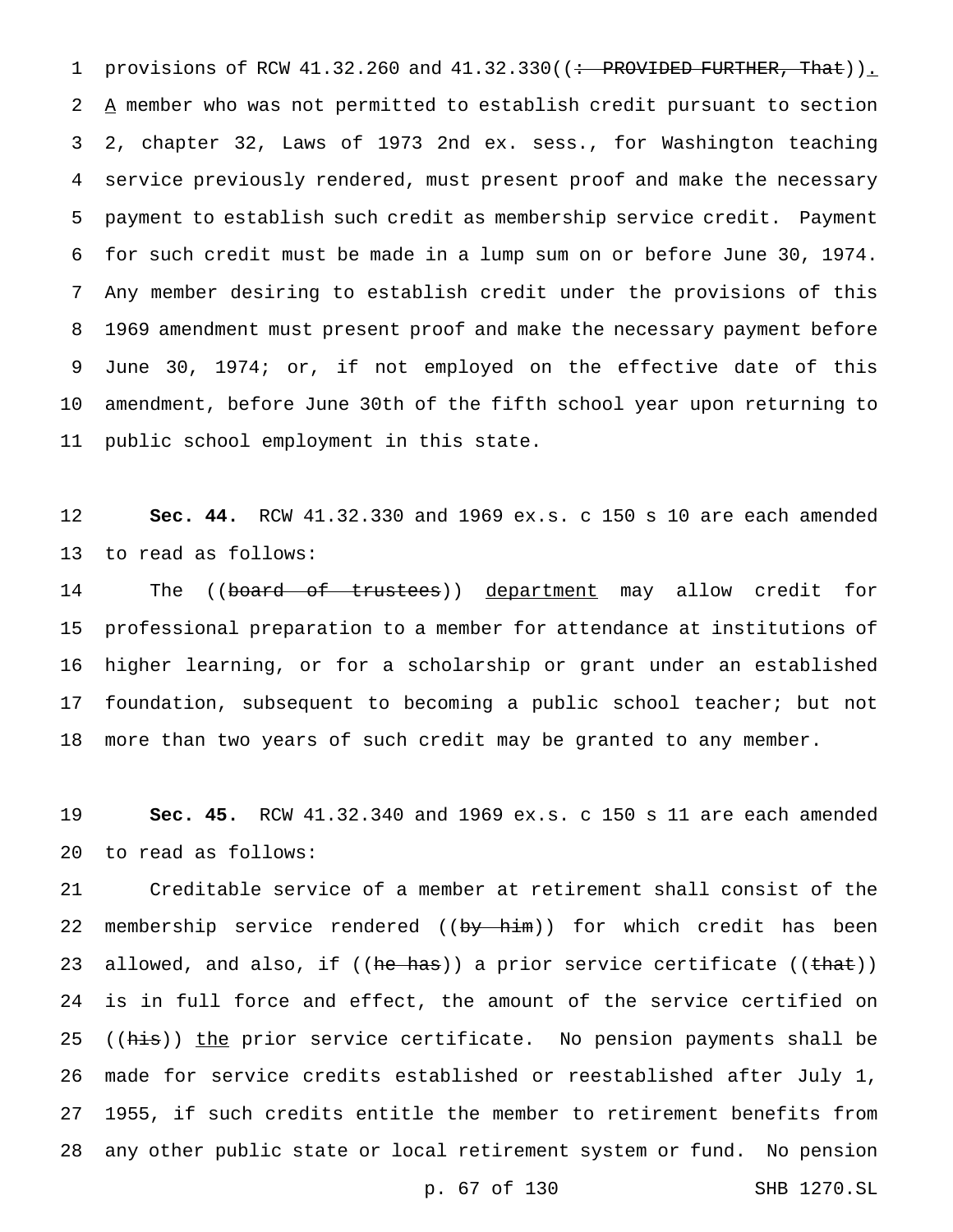1 provisions of RCW 41.32.260 and 41.32.330((: PROVIDED FURTHER, That)). A member who was not permitted to establish credit pursuant to section 2, chapter 32, Laws of 1973 2nd ex. sess., for Washington teaching service previously rendered, must present proof and make the necessary payment to establish such credit as membership service credit. Payment for such credit must be made in a lump sum on or before June 30, 1974. Any member desiring to establish credit under the provisions of this 1969 amendment must present proof and make the necessary payment before June 30, 1974; or, if not employed on the effective date of this amendment, before June 30th of the fifth school year upon returning to public school employment in this state.

 **Sec. 44.** RCW 41.32.330 and 1969 ex.s. c 150 s 10 are each amended to read as follows:

14 The ((<del>board of trustees</del>)) <u>department</u> may allow credit for professional preparation to a member for attendance at institutions of higher learning, or for a scholarship or grant under an established 17 foundation, subsequent to becoming a public school teacher; but not more than two years of such credit may be granted to any member.

 **Sec. 45.** RCW 41.32.340 and 1969 ex.s. c 150 s 11 are each amended to read as follows:

 Creditable service of a member at retirement shall consist of the 22 membership service rendered ((by him)) for which credit has been 23 allowed, and also, if ((he has)) a prior service certificate ((that)) is in full force and effect, the amount of the service certified on 25 ((his)) the prior service certificate. No pension payments shall be made for service credits established or reestablished after July 1, 1955, if such credits entitle the member to retirement benefits from any other public state or local retirement system or fund. No pension

p. 67 of 130 SHB 1270.SL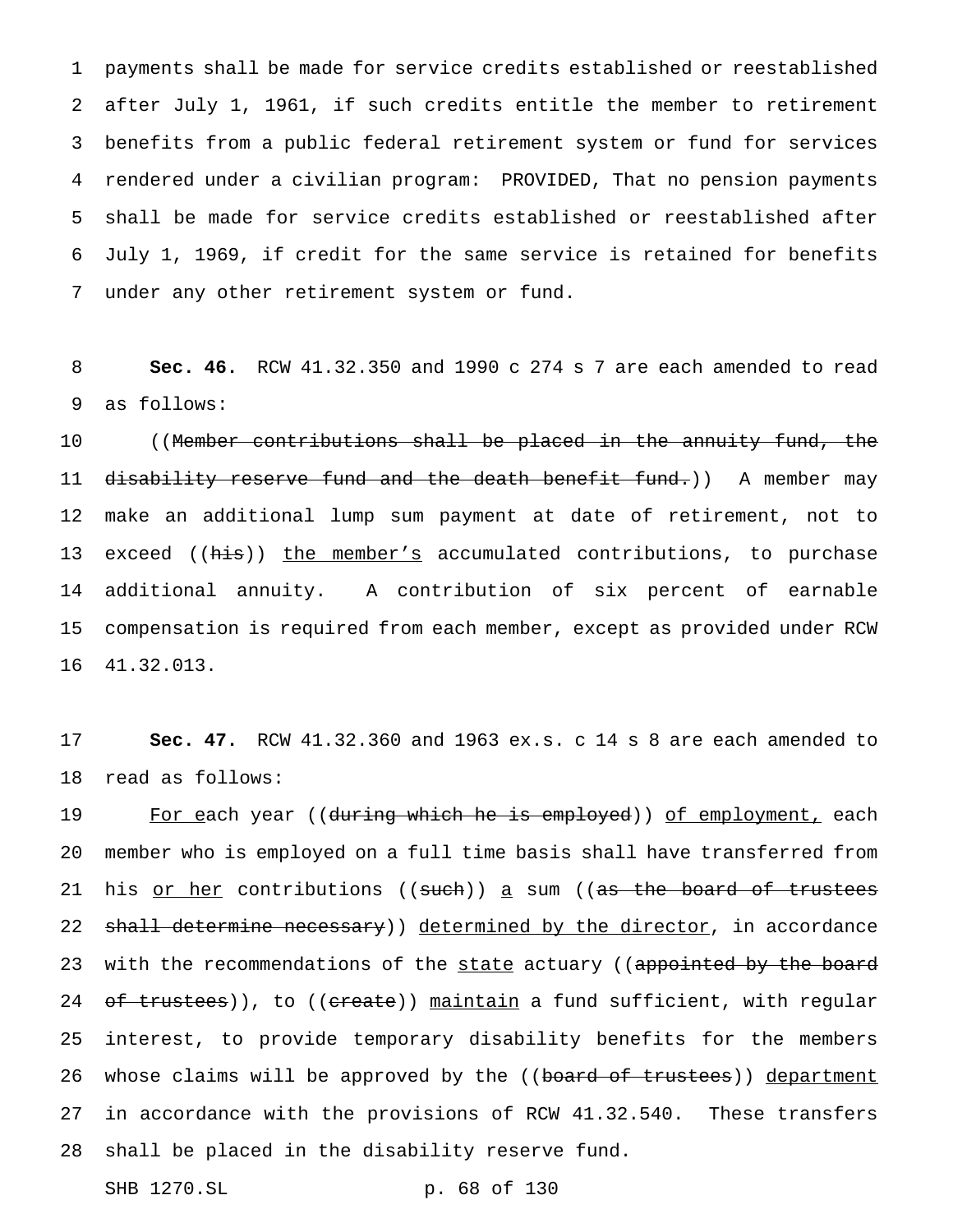payments shall be made for service credits established or reestablished after July 1, 1961, if such credits entitle the member to retirement benefits from a public federal retirement system or fund for services rendered under a civilian program: PROVIDED, That no pension payments shall be made for service credits established or reestablished after July 1, 1969, if credit for the same service is retained for benefits under any other retirement system or fund.

 **Sec. 46.** RCW 41.32.350 and 1990 c 274 s 7 are each amended to read as follows:

10 ((Member contributions shall be placed in the annuity fund, the 11 d<del>isability reserve fund and the death benefit fund.</del>)) A member may make an additional lump sum payment at date of retirement, not to 13 exceed ((his)) the member's accumulated contributions, to purchase additional annuity. A contribution of six percent of earnable compensation is required from each member, except as provided under RCW 41.32.013.

 **Sec. 47.** RCW 41.32.360 and 1963 ex.s. c 14 s 8 are each amended to read as follows:

19 For each year ((<del>during which he is employed</del>)) of employment, each member who is employed on a full time basis shall have transferred from 21 his <u>or her</u> contributions ((such)) a sum ((as the board of trustees 22 shall determine necessary)) determined by the director, in accordance 23 with the recommendations of the state actuary ((appointed by the board 24 of trustees)), to ((create)) maintain a fund sufficient, with regular interest, to provide temporary disability benefits for the members 26 whose claims will be approved by the ((board of trustees)) department in accordance with the provisions of RCW 41.32.540. These transfers shall be placed in the disability reserve fund.

SHB 1270.SL p. 68 of 130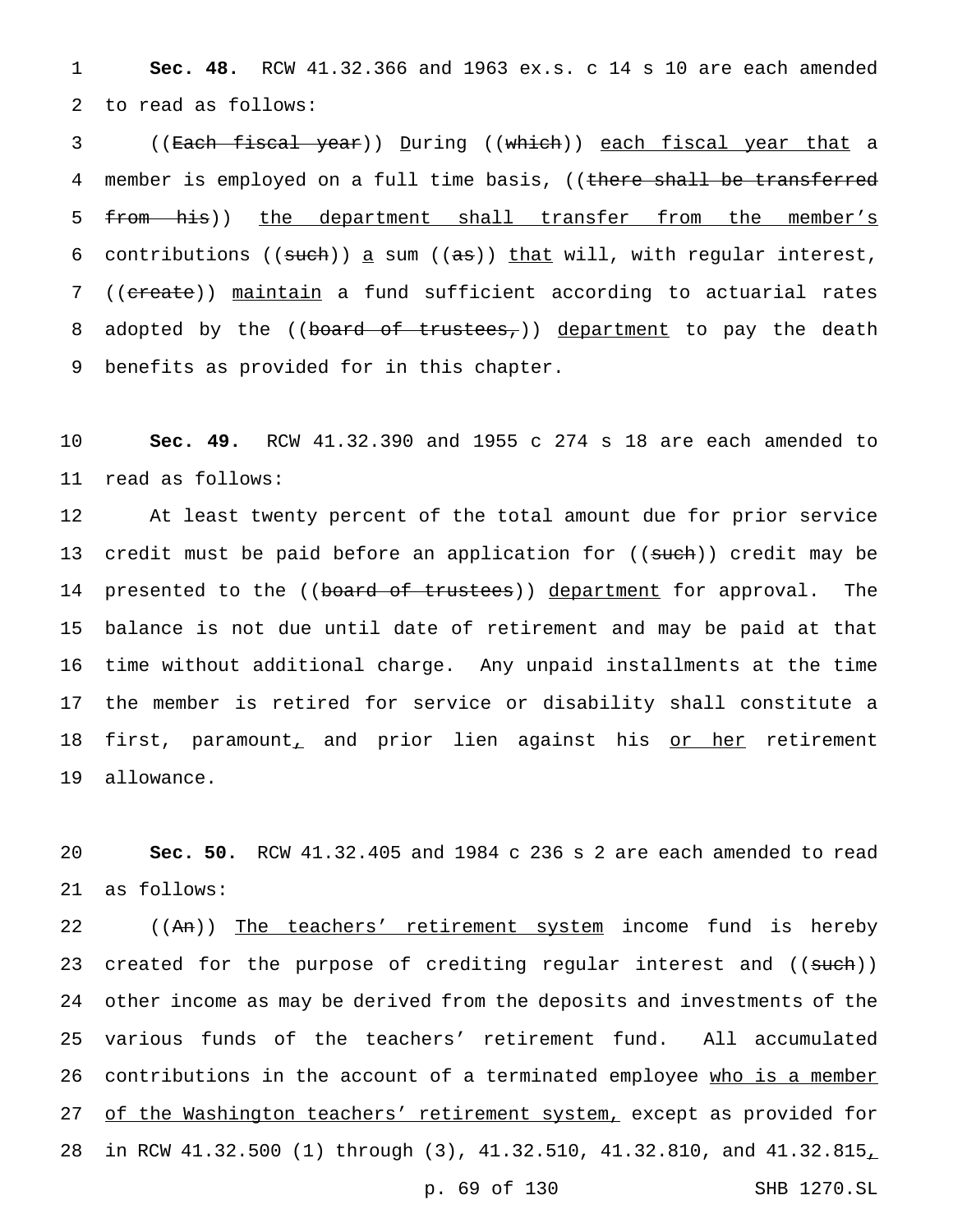1 **Sec. 48.** RCW 41.32.366 and 1963 ex.s. c 14 s 10 are each amended 2 to read as follows:

3 ((Each fiscal year)) During ((which)) each fiscal year that a 4 member is employed on a full time basis, ((there shall be transferred 5 from his)) the department shall transfer from the member's 6 contributions (( $\frac{1}{100}$ ) a sum (( $\frac{1}{100}$ ) that will, with regular interest, 7 ((ereate)) maintain a fund sufficient according to actuarial rates 8 adopted by the ((board of trustees,)) department to pay the death 9 benefits as provided for in this chapter.

10 **Sec. 49.** RCW 41.32.390 and 1955 c 274 s 18 are each amended to 11 read as follows:

 At least twenty percent of the total amount due for prior service 13 credit must be paid before an application for ((such)) credit may be 14 presented to the ((board of trustees)) department for approval. The balance is not due until date of retirement and may be paid at that time without additional charge. Any unpaid installments at the time the member is retired for service or disability shall constitute a 18 first, paramount, and prior lien against his or her retirement allowance.

20 **Sec. 50.** RCW 41.32.405 and 1984 c 236 s 2 are each amended to read 21 as follows:

22 ((An)) The teachers' retirement system income fund is hereby 23 created for the purpose of crediting regular interest and ((such)) 24 other income as may be derived from the deposits and investments of the 25 various funds of the teachers' retirement fund. All accumulated 26 contributions in the account of a terminated employee who is a member 27 of the Washington teachers' retirement system, except as provided for 28 in RCW 41.32.500 (1) through (3), 41.32.510, 41.32.810, and 41.32.815,

p. 69 of 130 SHB 1270.SL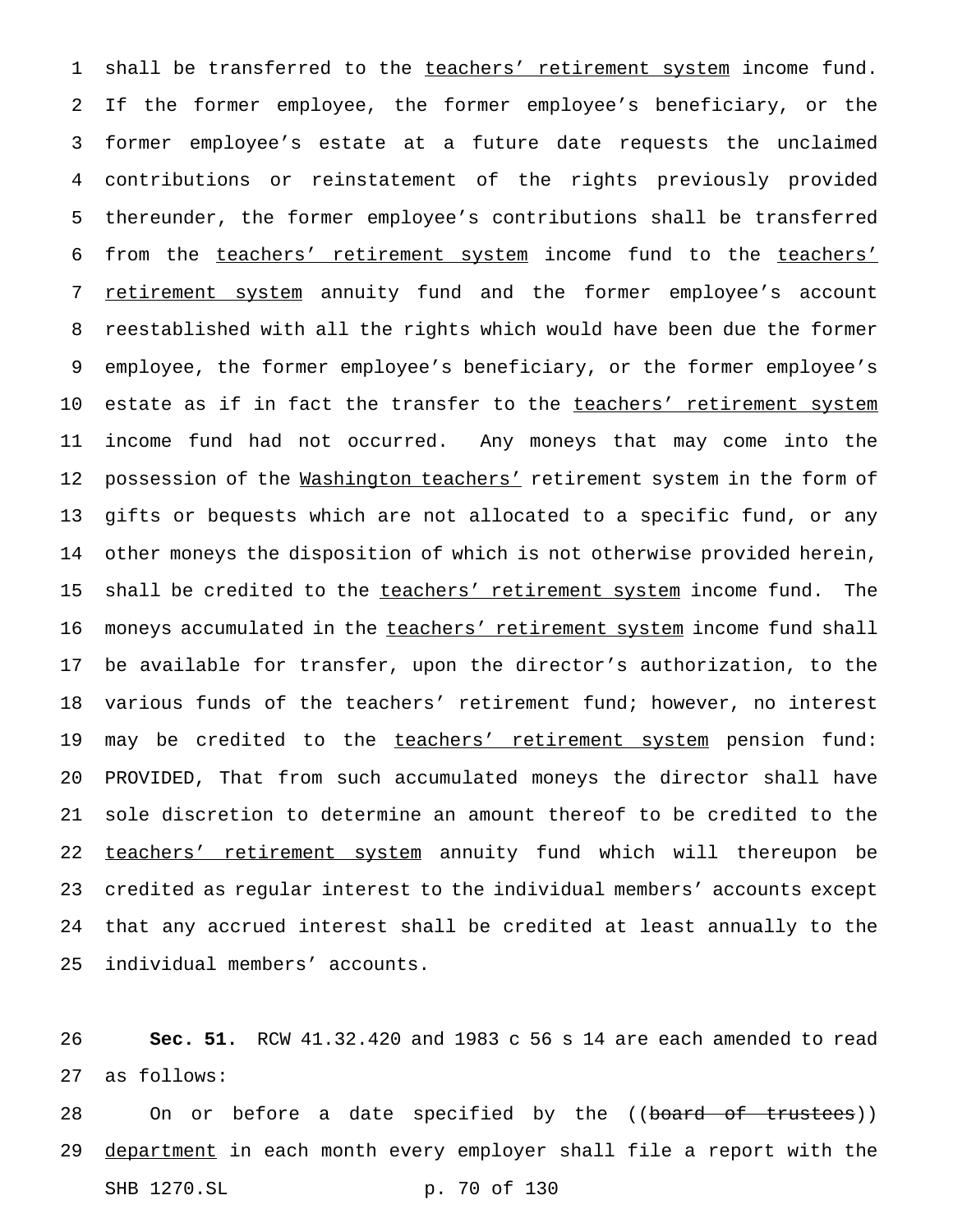1 shall be transferred to the teachers' retirement system income fund. If the former employee, the former employee's beneficiary, or the former employee's estate at a future date requests the unclaimed contributions or reinstatement of the rights previously provided thereunder, the former employee's contributions shall be transferred from the teachers' retirement system income fund to the teachers' 7 retirement system annuity fund and the former employee's account reestablished with all the rights which would have been due the former employee, the former employee's beneficiary, or the former employee's 10 estate as if in fact the transfer to the teachers' retirement system income fund had not occurred. Any moneys that may come into the 12 possession of the Washington teachers' retirement system in the form of gifts or bequests which are not allocated to a specific fund, or any other moneys the disposition of which is not otherwise provided herein, 15 shall be credited to the teachers' retirement system income fund. The 16 moneys accumulated in the teachers' retirement system income fund shall be available for transfer, upon the director's authorization, to the various funds of the teachers' retirement fund; however, no interest 19 may be credited to the teachers' retirement system pension fund: PROVIDED, That from such accumulated moneys the director shall have sole discretion to determine an amount thereof to be credited to the 22 teachers' retirement system annuity fund which will thereupon be credited as regular interest to the individual members' accounts except that any accrued interest shall be credited at least annually to the individual members' accounts.

 **Sec. 51.** RCW 41.32.420 and 1983 c 56 s 14 are each amended to read as follows:

28 On or before a date specified by the ((board of trustees)) 29 department in each month every employer shall file a report with the SHB 1270.SL p. 70 of 130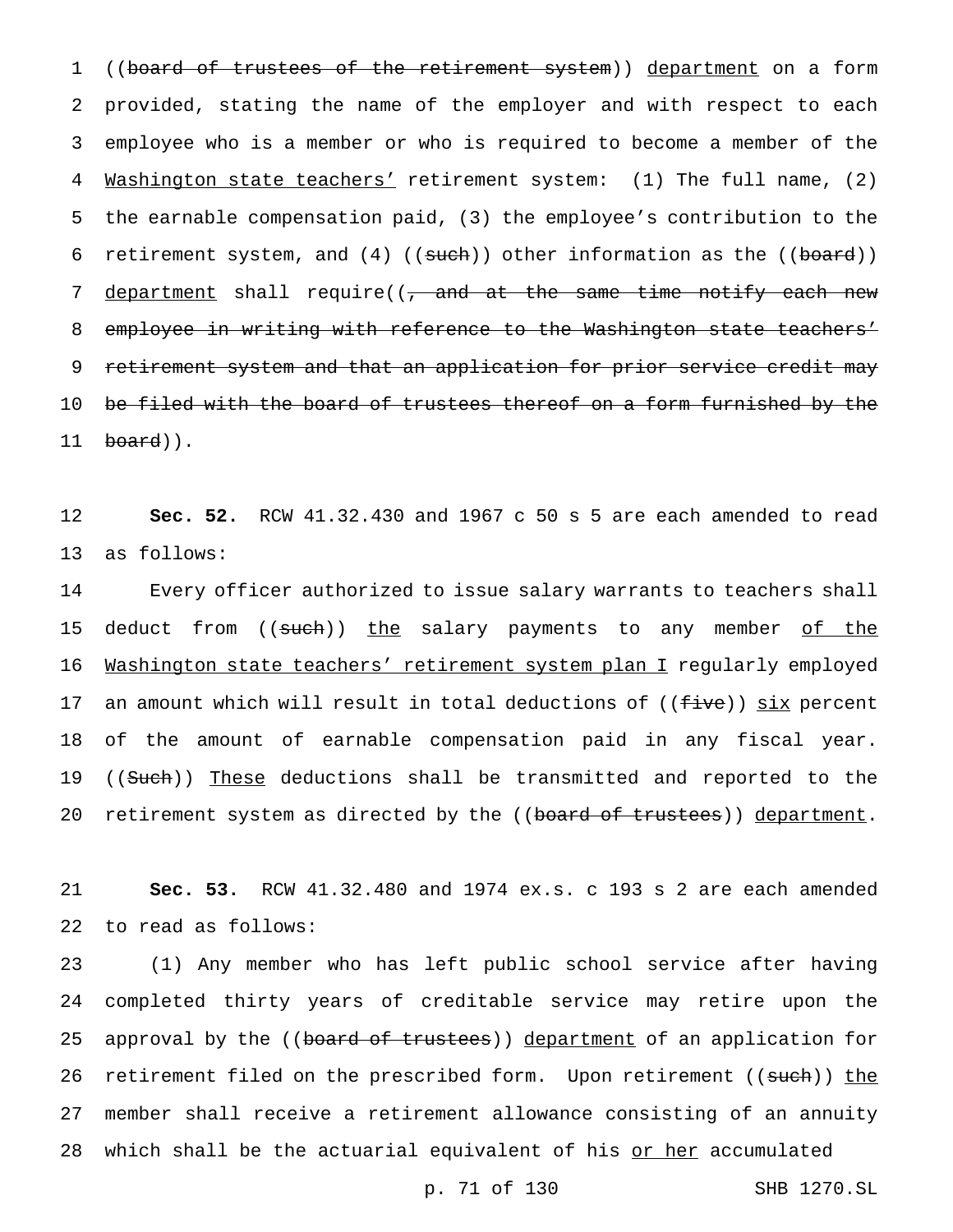1 ((board of trustees of the retirement system)) department on a form 2 provided, stating the name of the employer and with respect to each 3 employee who is a member or who is required to become a member of the 4 Washington state teachers' retirement system: (1) The full name, (2) 5 the earnable compensation paid, (3) the employee's contribution to the 6 retirement system, and  $(4)$  ((such)) other information as the ((board)) 7 department shall require((, and at the same time notify each new 8 employee in writing with reference to the Washington state teachers' 9 retirement system and that an application for prior service credit may 10 be filed with the board of trustees thereof on a form furnished by the 11 board)).

12 **Sec. 52.** RCW 41.32.430 and 1967 c 50 s 5 are each amended to read 13 as follows:

14 Every officer authorized to issue salary warrants to teachers shall 15 deduct from ((such)) the salary payments to any member of the 16 Washington state teachers' retirement system plan I regularly employed 17 an amount which will result in total deductions of ((five)) six percent 18 of the amount of earnable compensation paid in any fiscal year. 19 ((Such)) These deductions shall be transmitted and reported to the 20 retirement system as directed by the ((board of trustees)) department.

21 **Sec. 53.** RCW 41.32.480 and 1974 ex.s. c 193 s 2 are each amended 22 to read as follows:

23 (1) Any member who has left public school service after having 24 completed thirty years of creditable service may retire upon the 25 approval by the ((board of trustees)) department of an application for 26 retirement filed on the prescribed form. Upon retirement ((such)) the 27 member shall receive a retirement allowance consisting of an annuity 28 which shall be the actuarial equivalent of his or her accumulated

p. 71 of 130 SHB 1270.SL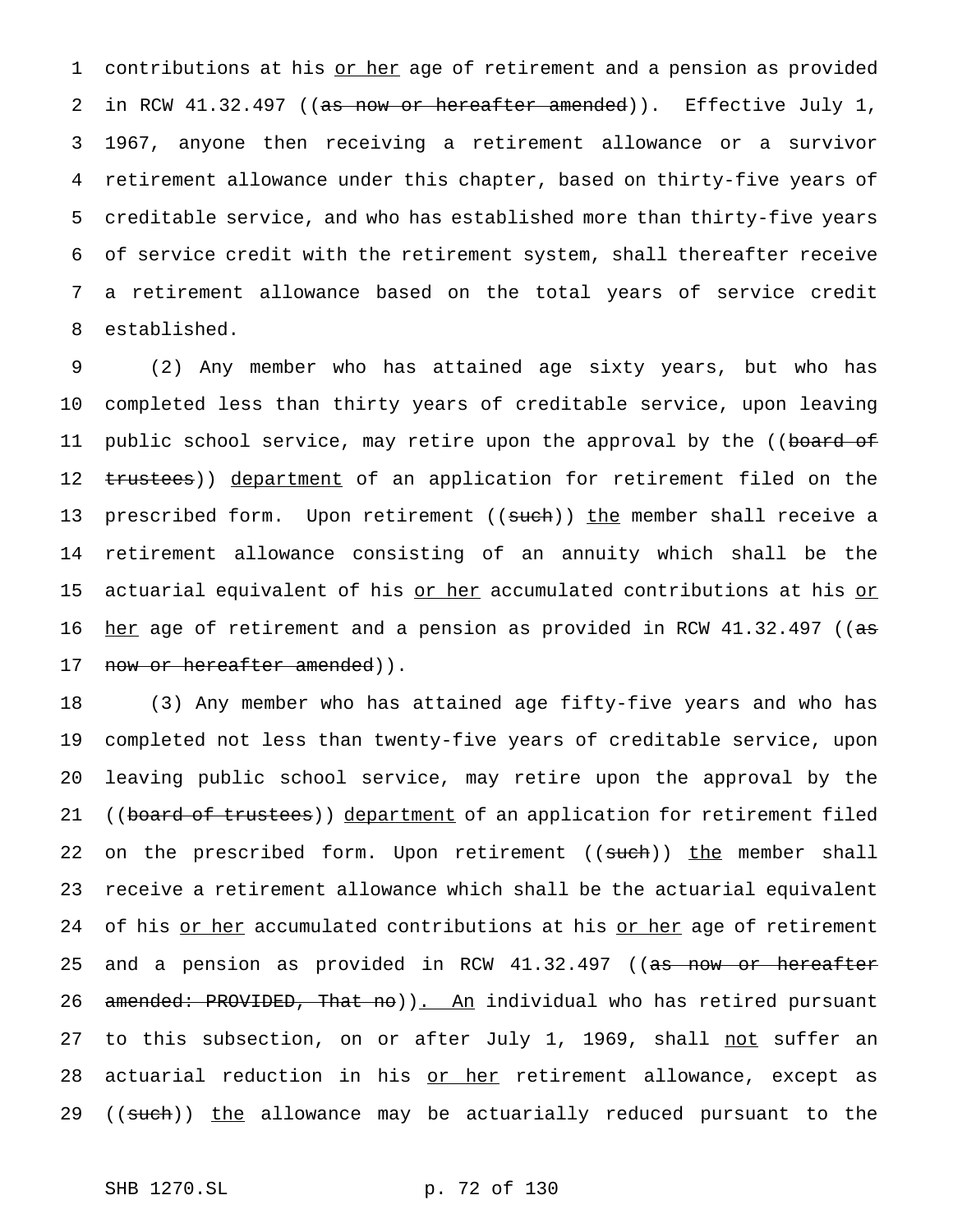1 contributions at his or her age of retirement and a pension as provided 2 in RCW 41.32.497 ((as now or hereafter amended)). Effective July 1, 1967, anyone then receiving a retirement allowance or a survivor retirement allowance under this chapter, based on thirty-five years of creditable service, and who has established more than thirty-five years of service credit with the retirement system, shall thereafter receive a retirement allowance based on the total years of service credit established.

9 (2) Any member who has attained age sixty years, but who has 10 completed less than thirty years of creditable service, upon leaving 11 public school service, may retire upon the approval by the ((board of 12 trustees)) department of an application for retirement filed on the 13 prescribed form. Upon retirement ((such)) the member shall receive a 14 retirement allowance consisting of an annuity which shall be the 15 actuarial equivalent of his or her accumulated contributions at his or 16 her age of retirement and a pension as provided in RCW 41.32.497 ((as 17 now or hereafter amended)).

18 (3) Any member who has attained age fifty-five years and who has 19 completed not less than twenty-five years of creditable service, upon 20 leaving public school service, may retire upon the approval by the 21 ((board of trustees)) department of an application for retirement filed 22 on the prescribed form. Upon retirement ((such)) the member shall 23 receive a retirement allowance which shall be the actuarial equivalent 24 of his or her accumulated contributions at his or her age of retirement 25 and a pension as provided in RCW 41.32.497 ((as now or hereafter 26 amended: PROVIDED, That no)). An individual who has retired pursuant 27 to this subsection, on or after July 1, 1969, shall not suffer an 28 actuarial reduction in his or her retirement allowance, except as 29 ((such)) the allowance may be actuarially reduced pursuant to the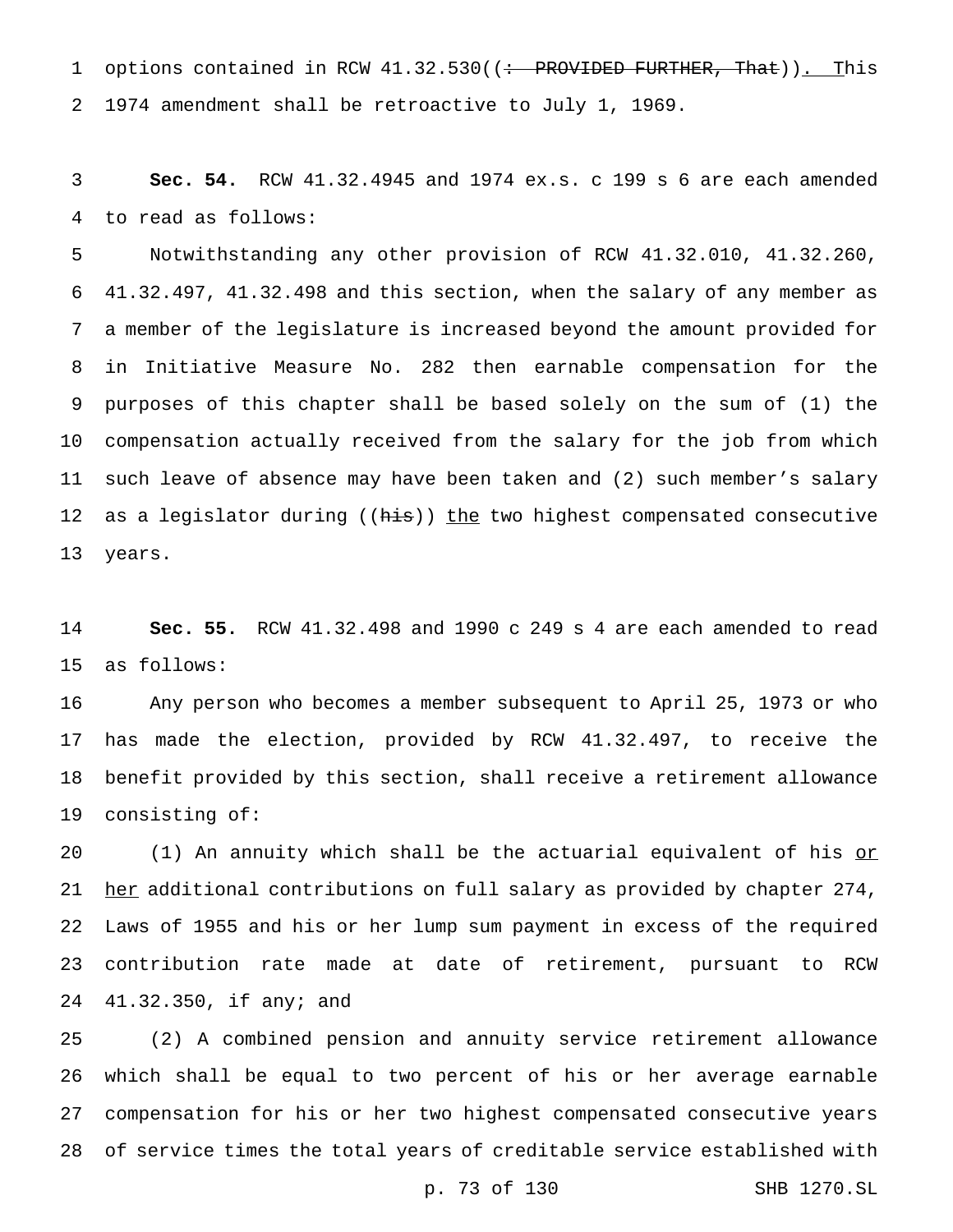1 options contained in RCW 41.32.530((: PROVIDED FURTHER, That)). This 1974 amendment shall be retroactive to July 1, 1969.

 **Sec. 54.** RCW 41.32.4945 and 1974 ex.s. c 199 s 6 are each amended to read as follows:

 Notwithstanding any other provision of RCW 41.32.010, 41.32.260, 41.32.497, 41.32.498 and this section, when the salary of any member as a member of the legislature is increased beyond the amount provided for in Initiative Measure No. 282 then earnable compensation for the purposes of this chapter shall be based solely on the sum of (1) the compensation actually received from the salary for the job from which such leave of absence may have been taken and (2) such member's salary 12 as a legislator during ((his)) the two highest compensated consecutive years.

 **Sec. 55.** RCW 41.32.498 and 1990 c 249 s 4 are each amended to read as follows:

 Any person who becomes a member subsequent to April 25, 1973 or who has made the election, provided by RCW 41.32.497, to receive the benefit provided by this section, shall receive a retirement allowance consisting of:

20 (1) An annuity which shall be the actuarial equivalent of his or 21 her additional contributions on full salary as provided by chapter 274, Laws of 1955 and his or her lump sum payment in excess of the required contribution rate made at date of retirement, pursuant to RCW 41.32.350, if any; and

 (2) A combined pension and annuity service retirement allowance which shall be equal to two percent of his or her average earnable compensation for his or her two highest compensated consecutive years of service times the total years of creditable service established with

p. 73 of 130 SHB 1270.SL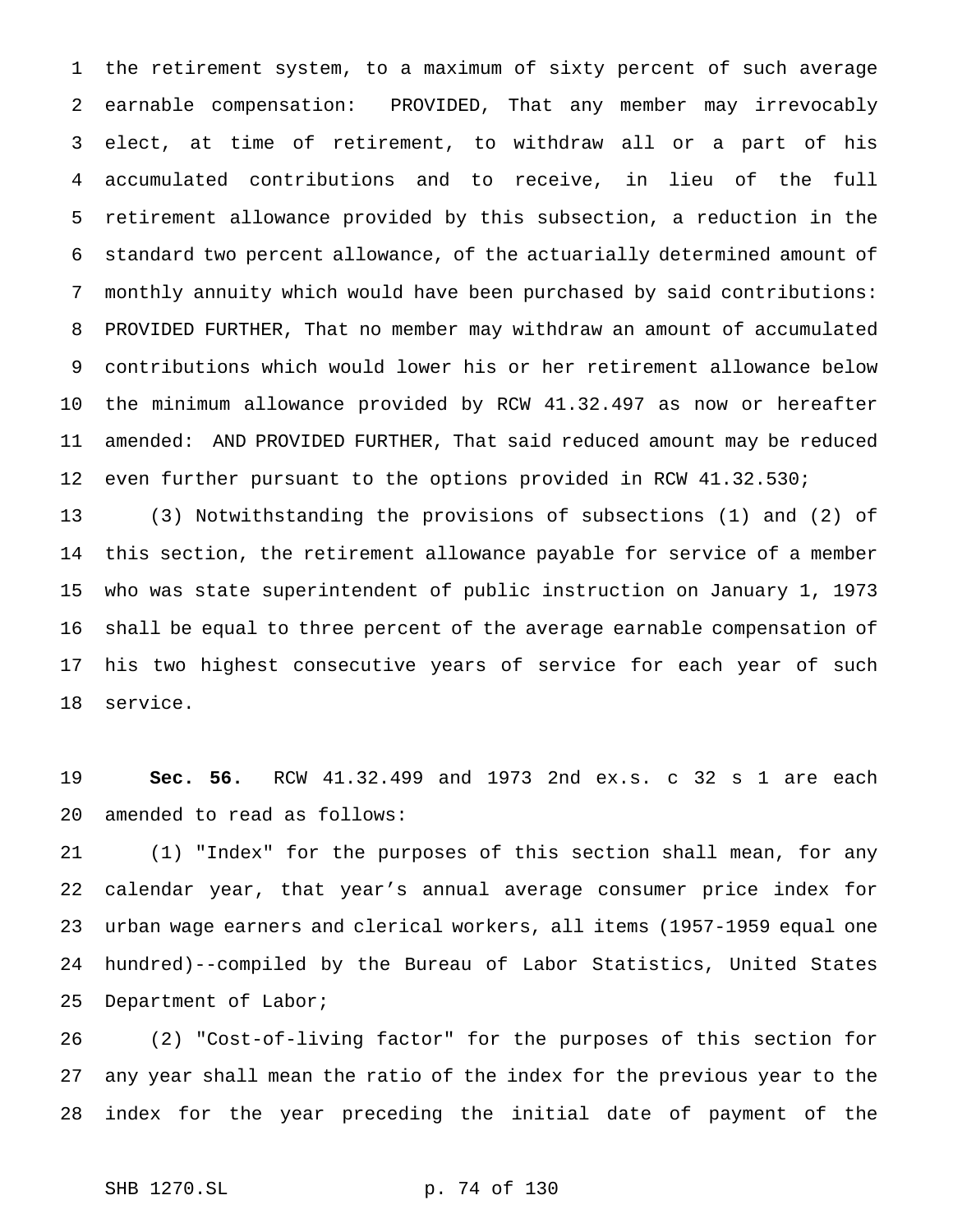the retirement system, to a maximum of sixty percent of such average earnable compensation: PROVIDED, That any member may irrevocably elect, at time of retirement, to withdraw all or a part of his accumulated contributions and to receive, in lieu of the full retirement allowance provided by this subsection, a reduction in the standard two percent allowance, of the actuarially determined amount of monthly annuity which would have been purchased by said contributions: PROVIDED FURTHER, That no member may withdraw an amount of accumulated contributions which would lower his or her retirement allowance below the minimum allowance provided by RCW 41.32.497 as now or hereafter amended: AND PROVIDED FURTHER, That said reduced amount may be reduced even further pursuant to the options provided in RCW 41.32.530;

 (3) Notwithstanding the provisions of subsections (1) and (2) of this section, the retirement allowance payable for service of a member who was state superintendent of public instruction on January 1, 1973 shall be equal to three percent of the average earnable compensation of his two highest consecutive years of service for each year of such service.

 **Sec. 56.** RCW 41.32.499 and 1973 2nd ex.s. c 32 s 1 are each amended to read as follows:

 (1) "Index" for the purposes of this section shall mean, for any calendar year, that year's annual average consumer price index for urban wage earners and clerical workers, all items (1957-1959 equal one hundred)--compiled by the Bureau of Labor Statistics, United States Department of Labor;

 (2) "Cost-of-living factor" for the purposes of this section for any year shall mean the ratio of the index for the previous year to the index for the year preceding the initial date of payment of the

```
SHB 1270.SL p. 74 of 130
```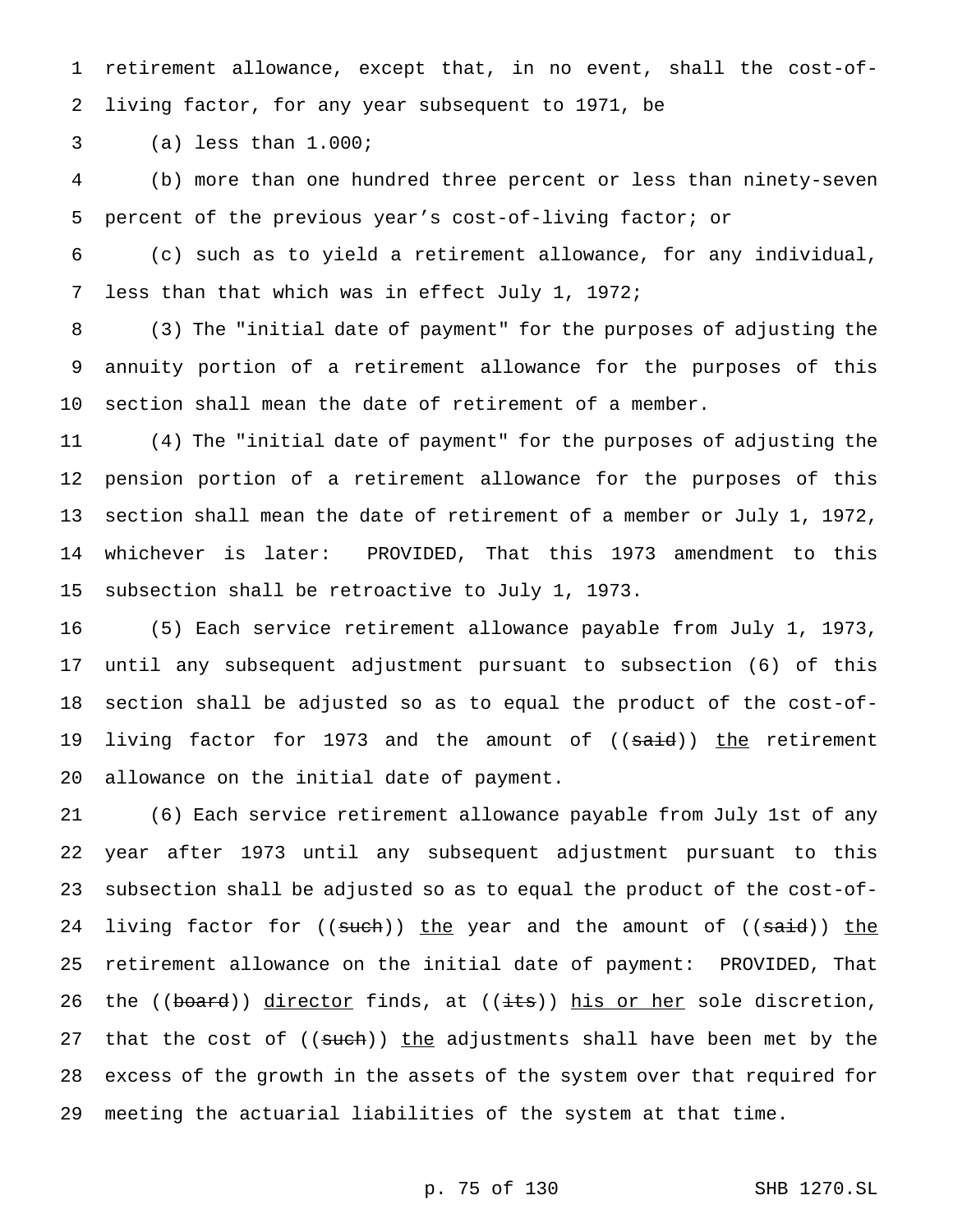retirement allowance, except that, in no event, shall the cost-of-living factor, for any year subsequent to 1971, be

(a) less than 1.000;

 (b) more than one hundred three percent or less than ninety-seven percent of the previous year's cost-of-living factor; or

 (c) such as to yield a retirement allowance, for any individual, less than that which was in effect July 1, 1972;

 (3) The "initial date of payment" for the purposes of adjusting the annuity portion of a retirement allowance for the purposes of this section shall mean the date of retirement of a member.

 (4) The "initial date of payment" for the purposes of adjusting the pension portion of a retirement allowance for the purposes of this section shall mean the date of retirement of a member or July 1, 1972, whichever is later: PROVIDED, That this 1973 amendment to this subsection shall be retroactive to July 1, 1973.

 (5) Each service retirement allowance payable from July 1, 1973, until any subsequent adjustment pursuant to subsection (6) of this section shall be adjusted so as to equal the product of the cost-of-19 living factor for 1973 and the amount of ((<del>said</del>)) <u>the</u> retirement allowance on the initial date of payment.

 (6) Each service retirement allowance payable from July 1st of any year after 1973 until any subsequent adjustment pursuant to this subsection shall be adjusted so as to equal the product of the cost-of-24 living factor for ((such)) the year and the amount of ((said)) the retirement allowance on the initial date of payment: PROVIDED, That 26 the ((board)) director finds, at ((its)) his or her sole discretion, 27 that the cost of ((such)) the adjustments shall have been met by the excess of the growth in the assets of the system over that required for meeting the actuarial liabilities of the system at that time.

## p. 75 of 130 SHB 1270.SL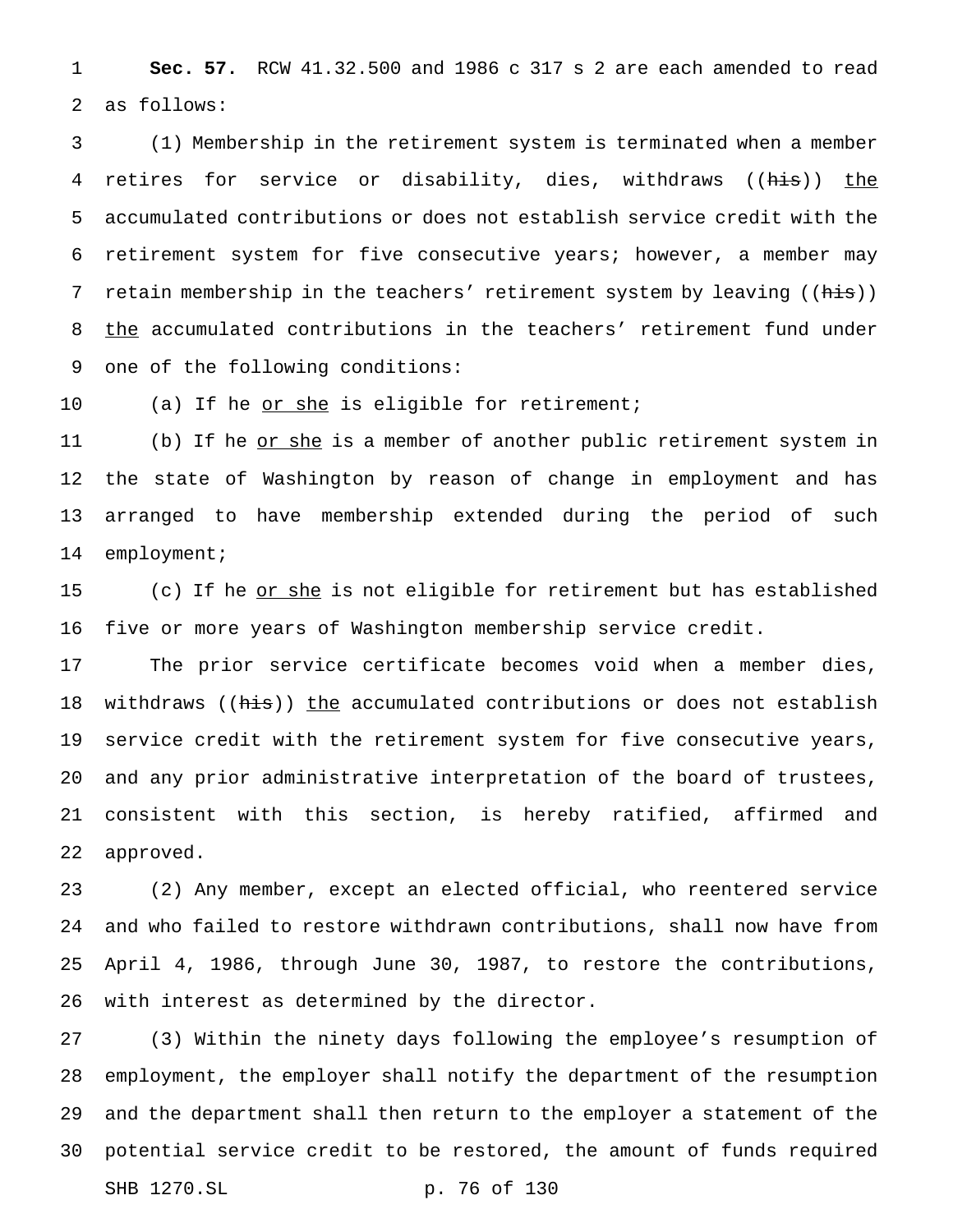**Sec. 57.** RCW 41.32.500 and 1986 c 317 s 2 are each amended to read as follows:

 (1) Membership in the retirement system is terminated when a member retires for service or disability, dies, withdraws ((his)) the accumulated contributions or does not establish service credit with the retirement system for five consecutive years; however, a member may 7 retain membership in the teachers' retirement system by leaving ((his)) the accumulated contributions in the teachers' retirement fund under one of the following conditions:

10 (a) If he <u>or she</u> is eligible for retirement;

11 (b) If he <u>or she</u> is a member of another public retirement system in the state of Washington by reason of change in employment and has arranged to have membership extended during the period of such 14 employment;

15 (c) If he <u>or she</u> is not eligible for retirement but has established five or more years of Washington membership service credit.

 The prior service certificate becomes void when a member dies, 18 withdraws ((his)) the accumulated contributions or does not establish service credit with the retirement system for five consecutive years, and any prior administrative interpretation of the board of trustees, consistent with this section, is hereby ratified, affirmed and approved.

 (2) Any member, except an elected official, who reentered service and who failed to restore withdrawn contributions, shall now have from April 4, 1986, through June 30, 1987, to restore the contributions, with interest as determined by the director.

 (3) Within the ninety days following the employee's resumption of employment, the employer shall notify the department of the resumption and the department shall then return to the employer a statement of the potential service credit to be restored, the amount of funds required SHB 1270.SL p. 76 of 130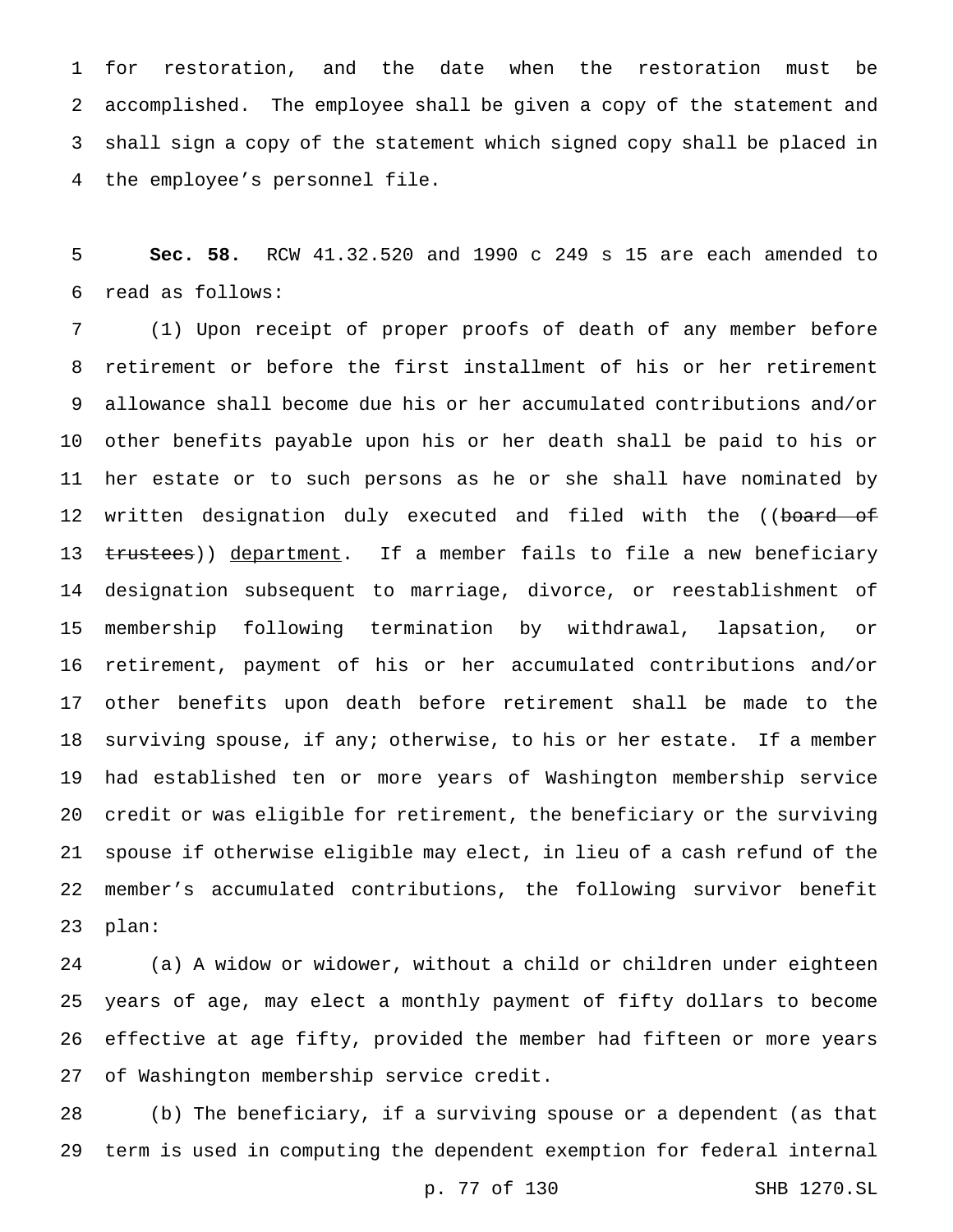for restoration, and the date when the restoration must be accomplished. The employee shall be given a copy of the statement and shall sign a copy of the statement which signed copy shall be placed in the employee's personnel file.

 **Sec. 58.** RCW 41.32.520 and 1990 c 249 s 15 are each amended to read as follows:

 (1) Upon receipt of proper proofs of death of any member before retirement or before the first installment of his or her retirement allowance shall become due his or her accumulated contributions and/or other benefits payable upon his or her death shall be paid to his or her estate or to such persons as he or she shall have nominated by 12 written designation duly executed and filed with the ((<del>board of</del> 13 trustees)) department. If a member fails to file a new beneficiary designation subsequent to marriage, divorce, or reestablishment of membership following termination by withdrawal, lapsation, or retirement, payment of his or her accumulated contributions and/or other benefits upon death before retirement shall be made to the surviving spouse, if any; otherwise, to his or her estate. If a member had established ten or more years of Washington membership service credit or was eligible for retirement, the beneficiary or the surviving spouse if otherwise eligible may elect, in lieu of a cash refund of the member's accumulated contributions, the following survivor benefit plan:

 (a) A widow or widower, without a child or children under eighteen years of age, may elect a monthly payment of fifty dollars to become effective at age fifty, provided the member had fifteen or more years of Washington membership service credit.

 (b) The beneficiary, if a surviving spouse or a dependent (as that term is used in computing the dependent exemption for federal internal

p. 77 of 130 SHB 1270.SL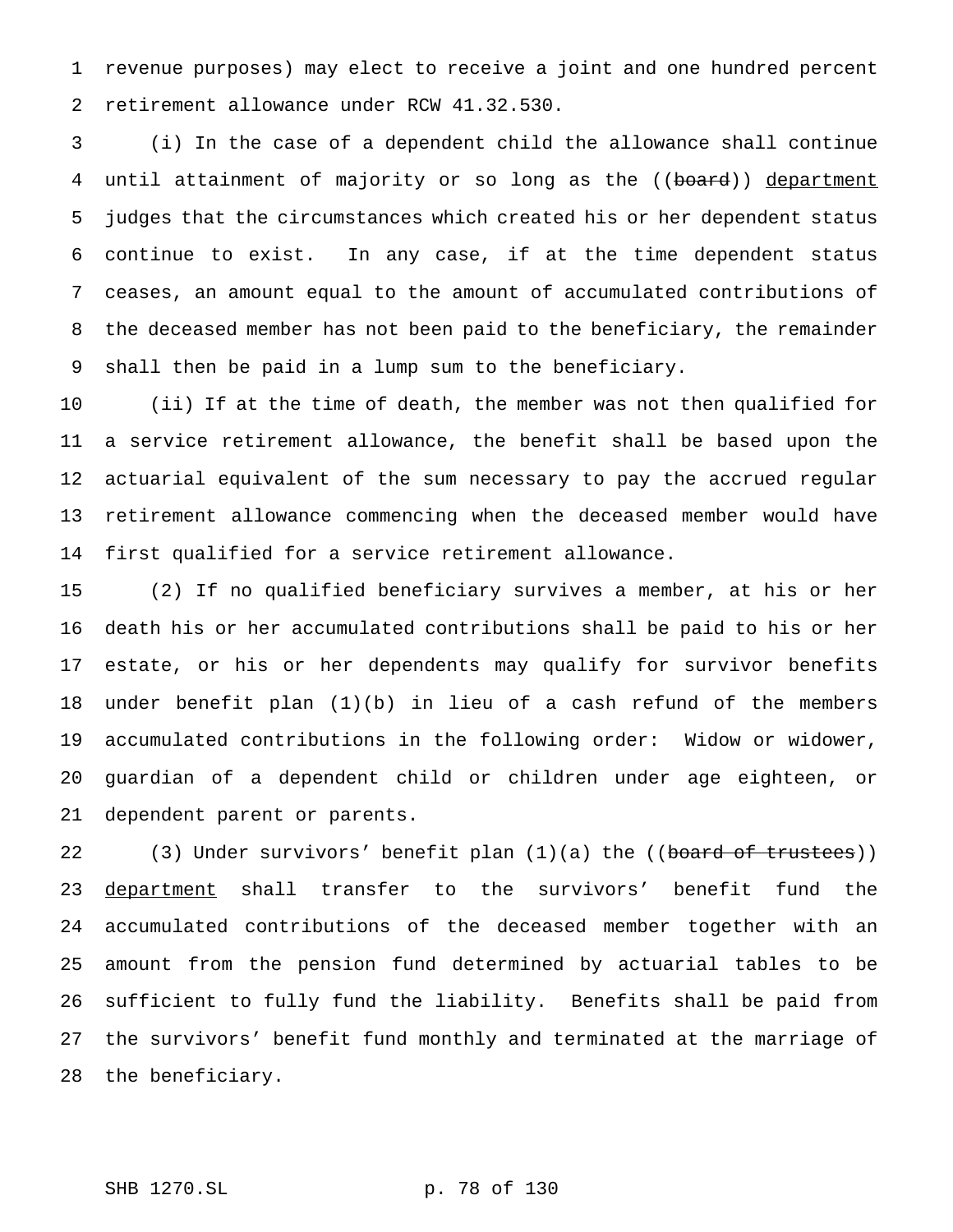revenue purposes) may elect to receive a joint and one hundred percent retirement allowance under RCW 41.32.530.

 (i) In the case of a dependent child the allowance shall continue 4 until attainment of majority or so long as the ((board)) department judges that the circumstances which created his or her dependent status continue to exist. In any case, if at the time dependent status ceases, an amount equal to the amount of accumulated contributions of the deceased member has not been paid to the beneficiary, the remainder shall then be paid in a lump sum to the beneficiary.

 (ii) If at the time of death, the member was not then qualified for a service retirement allowance, the benefit shall be based upon the actuarial equivalent of the sum necessary to pay the accrued regular retirement allowance commencing when the deceased member would have first qualified for a service retirement allowance.

 (2) If no qualified beneficiary survives a member, at his or her death his or her accumulated contributions shall be paid to his or her estate, or his or her dependents may qualify for survivor benefits under benefit plan (1)(b) in lieu of a cash refund of the members accumulated contributions in the following order: Widow or widower, guardian of a dependent child or children under age eighteen, or dependent parent or parents.

22 (3) Under survivors' benefit plan (1)(a) the ((board of trustees)) 23 department shall transfer to the survivors' benefit fund the accumulated contributions of the deceased member together with an amount from the pension fund determined by actuarial tables to be sufficient to fully fund the liability. Benefits shall be paid from the survivors' benefit fund monthly and terminated at the marriage of the beneficiary.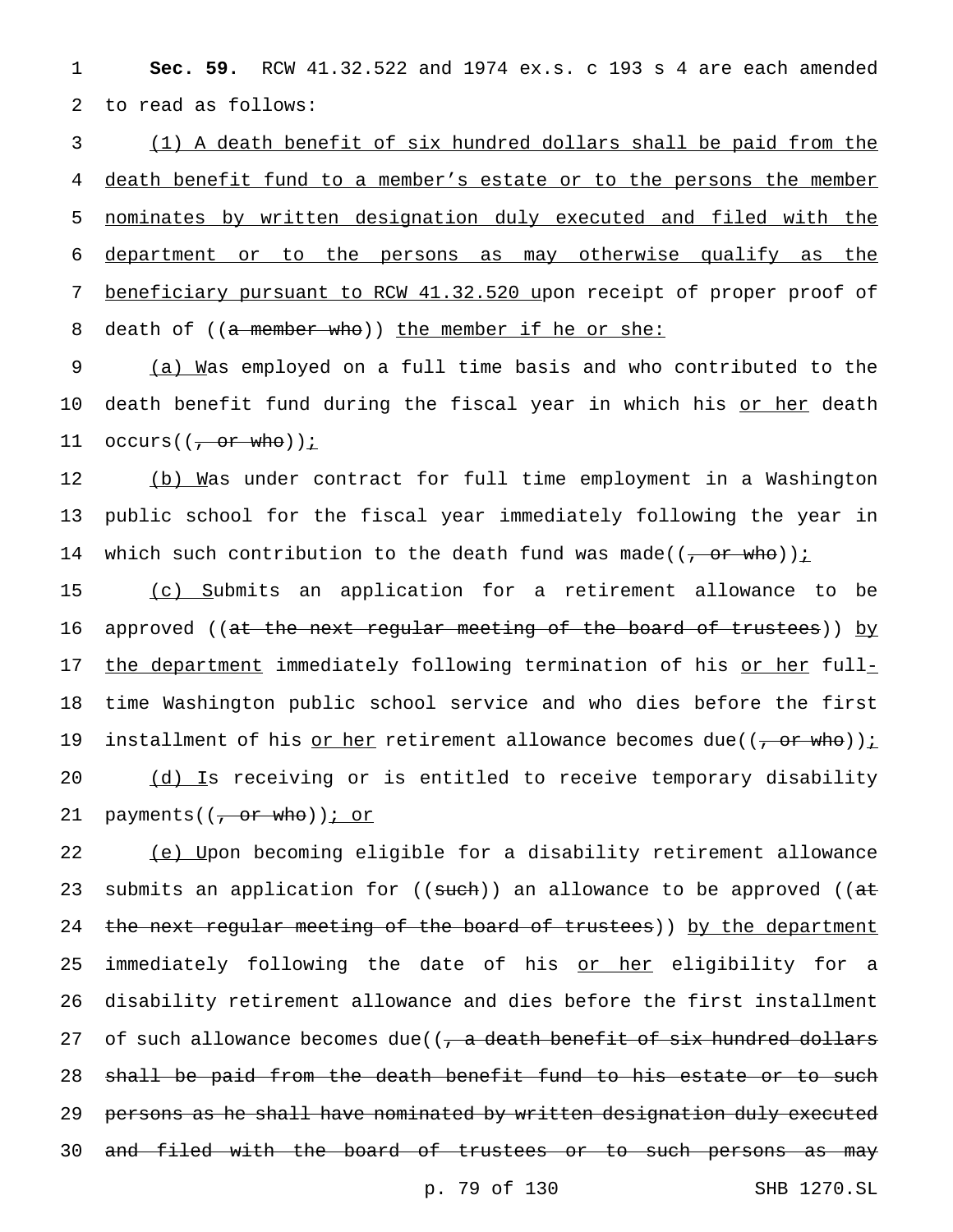1 **Sec. 59.** RCW 41.32.522 and 1974 ex.s. c 193 s 4 are each amended 2 to read as follows:

 (1) A death benefit of six hundred dollars shall be paid from the death benefit fund to a member's estate or to the persons the member nominates by written designation duly executed and filed with the department or to the persons as may otherwise qualify as the 7 beneficiary pursuant to RCW 41.32.520 upon receipt of proper proof of 8 death of ((a member who)) the member if he or she:

9 (a) Was employed on a full time basis and who contributed to the 10 death benefit fund during the fiscal year in which his or her death 11  $occurs((\frac{\pi}{1} \text{ or } \text{who}))$  :

12 (b) Was under contract for full time employment in a Washington 13 public school for the fiscal year immediately following the year in 14 which such contribution to the death fund was made( $(\frac{\pi}{f} - \sigma r - w h \sigma)$ ) :

15 (c) Submits an application for a retirement allowance to be 16 approved ((<del>at the next regular meeting of the board of trustees</del>)) by 17 the department immediately following termination of his or her full-18 time Washington public school service and who dies before the first 19 installment of his <u>or her</u> retirement allowance becomes due(( $\frac{\pi}{2}$  or who))<u>;</u> 20 (d) Is receiving or is entitled to receive temporary disability 21 payments( $(\frac{\pi}{2})$  payments( $(\frac{\pi}{2})$  or who)) *i* or

22 (e) Upon becoming eligible for a disability retirement allowance 23 submits an application for  $((\text{such}) )$  an allowance to be approved  $((\text{at})$ 24 the next regular meeting of the board of trustees)) by the department 25 immediately following the date of his <u>or her</u> eligibility for a 26 disability retirement allowance and dies before the first installment 27 of such allowance becomes due( $\sqrt{a}$  death benefit of six hundred dollars 28 shall be paid from the death benefit fund to his estate or to such 29 persons as he shall have nominated by written designation duly executed 30 and filed with the board of trustees or to such persons as may

p. 79 of 130 SHB 1270.SL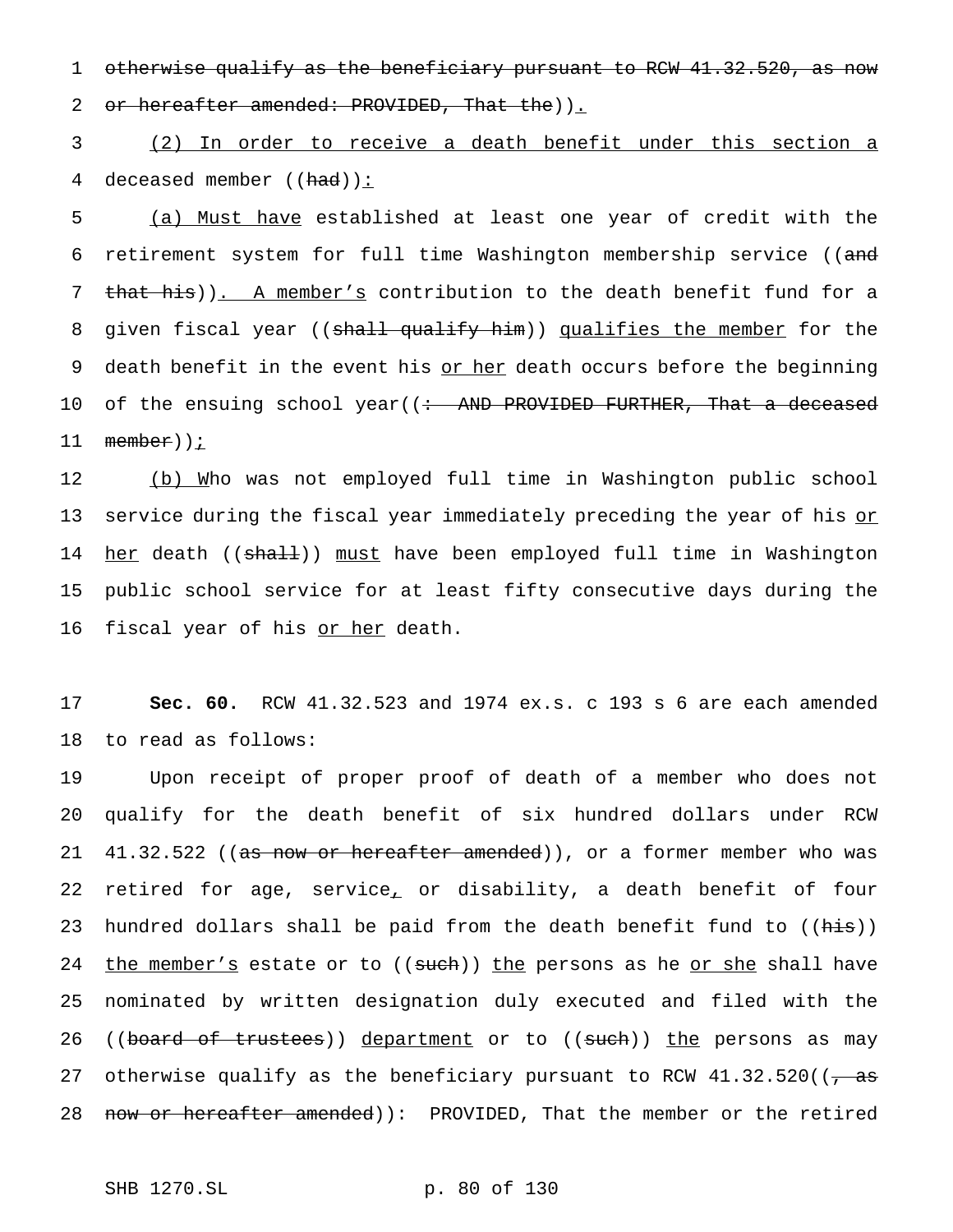1 otherwise qualify as the beneficiary pursuant to RCW 41.32.520, as now 2 or hereafter amended: PROVIDED, That the)).

3 (2) In order to receive a death benefit under this section a 4 deceased member  $((had))$ :

5 (a) Must have established at least one year of credit with the 6 retirement system for full time Washington membership service ((and 7 that his)). A member's contribution to the death benefit fund for a 8 given fiscal year ((shall qualify him)) qualifies the member for the 9 death benefit in the event his or her death occurs before the beginning 10 of the ensuing school year((<del>: AND PROVIDED FURTHER, That a deceased</del> 11 <del>member</del>))<u>;</u>

12 (b) Who was not employed full time in Washington public school 13 service during the fiscal year immediately preceding the year of his or 14 her death ((shall)) must have been employed full time in Washington 15 public school service for at least fifty consecutive days during the 16 fiscal year of his <u>or her</u> death.

17 **Sec. 60.** RCW 41.32.523 and 1974 ex.s. c 193 s 6 are each amended 18 to read as follows:

19 Upon receipt of proper proof of death of a member who does not 20 qualify for the death benefit of six hundred dollars under RCW 21 41.32.522 ((as now or hereafter amended)), or a former member who was 22 retired for age, service, or disability, a death benefit of four 23 hundred dollars shall be paid from the death benefit fund to ((his)) 24 the member's estate or to ((such)) the persons as he or she shall have 25 nominated by written designation duly executed and filed with the 26 ((board of trustees)) department or to ((such)) the persons as may 27 otherwise qualify as the beneficiary pursuant to RCW  $41.32.520$  ( $\sqrt{a}$ 28 now or hereafter amended)): PROVIDED, That the member or the retired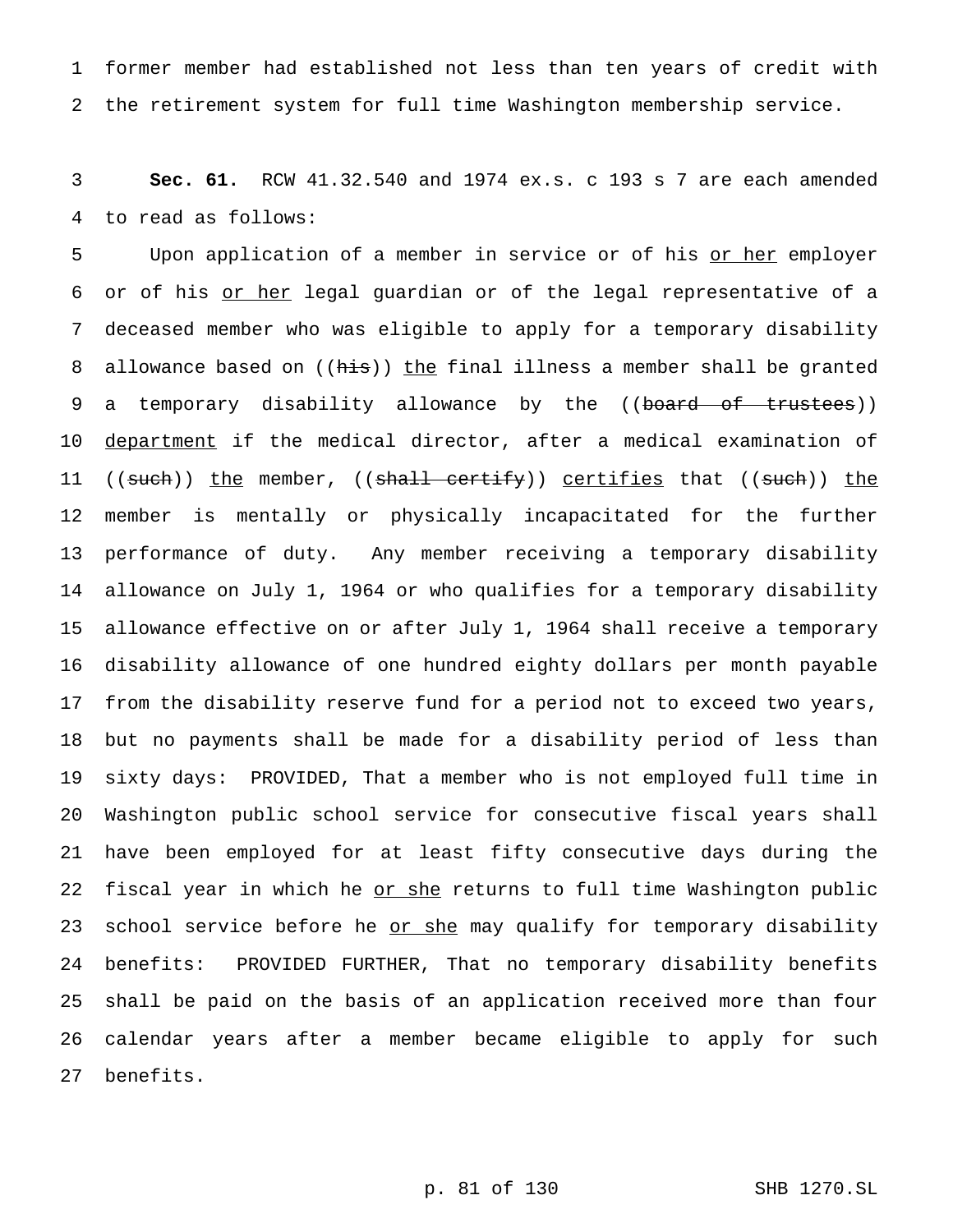former member had established not less than ten years of credit with the retirement system for full time Washington membership service.

 **Sec. 61.** RCW 41.32.540 and 1974 ex.s. c 193 s 7 are each amended to read as follows:

5 Upon application of a member in service or of his or her employer or of his or her legal guardian or of the legal representative of a deceased member who was eligible to apply for a temporary disability 8 allowance based on ((his)) the final illness a member shall be granted 9 a temporary disability allowance by the ((board of trustees)) 10 <u>department</u> if the medical director, after a medical examination of 11 ((such)) the member, ((shall certify)) certifies that ((such)) the member is mentally or physically incapacitated for the further performance of duty. Any member receiving a temporary disability allowance on July 1, 1964 or who qualifies for a temporary disability allowance effective on or after July 1, 1964 shall receive a temporary disability allowance of one hundred eighty dollars per month payable from the disability reserve fund for a period not to exceed two years, but no payments shall be made for a disability period of less than sixty days: PROVIDED, That a member who is not employed full time in Washington public school service for consecutive fiscal years shall have been employed for at least fifty consecutive days during the 22 fiscal year in which he or she returns to full time Washington public 23 school service before he or she may qualify for temporary disability benefits: PROVIDED FURTHER, That no temporary disability benefits shall be paid on the basis of an application received more than four calendar years after a member became eligible to apply for such benefits.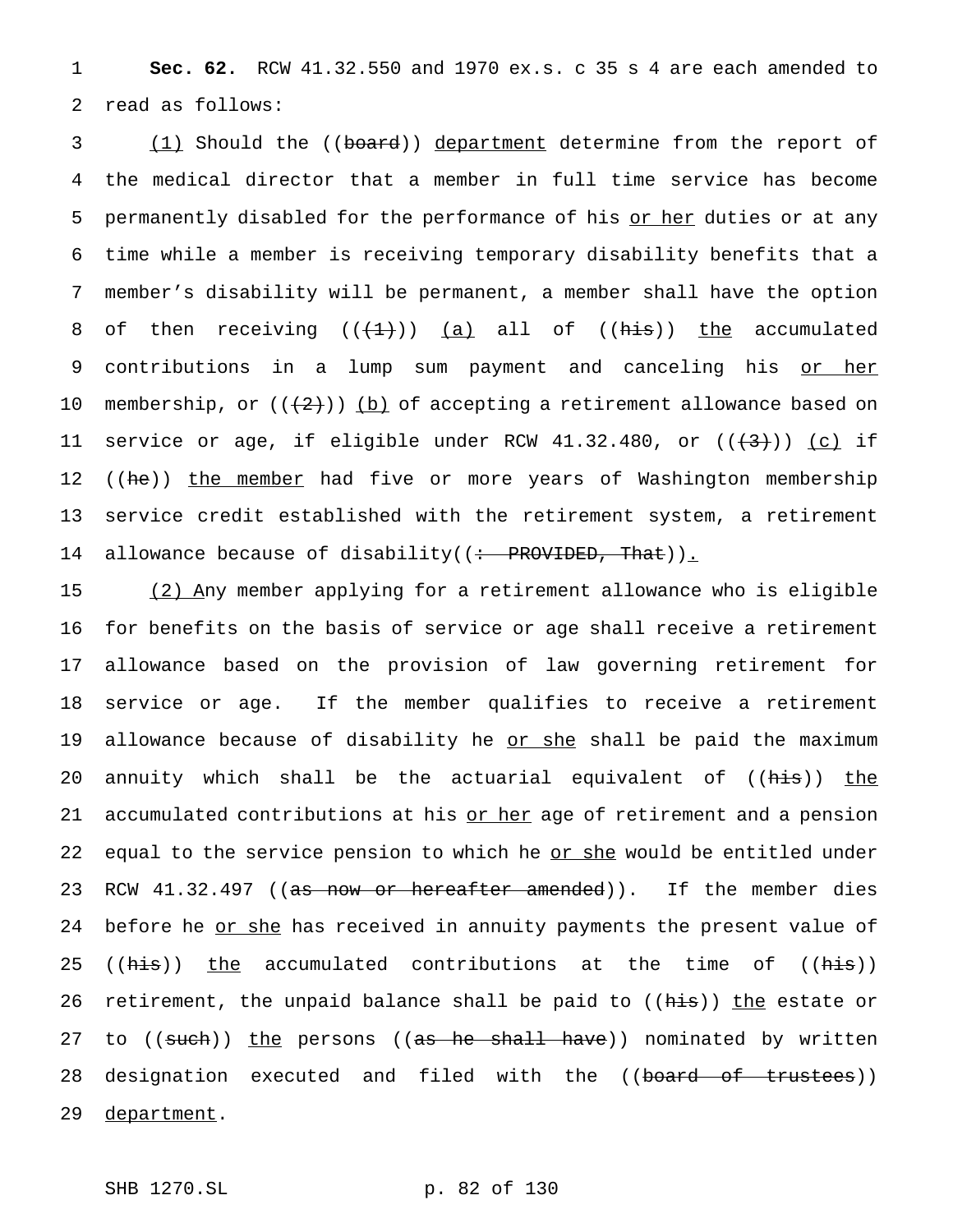1 **Sec. 62.** RCW 41.32.550 and 1970 ex.s. c 35 s 4 are each amended to 2 read as follows:

3 (1) Should the ((board)) department determine from the report of 4 the medical director that a member in full time service has become 5 permanently disabled for the performance of his or her duties or at any 6 time while a member is receiving temporary disability benefits that a 7 member's disability will be permanent, a member shall have the option 8 of then receiving  $((+1))$  <u>(a)</u> all of  $((+1))$  the accumulated 9 contributions in a lump sum payment and canceling his or her 10 membership, or  $((+2))$  (b) of accepting a retirement allowance based on 11 service or age, if eligible under RCW 41.32.480, or  $((+3))$  (c) if 12 ((he)) the member had five or more years of Washington membership 13 service credit established with the retirement system, a retirement 14 allowance because of disability((: PROVIDED, That)).

15 (2) Any member applying for a retirement allowance who is eligible 16 for benefits on the basis of service or age shall receive a retirement 17 allowance based on the provision of law governing retirement for 18 service or age. If the member qualifies to receive a retirement 19 allowance because of disability he <u>or she</u> shall be paid the maximum 20 annuity which shall be the actuarial equivalent of ((his)) the 21 accumulated contributions at his or her age of retirement and a pension 22 equal to the service pension to which he or she would be entitled under 23 RCW 41.32.497 ((as now or hereafter amended)). If the member dies 24 before he or she has received in annuity payments the present value of 25 ((his)) the accumulated contributions at the time of ((his)) 26 retirement, the unpaid balance shall be paid to ((his)) the estate or 27 to ((such)) the persons ((as he shall have)) nominated by written 28 designation executed and filed with the ((board of trustees)) 29 department.

SHB 1270.SL p. 82 of 130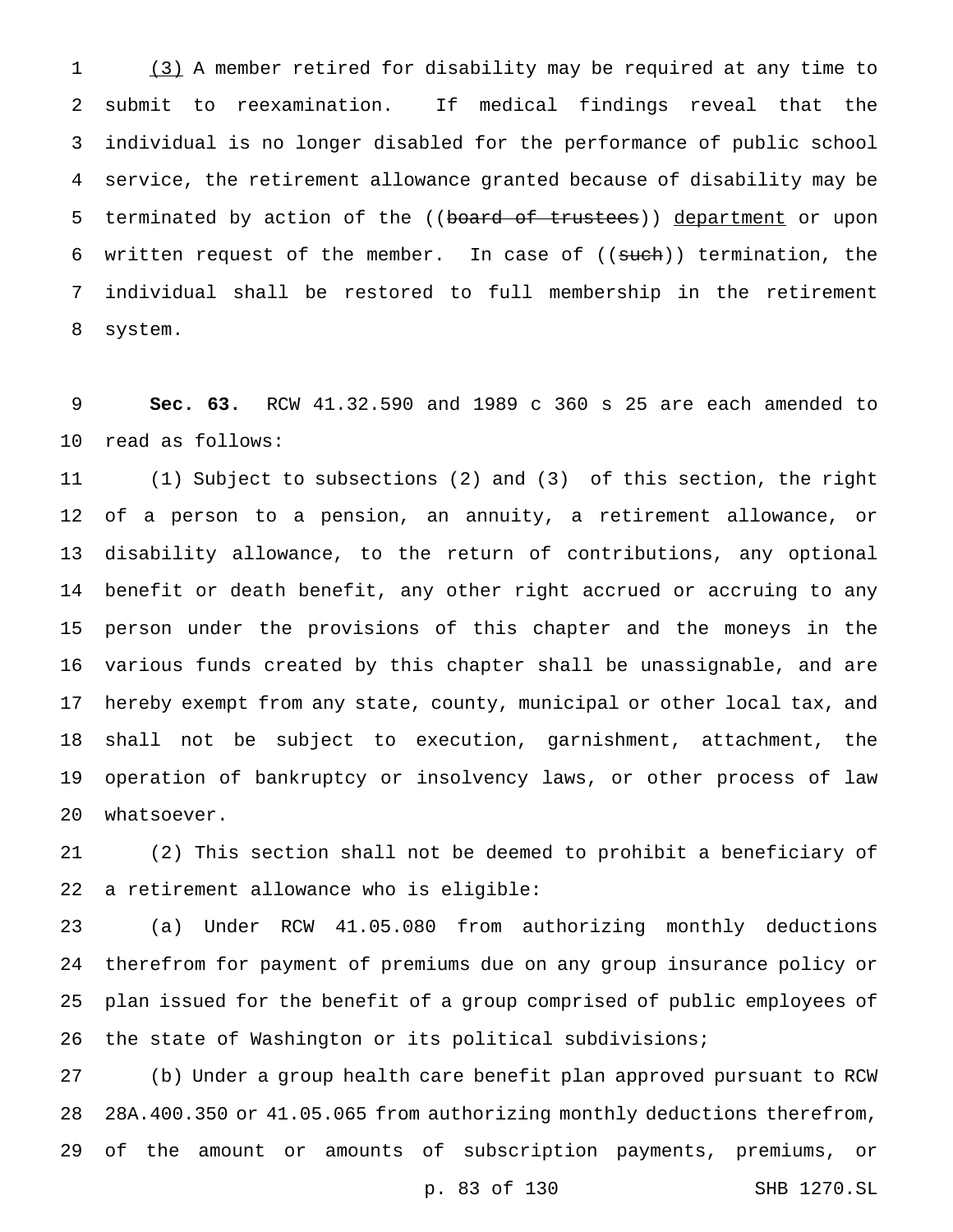(3) A member retired for disability may be required at any time to submit to reexamination. If medical findings reveal that the individual is no longer disabled for the performance of public school service, the retirement allowance granted because of disability may be 5 terminated by action of the ((board of trustees)) department or upon 6 written request of the member. In case of  $((such))$  termination, the individual shall be restored to full membership in the retirement system.

 **Sec. 63.** RCW 41.32.590 and 1989 c 360 s 25 are each amended to read as follows:

 (1) Subject to subsections (2) and (3) of this section, the right of a person to a pension, an annuity, a retirement allowance, or disability allowance, to the return of contributions, any optional benefit or death benefit, any other right accrued or accruing to any person under the provisions of this chapter and the moneys in the various funds created by this chapter shall be unassignable, and are hereby exempt from any state, county, municipal or other local tax, and shall not be subject to execution, garnishment, attachment, the operation of bankruptcy or insolvency laws, or other process of law whatsoever.

 (2) This section shall not be deemed to prohibit a beneficiary of a retirement allowance who is eligible:

 (a) Under RCW 41.05.080 from authorizing monthly deductions therefrom for payment of premiums due on any group insurance policy or plan issued for the benefit of a group comprised of public employees of the state of Washington or its political subdivisions;

 (b) Under a group health care benefit plan approved pursuant to RCW 28A.400.350 or 41.05.065 from authorizing monthly deductions therefrom, of the amount or amounts of subscription payments, premiums, or

p. 83 of 130 SHB 1270.SL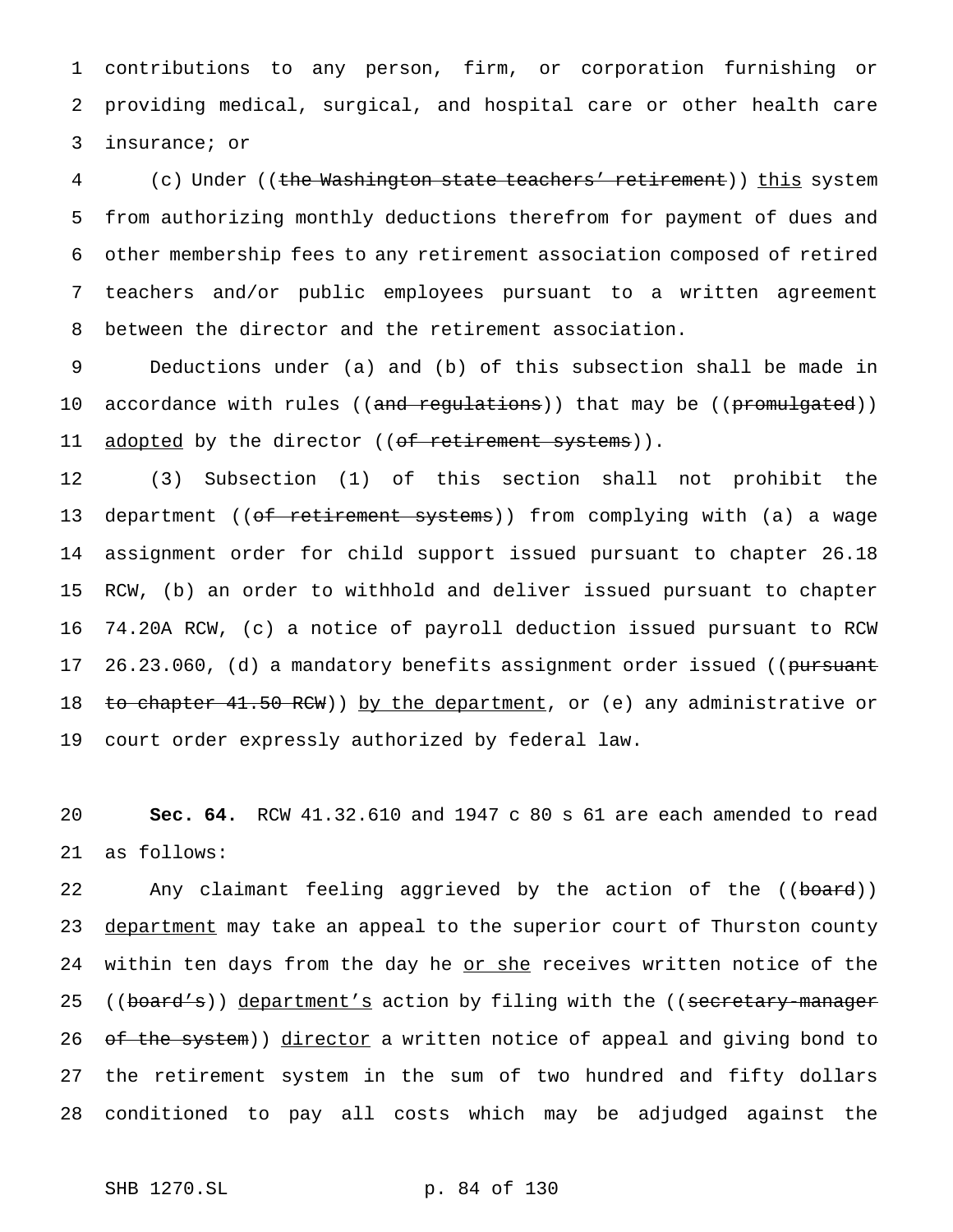1 contributions to any person, firm, or corporation furnishing or 2 providing medical, surgical, and hospital care or other health care 3 insurance; or

4 (c) Under ((the Washington state teachers' retirement)) this system from authorizing monthly deductions therefrom for payment of dues and other membership fees to any retirement association composed of retired teachers and/or public employees pursuant to a written agreement between the director and the retirement association.

9 Deductions under (a) and (b) of this subsection shall be made in 10 accordance with rules ((and regulations)) that may be ((promulgated)) 11 adopted by the director ((of retirement systems)).

 (3) Subsection (1) of this section shall not prohibit the 13 department ((o<del>f retirement systems</del>)) from complying with (a) a wage assignment order for child support issued pursuant to chapter 26.18 RCW, (b) an order to withhold and deliver issued pursuant to chapter 74.20A RCW, (c) a notice of payroll deduction issued pursuant to RCW 17 26.23.060, (d) a mandatory benefits assignment order issued ((pursuant 18 to chapter 41.50 RCW)) by the department, or (e) any administrative or court order expressly authorized by federal law.

20 **Sec. 64.** RCW 41.32.610 and 1947 c 80 s 61 are each amended to read 21 as follows:

22 Any claimant feeling aggrieved by the action of the ((board)) 23 department may take an appeal to the superior court of Thurston county 24 within ten days from the day he or she receives written notice of the 25 ((board's)) department's action by filing with the ((secretary-manager 26 of the system)) director a written notice of appeal and giving bond to 27 the retirement system in the sum of two hundred and fifty dollars 28 conditioned to pay all costs which may be adjudged against the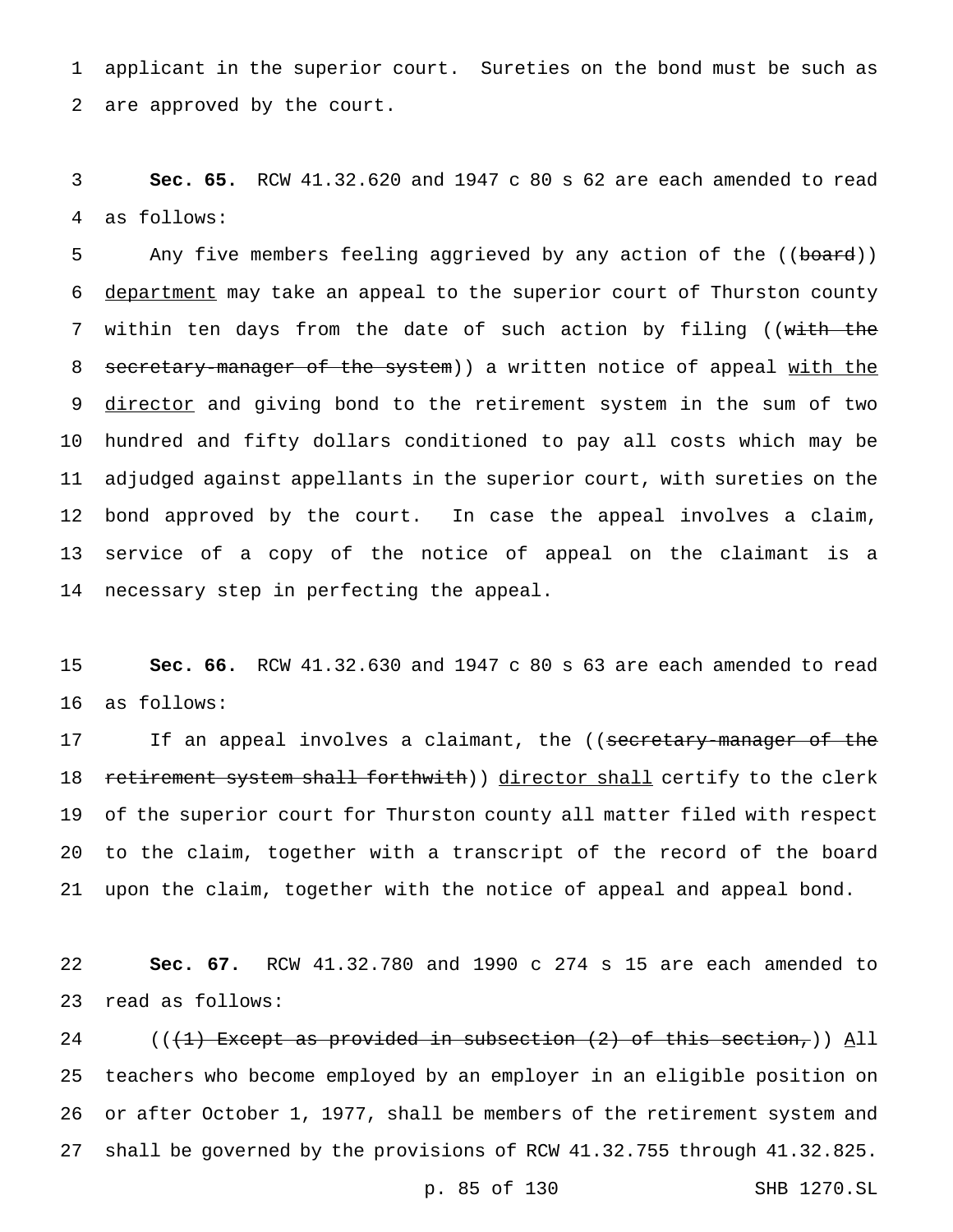applicant in the superior court. Sureties on the bond must be such as are approved by the court.

 **Sec. 65.** RCW 41.32.620 and 1947 c 80 s 62 are each amended to read as follows:

5 Any five members feeling aggrieved by any action of the ((board)) department may take an appeal to the superior court of Thurston county 7 within ten days from the date of such action by filing ((with the 8 secretary-manager of the system) a written notice of appeal with the 9 director and giving bond to the retirement system in the sum of two hundred and fifty dollars conditioned to pay all costs which may be adjudged against appellants in the superior court, with sureties on the bond approved by the court. In case the appeal involves a claim, service of a copy of the notice of appeal on the claimant is a necessary step in perfecting the appeal.

 **Sec. 66.** RCW 41.32.630 and 1947 c 80 s 63 are each amended to read as follows:

17 If an appeal involves a claimant, the ((secretary-manager of the 18 retirement system shall forthwith)) director shall certify to the clerk of the superior court for Thurston county all matter filed with respect to the claim, together with a transcript of the record of the board upon the claim, together with the notice of appeal and appeal bond.

 **Sec. 67.** RCW 41.32.780 and 1990 c 274 s 15 are each amended to read as follows:

24 (( $(1)$  Except as provided in subsection (2) of this section,)) All teachers who become employed by an employer in an eligible position on or after October 1, 1977, shall be members of the retirement system and shall be governed by the provisions of RCW 41.32.755 through 41.32.825.

p. 85 of 130 SHB 1270.SL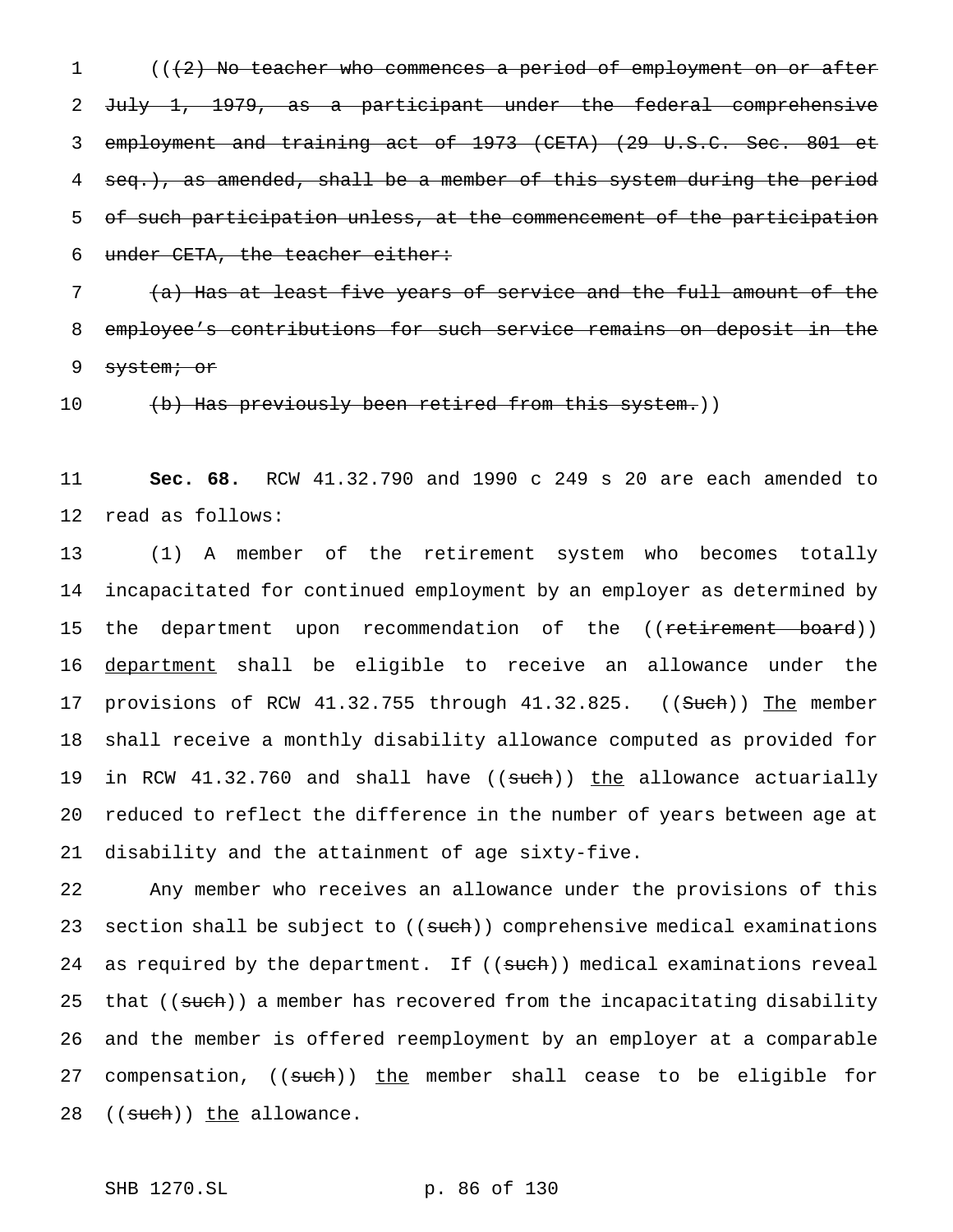1 (( $\{2\}$ ) No teacher who commences a period of employment on or after 2 July 1, 1979, as a participant under the federal comprehensive 3 employment and training act of 1973 (CETA) (29 U.S.C. Sec. 801 et 4 seq.), as amended, shall be a member of this system during the period 5 of such participation unless, at the commencement of the participation 6 under CETA, the teacher either:

7 (a) Has at least five years of service and the full amount of the 8 employee's contributions for such service remains on deposit in the 9 system; or

10 (b) Has previously been retired from this system.))

11 **Sec. 68.** RCW 41.32.790 and 1990 c 249 s 20 are each amended to 12 read as follows:

13 (1) A member of the retirement system who becomes totally 14 incapacitated for continued employment by an employer as determined by 15 the department upon recommendation of the ((<del>retirement board</del>)) 16 department shall be eligible to receive an allowance under the 17 provisions of RCW 41.32.755 through 41.32.825. ((Such)) The member 18 shall receive a monthly disability allowance computed as provided for 19 in RCW 41.32.760 and shall have ((such)) the allowance actuarially 20 reduced to reflect the difference in the number of years between age at 21 disability and the attainment of age sixty-five.

22 Any member who receives an allowance under the provisions of this 23 section shall be subject to ((such)) comprehensive medical examinations 24 as required by the department. If ((such)) medical examinations reveal 25 that ((such)) a member has recovered from the incapacitating disability 26 and the member is offered reemployment by an employer at a comparable 27 compensation, ((such)) the member shall cease to be eligible for 28 ((such)) the allowance.

SHB 1270.SL p. 86 of 130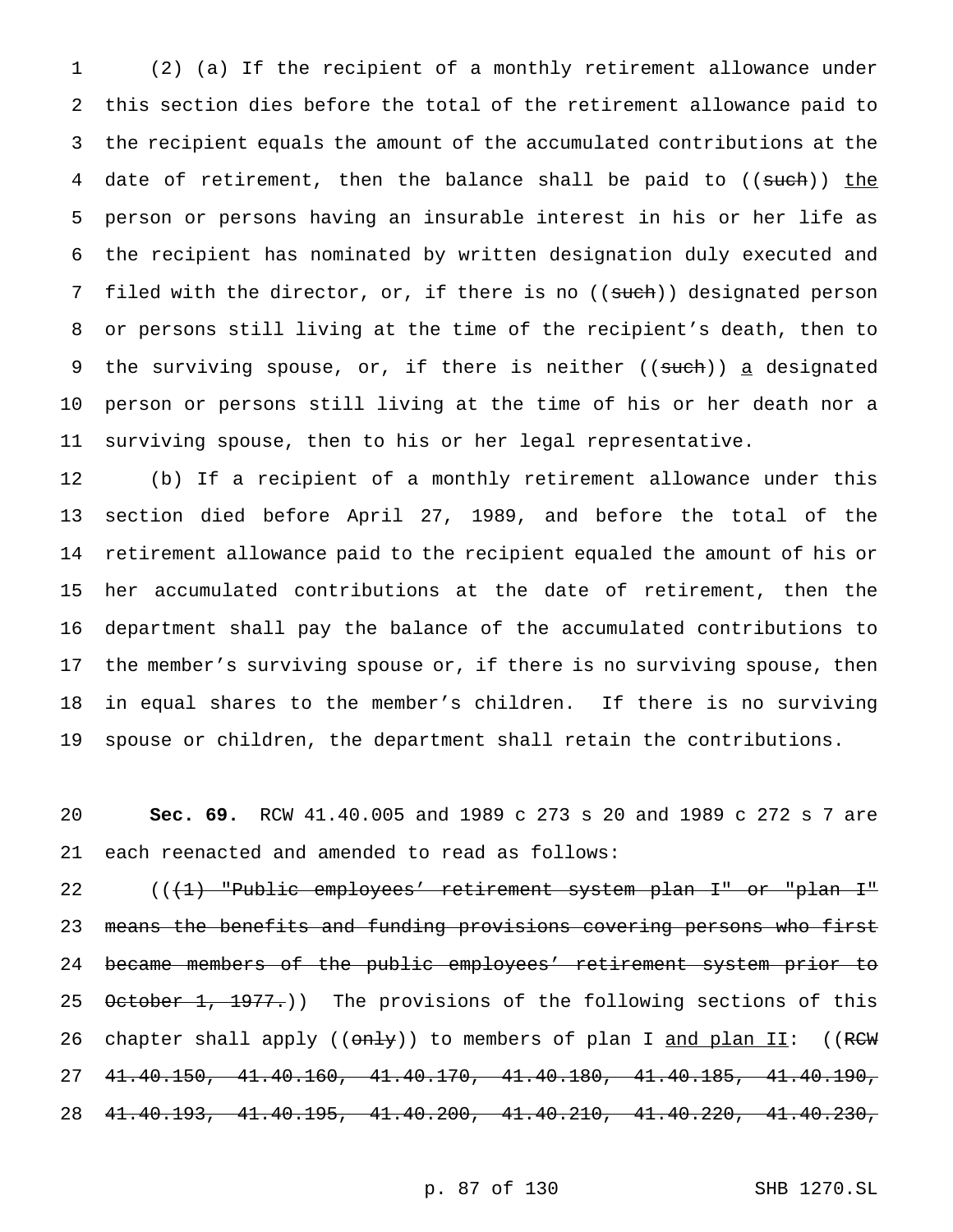(2) (a) If the recipient of a monthly retirement allowance under this section dies before the total of the retirement allowance paid to the recipient equals the amount of the accumulated contributions at the 4 date of retirement, then the balance shall be paid to ((such)) the person or persons having an insurable interest in his or her life as the recipient has nominated by written designation duly executed and 7 filed with the director, or, if there is no ((such)) designated person or persons still living at the time of the recipient's death, then to 9 the surviving spouse, or, if there is neither ((such)) a designated person or persons still living at the time of his or her death nor a surviving spouse, then to his or her legal representative.

 (b) If a recipient of a monthly retirement allowance under this section died before April 27, 1989, and before the total of the retirement allowance paid to the recipient equaled the amount of his or her accumulated contributions at the date of retirement, then the department shall pay the balance of the accumulated contributions to the member's surviving spouse or, if there is no surviving spouse, then in equal shares to the member's children. If there is no surviving spouse or children, the department shall retain the contributions.

 **Sec. 69.** RCW 41.40.005 and 1989 c 273 s 20 and 1989 c 272 s 7 are each reenacted and amended to read as follows:

22 (((1) "Public employees' retirement system plan I" or "plan I" means the benefits and funding provisions covering persons who first became members of the public employees' retirement system prior to 25 October 1, 1977.)) The provisions of the following sections of this 26 chapter shall apply (( $\theta$ nly)) to members of plan I and plan II: ((RCW) 41.40.150, 41.40.160, 41.40.170, 41.40.180, 41.40.185, 41.40.190, 41.40.193, 41.40.195, 41.40.200, 41.40.210, 41.40.220, 41.40.230,

p. 87 of 130 SHB 1270.SL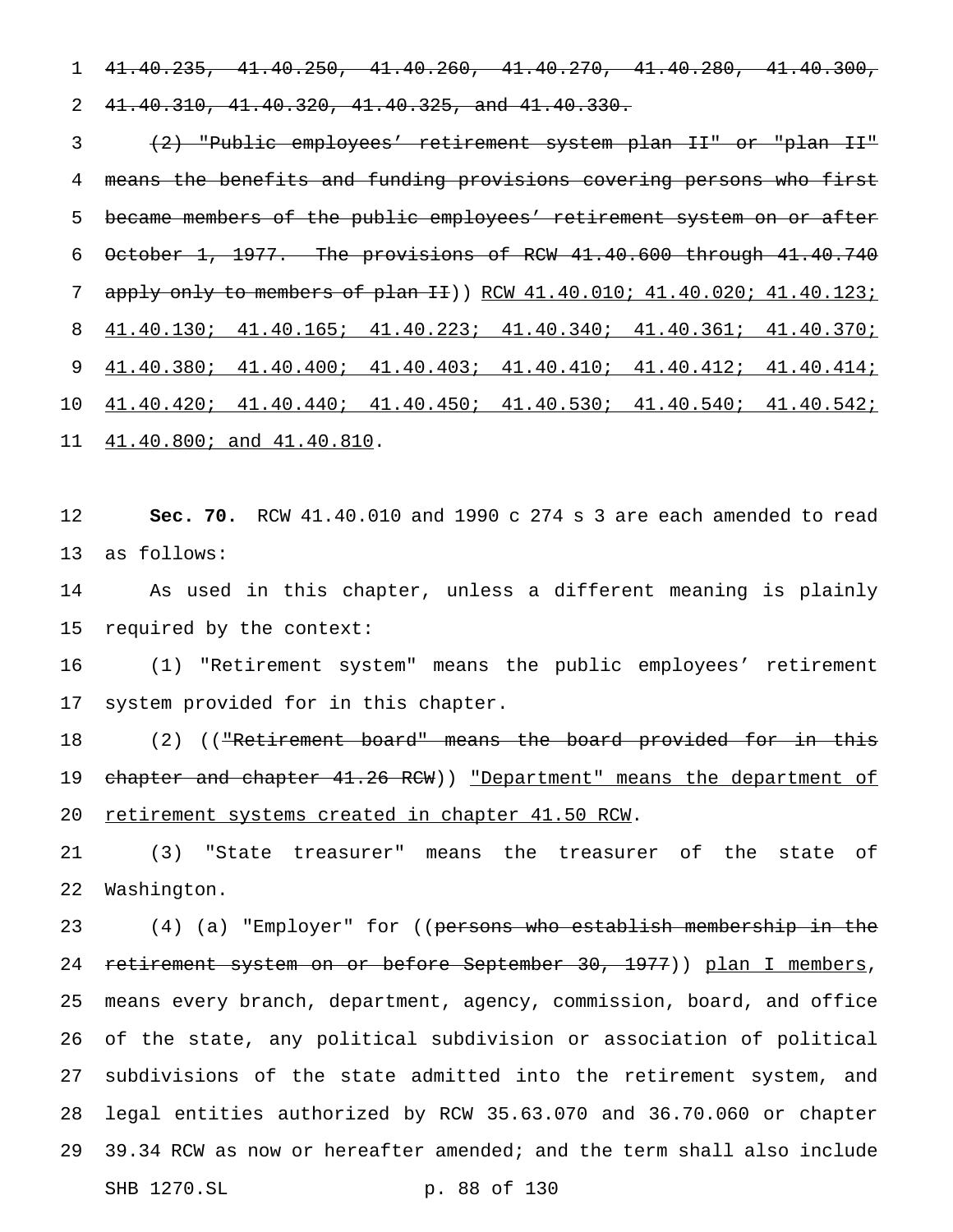41.40.235, 41.40.250, 41.40.260, 41.40.270, 41.40.280, 41.40.300, 41.40.310, 41.40.320, 41.40.325, and 41.40.330.

 (2) "Public employees' retirement system plan II" or "plan II" means the benefits and funding provisions covering persons who first 5 became members of the public employees' retirement system on or after October 1, 1977. The provisions of RCW 41.40.600 through 41.40.740 7 apply only to members of plan II) RCW 41.40.010; 41.40.020; 41.40.123; 41.40.130; 41.40.165; 41.40.223; 41.40.340; 41.40.361; 41.40.370; 41.40.380; 41.40.400; 41.40.403; 41.40.410; 41.40.412; 41.40.414; 41.40.420; 41.40.440; 41.40.450; 41.40.530; 41.40.540; 41.40.542; 41.40.800; and 41.40.810.

 **Sec. 70.** RCW 41.40.010 and 1990 c 274 s 3 are each amended to read as follows:

 As used in this chapter, unless a different meaning is plainly required by the context:

 (1) "Retirement system" means the public employees' retirement system provided for in this chapter.

18 (2) ((<del>"Retirement board" means the board provided for in this</del> 19 chapter and chapter 41.26 RCW)) "Department" means the department of 20 retirement systems created in chapter 41.50 RCW.

 (3) "State treasurer" means the treasurer of the state of Washington.

23 (4) (a) "Employer" for ((persons who establish membership in the 24 retirement system on or before September 30, 1977)) plan I members, means every branch, department, agency, commission, board, and office of the state, any political subdivision or association of political subdivisions of the state admitted into the retirement system, and legal entities authorized by RCW 35.63.070 and 36.70.060 or chapter 39.34 RCW as now or hereafter amended; and the term shall also include SHB 1270.SL p. 88 of 130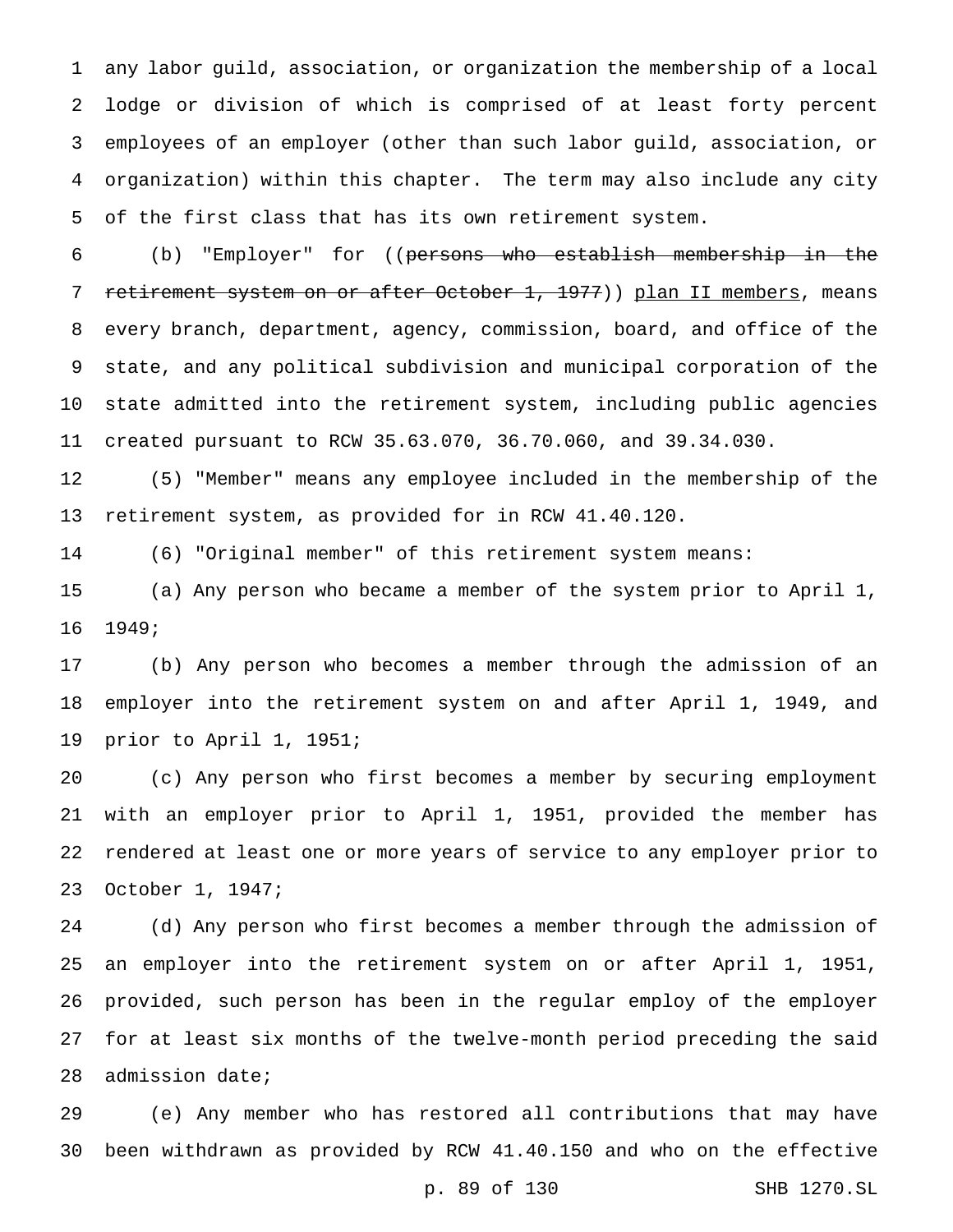any labor guild, association, or organization the membership of a local lodge or division of which is comprised of at least forty percent employees of an employer (other than such labor guild, association, or organization) within this chapter. The term may also include any city of the first class that has its own retirement system.

 (b) "Employer" for ((persons who establish membership in the 7 retirement system on or after October 1, 1977)) plan II members, means every branch, department, agency, commission, board, and office of the state, and any political subdivision and municipal corporation of the state admitted into the retirement system, including public agencies created pursuant to RCW 35.63.070, 36.70.060, and 39.34.030.

 (5) "Member" means any employee included in the membership of the retirement system, as provided for in RCW 41.40.120.

(6) "Original member" of this retirement system means:

 (a) Any person who became a member of the system prior to April 1, 1949;

 (b) Any person who becomes a member through the admission of an employer into the retirement system on and after April 1, 1949, and prior to April 1, 1951;

 (c) Any person who first becomes a member by securing employment with an employer prior to April 1, 1951, provided the member has rendered at least one or more years of service to any employer prior to October 1, 1947;

 (d) Any person who first becomes a member through the admission of an employer into the retirement system on or after April 1, 1951, provided, such person has been in the regular employ of the employer for at least six months of the twelve-month period preceding the said admission date;

 (e) Any member who has restored all contributions that may have been withdrawn as provided by RCW 41.40.150 and who on the effective

p. 89 of 130 SHB 1270.SL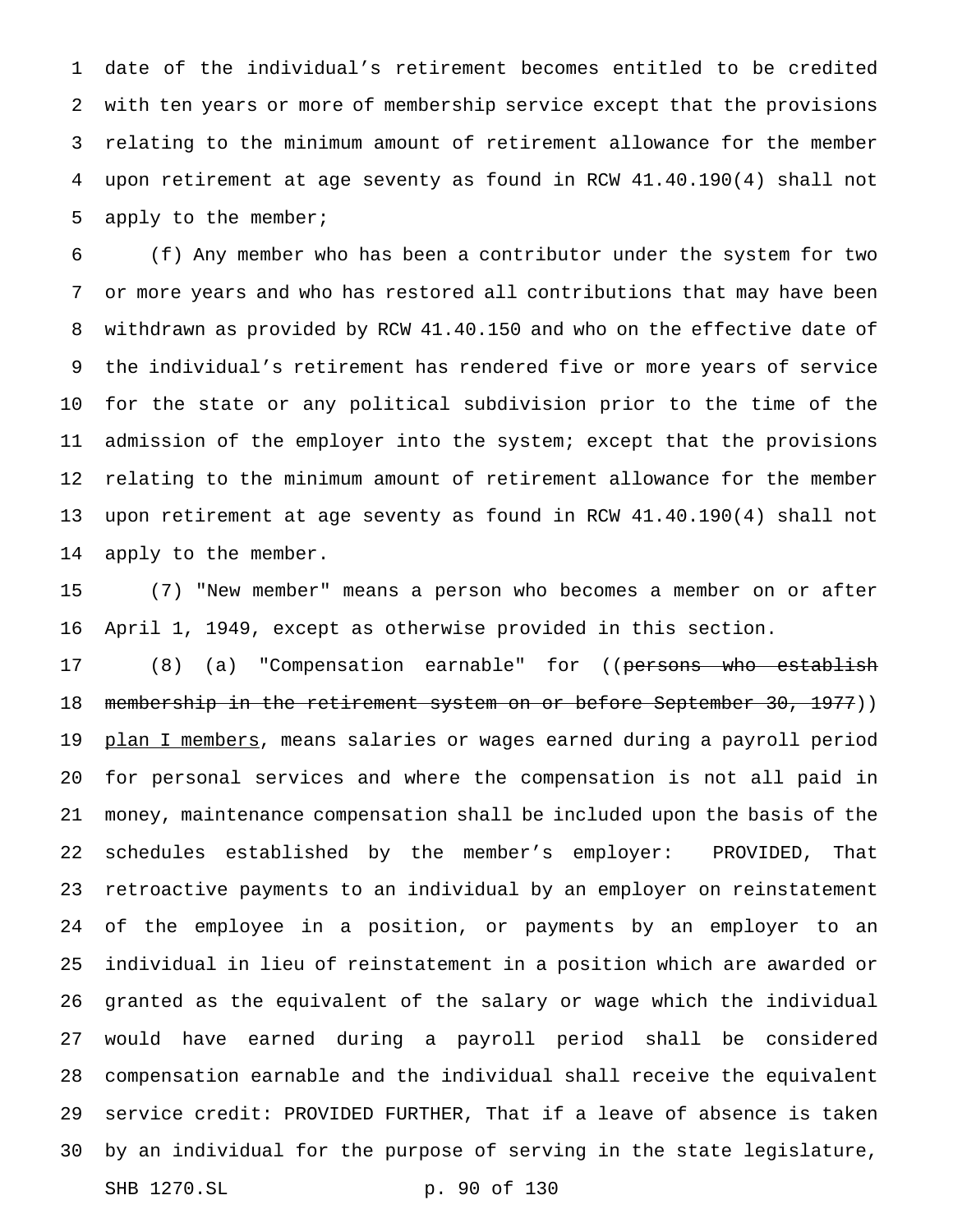date of the individual's retirement becomes entitled to be credited with ten years or more of membership service except that the provisions relating to the minimum amount of retirement allowance for the member upon retirement at age seventy as found in RCW 41.40.190(4) shall not apply to the member;

 (f) Any member who has been a contributor under the system for two or more years and who has restored all contributions that may have been withdrawn as provided by RCW 41.40.150 and who on the effective date of the individual's retirement has rendered five or more years of service for the state or any political subdivision prior to the time of the admission of the employer into the system; except that the provisions relating to the minimum amount of retirement allowance for the member upon retirement at age seventy as found in RCW 41.40.190(4) shall not apply to the member.

 (7) "New member" means a person who becomes a member on or after April 1, 1949, except as otherwise provided in this section.

17 (8) (a) "Compensation earnable" for ((persons who establish 18 membership in the retirement system on or before September 30, 1977)) 19 plan I members, means salaries or wages earned during a payroll period for personal services and where the compensation is not all paid in money, maintenance compensation shall be included upon the basis of the schedules established by the member's employer: PROVIDED, That retroactive payments to an individual by an employer on reinstatement of the employee in a position, or payments by an employer to an individual in lieu of reinstatement in a position which are awarded or granted as the equivalent of the salary or wage which the individual would have earned during a payroll period shall be considered compensation earnable and the individual shall receive the equivalent service credit: PROVIDED FURTHER, That if a leave of absence is taken by an individual for the purpose of serving in the state legislature, SHB 1270.SL p. 90 of 130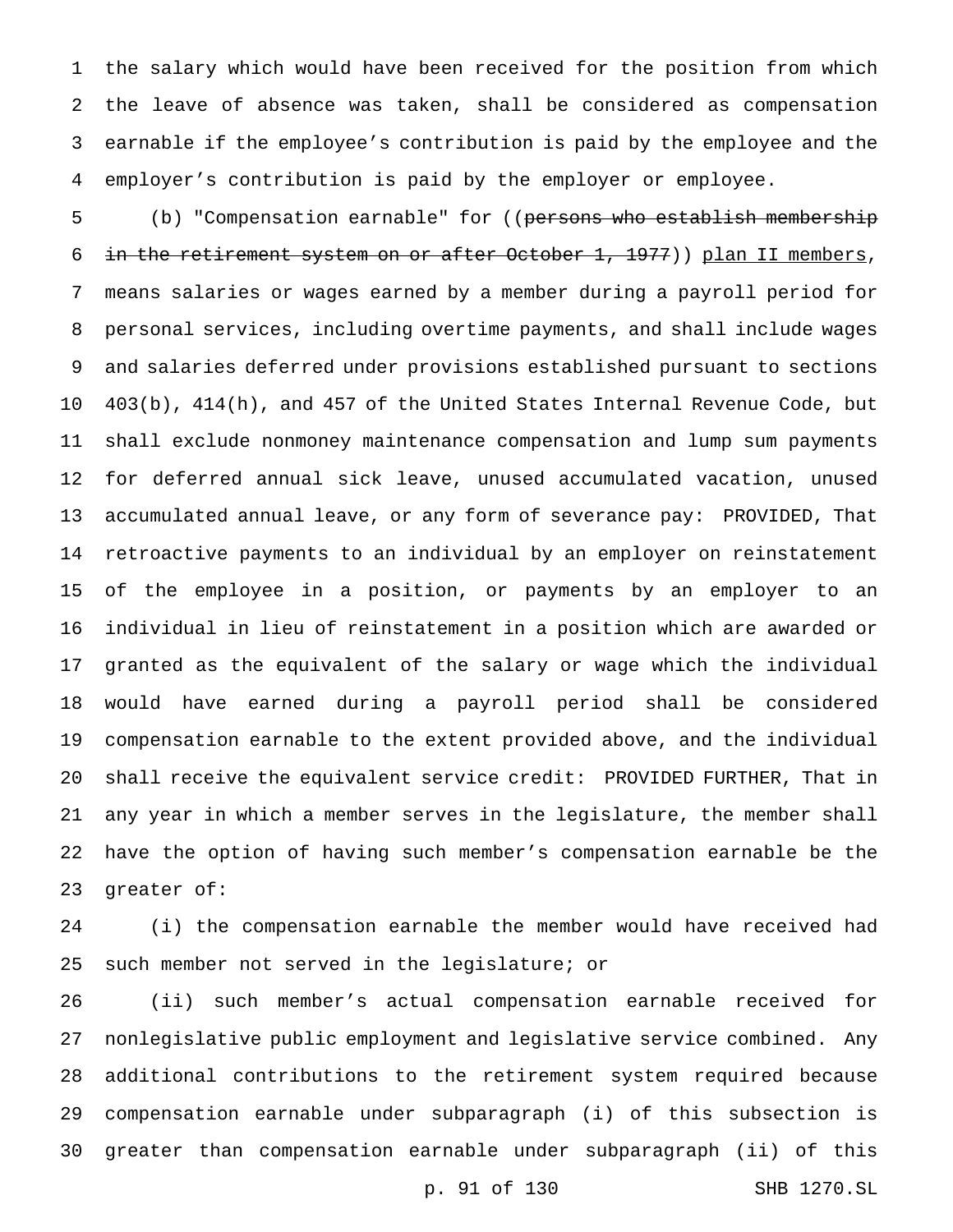the salary which would have been received for the position from which the leave of absence was taken, shall be considered as compensation earnable if the employee's contribution is paid by the employee and the employer's contribution is paid by the employer or employee.

5 (b) "Compensation earnable" for ((persons who establish membership 6 in the retirement system on or after October 1, 1977)) plan II members, means salaries or wages earned by a member during a payroll period for personal services, including overtime payments, and shall include wages and salaries deferred under provisions established pursuant to sections 403(b), 414(h), and 457 of the United States Internal Revenue Code, but shall exclude nonmoney maintenance compensation and lump sum payments for deferred annual sick leave, unused accumulated vacation, unused accumulated annual leave, or any form of severance pay: PROVIDED, That retroactive payments to an individual by an employer on reinstatement of the employee in a position, or payments by an employer to an individual in lieu of reinstatement in a position which are awarded or granted as the equivalent of the salary or wage which the individual would have earned during a payroll period shall be considered compensation earnable to the extent provided above, and the individual shall receive the equivalent service credit: PROVIDED FURTHER, That in any year in which a member serves in the legislature, the member shall have the option of having such member's compensation earnable be the greater of:

 (i) the compensation earnable the member would have received had such member not served in the legislature; or

 (ii) such member's actual compensation earnable received for nonlegislative public employment and legislative service combined. Any additional contributions to the retirement system required because compensation earnable under subparagraph (i) of this subsection is greater than compensation earnable under subparagraph (ii) of this

p. 91 of 130 SHB 1270.SL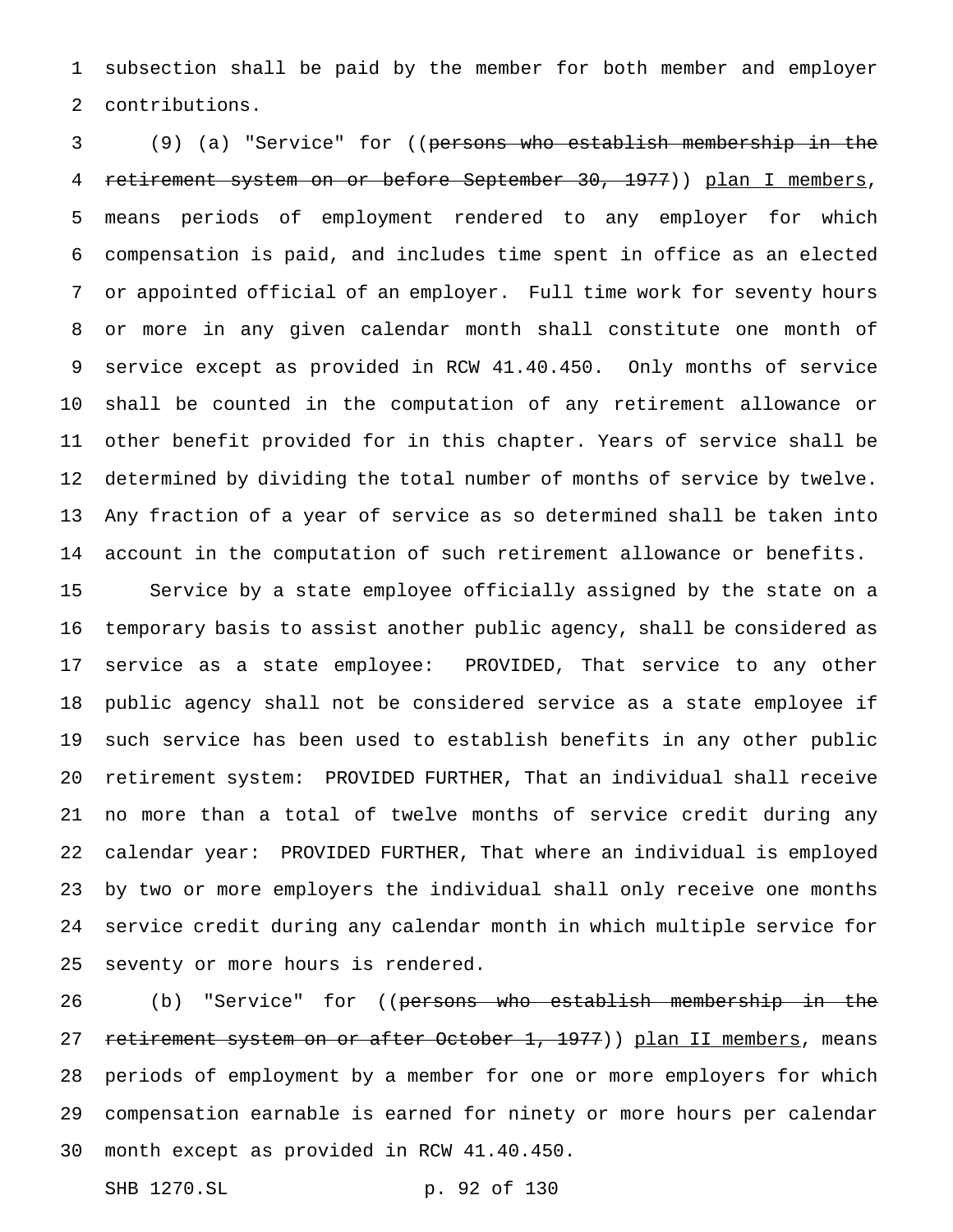subsection shall be paid by the member for both member and employer contributions.

 (9) (a) "Service" for ((persons who establish membership in the retirement system on or before September 30, 1977)) plan I members, means periods of employment rendered to any employer for which compensation is paid, and includes time spent in office as an elected or appointed official of an employer. Full time work for seventy hours or more in any given calendar month shall constitute one month of service except as provided in RCW 41.40.450. Only months of service shall be counted in the computation of any retirement allowance or other benefit provided for in this chapter. Years of service shall be determined by dividing the total number of months of service by twelve. Any fraction of a year of service as so determined shall be taken into account in the computation of such retirement allowance or benefits.

 Service by a state employee officially assigned by the state on a temporary basis to assist another public agency, shall be considered as service as a state employee: PROVIDED, That service to any other public agency shall not be considered service as a state employee if such service has been used to establish benefits in any other public retirement system: PROVIDED FURTHER, That an individual shall receive no more than a total of twelve months of service credit during any calendar year: PROVIDED FURTHER, That where an individual is employed by two or more employers the individual shall only receive one months service credit during any calendar month in which multiple service for seventy or more hours is rendered.

26 (b) "Service" for ((<del>persons who establish membership in the</del> 27 retirement system on or after October 1, 1977)) plan II members, means periods of employment by a member for one or more employers for which compensation earnable is earned for ninety or more hours per calendar month except as provided in RCW 41.40.450.

SHB 1270.SL p. 92 of 130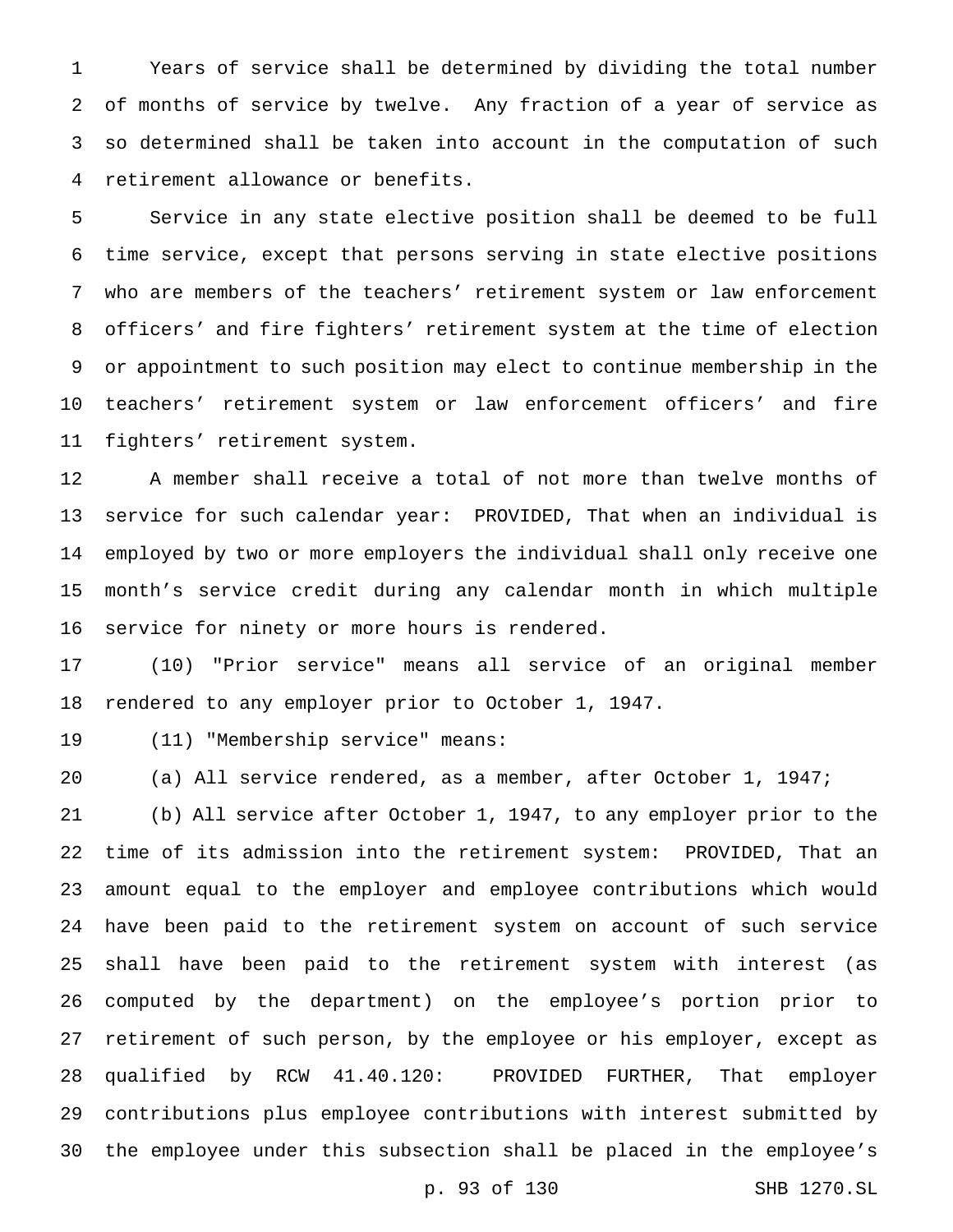Years of service shall be determined by dividing the total number of months of service by twelve. Any fraction of a year of service as so determined shall be taken into account in the computation of such retirement allowance or benefits.

 Service in any state elective position shall be deemed to be full time service, except that persons serving in state elective positions who are members of the teachers' retirement system or law enforcement officers' and fire fighters' retirement system at the time of election or appointment to such position may elect to continue membership in the teachers' retirement system or law enforcement officers' and fire fighters' retirement system.

 A member shall receive a total of not more than twelve months of service for such calendar year: PROVIDED, That when an individual is employed by two or more employers the individual shall only receive one month's service credit during any calendar month in which multiple service for ninety or more hours is rendered.

 (10) "Prior service" means all service of an original member rendered to any employer prior to October 1, 1947.

(11) "Membership service" means:

(a) All service rendered, as a member, after October 1, 1947;

 (b) All service after October 1, 1947, to any employer prior to the time of its admission into the retirement system: PROVIDED, That an amount equal to the employer and employee contributions which would have been paid to the retirement system on account of such service shall have been paid to the retirement system with interest (as computed by the department) on the employee's portion prior to retirement of such person, by the employee or his employer, except as qualified by RCW 41.40.120: PROVIDED FURTHER, That employer contributions plus employee contributions with interest submitted by the employee under this subsection shall be placed in the employee's

p. 93 of 130 SHB 1270.SL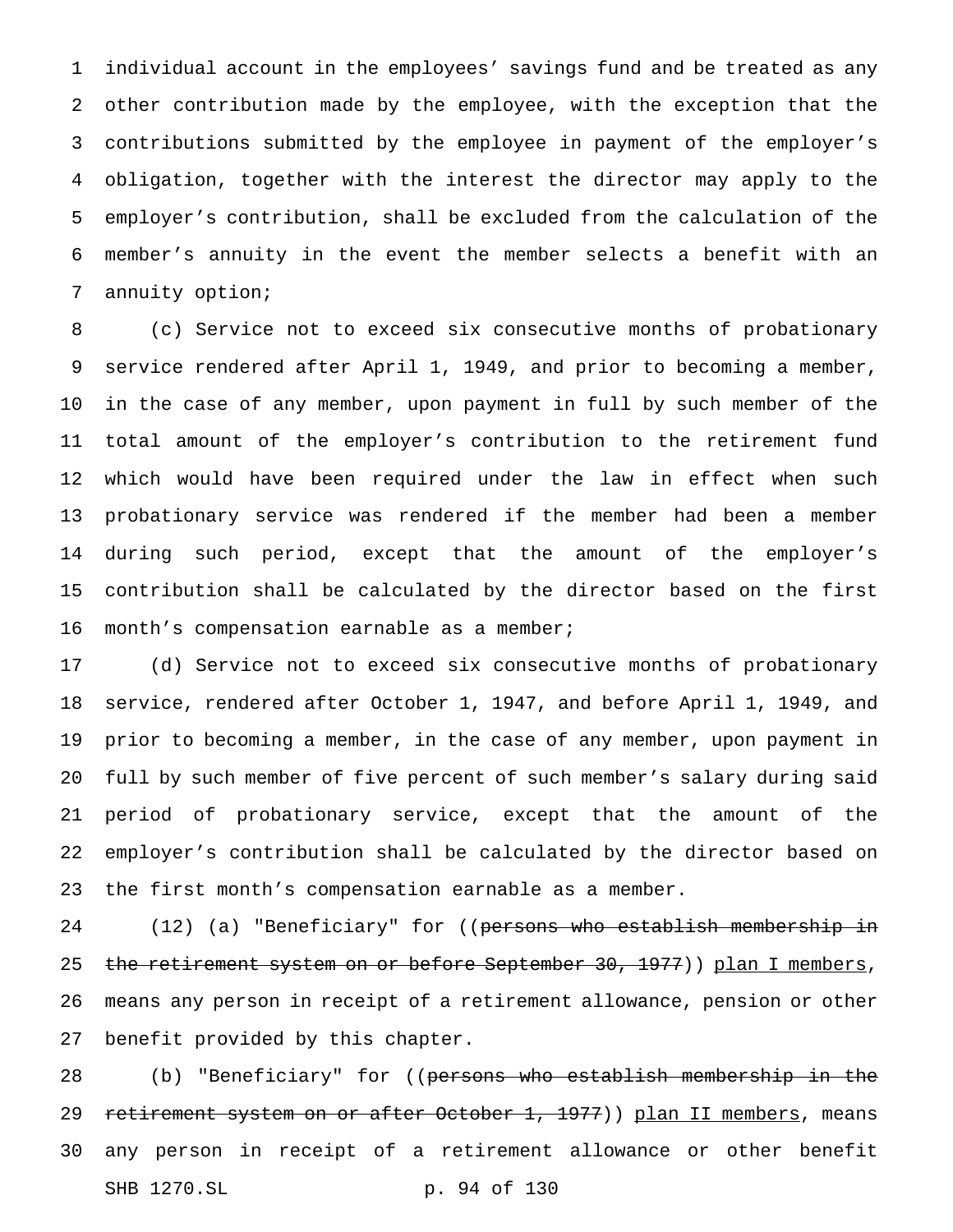individual account in the employees' savings fund and be treated as any other contribution made by the employee, with the exception that the contributions submitted by the employee in payment of the employer's obligation, together with the interest the director may apply to the employer's contribution, shall be excluded from the calculation of the member's annuity in the event the member selects a benefit with an annuity option;

 (c) Service not to exceed six consecutive months of probationary service rendered after April 1, 1949, and prior to becoming a member, in the case of any member, upon payment in full by such member of the total amount of the employer's contribution to the retirement fund which would have been required under the law in effect when such probationary service was rendered if the member had been a member during such period, except that the amount of the employer's contribution shall be calculated by the director based on the first 16 month's compensation earnable as a member;

 (d) Service not to exceed six consecutive months of probationary service, rendered after October 1, 1947, and before April 1, 1949, and prior to becoming a member, in the case of any member, upon payment in full by such member of five percent of such member's salary during said period of probationary service, except that the amount of the employer's contribution shall be calculated by the director based on the first month's compensation earnable as a member.

24 (12) (a) "Beneficiary" for ((persons who establish membership in 25 the retirement system on or before September 30, 1977)) plan I members, means any person in receipt of a retirement allowance, pension or other benefit provided by this chapter.

28 (b) "Beneficiary" for ((persons who establish membership in the 29 retirement system on or after October 1, 1977)) plan II members, means any person in receipt of a retirement allowance or other benefit SHB 1270.SL p. 94 of 130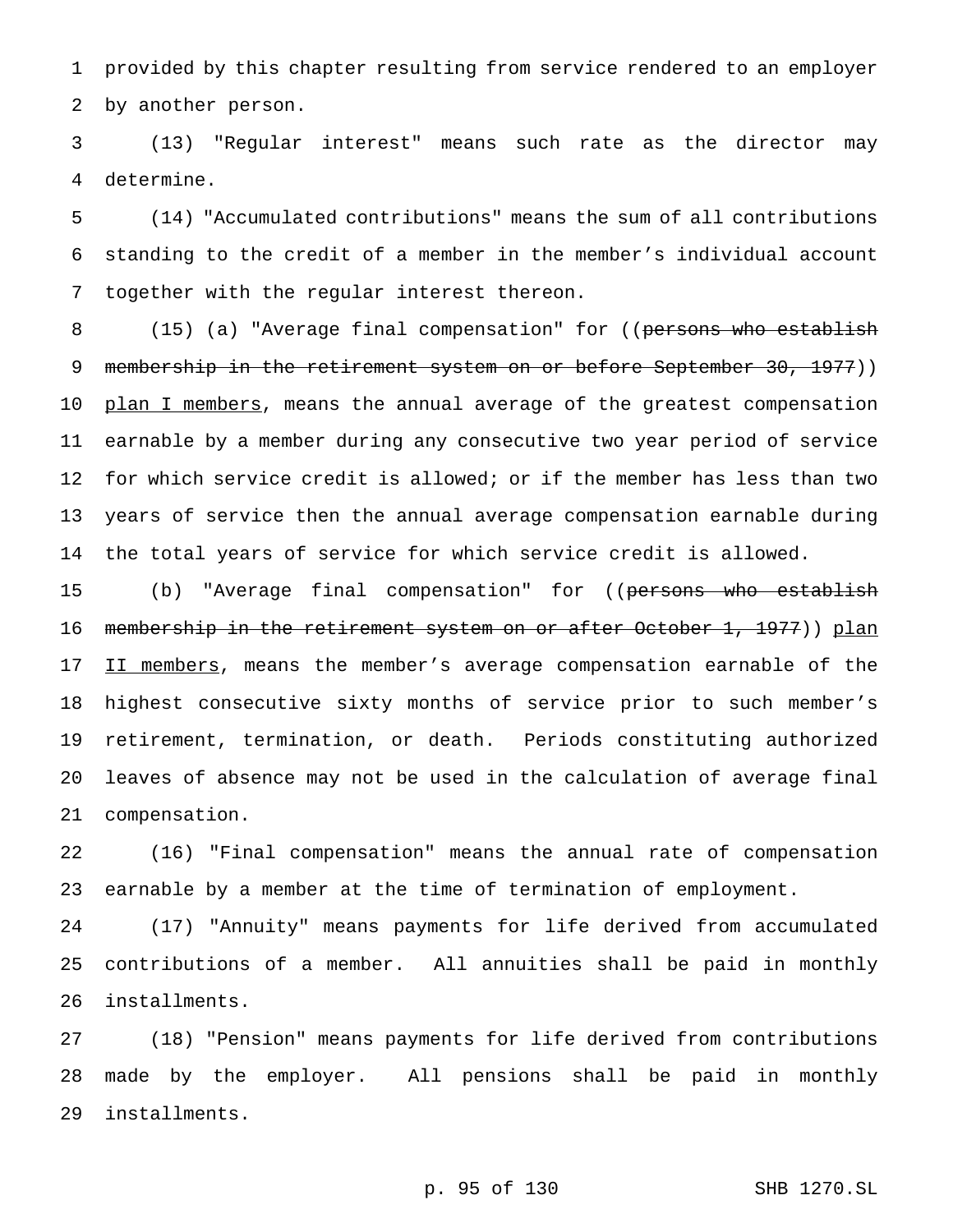provided by this chapter resulting from service rendered to an employer by another person.

 (13) "Regular interest" means such rate as the director may determine.

 (14) "Accumulated contributions" means the sum of all contributions standing to the credit of a member in the member's individual account together with the regular interest thereon.

8 (15) (a) "Average final compensation" for ((persons who establish 9 membership in the retirement system on or before September 30, 1977)) 10 plan I members, means the annual average of the greatest compensation earnable by a member during any consecutive two year period of service for which service credit is allowed; or if the member has less than two years of service then the annual average compensation earnable during the total years of service for which service credit is allowed.

15 (b) "Average final compensation" for ((persons who establish 16 membership in the retirement system on or after October 1, 1977)) plan 17 II members, means the member's average compensation earnable of the highest consecutive sixty months of service prior to such member's retirement, termination, or death. Periods constituting authorized leaves of absence may not be used in the calculation of average final compensation.

 (16) "Final compensation" means the annual rate of compensation earnable by a member at the time of termination of employment.

 (17) "Annuity" means payments for life derived from accumulated contributions of a member. All annuities shall be paid in monthly installments.

 (18) "Pension" means payments for life derived from contributions made by the employer. All pensions shall be paid in monthly installments.

p. 95 of 130 SHB 1270.SL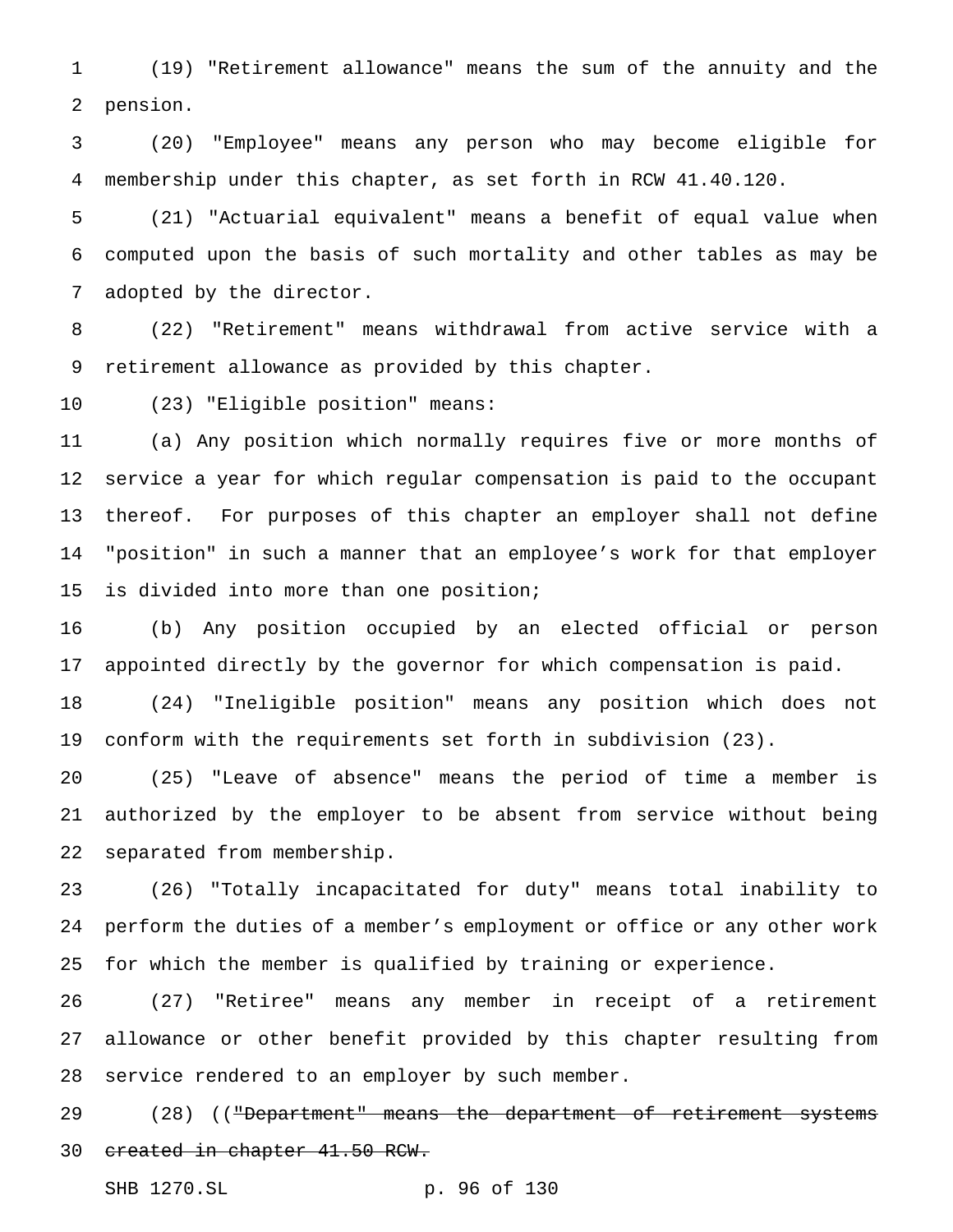(19) "Retirement allowance" means the sum of the annuity and the pension.

 (20) "Employee" means any person who may become eligible for membership under this chapter, as set forth in RCW 41.40.120.

 (21) "Actuarial equivalent" means a benefit of equal value when computed upon the basis of such mortality and other tables as may be adopted by the director.

 (22) "Retirement" means withdrawal from active service with a retirement allowance as provided by this chapter.

(23) "Eligible position" means:

 (a) Any position which normally requires five or more months of service a year for which regular compensation is paid to the occupant thereof. For purposes of this chapter an employer shall not define "position" in such a manner that an employee's work for that employer 15 is divided into more than one position;

 (b) Any position occupied by an elected official or person appointed directly by the governor for which compensation is paid.

 (24) "Ineligible position" means any position which does not conform with the requirements set forth in subdivision (23).

 (25) "Leave of absence" means the period of time a member is authorized by the employer to be absent from service without being separated from membership.

 (26) "Totally incapacitated for duty" means total inability to perform the duties of a member's employment or office or any other work for which the member is qualified by training or experience.

 (27) "Retiree" means any member in receipt of a retirement allowance or other benefit provided by this chapter resulting from service rendered to an employer by such member.

29 (28) (("Department" means the department of retirement systems created in chapter 41.50 RCW.

SHB 1270.SL p. 96 of 130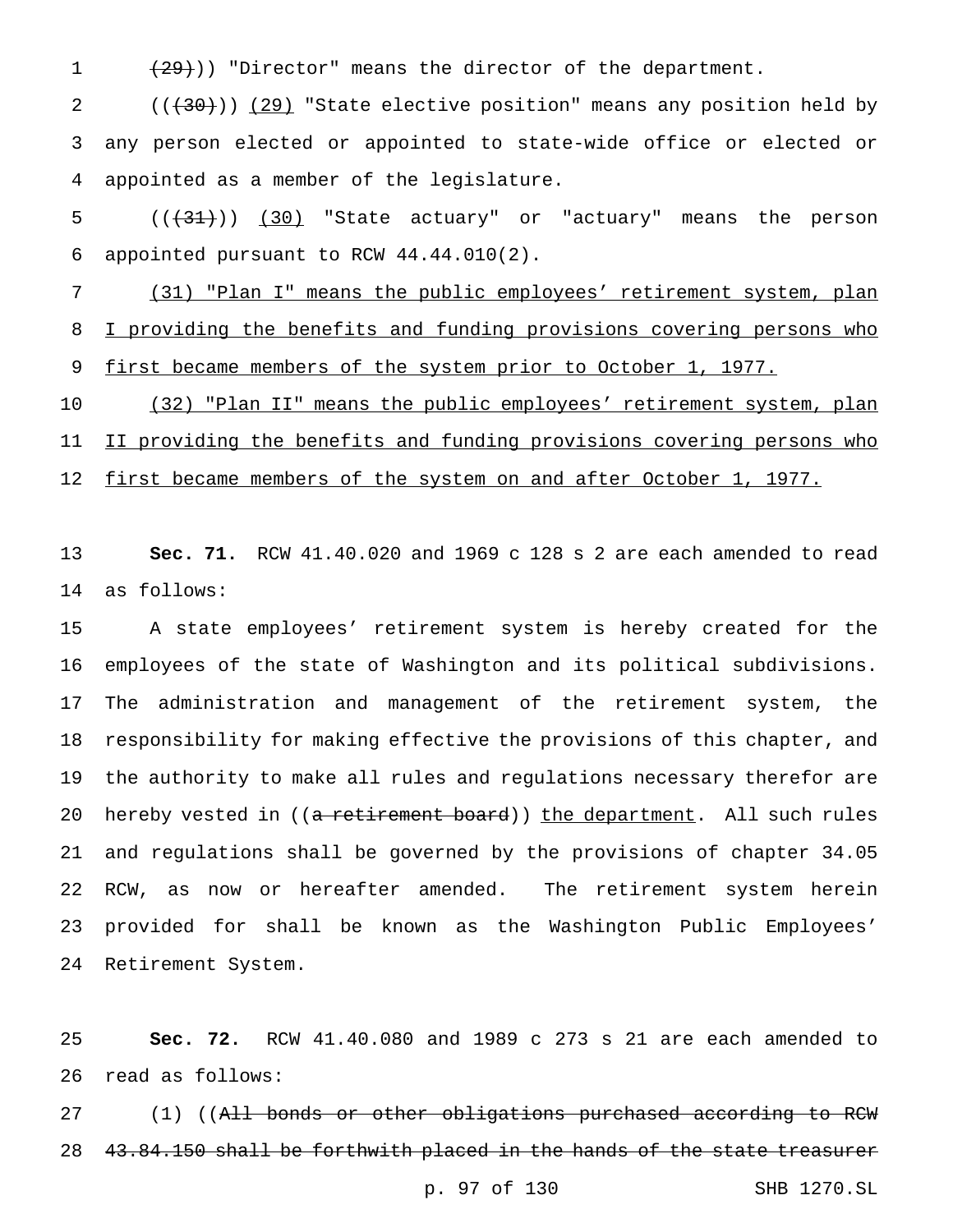1  $(29)$ )) "Director" means the director of the department.

2 (( $(30)$ )) (29) "State elective position" means any position held by any person elected or appointed to state-wide office or elected or appointed as a member of the legislature.

5 (( $\left(\frac{31}{31}\right)$ ) (30) "State actuary" or "actuary" means the person appointed pursuant to RCW 44.44.010(2).

 (31) "Plan I" means the public employees' retirement system, plan 8 I providing the benefits and funding provisions covering persons who 9 first became members of the system prior to October 1, 1977.

 (32) "Plan II" means the public employees' retirement system, plan 11 II providing the benefits and funding provisions covering persons who 12 first became members of the system on and after October 1, 1977.

 **Sec. 71.** RCW 41.40.020 and 1969 c 128 s 2 are each amended to read as follows:

 A state employees' retirement system is hereby created for the employees of the state of Washington and its political subdivisions. The administration and management of the retirement system, the responsibility for making effective the provisions of this chapter, and the authority to make all rules and regulations necessary therefor are 20 hereby vested in ((a retirement board)) the department. All such rules and regulations shall be governed by the provisions of chapter 34.05 RCW, as now or hereafter amended. The retirement system herein provided for shall be known as the Washington Public Employees' Retirement System.

 **Sec. 72.** RCW 41.40.080 and 1989 c 273 s 21 are each amended to read as follows:

27 (1) ((All bonds or other obligations purchased according to RCW 43.84.150 shall be forthwith placed in the hands of the state treasurer

p. 97 of 130 SHB 1270.SL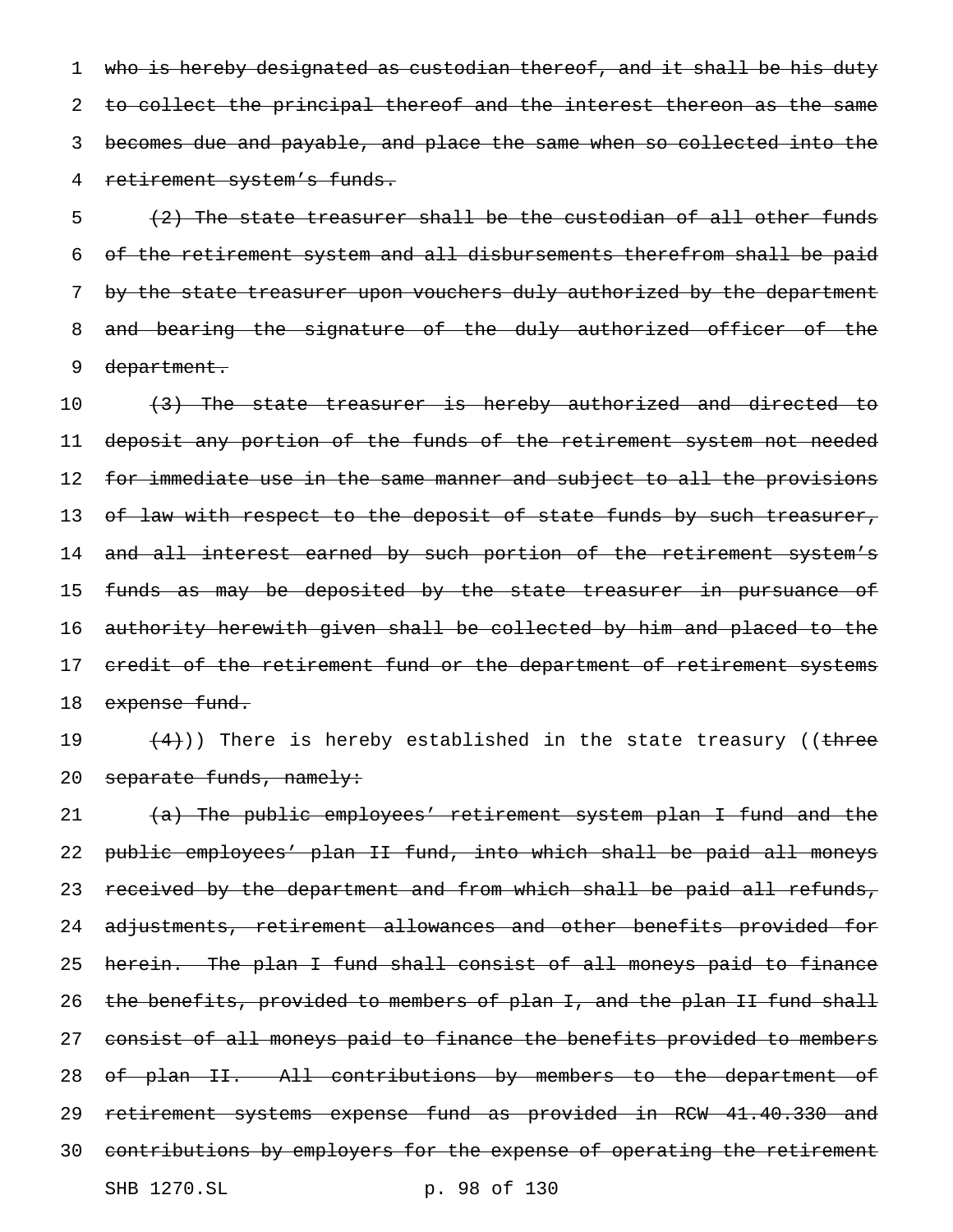1 who is hereby designated as custodian thereof, and it shall be his duty 2 to collect the principal thereof and the interest thereon as the same 3 becomes due and payable, and place the same when so collected into the 4 retirement system's funds.

 $\{2\}$  The state treasurer shall be the custodian of all other funds 6 of the retirement system and all disbursements therefrom shall be paid 7 by the state treasurer upon vouchers duly authorized by the department 8 and bearing the signature of the duly authorized officer of the 9 department.

10 (3) The state treasurer is hereby authorized and directed to 11 deposit any portion of the funds of the retirement system not needed 12 f<del>or immediate use in the same manner and subject to all the provisions</del> 13 of law with respect to the deposit of state funds by such treasurer, 14 and all interest earned by such portion of the retirement system's 15 funds as may be deposited by the state treasurer in pursuance of 16 authority herewith given shall be collected by him and placed to the 17 credit of the retirement fund or the department of retirement systems 18 expense fund.

19  $(4)$ )) There is hereby established in the state treasury ((three 20 separate funds, namely:

21 (a) The public employees' retirement system plan I fund and the 22 public employees' plan II fund, into which shall be paid all moneys 23 received by the department and from which shall be paid all refunds, 24 adjustments, retirement allowances and other benefits provided for 25 herein. The plan I fund shall consist of all moneys paid to finance 26 the benefits, provided to members of plan I, and the plan II fund shall 27 consist of all moneys paid to finance the benefits provided to members 28 of plan II. All contributions by members to the department of 29 retirement systems expense fund as provided in RCW 41.40.330 and 30 contributions by employers for the expense of operating the retirement SHB 1270.SL p. 98 of 130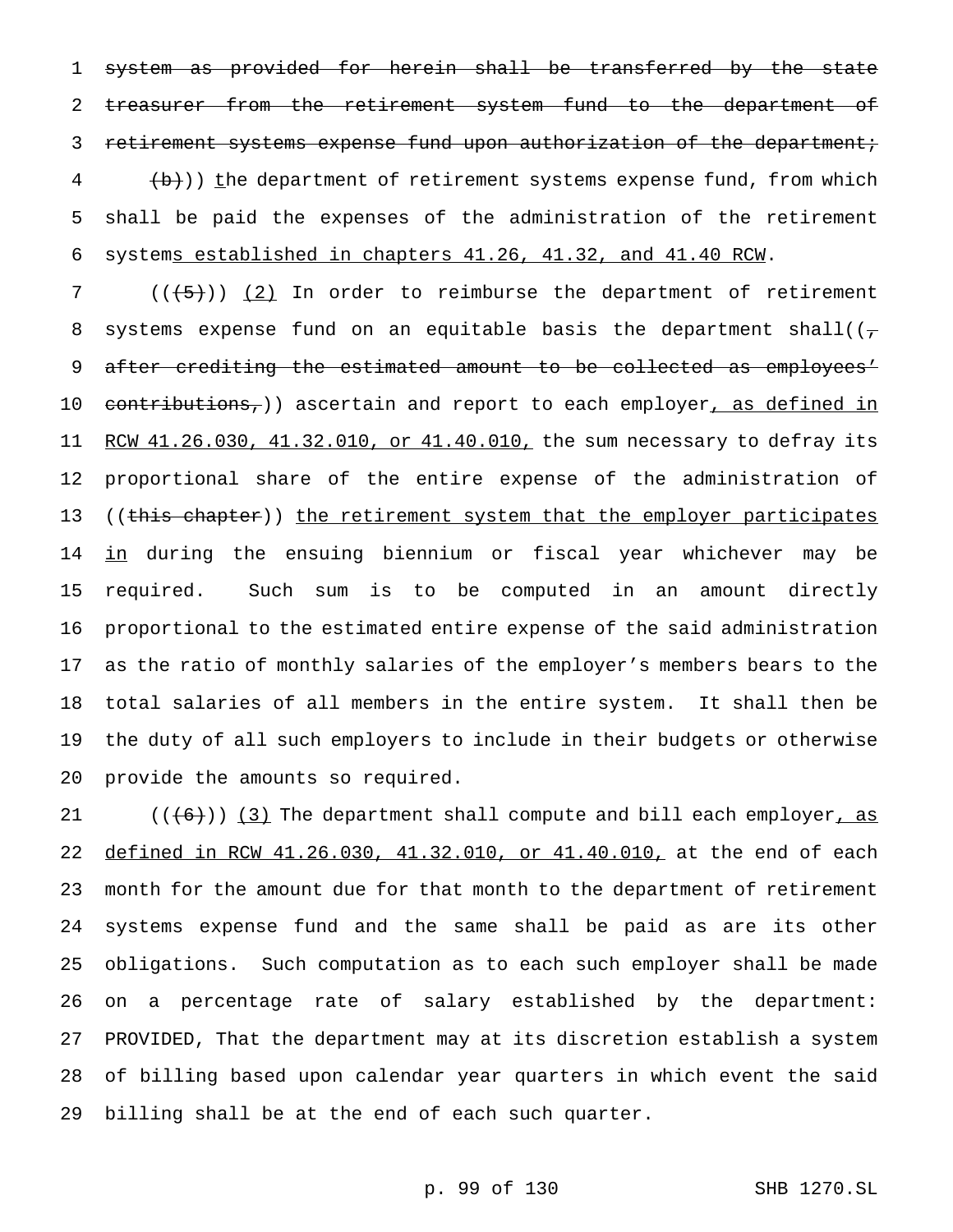system as provided for herein shall be transferred by the state 2 treasurer from the retirement system fund to the department of 3 retirement systems expense fund upon authorization of the department;  $\left\{\frac{1}{b}\right\}$ ) the department of retirement systems expense fund, from which shall be paid the expenses of the administration of the retirement systems established in chapters 41.26, 41.32, and 41.40 RCW.

7 ( $(\overline{\smash{+5}})$ ) (2) In order to reimburse the department of retirement 8 systems expense fund on an equitable basis the department shall( $(\tau)$ 9 after crediting the estimated amount to be collected as employees' 10 contributions,)) ascertain and report to each employer, as defined in 11 RCW 41.26.030, 41.32.010, or 41.40.010, the sum necessary to defray its proportional share of the entire expense of the administration of 13 ((this chapter)) the retirement system that the employer participates in during the ensuing biennium or fiscal year whichever may be required. Such sum is to be computed in an amount directly proportional to the estimated entire expense of the said administration as the ratio of monthly salaries of the employer's members bears to the total salaries of all members in the entire system. It shall then be the duty of all such employers to include in their budgets or otherwise provide the amounts so required.

 $((+6))$  (3) The department shall compute and bill each employer, as defined in RCW 41.26.030, 41.32.010, or 41.40.010, at the end of each month for the amount due for that month to the department of retirement systems expense fund and the same shall be paid as are its other obligations. Such computation as to each such employer shall be made on a percentage rate of salary established by the department: PROVIDED, That the department may at its discretion establish a system of billing based upon calendar year quarters in which event the said billing shall be at the end of each such quarter.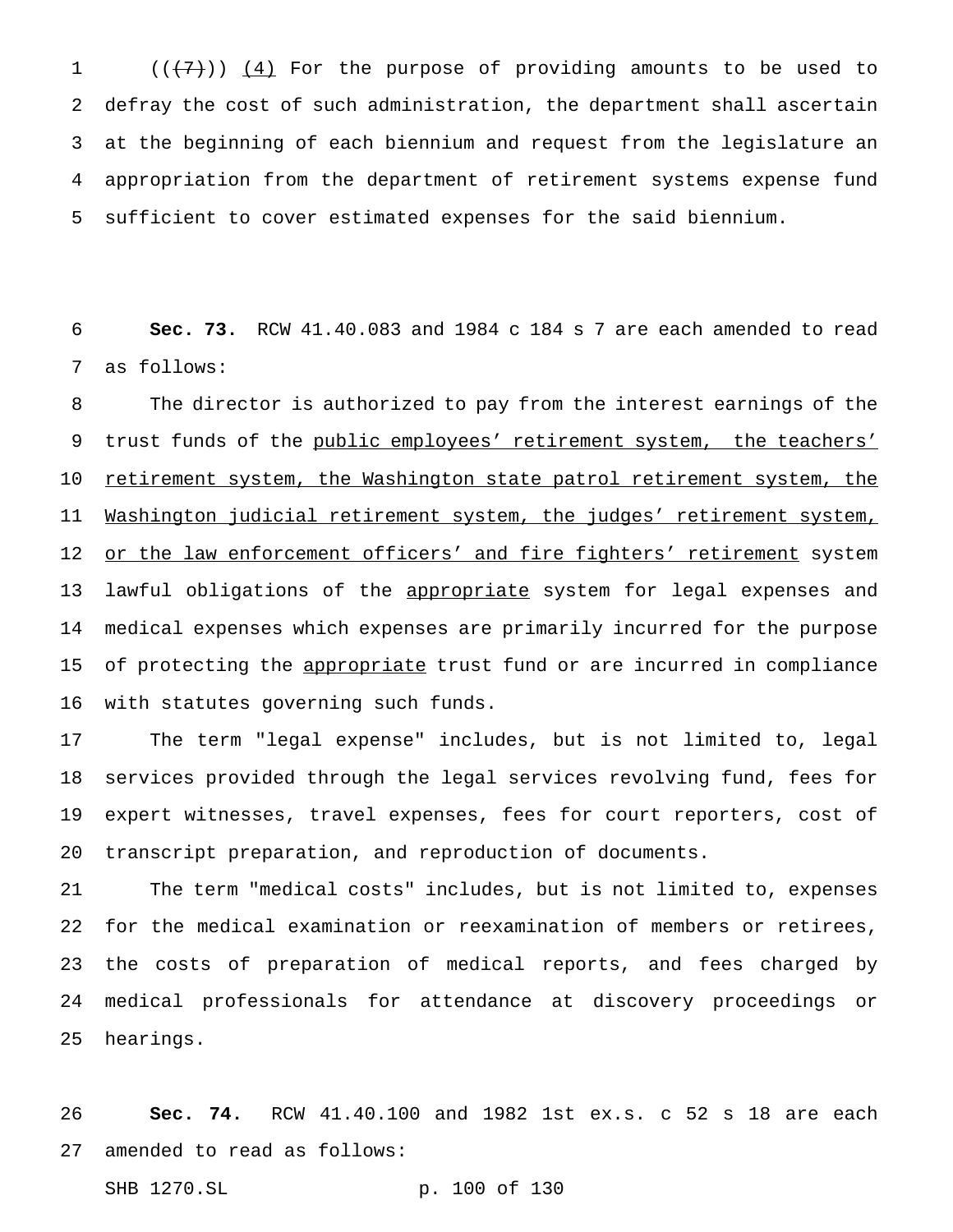$((+7))$   $(4)$  For the purpose of providing amounts to be used to defray the cost of such administration, the department shall ascertain at the beginning of each biennium and request from the legislature an appropriation from the department of retirement systems expense fund sufficient to cover estimated expenses for the said biennium.

 **Sec. 73.** RCW 41.40.083 and 1984 c 184 s 7 are each amended to read as follows:

 The director is authorized to pay from the interest earnings of the 9 trust funds of the public employees' retirement system, the teachers' 10 retirement system, the Washington state patrol retirement system, the Washington judicial retirement system, the judges' retirement system, 12 or the law enforcement officers' and fire fighters' retirement system 13 lawful obligations of the appropriate system for legal expenses and medical expenses which expenses are primarily incurred for the purpose 15 of protecting the appropriate trust fund or are incurred in compliance with statutes governing such funds.

 The term "legal expense" includes, but is not limited to, legal services provided through the legal services revolving fund, fees for expert witnesses, travel expenses, fees for court reporters, cost of transcript preparation, and reproduction of documents.

 The term "medical costs" includes, but is not limited to, expenses for the medical examination or reexamination of members or retirees, the costs of preparation of medical reports, and fees charged by medical professionals for attendance at discovery proceedings or hearings.

 **Sec. 74.** RCW 41.40.100 and 1982 1st ex.s. c 52 s 18 are each amended to read as follows:

SHB 1270.SL p. 100 of 130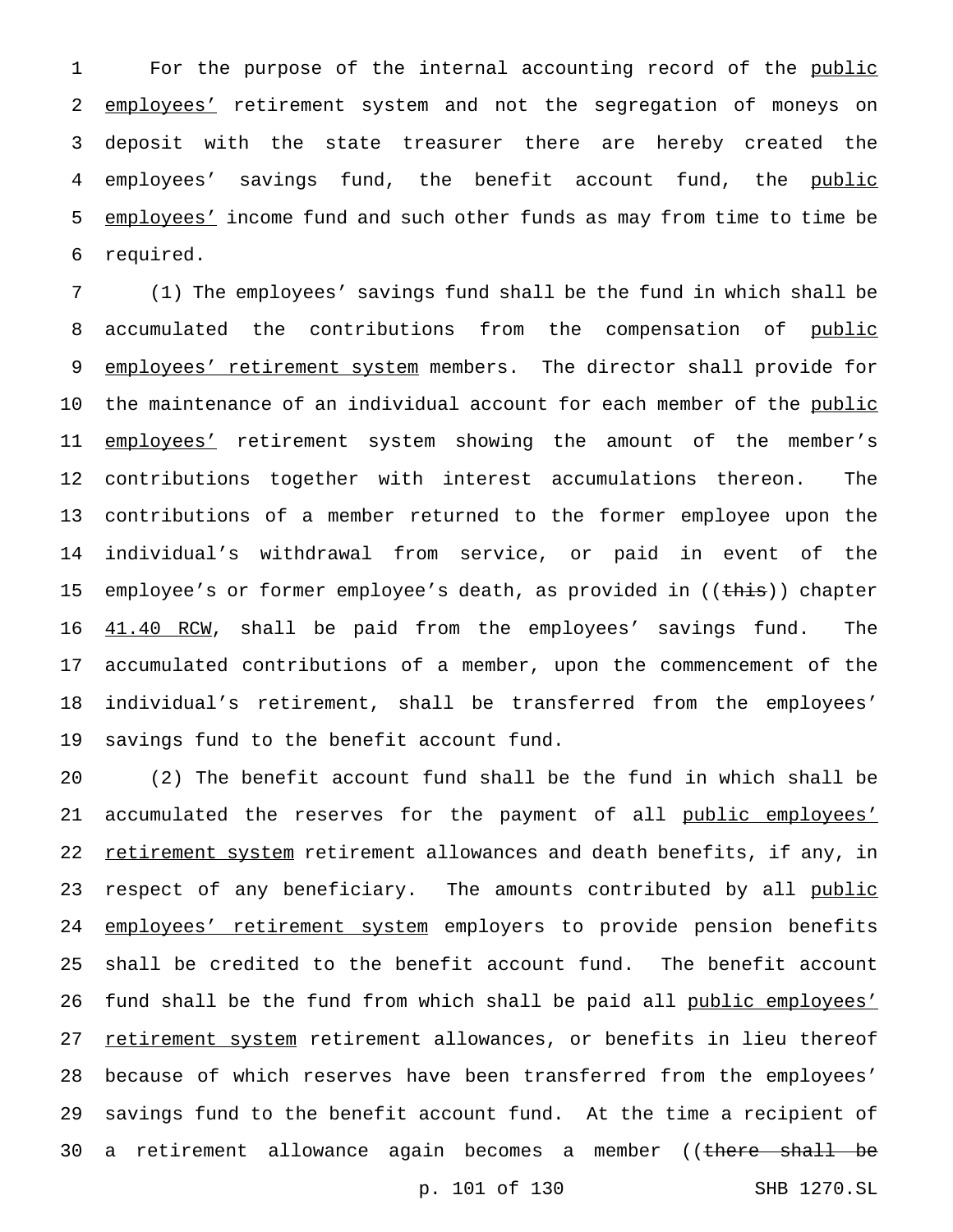1 For the purpose of the internal accounting record of the public 2 employees' retirement system and not the segregation of moneys on 3 deposit with the state treasurer there are hereby created the 4 employees' savings fund, the benefit account fund, the public 5 employees' income fund and such other funds as may from time to time be 6 required.

 (1) The employees' savings fund shall be the fund in which shall be 8 accumulated the contributions from the compensation of public 9 employees' retirement system members. The director shall provide for 10 the maintenance of an individual account for each member of the public 11 employees' retirement system showing the amount of the member's contributions together with interest accumulations thereon. The contributions of a member returned to the former employee upon the individual's withdrawal from service, or paid in event of the 15 employee's or former employee's death, as provided in ((this)) chapter  $41.40$  RCW, shall be paid from the employees' savings fund. The accumulated contributions of a member, upon the commencement of the individual's retirement, shall be transferred from the employees' savings fund to the benefit account fund.

20 (2) The benefit account fund shall be the fund in which shall be 21 accumulated the reserves for the payment of all public employees' 22 retirement system retirement allowances and death benefits, if any, in 23 respect of any beneficiary. The amounts contributed by all public 24 employees' retirement system employers to provide pension benefits 25 shall be credited to the benefit account fund. The benefit account 26 fund shall be the fund from which shall be paid all public employees' 27 retirement system retirement allowances, or benefits in lieu thereof 28 because of which reserves have been transferred from the employees' 29 savings fund to the benefit account fund. At the time a recipient of 30 a retirement allowance again becomes a member ((there shall be

p. 101 of 130 SHB 1270.SL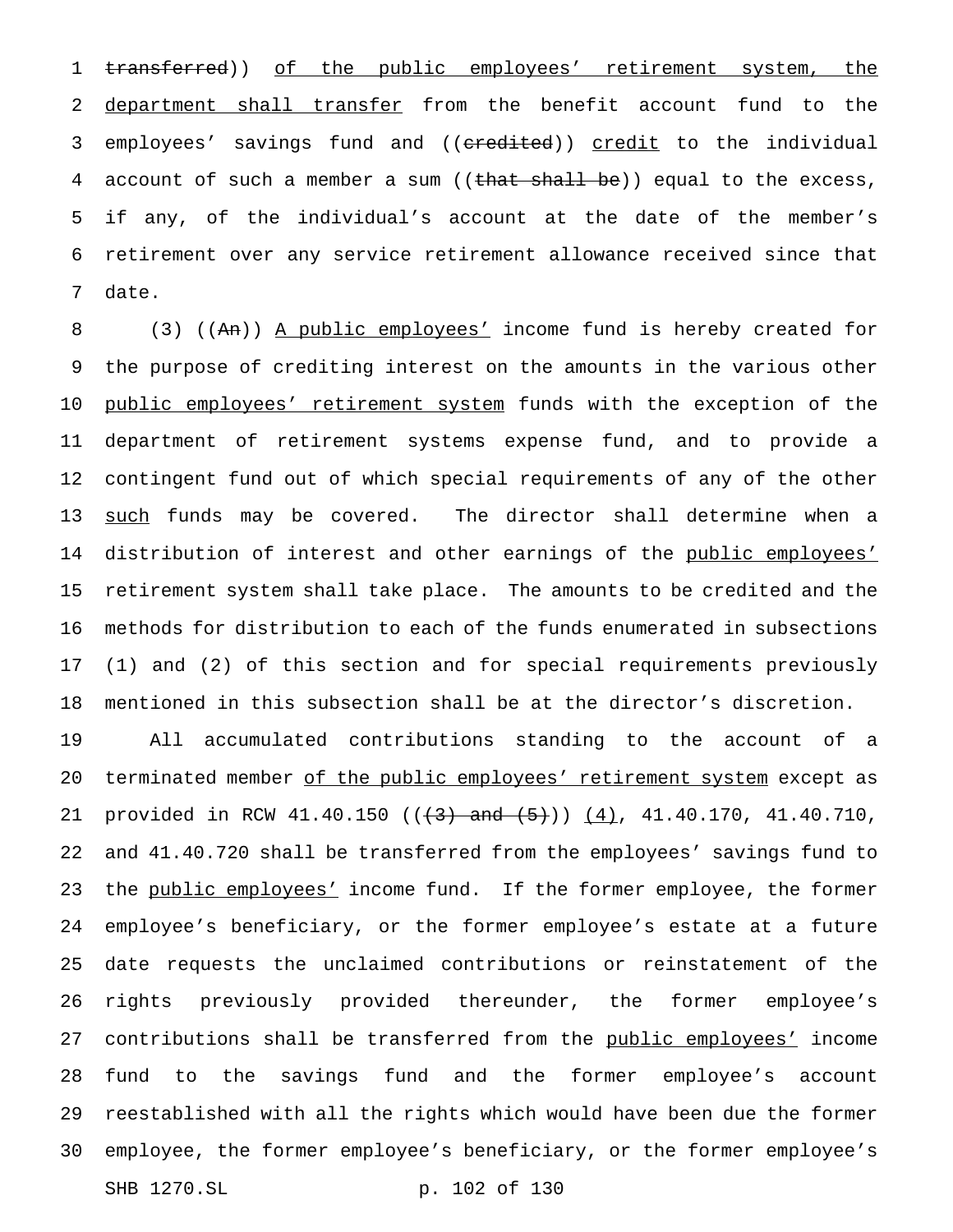1 transferred)) of the public employees' retirement system, the department shall transfer from the benefit account fund to the 3 employees' savings fund and ((credited)) credit to the individual 4 account of such a member a sum ( $(\text{that shall be})$ ) equal to the excess, if any, of the individual's account at the date of the member's retirement over any service retirement allowance received since that date.

 (3) ((An)) A public employees' income fund is hereby created for the purpose of crediting interest on the amounts in the various other 10 public employees' retirement system funds with the exception of the department of retirement systems expense fund, and to provide a contingent fund out of which special requirements of any of the other 13 <u>such</u> funds may be covered. The director shall determine when a 14 distribution of interest and other earnings of the public employees' retirement system shall take place. The amounts to be credited and the methods for distribution to each of the funds enumerated in subsections (1) and (2) of this section and for special requirements previously mentioned in this subsection shall be at the director's discretion.

 All accumulated contributions standing to the account of a 20 terminated member of the public employees' retirement system except as 21 provided in RCW 41.40.150 ( $(\frac{3}{10})$  and  $(\frac{5}{10})$   $(\frac{4}{10})$ , 41.40.170, 41.40.710, and 41.40.720 shall be transferred from the employees' savings fund to 23 the public employees' income fund. If the former employee, the former employee's beneficiary, or the former employee's estate at a future date requests the unclaimed contributions or reinstatement of the rights previously provided thereunder, the former employee's 27 contributions shall be transferred from the public employees' income fund to the savings fund and the former employee's account reestablished with all the rights which would have been due the former employee, the former employee's beneficiary, or the former employee's SHB 1270.SL p. 102 of 130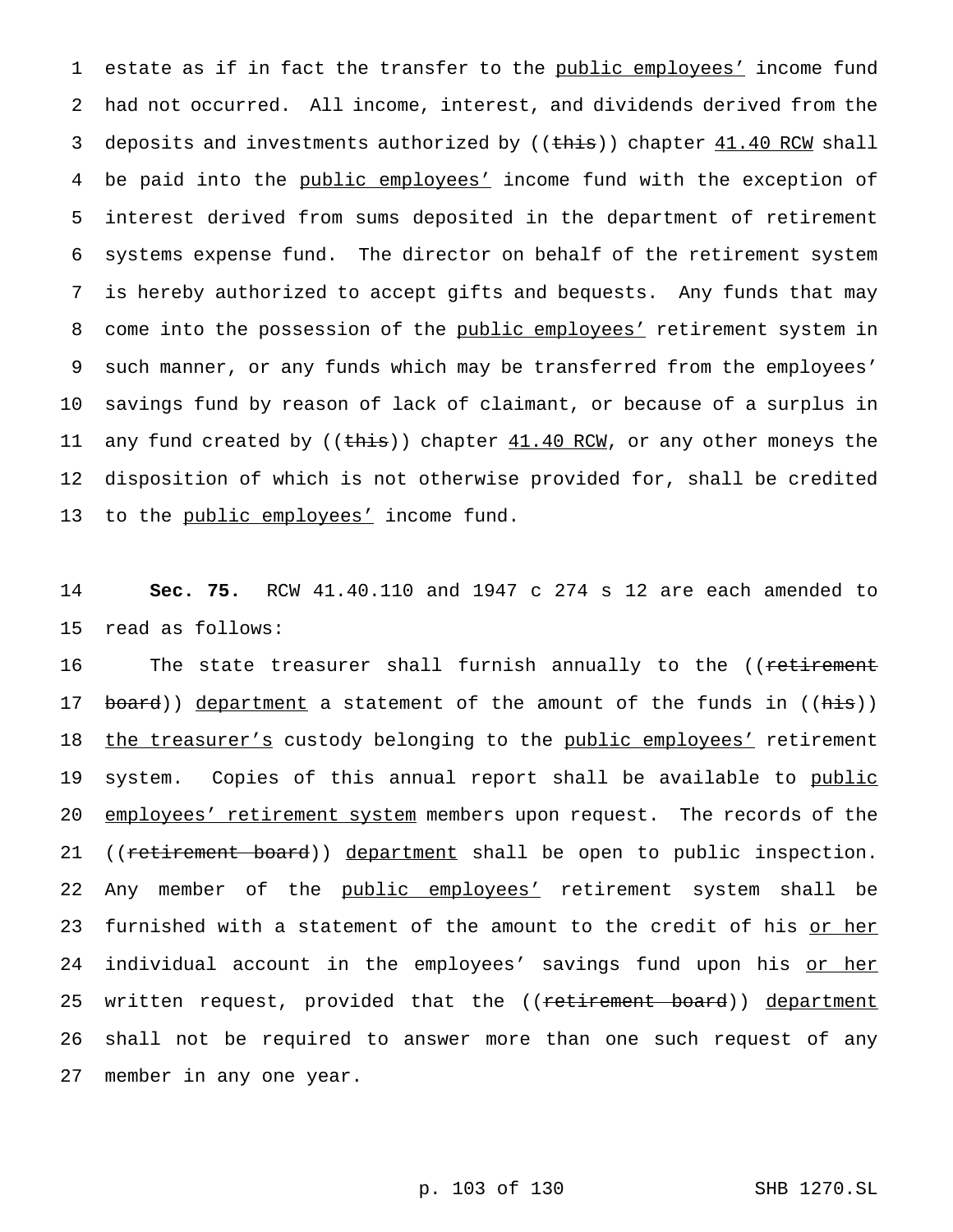1 estate as if in fact the transfer to the public employees' income fund 2 had not occurred. All income, interest, and dividends derived from the 3 deposits and investments authorized by ((this)) chapter 41.40 RCW shall 4 be paid into the public employees' income fund with the exception of 5 interest derived from sums deposited in the department of retirement 6 systems expense fund. The director on behalf of the retirement system 7 is hereby authorized to accept gifts and bequests. Any funds that may 8 come into the possession of the public employees' retirement system in 9 such manner, or any funds which may be transferred from the employees' 10 savings fund by reason of lack of claimant, or because of a surplus in 11 any fund created by ((this)) chapter 41.40 RCW, or any other moneys the 12 disposition of which is not otherwise provided for, shall be credited 13 to the public employees' income fund.

14 **Sec. 75.** RCW 41.40.110 and 1947 c 274 s 12 are each amended to 15 read as follows:

16 The state treasurer shall furnish annually to the ((retirement 17 board)) department a statement of the amount of the funds in ((his)) 18 the treasurer's custody belonging to the public employees' retirement 19 system. Copies of this annual report shall be available to public 20 employees' retirement system members upon request. The records of the 21 ((retirement board)) department shall be open to public inspection. 22 Any member of the public employees' retirement system shall be 23 furnished with a statement of the amount to the credit of his or her 24 individual account in the employees' savings fund upon his <u>or her</u> 25 written request, provided that the ((retirement board)) department 26 shall not be required to answer more than one such request of any 27 member in any one year.

p. 103 of 130 SHB 1270.SL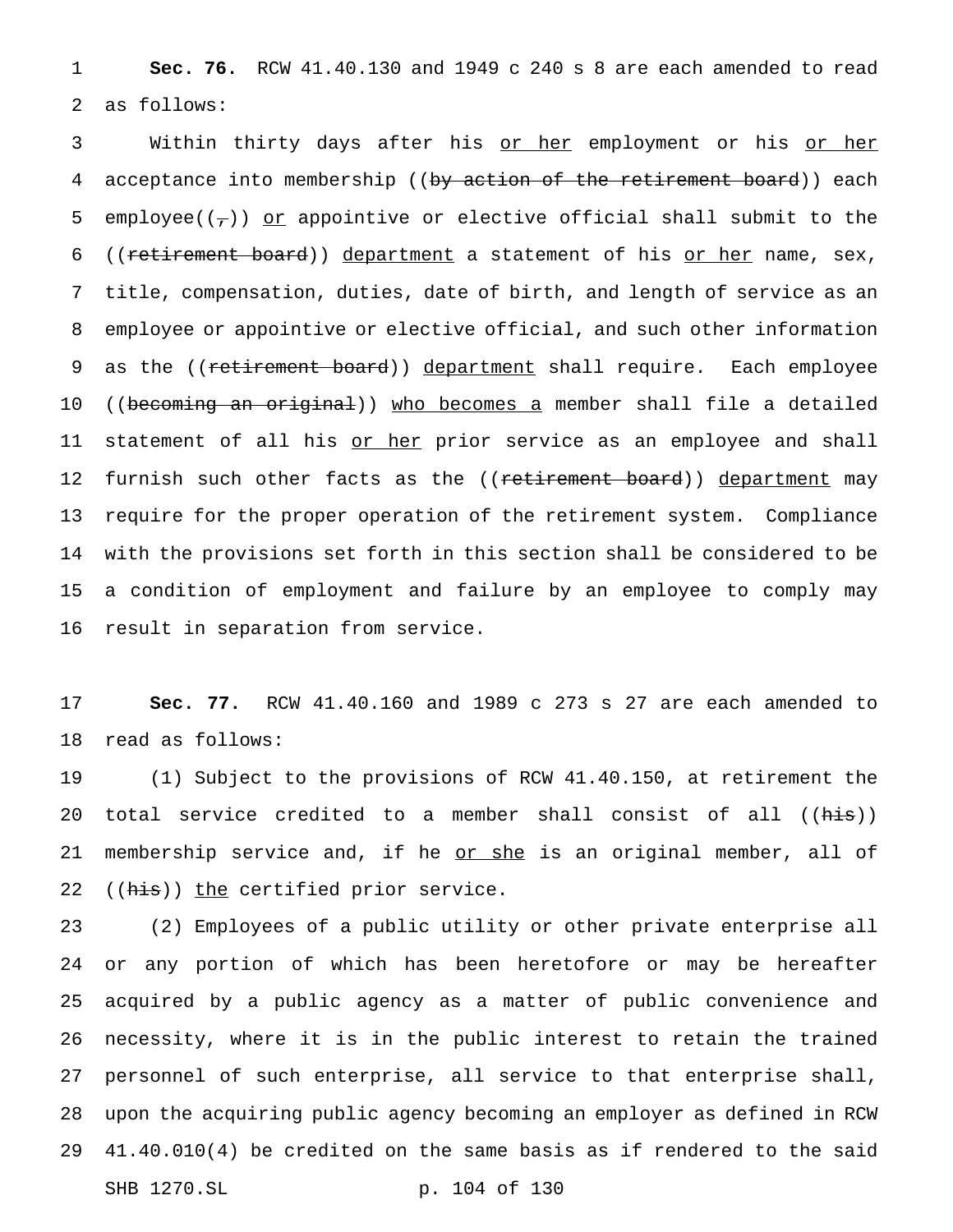1 **Sec. 76.** RCW 41.40.130 and 1949 c 240 s 8 are each amended to read 2 as follows:

3 Within thirty days after his <u>or her</u> employment or his <u>or her</u> 4 acceptance into membership ((by action of the retirement board)) each 5 employee( $(\tau)$ ) or appointive or elective official shall submit to the 6 ((retirement board)) department a statement of his or her name, sex, 7 title, compensation, duties, date of birth, and length of service as an 8 employee or appointive or elective official, and such other information 9 as the ((retirement board)) department shall require. Each employee 10 ((becoming an original)) who becomes a member shall file a detailed 11 statement of all his or her prior service as an employee and shall 12 furnish such other facts as the ((retirement board)) department may 13 require for the proper operation of the retirement system. Compliance 14 with the provisions set forth in this section shall be considered to be 15 a condition of employment and failure by an employee to comply may 16 result in separation from service.

17 **Sec. 77.** RCW 41.40.160 and 1989 c 273 s 27 are each amended to 18 read as follows:

19 (1) Subject to the provisions of RCW 41.40.150, at retirement the 20 total service credited to a member shall consist of all ((his)) 21 membership service and, if he or she is an original member, all of 22 ((his)) the certified prior service.

 (2) Employees of a public utility or other private enterprise all or any portion of which has been heretofore or may be hereafter acquired by a public agency as a matter of public convenience and necessity, where it is in the public interest to retain the trained personnel of such enterprise, all service to that enterprise shall, upon the acquiring public agency becoming an employer as defined in RCW 41.40.010(4) be credited on the same basis as if rendered to the said SHB 1270.SL p. 104 of 130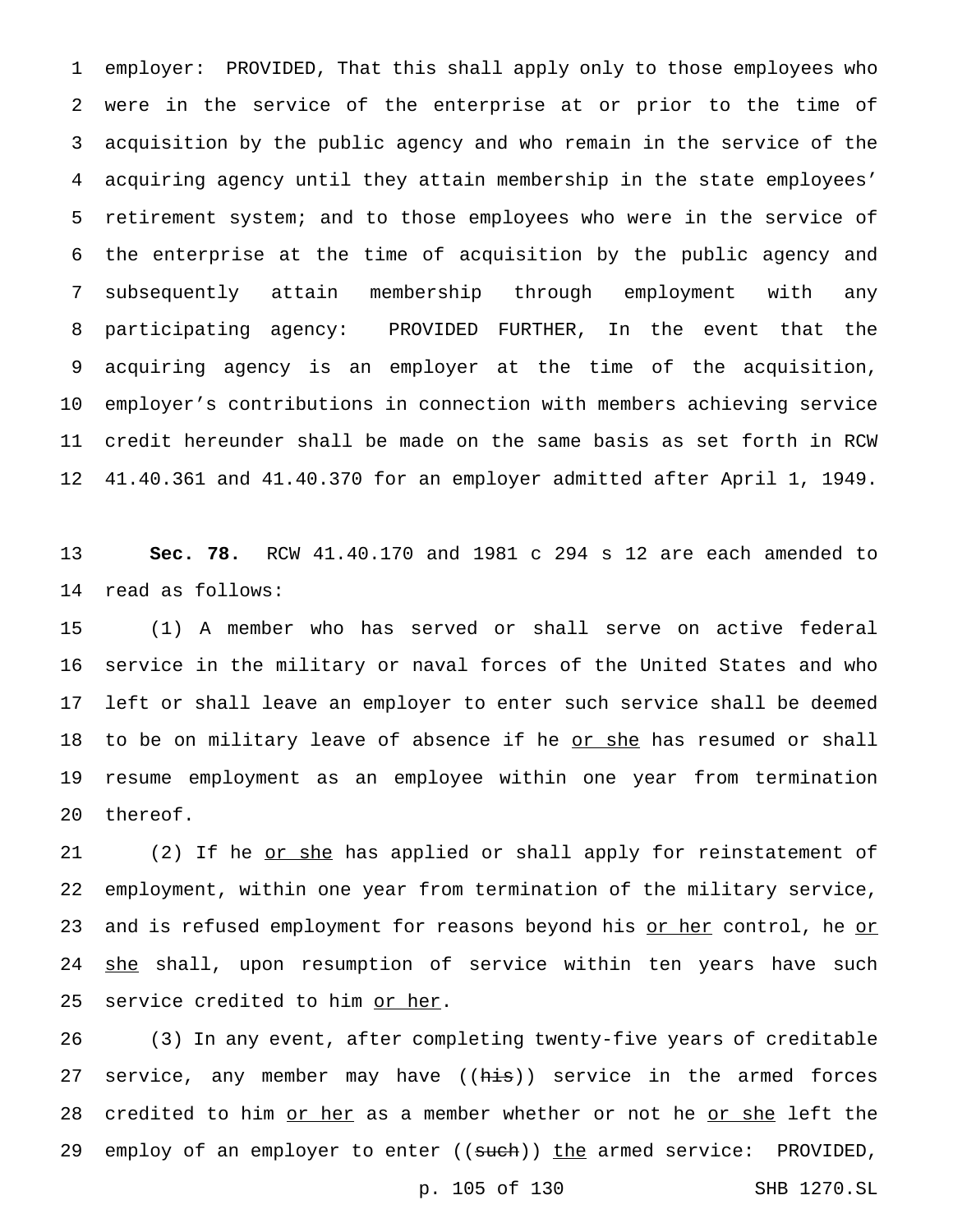employer: PROVIDED, That this shall apply only to those employees who were in the service of the enterprise at or prior to the time of acquisition by the public agency and who remain in the service of the acquiring agency until they attain membership in the state employees' retirement system; and to those employees who were in the service of the enterprise at the time of acquisition by the public agency and subsequently attain membership through employment with any participating agency: PROVIDED FURTHER, In the event that the acquiring agency is an employer at the time of the acquisition, employer's contributions in connection with members achieving service credit hereunder shall be made on the same basis as set forth in RCW 41.40.361 and 41.40.370 for an employer admitted after April 1, 1949.

 **Sec. 78.** RCW 41.40.170 and 1981 c 294 s 12 are each amended to read as follows:

 (1) A member who has served or shall serve on active federal service in the military or naval forces of the United States and who left or shall leave an employer to enter such service shall be deemed 18 to be on military leave of absence if he or she has resumed or shall resume employment as an employee within one year from termination thereof.

21 (2) If he or she has applied or shall apply for reinstatement of employment, within one year from termination of the military service, 23 and is refused employment for reasons beyond his <u>or her</u> control, he <u>or</u> 24 she shall, upon resumption of service within ten years have such 25 service credited to him or her.

 (3) In any event, after completing twenty-five years of creditable 27 service, any member may have ((his)) service in the armed forces 28 credited to him or her as a member whether or not he or she left the 29 employ of an employer to enter ((such)) the armed service: PROVIDED,

p. 105 of 130 SHB 1270.SL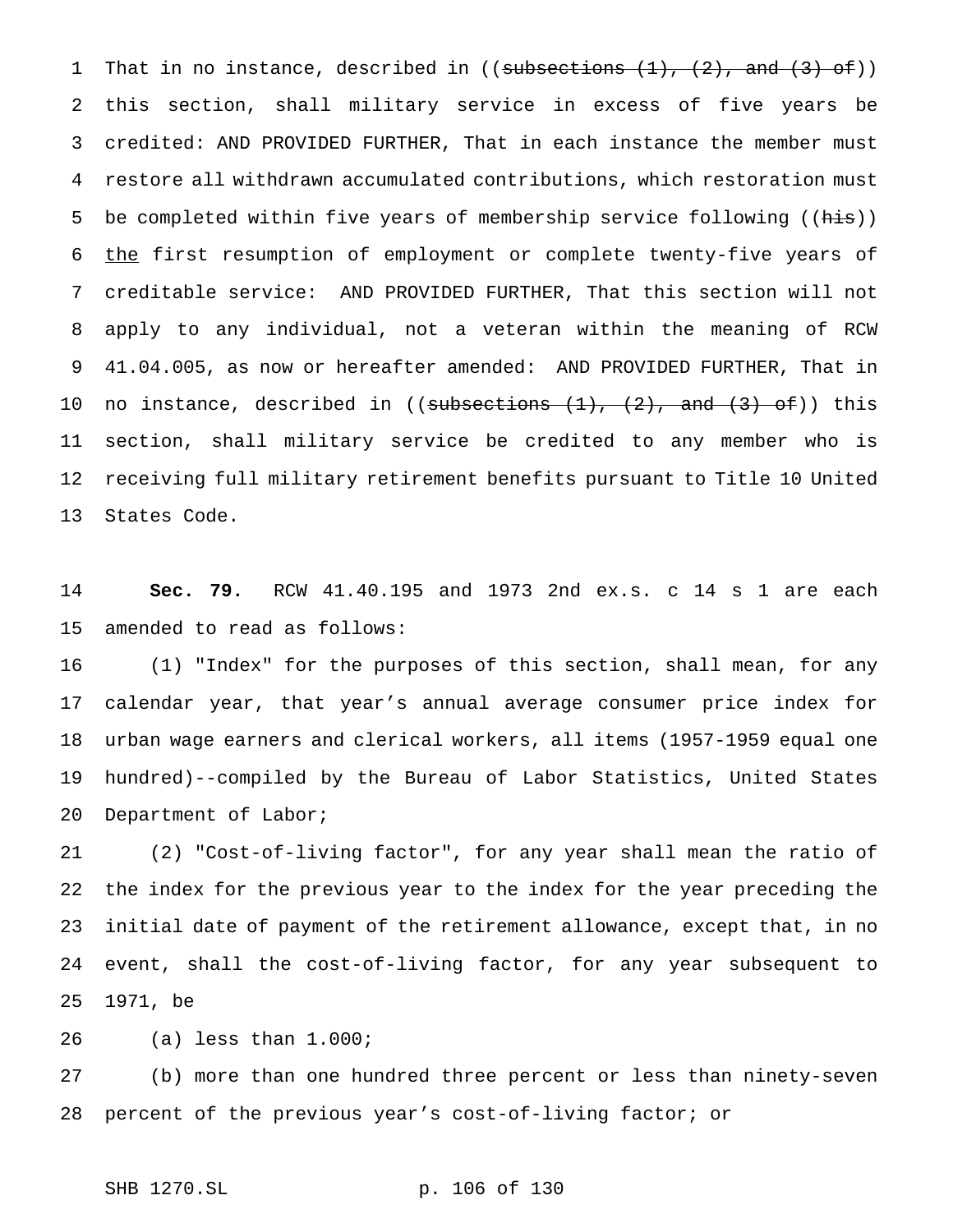1 That in no instance, described in ((subsections  $(1)$ ,  $(2)$ , and  $(3)$  of)) this section, shall military service in excess of five years be credited: AND PROVIDED FURTHER, That in each instance the member must restore all withdrawn accumulated contributions, which restoration must 5 be completed within five years of membership service following ((his)) 6 the first resumption of employment or complete twenty-five years of creditable service: AND PROVIDED FURTHER, That this section will not apply to any individual, not a veteran within the meaning of RCW 41.04.005, as now or hereafter amended: AND PROVIDED FURTHER, That in 10 no instance, described in ((subsections  $(1)$ ,  $(2)$ , and  $(3)$  of)) this section, shall military service be credited to any member who is receiving full military retirement benefits pursuant to Title 10 United States Code.

 **Sec. 79.** RCW 41.40.195 and 1973 2nd ex.s. c 14 s 1 are each amended to read as follows:

 (1) "Index" for the purposes of this section, shall mean, for any calendar year, that year's annual average consumer price index for urban wage earners and clerical workers, all items (1957-1959 equal one hundred)--compiled by the Bureau of Labor Statistics, United States Department of Labor;

 (2) "Cost-of-living factor", for any year shall mean the ratio of the index for the previous year to the index for the year preceding the initial date of payment of the retirement allowance, except that, in no event, shall the cost-of-living factor, for any year subsequent to 1971, be

(a) less than 1.000;

 (b) more than one hundred three percent or less than ninety-seven percent of the previous year's cost-of-living factor; or

```
SHB 1270.SL p. 106 of 130
```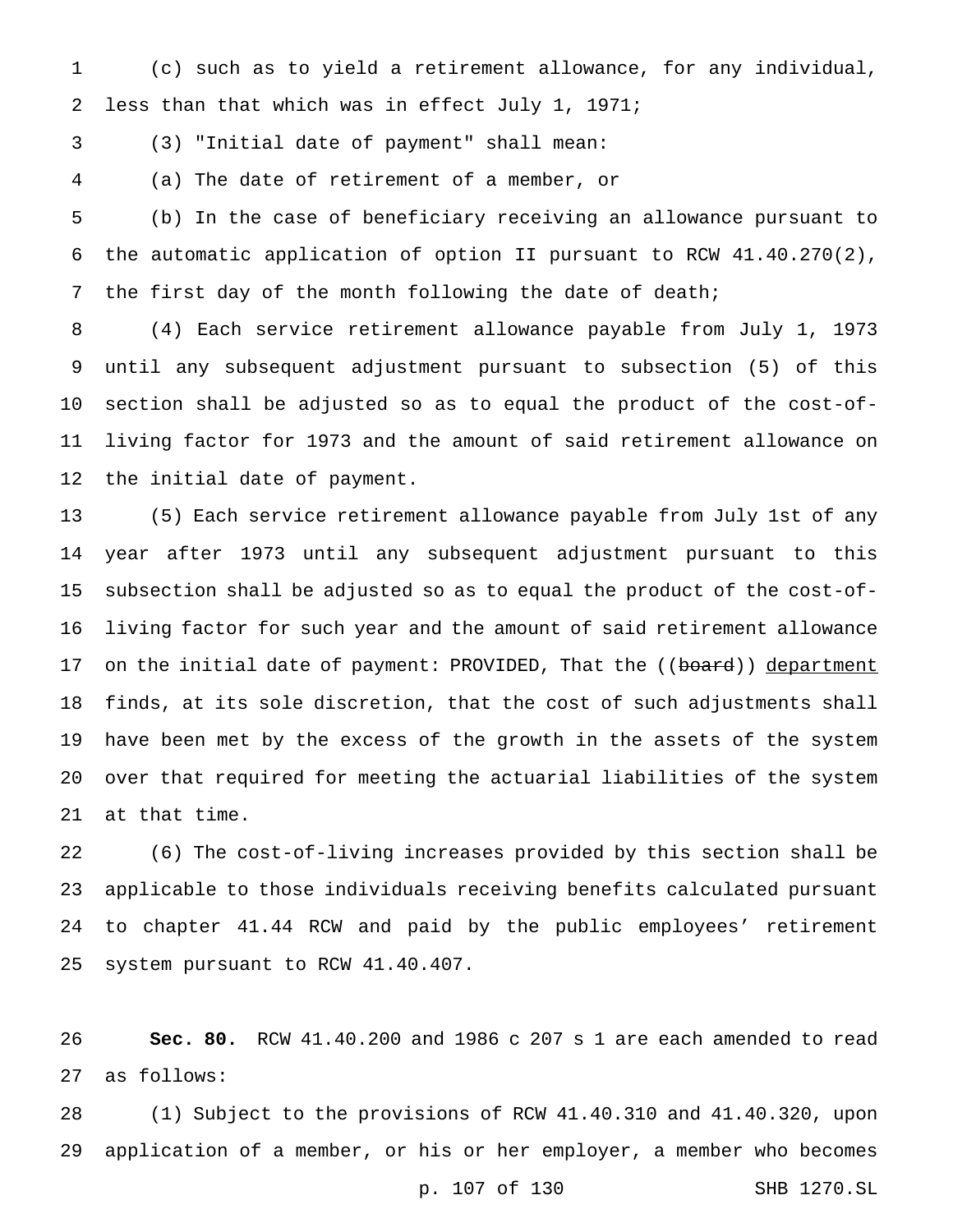(c) such as to yield a retirement allowance, for any individual, less than that which was in effect July 1, 1971;

(3) "Initial date of payment" shall mean:

(a) The date of retirement of a member, or

 (b) In the case of beneficiary receiving an allowance pursuant to the automatic application of option II pursuant to RCW 41.40.270(2), 7 the first day of the month following the date of death;

 (4) Each service retirement allowance payable from July 1, 1973 until any subsequent adjustment pursuant to subsection (5) of this section shall be adjusted so as to equal the product of the cost-of- living factor for 1973 and the amount of said retirement allowance on the initial date of payment.

 (5) Each service retirement allowance payable from July 1st of any year after 1973 until any subsequent adjustment pursuant to this subsection shall be adjusted so as to equal the product of the cost-of- living factor for such year and the amount of said retirement allowance 17 on the initial date of payment: PROVIDED, That the ((board)) department finds, at its sole discretion, that the cost of such adjustments shall have been met by the excess of the growth in the assets of the system over that required for meeting the actuarial liabilities of the system at that time.

 (6) The cost-of-living increases provided by this section shall be applicable to those individuals receiving benefits calculated pursuant to chapter 41.44 RCW and paid by the public employees' retirement system pursuant to RCW 41.40.407.

 **Sec. 80.** RCW 41.40.200 and 1986 c 207 s 1 are each amended to read as follows:

 (1) Subject to the provisions of RCW 41.40.310 and 41.40.320, upon application of a member, or his or her employer, a member who becomes

p. 107 of 130 SHB 1270.SL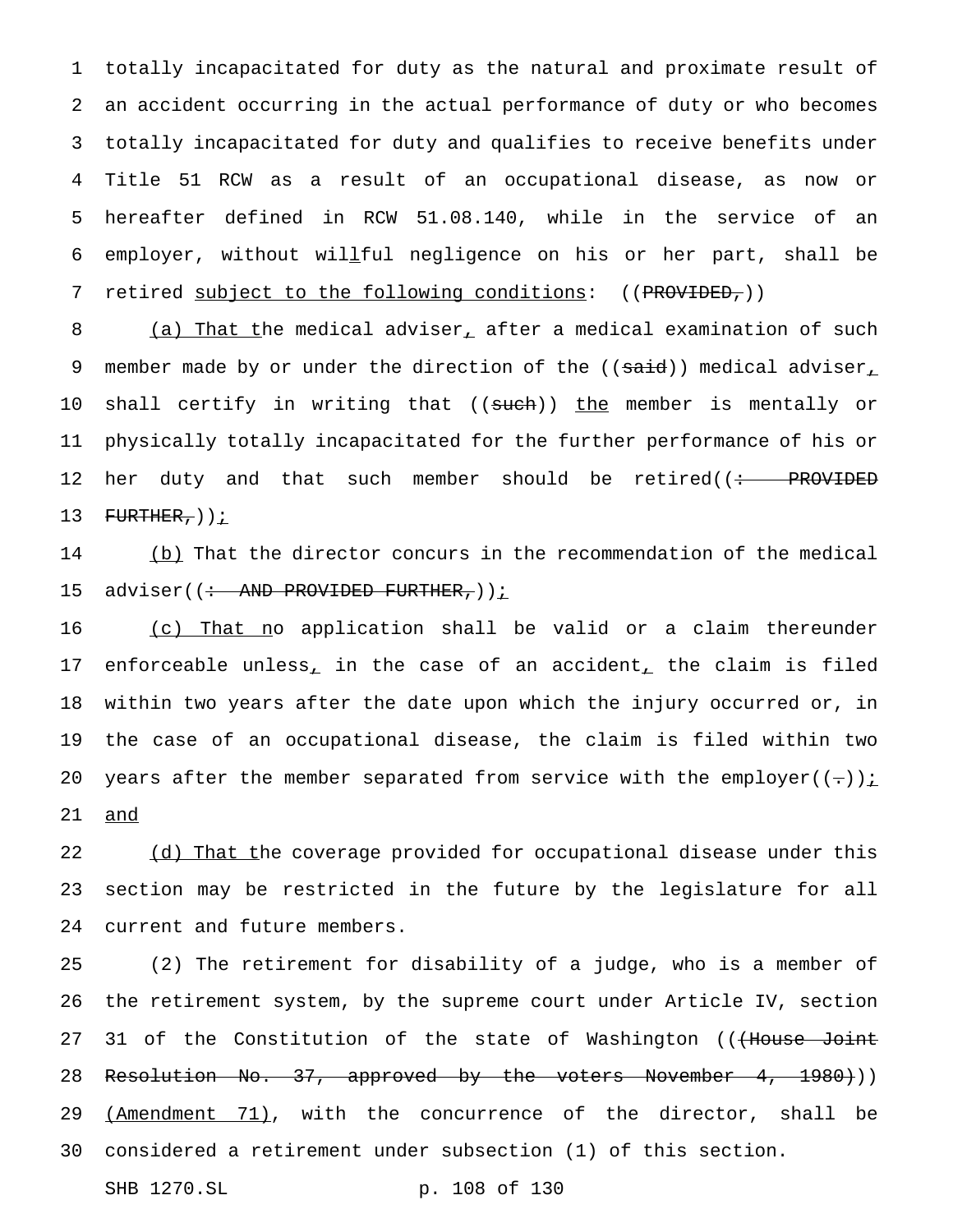totally incapacitated for duty as the natural and proximate result of an accident occurring in the actual performance of duty or who becomes totally incapacitated for duty and qualifies to receive benefits under Title 51 RCW as a result of an occupational disease, as now or hereafter defined in RCW 51.08.140, while in the service of an employer, without willful negligence on his or her part, shall be 7 retired subject to the following conditions: ((PROVIDED,))

8 (a) That the medical adviser, after a medical examination of such 9 member made by or under the direction of the  $((said))$  medical adviser 10 shall certify in writing that ((such)) the member is mentally or 11 physically totally incapacitated for the further performance of his or 12 her duty and that such member should be retired((: PROVIDED 13  $F \to F \to R$ ,  $\frac{1}{2}$ 

14 (b) That the director concurs in the recommendation of the medical 15 adviser((: AND PROVIDED FURTHER,)) i

16 (c) That no application shall be valid or a claim thereunder 17 enforceable unless<sub>1</sub> in the case of an accident<sub>1</sub> the claim is filed 18 within two years after the date upon which the injury occurred or, in 19 the case of an occupational disease, the claim is filed within two 20 years after the member separated from service with the employer( $(-)$ ); 21 and

22 (d) That the coverage provided for occupational disease under this 23 section may be restricted in the future by the legislature for all 24 current and future members.

25 (2) The retirement for disability of a judge, who is a member of 26 the retirement system, by the supreme court under Article IV, section 27 31 of the Constitution of the state of Washington ((<del>(House Joint</del> 28 Resolution No. 37, approved by the voters November 4, 1980)) 29 (Amendment 71), with the concurrence of the director, shall be 30 considered a retirement under subsection (1) of this section.

```
SHB 1270.SL p. 108 of 130
```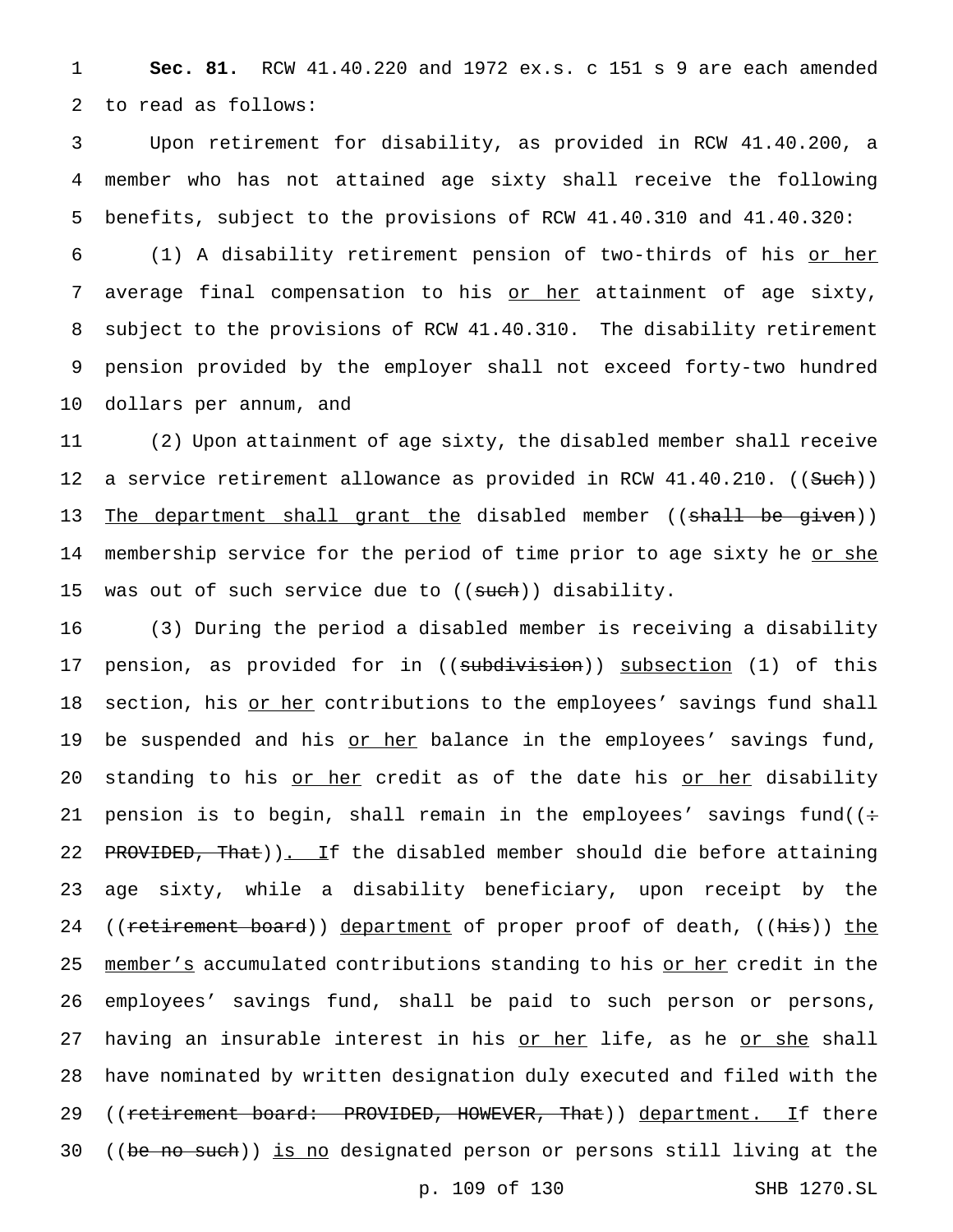1 **Sec. 81.** RCW 41.40.220 and 1972 ex.s. c 151 s 9 are each amended 2 to read as follows:

3 Upon retirement for disability, as provided in RCW 41.40.200, a 4 member who has not attained age sixty shall receive the following 5 benefits, subject to the provisions of RCW 41.40.310 and 41.40.320:

6 (1) A disability retirement pension of two-thirds of his or her 7 average final compensation to his or her attainment of age sixty, 8 subject to the provisions of RCW 41.40.310. The disability retirement 9 pension provided by the employer shall not exceed forty-two hundred 10 dollars per annum, and

11 (2) Upon attainment of age sixty, the disabled member shall receive 12 a service retirement allowance as provided in RCW 41.40.210. ((Such)) 13 The department shall grant the disabled member ((shall be given)) 14 membership service for the period of time prior to age sixty he <u>or she</u> 15 was out of such service due to ((such)) disability.

16 (3) During the period a disabled member is receiving a disability 17 pension, as provided for in ((subdivision)) subsection (1) of this 18 section, his or her contributions to the employees' savings fund shall 19 be suspended and his or her balance in the employees' savings fund, 20 standing to his or her credit as of the date his or her disability 21 pension is to begin, shall remain in the employees' savings fund( $($ ÷ 22 PROVIDED, That)). If the disabled member should die before attaining 23 age sixty, while a disability beneficiary, upon receipt by the 24 ((retirement board)) department of proper proof of death, ((his)) the 25 member's accumulated contributions standing to his or her credit in the 26 employees' savings fund, shall be paid to such person or persons, 27 having an insurable interest in his <u>or her</u> life, as he <u>or she</u> shall 28 have nominated by written designation duly executed and filed with the 29 ((retirement board: PROVIDED, HOWEVER, That)) department. If there 30 ((be no such)) is no designated person or persons still living at the

p. 109 of 130 SHB 1270.SL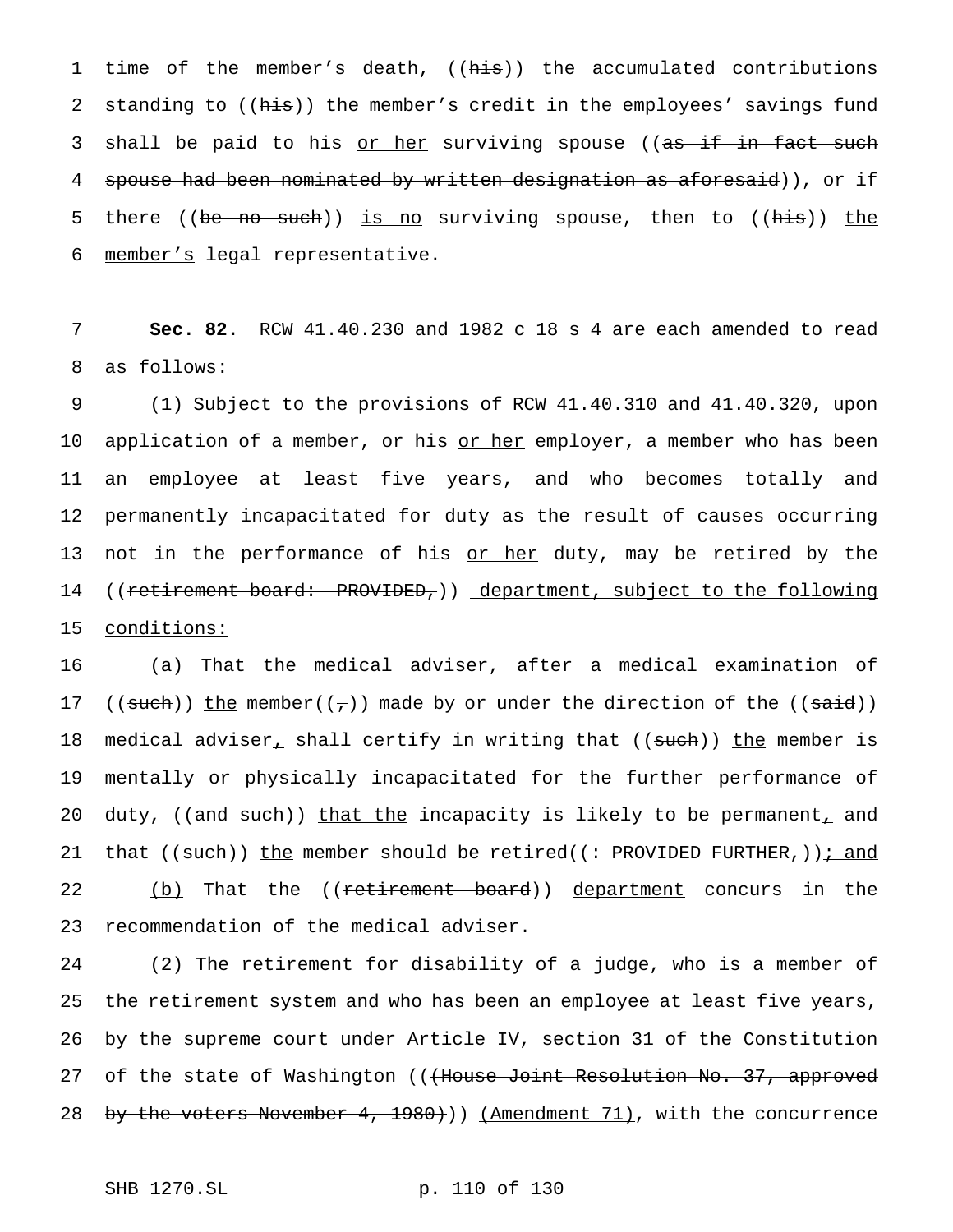1 time of the member's death, ((his)) the accumulated contributions 2 standing to ((his)) the member's credit in the employees' savings fund 3 shall be paid to his <u>or her</u> surviving spouse ((as if in fact such 4 spouse had been nominated by written designation as aforesaid)), or if 5 there ((be no such)) is no surviving spouse, then to ((his)) the 6 member's legal representative.

7 **Sec. 82.** RCW 41.40.230 and 1982 c 18 s 4 are each amended to read 8 as follows:

9 (1) Subject to the provisions of RCW 41.40.310 and 41.40.320, upon 10 application of a member, or his or her employer, a member who has been 11 an employee at least five years, and who becomes totally and 12 permanently incapacitated for duty as the result of causes occurring 13 not in the performance of his <u>or her</u> duty, may be retired by the 14 ((retirement board: PROVIDED,)) department, subject to the following 15 conditions:

16 (a) That the medical adviser, after a medical examination of 17 ((such)) the member( $(\tau)$ ) made by or under the direction of the ((said)) 18 medical adviser<sub>1</sub> shall certify in writing that ((such)) the member is 19 mentally or physically incapacitated for the further performance of 20 duty, ((and such)) that the incapacity is likely to be permanent, and 21 that ((such)) the member should be retired((: PROVIDED FURTHER,)); and 22 (b) That the ((<del>retirement board</del>)) department concurs in the 23 recommendation of the medical adviser.

24 (2) The retirement for disability of a judge, who is a member of 25 the retirement system and who has been an employee at least five years, 26 by the supreme court under Article IV, section 31 of the Constitution 27 of the state of Washington (((House Joint Resolution No. 37, approved 28 by the voters November 4, 1980))) (Amendment 71), with the concurrence

SHB 1270.SL p. 110 of 130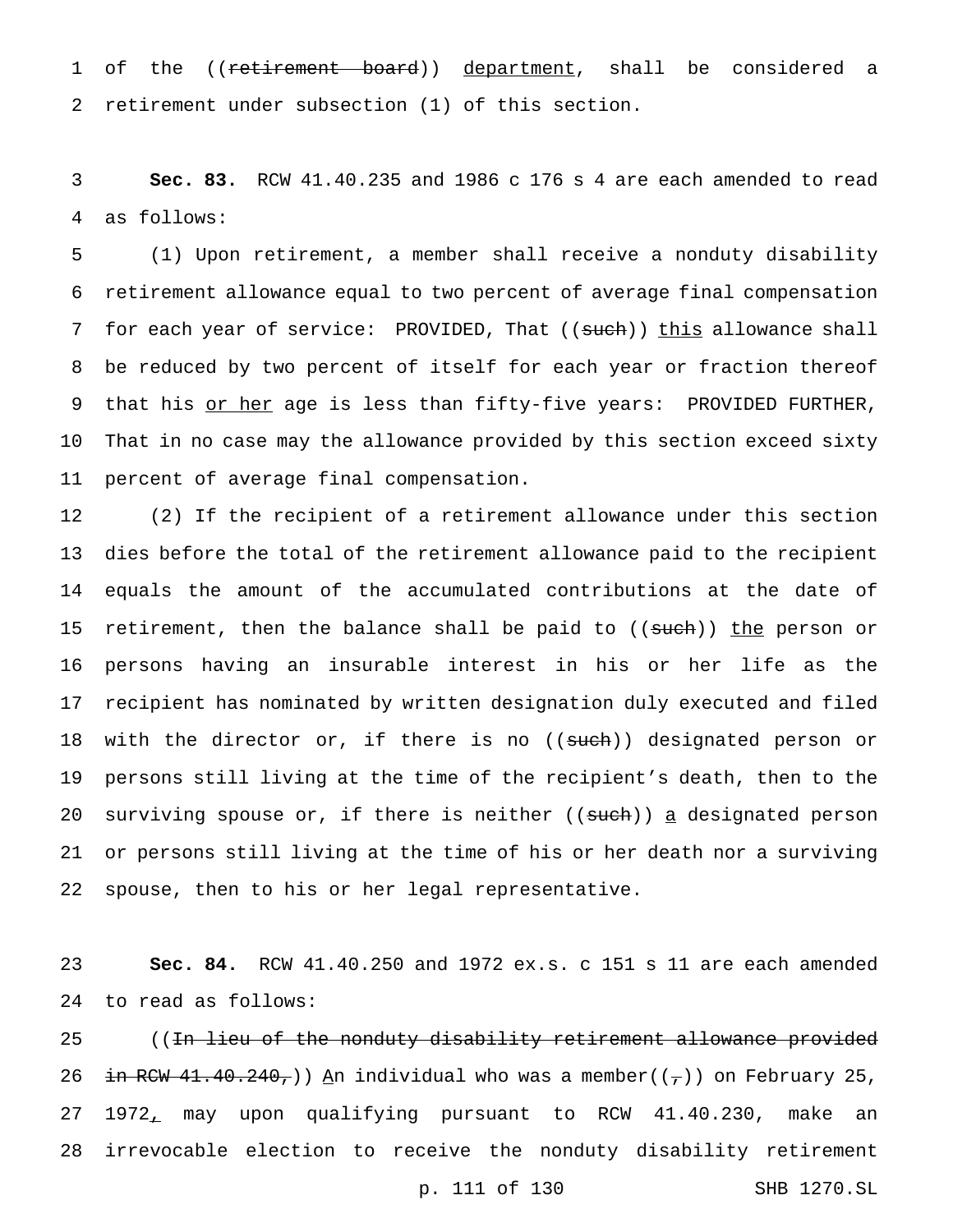1 of the ((retirement board)) department, shall be considered a retirement under subsection (1) of this section.

 **Sec. 83.** RCW 41.40.235 and 1986 c 176 s 4 are each amended to read as follows:

 (1) Upon retirement, a member shall receive a nonduty disability retirement allowance equal to two percent of average final compensation 7 for each year of service: PROVIDED, That ((such)) this allowance shall be reduced by two percent of itself for each year or fraction thereof 9 that his or her age is less than fifty-five years: PROVIDED FURTHER, That in no case may the allowance provided by this section exceed sixty percent of average final compensation.

 (2) If the recipient of a retirement allowance under this section dies before the total of the retirement allowance paid to the recipient equals the amount of the accumulated contributions at the date of 15 retirement, then the balance shall be paid to ((<del>such</del>)) <u>the</u> person or persons having an insurable interest in his or her life as the recipient has nominated by written designation duly executed and filed 18 with the director or, if there is no ((such)) designated person or persons still living at the time of the recipient's death, then to the 20 surviving spouse or, if there is neither  $((such) ) a$  designated person or persons still living at the time of his or her death nor a surviving spouse, then to his or her legal representative.

 **Sec. 84.** RCW 41.40.250 and 1972 ex.s. c 151 s 11 are each amended to read as follows:

25 ((<del>In lieu of the nonduty disability retirement allowance provided</del> 26 in RCW 41.40.240,)) An individual who was a member( $(\tau)$ ) on February 25, 1972, may upon qualifying pursuant to RCW 41.40.230, make an irrevocable election to receive the nonduty disability retirement

p. 111 of 130 SHB 1270.SL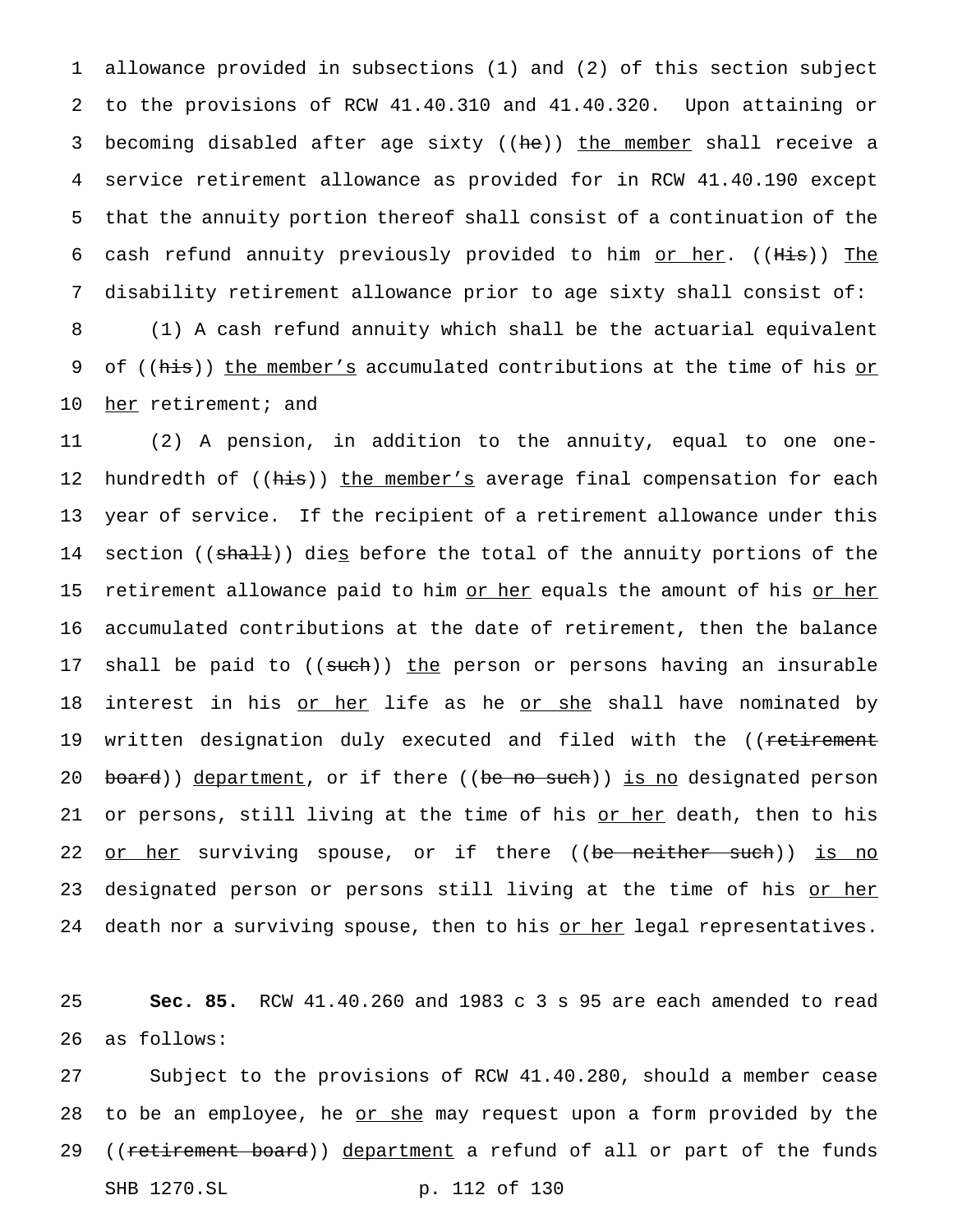1 allowance provided in subsections (1) and (2) of this section subject 2 to the provisions of RCW 41.40.310 and 41.40.320. Upon attaining or 3 becoming disabled after age sixty ((he)) the member shall receive a 4 service retirement allowance as provided for in RCW 41.40.190 except 5 that the annuity portion thereof shall consist of a continuation of the 6 cash refund annuity previously provided to him or her. ((His)) The 7 disability retirement allowance prior to age sixty shall consist of: 8 (1) A cash refund annuity which shall be the actuarial equivalent 9 of ((his)) the member's accumulated contributions at the time of his or 10 her retirement; and

11 (2) A pension, in addition to the annuity, equal to one one-12 hundredth of ((his)) the member's average final compensation for each 13 year of service. If the recipient of a retirement allowance under this 14 section ((shall)) die<u>s</u> before the total of the annuity portions of the 15 retirement allowance paid to him or her equals the amount of his or her 16 accumulated contributions at the date of retirement, then the balance 17 shall be paid to ((such)) the person or persons having an insurable 18 interest in his or her life as he or she shall have nominated by 19 written designation duly executed and filed with the ((retirement 20 board)) department, or if there ((be no such)) is no designated person 21 or persons, still living at the time of his or her death, then to his 22 <u>or her</u> surviving spouse, or if there ((be neither such)) is no 23 designated person or persons still living at the time of his or her 24 death nor a surviving spouse, then to his or her legal representatives.

25 **Sec. 85.** RCW 41.40.260 and 1983 c 3 s 95 are each amended to read 26 as follows:

27 Subject to the provisions of RCW 41.40.280, should a member cease 28 to be an employee, he or she may request upon a form provided by the 29 ((retirement board)) department a refund of all or part of the funds SHB 1270.SL p. 112 of 130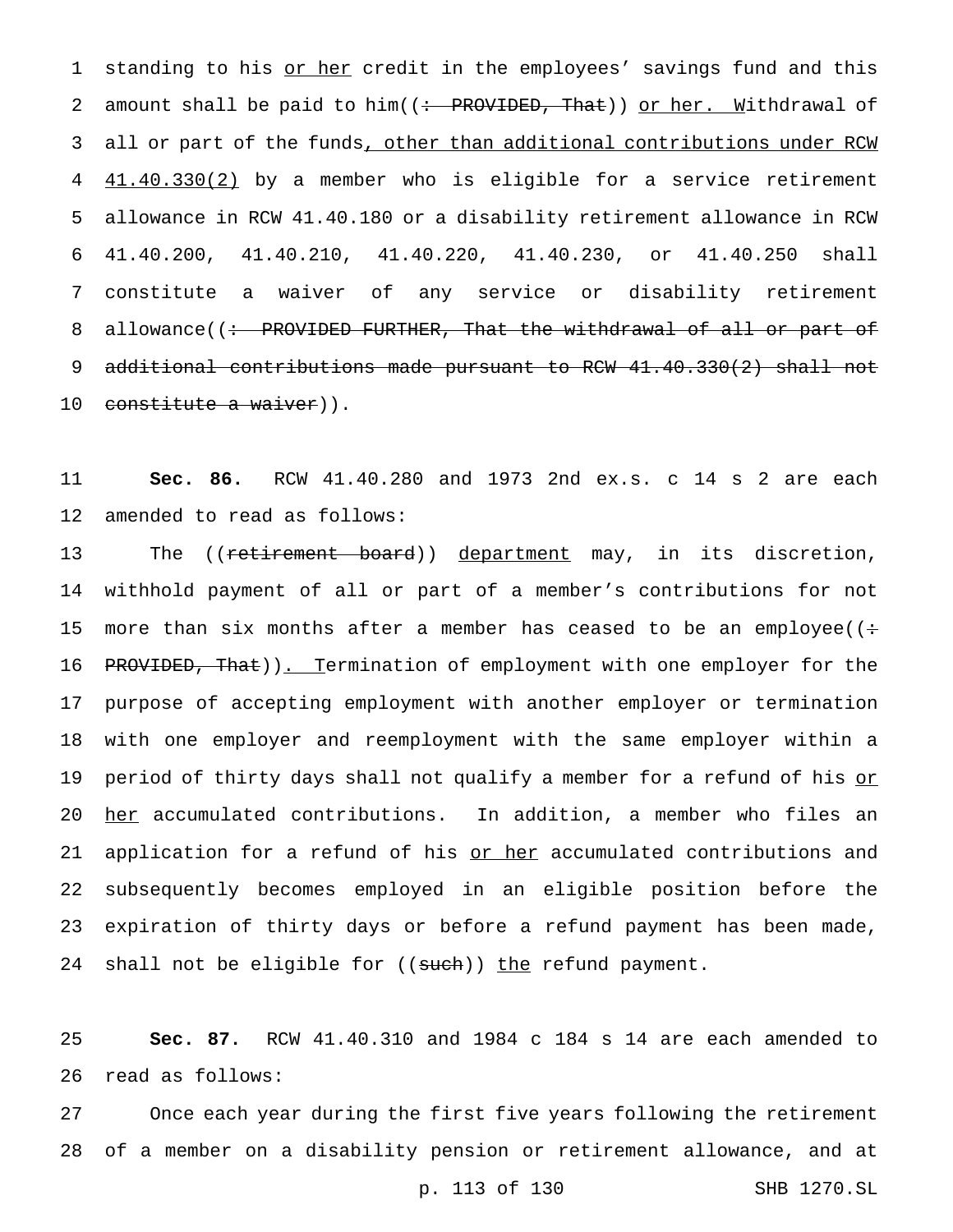1 standing to his or her credit in the employees' savings fund and this 2 amount shall be paid to him((: PROVIDED, That)) or her. Mithdrawal of 3 all or part of the funds, other than additional contributions under RCW 4  $41.40.330(2)$  by a member who is eligible for a service retirement 5 allowance in RCW 41.40.180 or a disability retirement allowance in RCW 6 41.40.200, 41.40.210, 41.40.220, 41.40.230, or 41.40.250 shall 7 constitute a waiver of any service or disability retirement 8 allowance((: PROVIDED FURTHER, That the withdrawal of all or part of 9 additional contributions made pursuant to RCW 41.40.330(2) shall not 10 constitute a waiver)).

11 **Sec. 86.** RCW 41.40.280 and 1973 2nd ex.s. c 14 s 2 are each 12 amended to read as follows:

13 The ((<del>retirement board</del>)) department may, in its discretion, 14 withhold payment of all or part of a member's contributions for not 15 more than six months after a member has ceased to be an employee( $($ : 16 PROVIDED, That)). Termination of employment with one employer for the 17 purpose of accepting employment with another employer or termination 18 with one employer and reemployment with the same employer within a 19 period of thirty days shall not qualify a member for a refund of his or 20 her accumulated contributions. In addition, a member who files an 21 application for a refund of his or her accumulated contributions and 22 subsequently becomes employed in an eligible position before the 23 expiration of thirty days or before a refund payment has been made, 24 shall not be eligible for  $((such))$  the refund payment.

25 **Sec. 87.** RCW 41.40.310 and 1984 c 184 s 14 are each amended to 26 read as follows:

27 Once each year during the first five years following the retirement 28 of a member on a disability pension or retirement allowance, and at

p. 113 of 130 SHB 1270.SL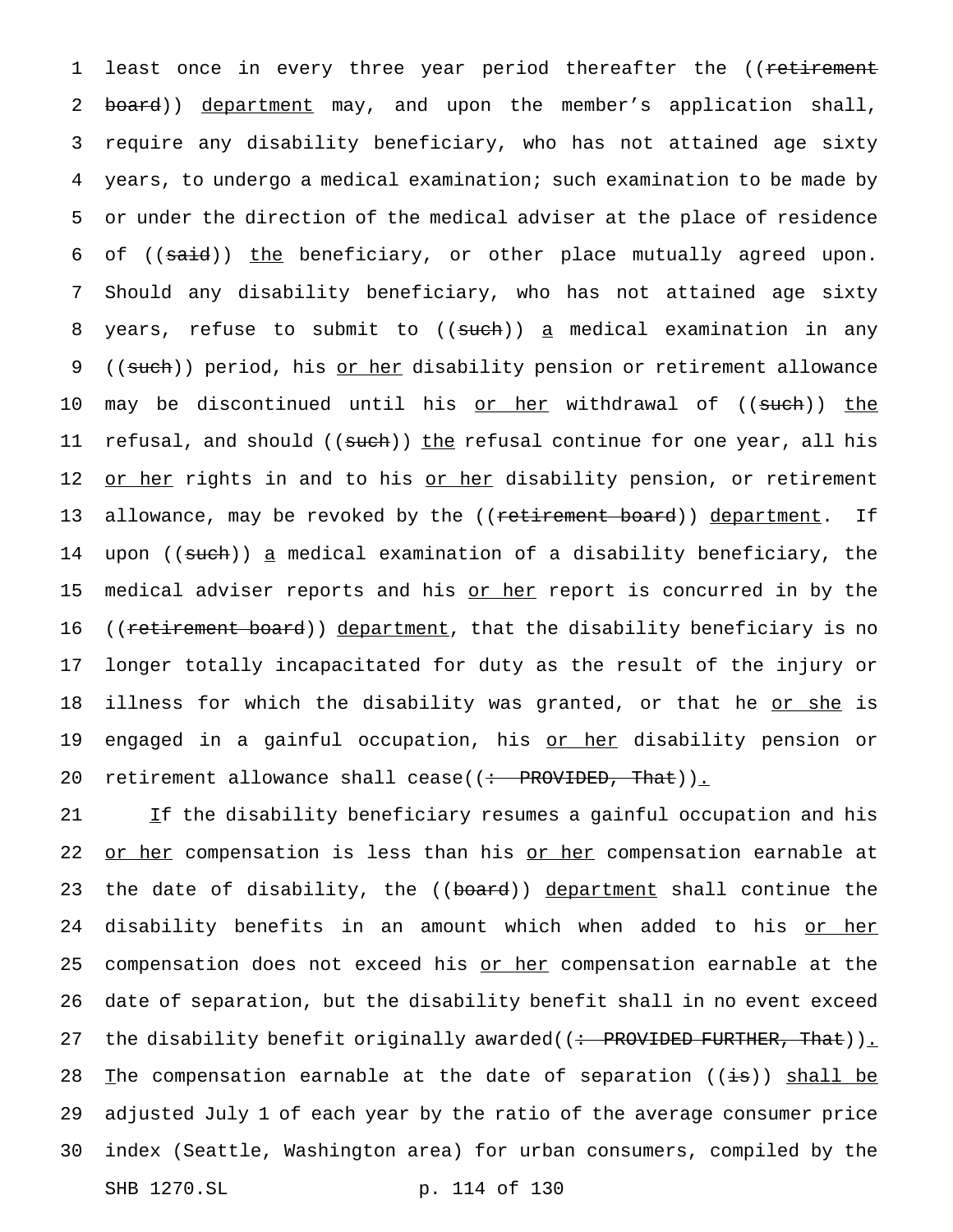1 least once in every three year period thereafter the ((retirement 2 board)) department may, and upon the member's application shall, 3 require any disability beneficiary, who has not attained age sixty 4 years, to undergo a medical examination; such examination to be made by 5 or under the direction of the medical adviser at the place of residence 6 of ((said)) the beneficiary, or other place mutually agreed upon. 7 Should any disability beneficiary, who has not attained age sixty 8 years, refuse to submit to ((such)) a medical examination in any 9 ((such)) period, his or her disability pension or retirement allowance 10 may be discontinued until his or her withdrawal of ((such)) the 11 refusal, and should ((<del>such</del>)) the refusal continue for one year, all his 12 or her rights in and to his or her disability pension, or retirement 13 allowance, may be revoked by the ((<del>retirement board</del>)) department. If 14 upon ((<del>such</del>)) <u>a</u> medical examination of a disability beneficiary, the 15 medical adviser reports and his or her report is concurred in by the 16 ((<del>retirement board</del>)) <u>department</u>, that the disability beneficiary is no 17 longer totally incapacitated for duty as the result of the injury or 18 illness for which the disability was granted, or that he or she is 19 engaged in a gainful occupation, his <u>or her</u> disability pension or 20 retirement allowance shall cease((: PROVIDED, That)).

21 If the disability beneficiary resumes a gainful occupation and his 22 or her compensation is less than his or her compensation earnable at 23 the date of disability, the ((board)) department shall continue the 24 disability benefits in an amount which when added to his <u>or her</u> 25 compensation does not exceed his or her compensation earnable at the 26 date of separation, but the disability benefit shall in no event exceed 27 the disability benefit originally awarded((: PROVIDED FURTHER, That)). 28 The compensation earnable at the date of separation  $((\frac{1}{18}))$  shall be 29 adjusted July 1 of each year by the ratio of the average consumer price 30 index (Seattle, Washington area) for urban consumers, compiled by the SHB 1270.SL p. 114 of 130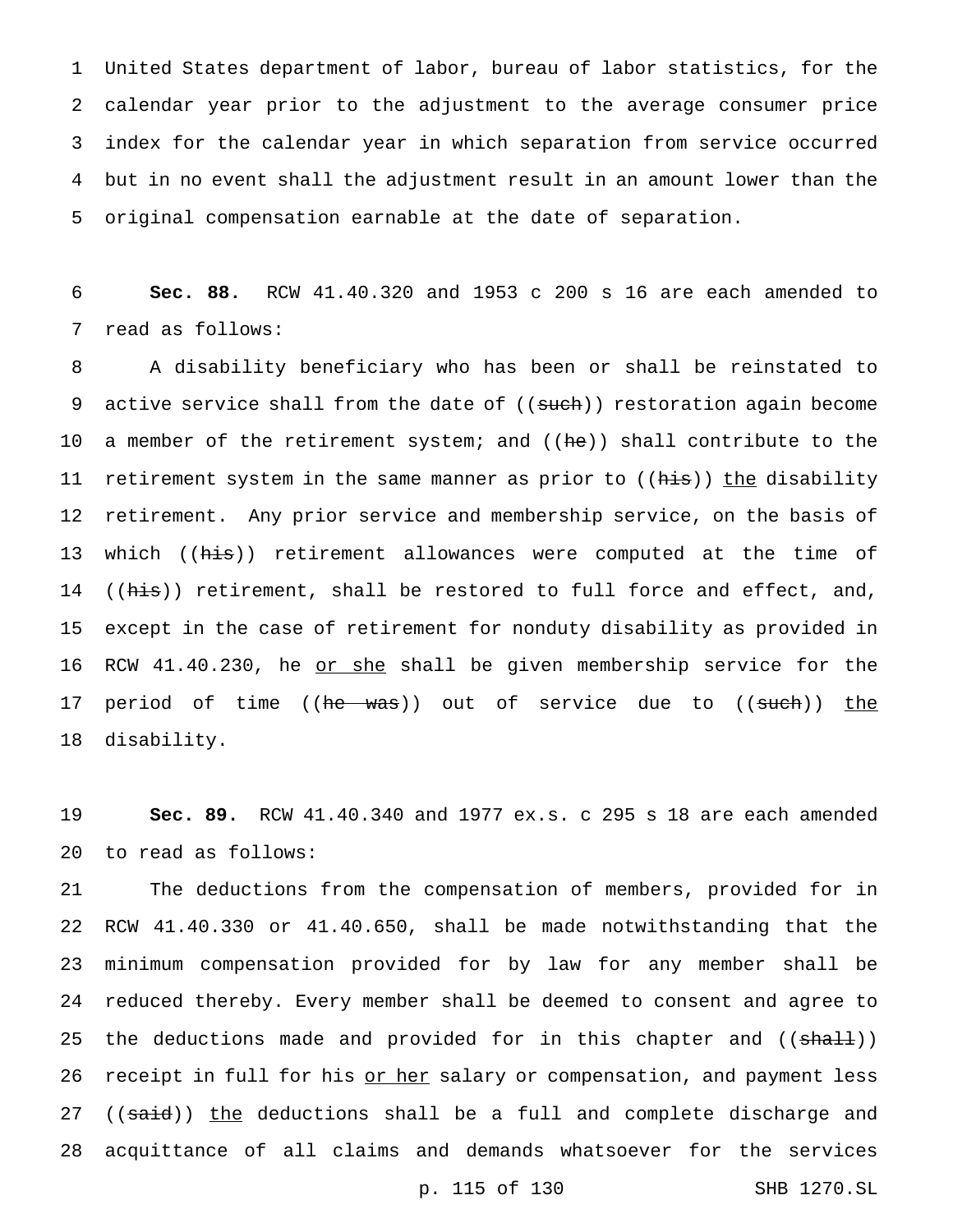United States department of labor, bureau of labor statistics, for the calendar year prior to the adjustment to the average consumer price index for the calendar year in which separation from service occurred but in no event shall the adjustment result in an amount lower than the original compensation earnable at the date of separation.

 **Sec. 88.** RCW 41.40.320 and 1953 c 200 s 16 are each amended to read as follows:

 A disability beneficiary who has been or shall be reinstated to 9 active service shall from the date of ((such)) restoration again become 10 a member of the retirement system; and ((he)) shall contribute to the 11 retirement system in the same manner as prior to ((his)) the disability retirement. Any prior service and membership service, on the basis of 13 which ((his)) retirement allowances were computed at the time of 14 ((his)) retirement, shall be restored to full force and effect, and, except in the case of retirement for nonduty disability as provided in 16 RCW 41.40.230, he or she shall be given membership service for the 17 period of time ((he was)) out of service due to ((such)) the disability.

 **Sec. 89.** RCW 41.40.340 and 1977 ex.s. c 295 s 18 are each amended to read as follows:

 The deductions from the compensation of members, provided for in RCW 41.40.330 or 41.40.650, shall be made notwithstanding that the minimum compensation provided for by law for any member shall be reduced thereby. Every member shall be deemed to consent and agree to 25 the deductions made and provided for in this chapter and ((shall)) 26 receipt in full for his or her salary or compensation, and payment less 27 ((said)) the deductions shall be a full and complete discharge and acquittance of all claims and demands whatsoever for the services

p. 115 of 130 SHB 1270.SL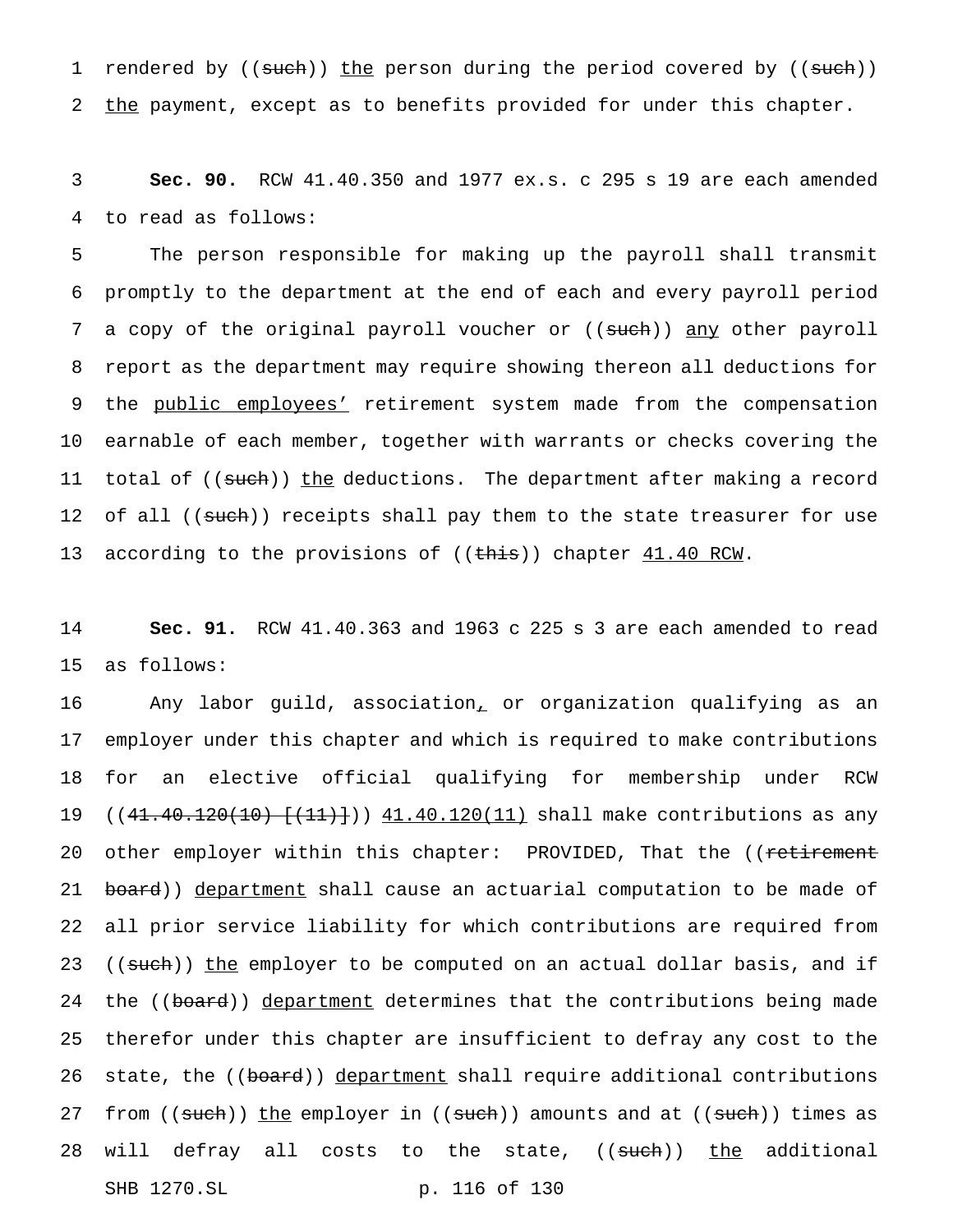1 rendered by ((such)) the person during the period covered by ((such)) 2 the payment, except as to benefits provided for under this chapter.

3 **Sec. 90.** RCW 41.40.350 and 1977 ex.s. c 295 s 19 are each amended 4 to read as follows:

5 The person responsible for making up the payroll shall transmit 6 promptly to the department at the end of each and every payroll period 7 a copy of the original payroll voucher or ((such)) any other payroll 8 report as the department may require showing thereon all deductions for 9 the public employees' retirement system made from the compensation 10 earnable of each member, together with warrants or checks covering the 11 total of ((such)) the deductions. The department after making a record 12 of all ((such)) receipts shall pay them to the state treasurer for use 13 according to the provisions of ((this)) chapter  $41.40$  RCW.

14 **Sec. 91.** RCW 41.40.363 and 1963 c 225 s 3 are each amended to read 15 as follows:

16 Any labor guild, association, or organization qualifying as an 17 employer under this chapter and which is required to make contributions 18 for an elective official qualifying for membership under RCW 19 ((41.40.120(10)  $\{(41.40.120(10) + (11.40.120(11)) \text{ shall make contributions as any})\}$ 20 other employer within this chapter: PROVIDED, That the ((retirement 21 board)) department shall cause an actuarial computation to be made of 22 all prior service liability for which contributions are required from 23 ((such)) the employer to be computed on an actual dollar basis, and if 24 the ((board)) department determines that the contributions being made 25 therefor under this chapter are insufficient to defray any cost to the 26 state, the ((board)) department shall require additional contributions 27 from ((such)) the employer in ((such)) amounts and at ((such)) times as 28 will defray all costs to the state, ((such)) the additional SHB 1270.SL p. 116 of 130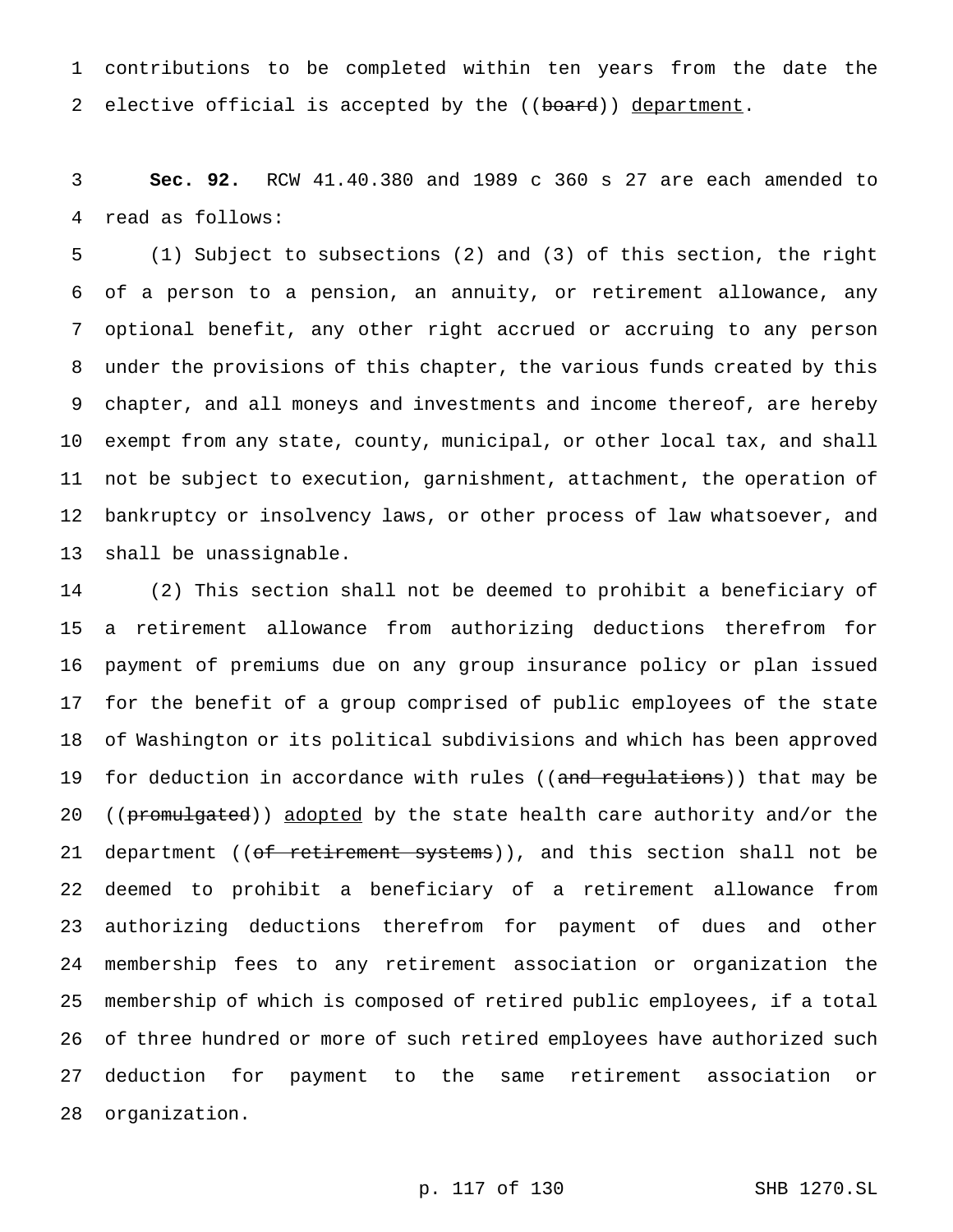contributions to be completed within ten years from the date the 2 elective official is accepted by the ((board)) department.

 **Sec. 92.** RCW 41.40.380 and 1989 c 360 s 27 are each amended to read as follows:

 (1) Subject to subsections (2) and (3) of this section, the right of a person to a pension, an annuity, or retirement allowance, any optional benefit, any other right accrued or accruing to any person under the provisions of this chapter, the various funds created by this chapter, and all moneys and investments and income thereof, are hereby exempt from any state, county, municipal, or other local tax, and shall not be subject to execution, garnishment, attachment, the operation of bankruptcy or insolvency laws, or other process of law whatsoever, and shall be unassignable.

 (2) This section shall not be deemed to prohibit a beneficiary of a retirement allowance from authorizing deductions therefrom for payment of premiums due on any group insurance policy or plan issued for the benefit of a group comprised of public employees of the state of Washington or its political subdivisions and which has been approved 19 for deduction in accordance with rules ((and regulations)) that may be 20 ((promulgated)) adopted by the state health care authority and/or the 21 department ((of retirement systems)), and this section shall not be deemed to prohibit a beneficiary of a retirement allowance from authorizing deductions therefrom for payment of dues and other membership fees to any retirement association or organization the membership of which is composed of retired public employees, if a total of three hundred or more of such retired employees have authorized such deduction for payment to the same retirement association or organization.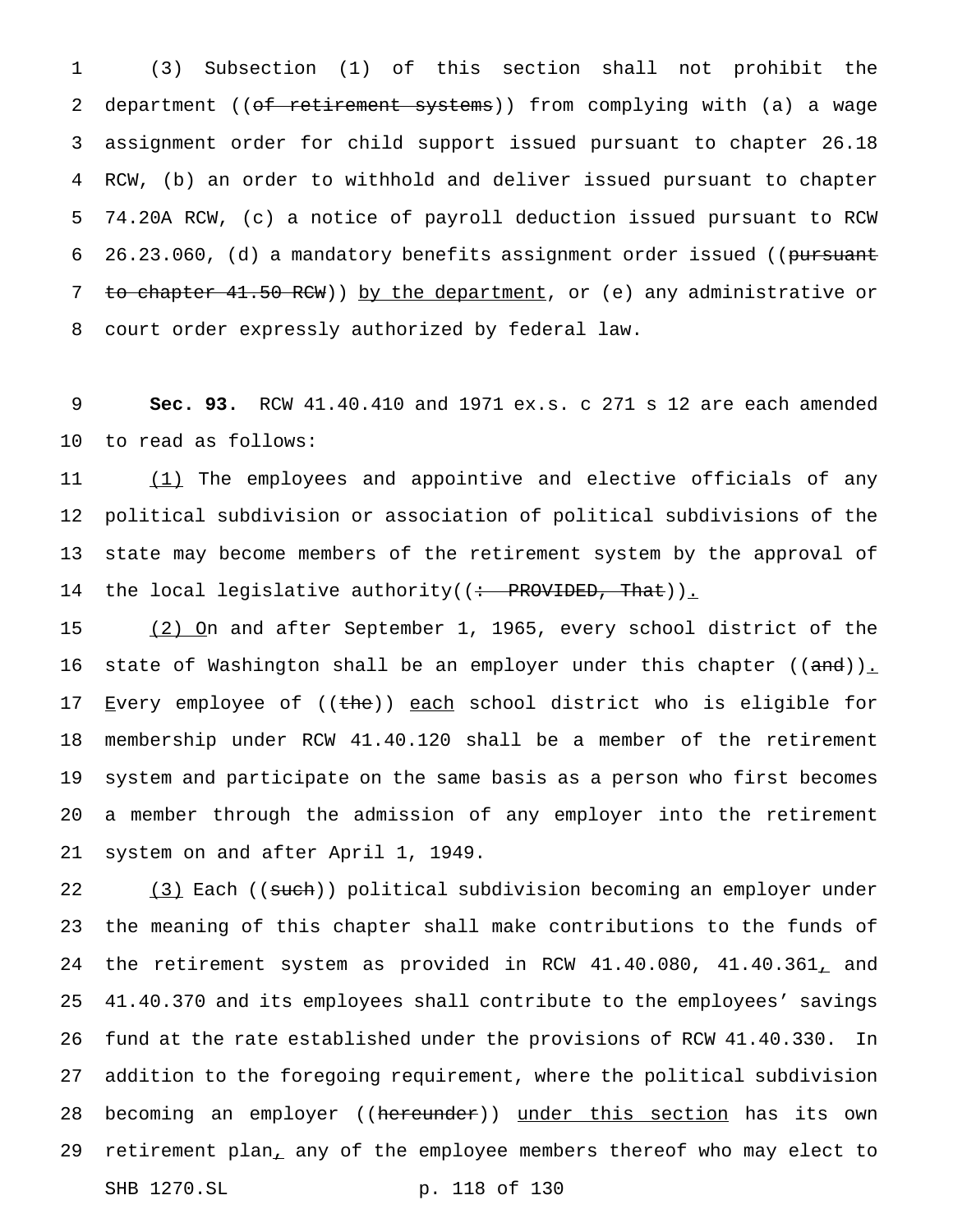(3) Subsection (1) of this section shall not prohibit the 2 department ((of retirement systems)) from complying with (a) a wage assignment order for child support issued pursuant to chapter 26.18 RCW, (b) an order to withhold and deliver issued pursuant to chapter 74.20A RCW, (c) a notice of payroll deduction issued pursuant to RCW 6 26.23.060, (d) a mandatory benefits assignment order issued ((pursuant 7 to chapter 41.50 RCW)) by the department, or (e) any administrative or court order expressly authorized by federal law.

 **Sec. 93.** RCW 41.40.410 and 1971 ex.s. c 271 s 12 are each amended to read as follows:

11 (1) The employees and appointive and elective officials of any political subdivision or association of political subdivisions of the state may become members of the retirement system by the approval of 14 the local legislative authority((<del>: PROVIDED, That</del>))<u>.</u>

 (2) On and after September 1, 1965, every school district of the 16 state of Washington shall be an employer under this chapter ((and)). 17 Every employee of ((the)) each school district who is eligible for membership under RCW 41.40.120 shall be a member of the retirement system and participate on the same basis as a person who first becomes a member through the admission of any employer into the retirement system on and after April 1, 1949.

22 (3) Each ((such)) political subdivision becoming an employer under the meaning of this chapter shall make contributions to the funds of the retirement system as provided in RCW 41.40.080, 41.40.361, and 41.40.370 and its employees shall contribute to the employees' savings fund at the rate established under the provisions of RCW 41.40.330. In addition to the foregoing requirement, where the political subdivision 28 becoming an employer ((hereunder)) under this section has its own 29 retirement plan<sub>t</sub> any of the employee members thereof who may elect to SHB 1270.SL p. 118 of 130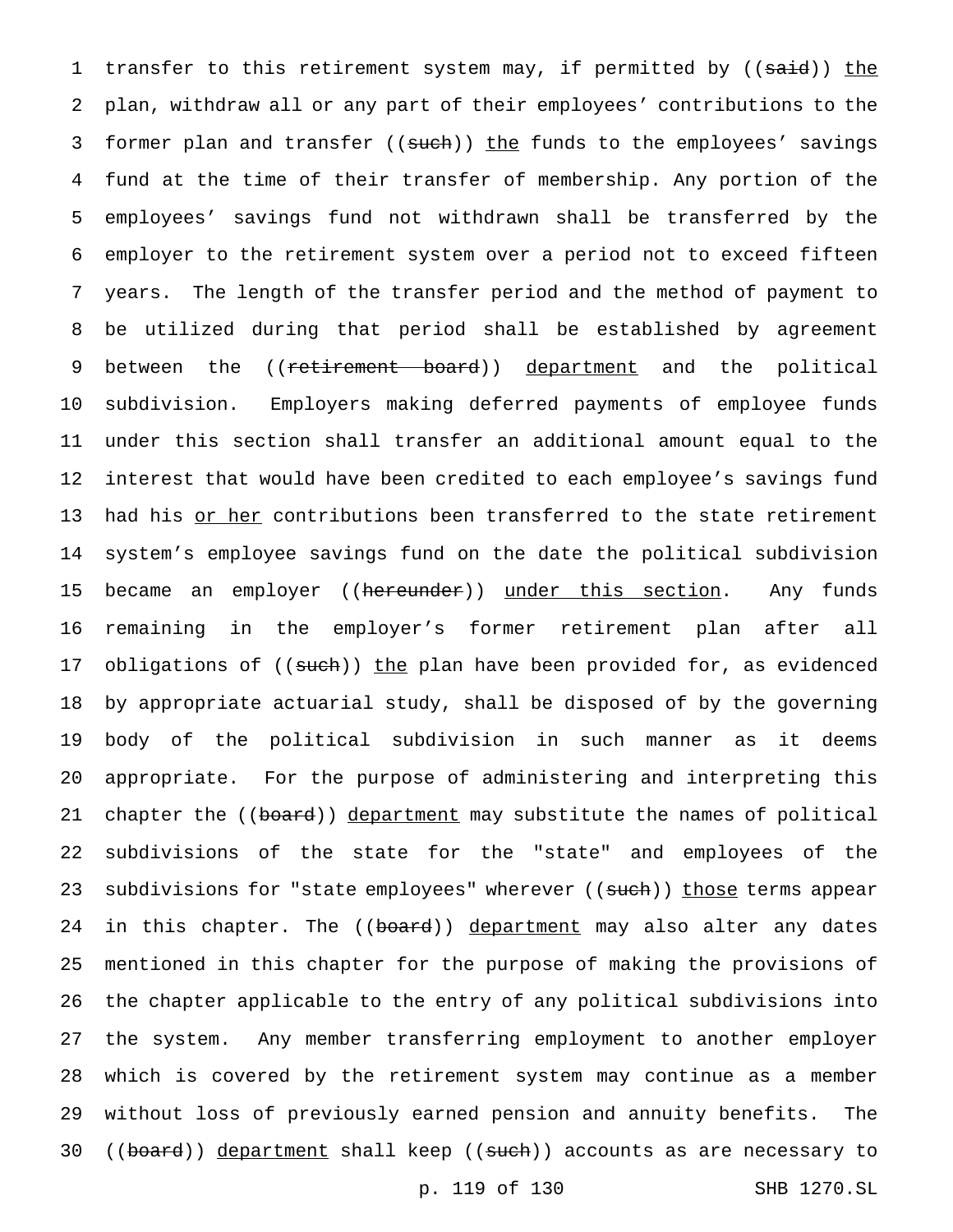1 transfer to this retirement system may, if permitted by ((said)) the plan, withdraw all or any part of their employees' contributions to the 3 former plan and transfer ((such)) the funds to the employees' savings fund at the time of their transfer of membership. Any portion of the employees' savings fund not withdrawn shall be transferred by the employer to the retirement system over a period not to exceed fifteen years. The length of the transfer period and the method of payment to be utilized during that period shall be established by agreement 9 between the ((retirement board)) department and the political subdivision. Employers making deferred payments of employee funds under this section shall transfer an additional amount equal to the interest that would have been credited to each employee's savings fund 13 had his or her contributions been transferred to the state retirement system's employee savings fund on the date the political subdivision 15 became an employer ((hereunder)) under this section. Any funds remaining in the employer's former retirement plan after all 17 obligations of ((such)) the plan have been provided for, as evidenced by appropriate actuarial study, shall be disposed of by the governing body of the political subdivision in such manner as it deems appropriate. For the purpose of administering and interpreting this 21 chapter the ((board)) department may substitute the names of political subdivisions of the state for the "state" and employees of the 23 subdivisions for "state employees" wherever ((such)) those terms appear 24 in this chapter. The ((board)) department may also alter any dates mentioned in this chapter for the purpose of making the provisions of the chapter applicable to the entry of any political subdivisions into the system. Any member transferring employment to another employer which is covered by the retirement system may continue as a member without loss of previously earned pension and annuity benefits. The 30 ((board)) department shall keep ((such)) accounts as are necessary to

p. 119 of 130 SHB 1270.SL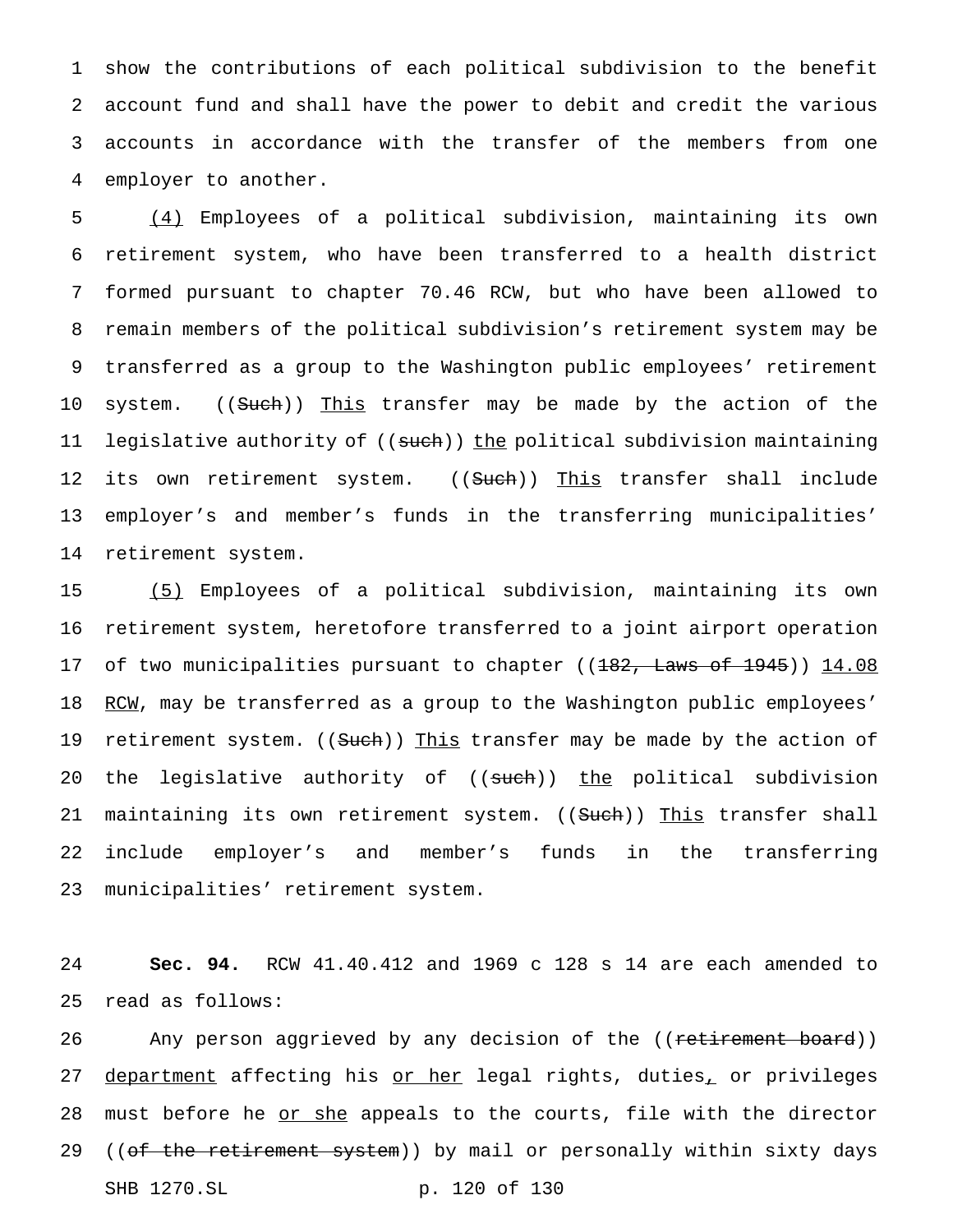show the contributions of each political subdivision to the benefit account fund and shall have the power to debit and credit the various accounts in accordance with the transfer of the members from one employer to another.

 (4) Employees of a political subdivision, maintaining its own retirement system, who have been transferred to a health district formed pursuant to chapter 70.46 RCW, but who have been allowed to remain members of the political subdivision's retirement system may be transferred as a group to the Washington public employees' retirement 10 system. ((Such)) This transfer may be made by the action of the 11 legislative authority of ((such)) the political subdivision maintaining 12 its own retirement system. ((Such)) This transfer shall include employer's and member's funds in the transferring municipalities' retirement system.

15 (5) Employees of a political subdivision, maintaining its own 16 retirement system, heretofore transferred to a joint airport operation 17 of two municipalities pursuant to chapter ((182, Laws of 1945)) 14.08 18 RCM, may be transferred as a group to the Washington public employees' 19 retirement system. ((Such)) This transfer may be made by the action of 20 the legislative authority of ((such)) the political subdivision 21 maintaining its own retirement system. ((Such)) This transfer shall 22 include employer's and member's funds in the transferring 23 municipalities' retirement system.

24 **Sec. 94.** RCW 41.40.412 and 1969 c 128 s 14 are each amended to 25 read as follows:

26 Any person aggrieved by any decision of the ((<del>retirement board</del>)) 27 department affecting his or her legal rights, duties, or privileges 28 must before he or she appeals to the courts, file with the director 29 ((of the retirement system)) by mail or personally within sixty days SHB 1270.SL p. 120 of 130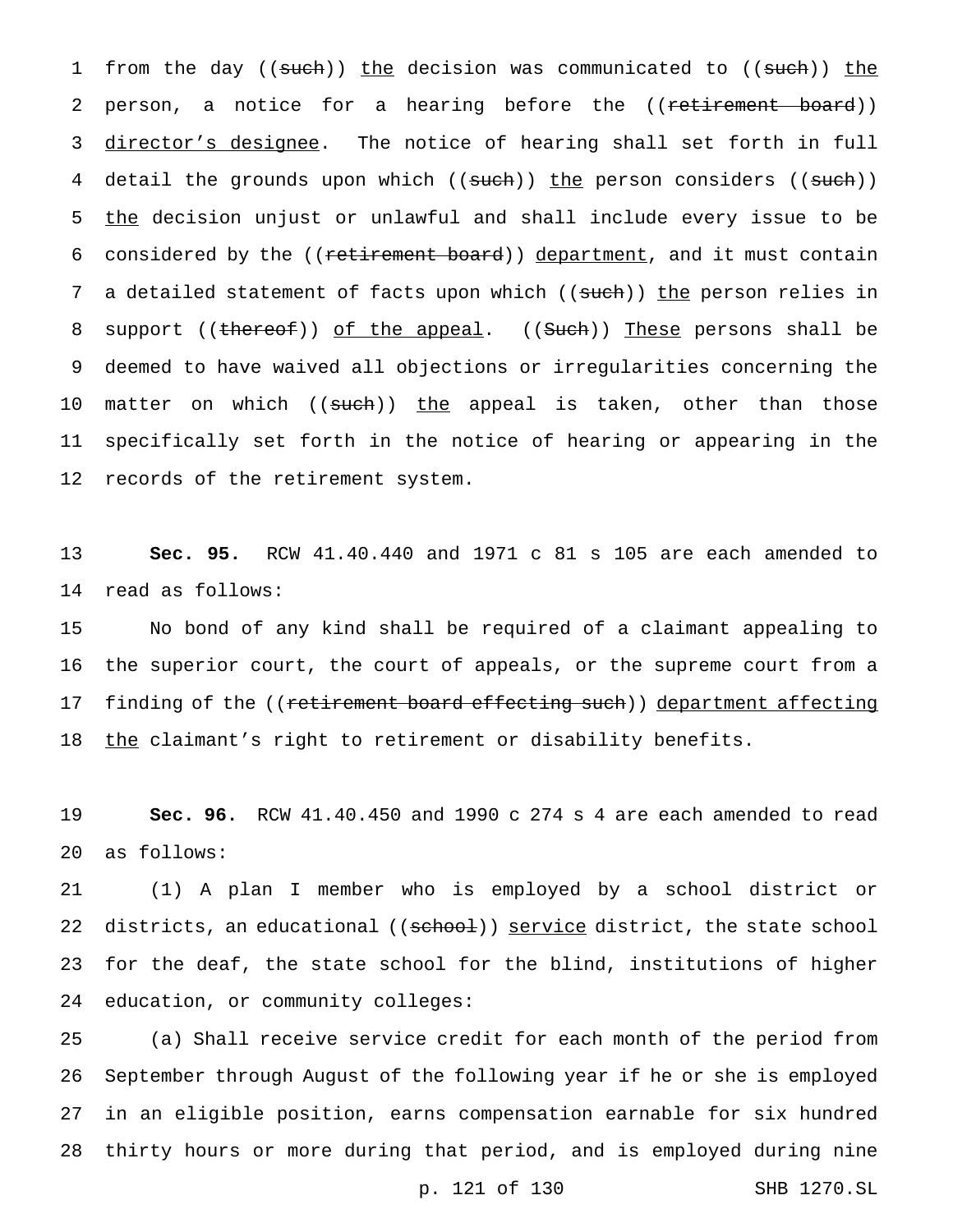1 from the day ((such)) the decision was communicated to ((such)) the 2 person, a notice for a hearing before the ((retirement board)) 3 director's designee. The notice of hearing shall set forth in full 4 detail the grounds upon which ((such)) the person considers ((such)) 5 the decision unjust or unlawful and shall include every issue to be 6 considered by the ((retirement board)) department, and it must contain 7 a detailed statement of facts upon which ((such)) the person relies in 8 support ((thereof)) of the appeal. ((Such)) These persons shall be 9 deemed to have waived all objections or irregularities concerning the 10 matter on which ((such)) the appeal is taken, other than those 11 specifically set forth in the notice of hearing or appearing in the 12 records of the retirement system.

13 **Sec. 95.** RCW 41.40.440 and 1971 c 81 s 105 are each amended to 14 read as follows:

15 No bond of any kind shall be required of a claimant appealing to 16 the superior court, the court of appeals, or the supreme court from a 17 finding of the ((retirement board effecting such)) department affecting 18 the claimant's right to retirement or disability benefits.

19 **Sec. 96.** RCW 41.40.450 and 1990 c 274 s 4 are each amended to read 20 as follows:

 (1) A plan I member who is employed by a school district or 22 districts, an educational ((school)) service district, the state school for the deaf, the state school for the blind, institutions of higher education, or community colleges:

 (a) Shall receive service credit for each month of the period from September through August of the following year if he or she is employed in an eligible position, earns compensation earnable for six hundred thirty hours or more during that period, and is employed during nine

p. 121 of 130 SHB 1270.SL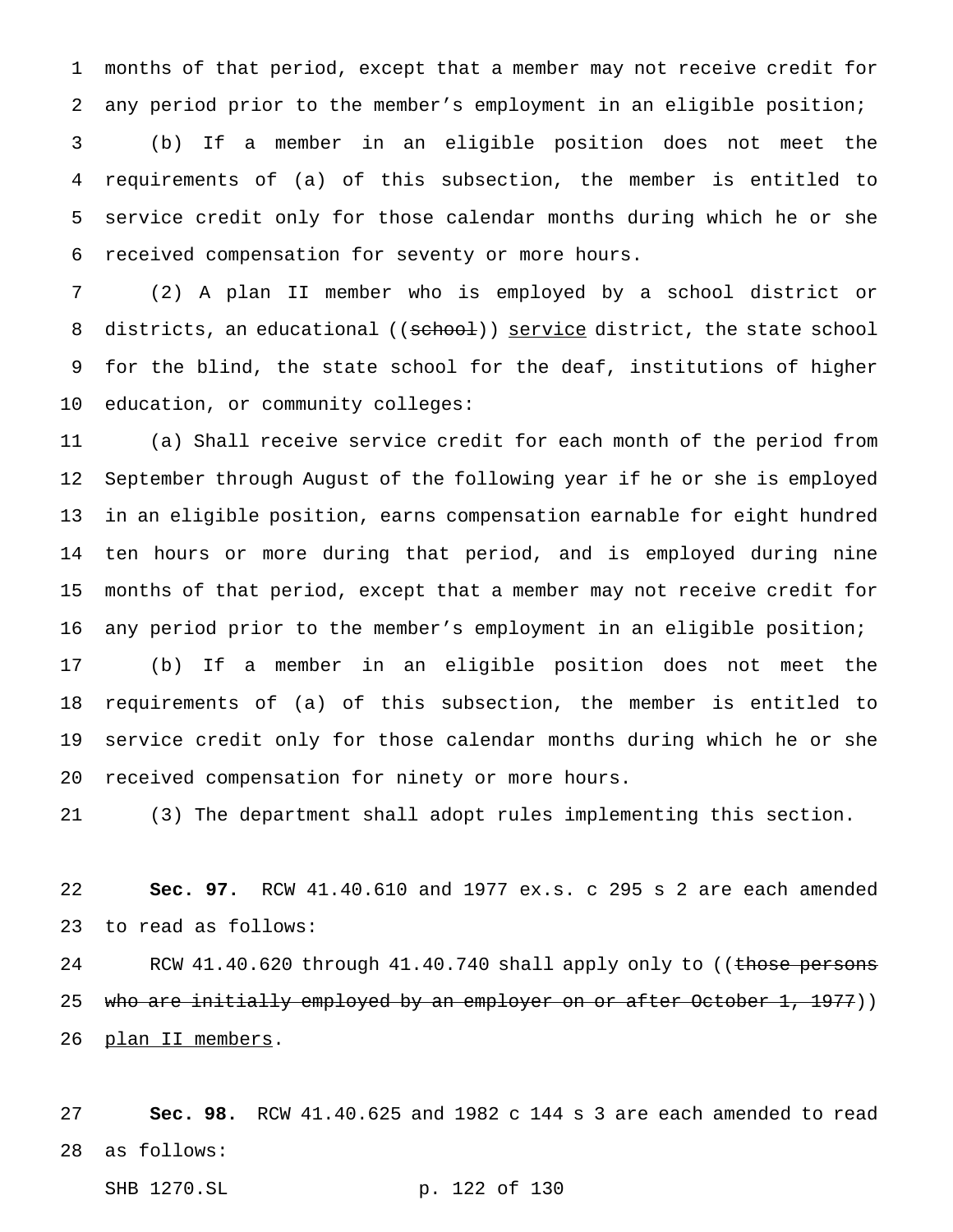months of that period, except that a member may not receive credit for any period prior to the member's employment in an eligible position; (b) If a member in an eligible position does not meet the requirements of (a) of this subsection, the member is entitled to service credit only for those calendar months during which he or she received compensation for seventy or more hours.

 (2) A plan II member who is employed by a school district or 8 districts, an educational ((school)) service district, the state school for the blind, the state school for the deaf, institutions of higher education, or community colleges:

 (a) Shall receive service credit for each month of the period from September through August of the following year if he or she is employed in an eligible position, earns compensation earnable for eight hundred ten hours or more during that period, and is employed during nine months of that period, except that a member may not receive credit for any period prior to the member's employment in an eligible position; (b) If a member in an eligible position does not meet the

 requirements of (a) of this subsection, the member is entitled to service credit only for those calendar months during which he or she received compensation for ninety or more hours.

(3) The department shall adopt rules implementing this section.

 **Sec. 97.** RCW 41.40.610 and 1977 ex.s. c 295 s 2 are each amended to read as follows:

24 RCW 41.40.620 through 41.40.740 shall apply only to ((those persons 25 who are initially employed by an employer on or after October 1, 1977)) plan II members.

 **Sec. 98.** RCW 41.40.625 and 1982 c 144 s 3 are each amended to read as follows:

SHB 1270.SL p. 122 of 130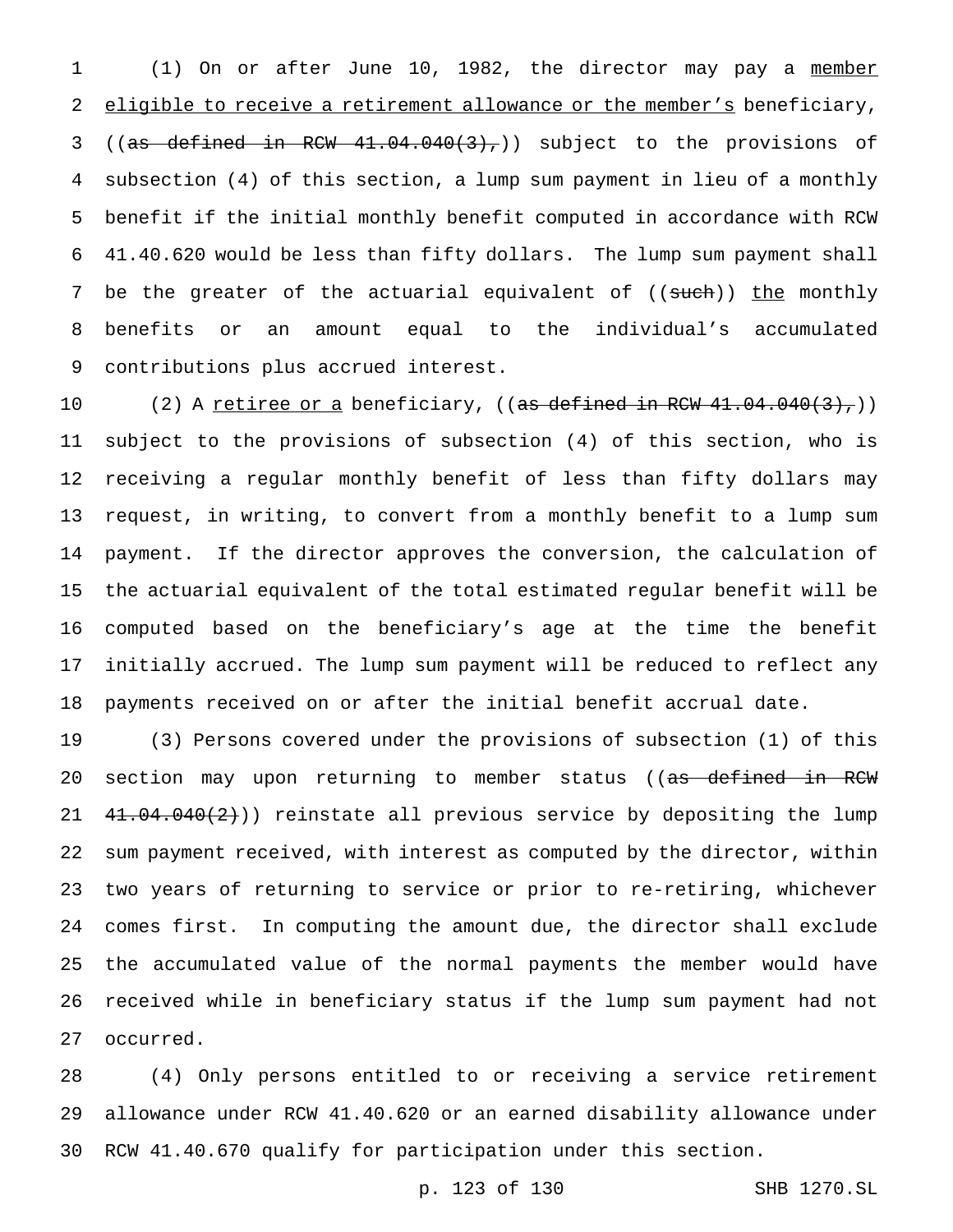(1) On or after June 10, 1982, the director may pay a member 2 eligible to receive a retirement allowance or the member's beneficiary, 3 (( $a\bar{s}$  defined in RCW  $41.04.040(3)$ ,)) subject to the provisions of subsection (4) of this section, a lump sum payment in lieu of a monthly benefit if the initial monthly benefit computed in accordance with RCW 41.40.620 would be less than fifty dollars. The lump sum payment shall 7 be the greater of the actuarial equivalent of ((such)) the monthly benefits or an amount equal to the individual's accumulated contributions plus accrued interest.

10 (2) A retiree or a beneficiary,  $((as defined in RCW 41.04.040(3),))$  subject to the provisions of subsection (4) of this section, who is receiving a regular monthly benefit of less than fifty dollars may request, in writing, to convert from a monthly benefit to a lump sum payment. If the director approves the conversion, the calculation of the actuarial equivalent of the total estimated regular benefit will be computed based on the beneficiary's age at the time the benefit initially accrued. The lump sum payment will be reduced to reflect any payments received on or after the initial benefit accrual date.

 (3) Persons covered under the provisions of subsection (1) of this 20 section may upon returning to member status ((as defined in RCW  $41.04.040(2)$ ) reinstate all previous service by depositing the lump sum payment received, with interest as computed by the director, within two years of returning to service or prior to re-retiring, whichever comes first. In computing the amount due, the director shall exclude the accumulated value of the normal payments the member would have received while in beneficiary status if the lump sum payment had not occurred.

 (4) Only persons entitled to or receiving a service retirement allowance under RCW 41.40.620 or an earned disability allowance under RCW 41.40.670 qualify for participation under this section.

p. 123 of 130 SHB 1270.SL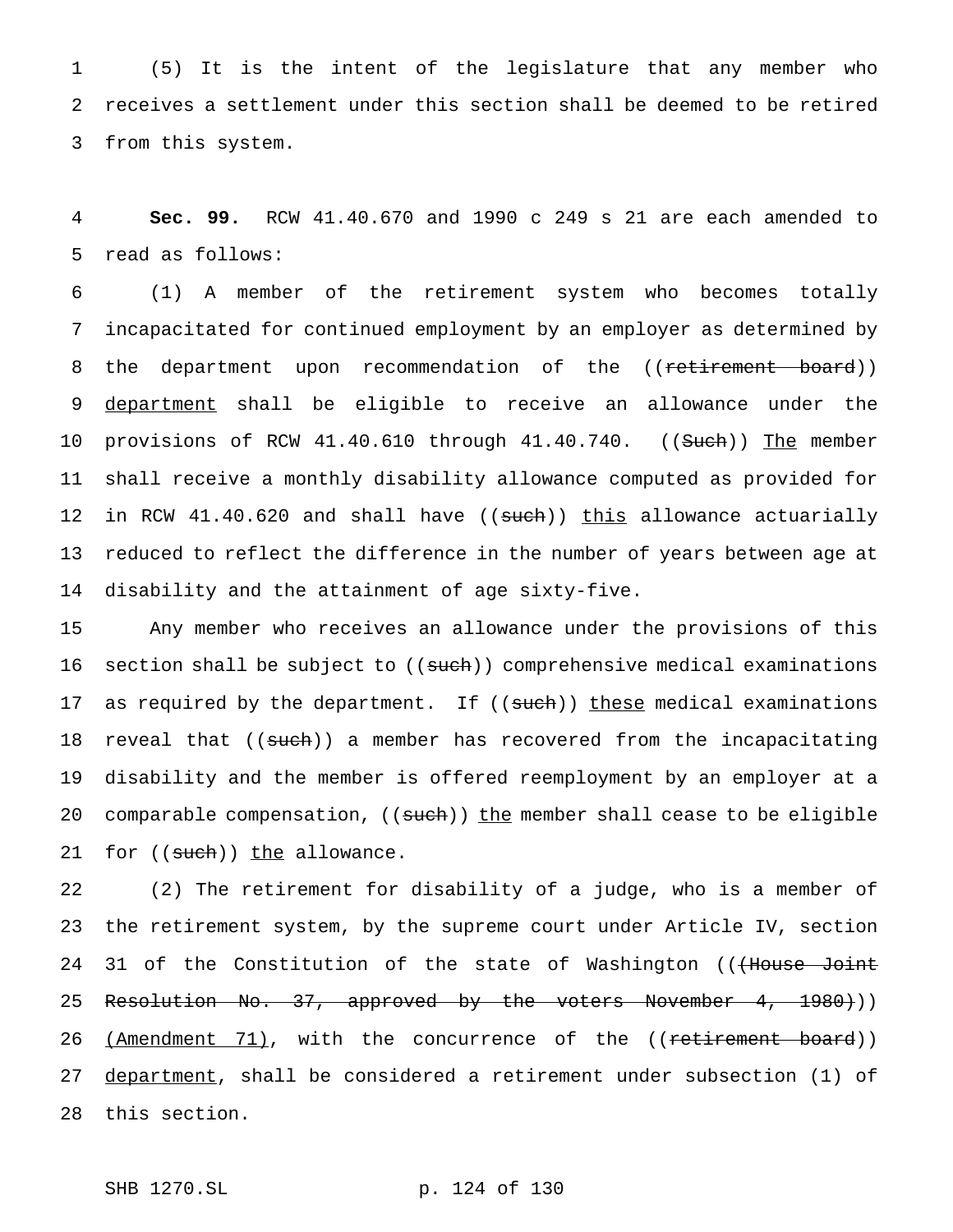1 (5) It is the intent of the legislature that any member who 2 receives a settlement under this section shall be deemed to be retired 3 from this system.

4 **Sec. 99.** RCW 41.40.670 and 1990 c 249 s 21 are each amended to 5 read as follows:

 (1) A member of the retirement system who becomes totally incapacitated for continued employment by an employer as determined by 8 the department upon recommendation of the ((retirement board)) department shall be eligible to receive an allowance under the 10 provisions of RCW 41.40.610 through 41.40.740. ((Such)) The member shall receive a monthly disability allowance computed as provided for 12 in RCW 41.40.620 and shall have ((such)) this allowance actuarially reduced to reflect the difference in the number of years between age at disability and the attainment of age sixty-five.

15 Any member who receives an allowance under the provisions of this 16 section shall be subject to ((such)) comprehensive medical examinations 17 as required by the department. If ((such)) these medical examinations 18 reveal that ((such)) a member has recovered from the incapacitating 19 disability and the member is offered reemployment by an employer at a 20 comparable compensation, ((such)) the member shall cease to be eligible 21 for ((such)) the allowance.

22 (2) The retirement for disability of a judge, who is a member of 23 the retirement system, by the supreme court under Article IV, section 24 31 of the Constitution of the state of Washington ((<del>(House Joint</del> 25 Resolution No. 37, approved by the voters November 4, 1980))) 26 (Amendment 71), with the concurrence of the ((retirement board)) 27 department, shall be considered a retirement under subsection (1) of 28 this section.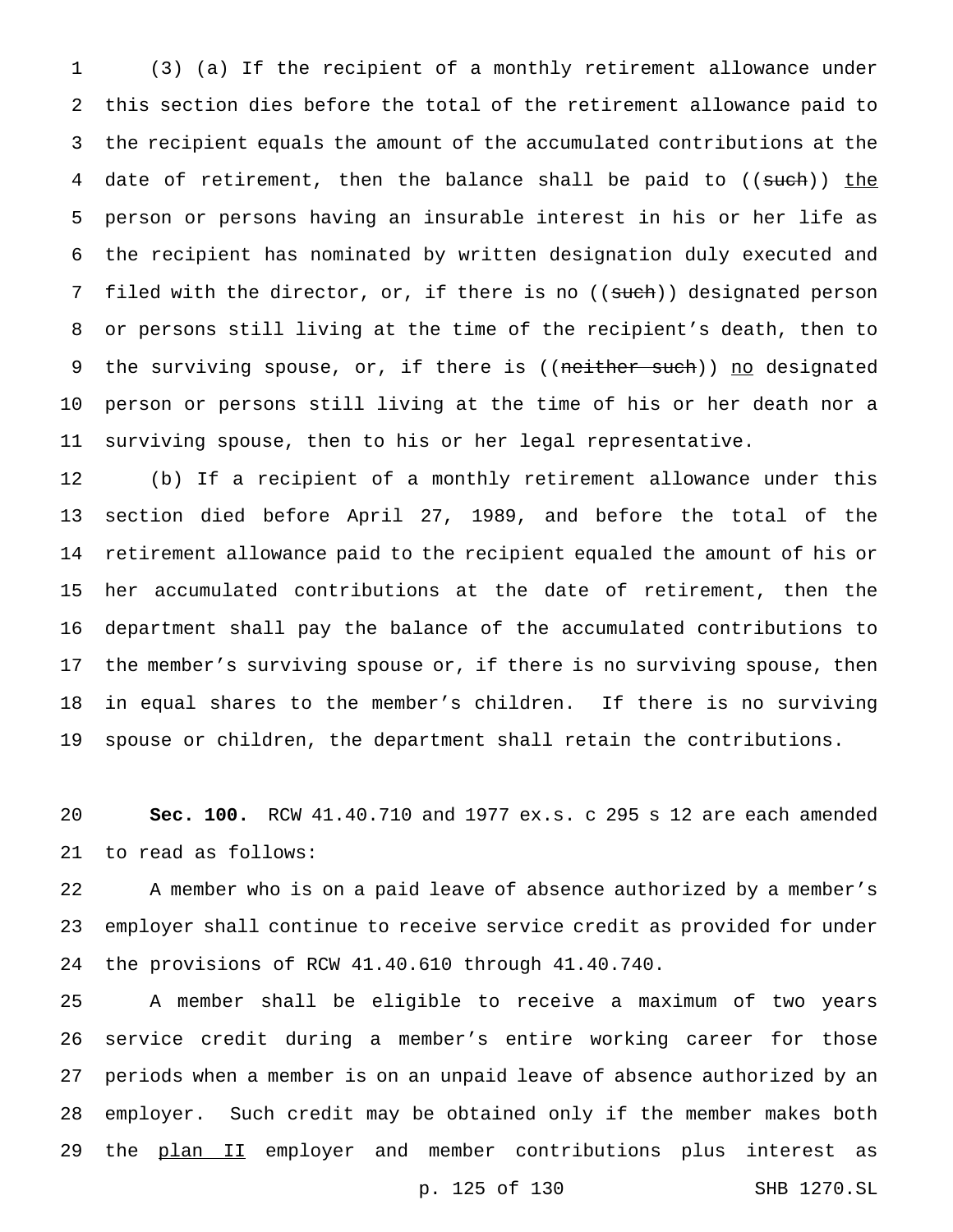(3) (a) If the recipient of a monthly retirement allowance under this section dies before the total of the retirement allowance paid to the recipient equals the amount of the accumulated contributions at the 4 date of retirement, then the balance shall be paid to ((such)) the person or persons having an insurable interest in his or her life as the recipient has nominated by written designation duly executed and 7 filed with the director, or, if there is no ((such)) designated person or persons still living at the time of the recipient's death, then to 9 the surviving spouse, or, if there is ((neither such)) no designated person or persons still living at the time of his or her death nor a surviving spouse, then to his or her legal representative.

 (b) If a recipient of a monthly retirement allowance under this section died before April 27, 1989, and before the total of the retirement allowance paid to the recipient equaled the amount of his or her accumulated contributions at the date of retirement, then the department shall pay the balance of the accumulated contributions to the member's surviving spouse or, if there is no surviving spouse, then in equal shares to the member's children. If there is no surviving spouse or children, the department shall retain the contributions.

 **Sec. 100.** RCW 41.40.710 and 1977 ex.s. c 295 s 12 are each amended to read as follows:

 A member who is on a paid leave of absence authorized by a member's employer shall continue to receive service credit as provided for under the provisions of RCW 41.40.610 through 41.40.740.

 A member shall be eligible to receive a maximum of two years service credit during a member's entire working career for those periods when a member is on an unpaid leave of absence authorized by an employer. Such credit may be obtained only if the member makes both 29 the plan II employer and member contributions plus interest as

p. 125 of 130 SHB 1270.SL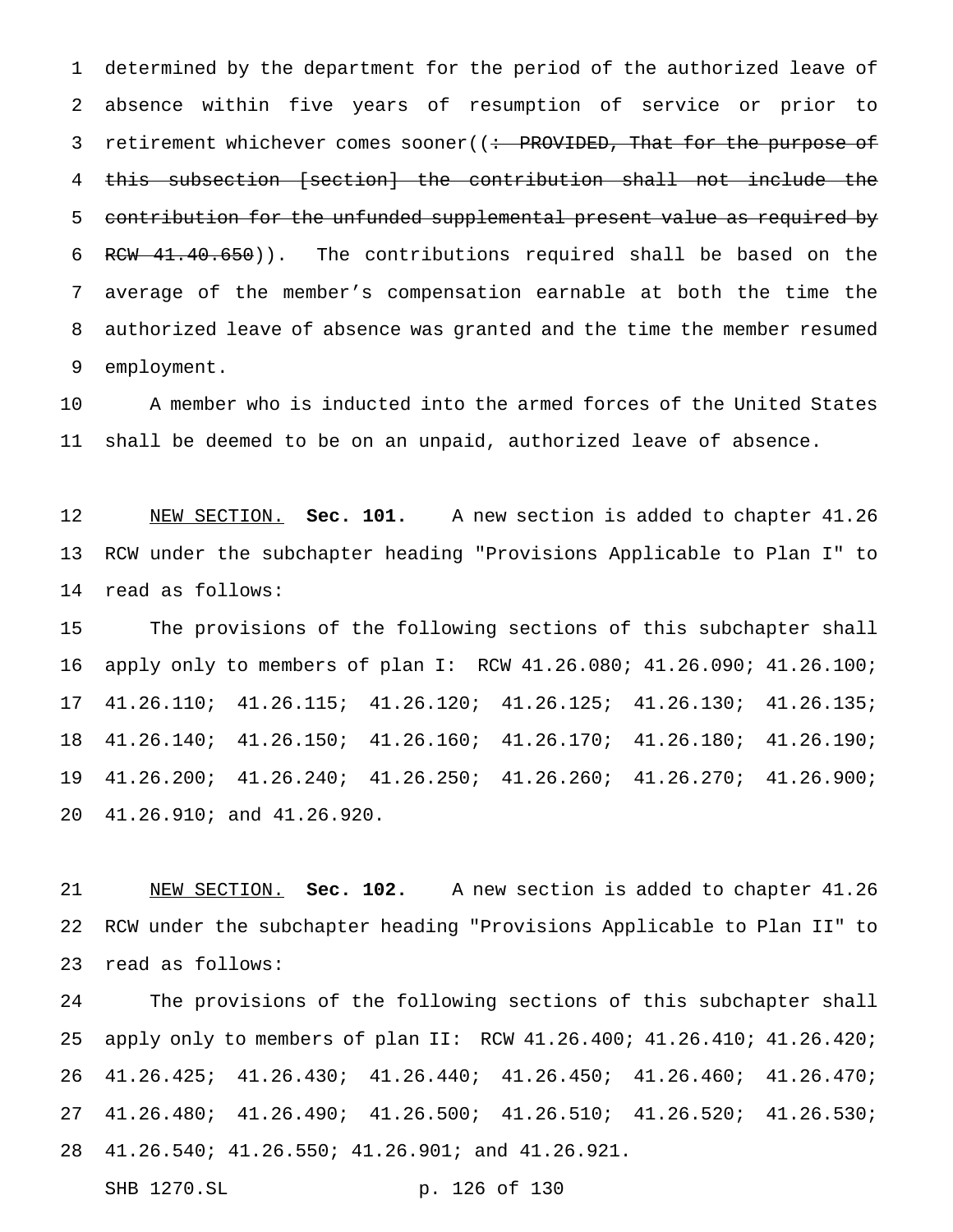determined by the department for the period of the authorized leave of absence within five years of resumption of service or prior to 3 retirement whichever comes sooner((: PROVIDED, That for the purpose of this subsection [section] the contribution shall not include the 5 contribution for the unfunded supplemental present value as required by 6 RCW 41.40.650)). The contributions required shall be based on the average of the member's compensation earnable at both the time the authorized leave of absence was granted and the time the member resumed employment.

 A member who is inducted into the armed forces of the United States shall be deemed to be on an unpaid, authorized leave of absence.

 NEW SECTION. **Sec. 101.** A new section is added to chapter 41.26 RCW under the subchapter heading "Provisions Applicable to Plan I" to read as follows:

 The provisions of the following sections of this subchapter shall apply only to members of plan I: RCW 41.26.080; 41.26.090; 41.26.100; 41.26.110; 41.26.115; 41.26.120; 41.26.125; 41.26.130; 41.26.135; 41.26.140; 41.26.150; 41.26.160; 41.26.170; 41.26.180; 41.26.190; 41.26.200; 41.26.240; 41.26.250; 41.26.260; 41.26.270; 41.26.900; 41.26.910; and 41.26.920.

 NEW SECTION. **Sec. 102.** A new section is added to chapter 41.26 RCW under the subchapter heading "Provisions Applicable to Plan II" to read as follows:

 The provisions of the following sections of this subchapter shall apply only to members of plan II: RCW 41.26.400; 41.26.410; 41.26.420; 41.26.425; 41.26.430; 41.26.440; 41.26.450; 41.26.460; 41.26.470; 41.26.480; 41.26.490; 41.26.500; 41.26.510; 41.26.520; 41.26.530; 41.26.540; 41.26.550; 41.26.901; and 41.26.921.

SHB 1270.SL p. 126 of 130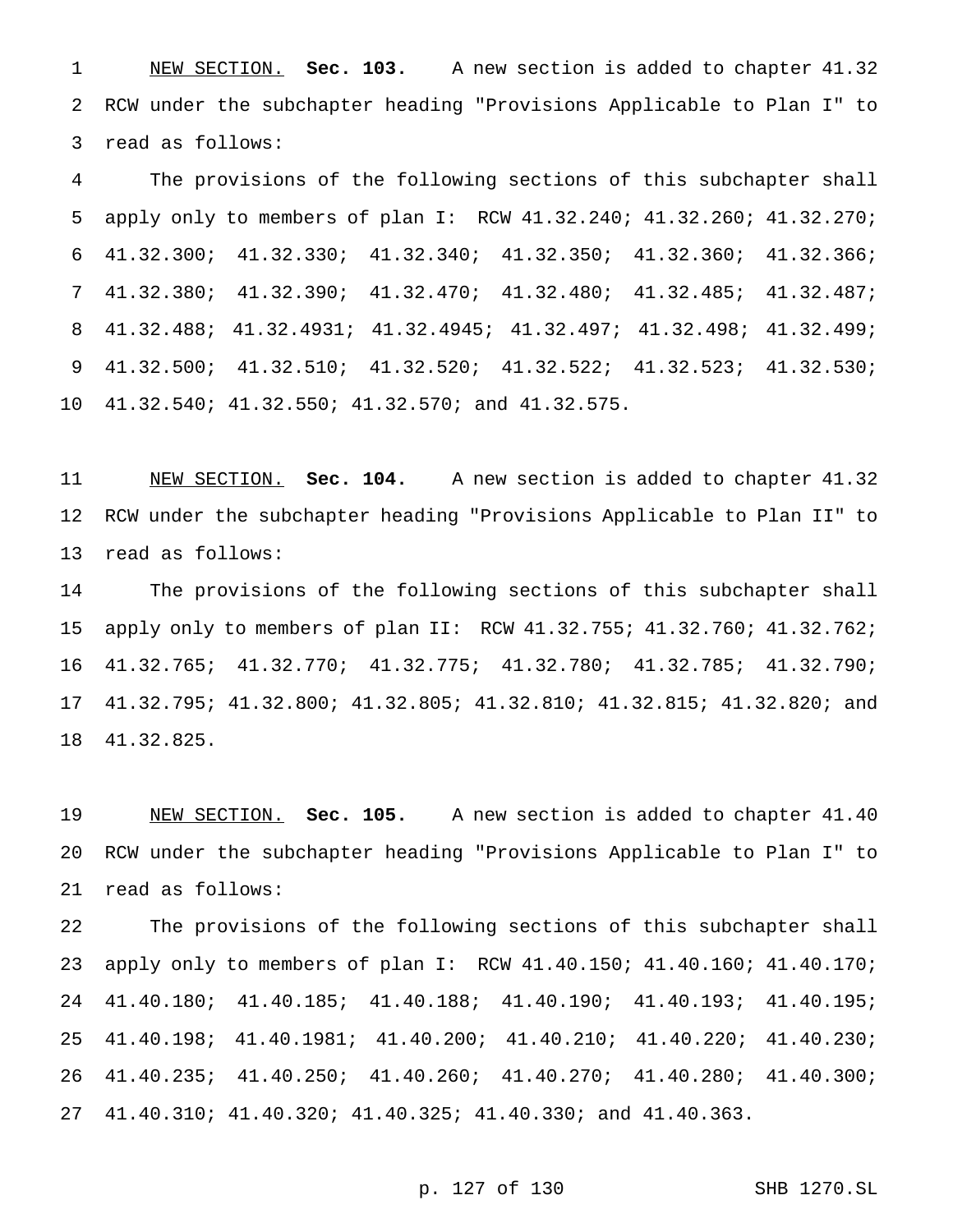NEW SECTION. **Sec. 103.** A new section is added to chapter 41.32 RCW under the subchapter heading "Provisions Applicable to Plan I" to read as follows:

 The provisions of the following sections of this subchapter shall apply only to members of plan I: RCW 41.32.240; 41.32.260; 41.32.270; 41.32.300; 41.32.330; 41.32.340; 41.32.350; 41.32.360; 41.32.366; 41.32.380; 41.32.390; 41.32.470; 41.32.480; 41.32.485; 41.32.487; 41.32.488; 41.32.4931; 41.32.4945; 41.32.497; 41.32.498; 41.32.499; 41.32.500; 41.32.510; 41.32.520; 41.32.522; 41.32.523; 41.32.530; 41.32.540; 41.32.550; 41.32.570; and 41.32.575.

 NEW SECTION. **Sec. 104.** A new section is added to chapter 41.32 RCW under the subchapter heading "Provisions Applicable to Plan II" to read as follows:

 The provisions of the following sections of this subchapter shall apply only to members of plan II: RCW 41.32.755; 41.32.760; 41.32.762; 41.32.765; 41.32.770; 41.32.775; 41.32.780; 41.32.785; 41.32.790; 41.32.795; 41.32.800; 41.32.805; 41.32.810; 41.32.815; 41.32.820; and 41.32.825.

 NEW SECTION. **Sec. 105.** A new section is added to chapter 41.40 RCW under the subchapter heading "Provisions Applicable to Plan I" to read as follows:

 The provisions of the following sections of this subchapter shall apply only to members of plan I: RCW 41.40.150; 41.40.160; 41.40.170; 41.40.180; 41.40.185; 41.40.188; 41.40.190; 41.40.193; 41.40.195; 41.40.198; 41.40.1981; 41.40.200; 41.40.210; 41.40.220; 41.40.230; 41.40.235; 41.40.250; 41.40.260; 41.40.270; 41.40.280; 41.40.300; 41.40.310; 41.40.320; 41.40.325; 41.40.330; and 41.40.363.

## p. 127 of 130 SHB 1270.SL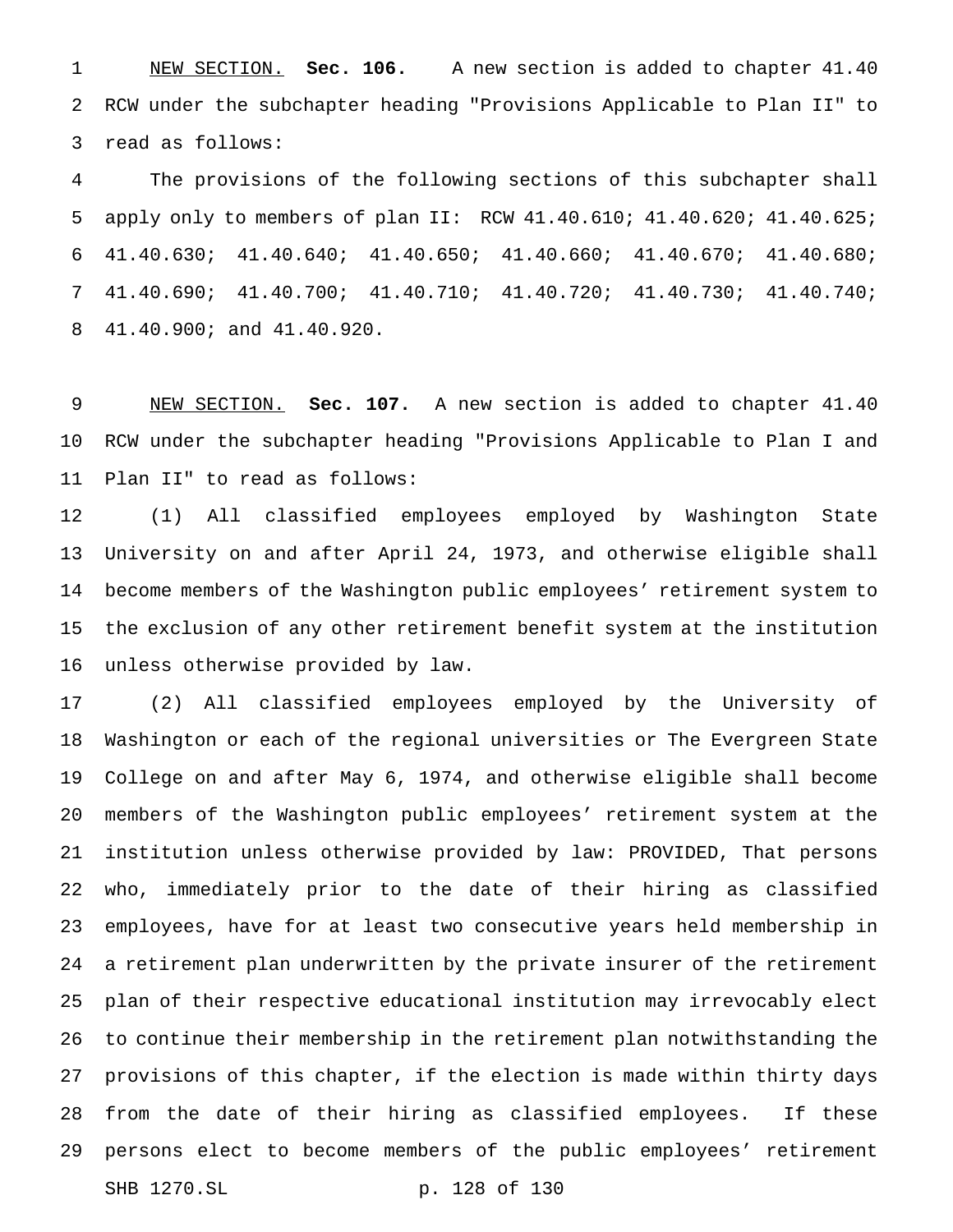NEW SECTION. **Sec. 106.** A new section is added to chapter 41.40 RCW under the subchapter heading "Provisions Applicable to Plan II" to read as follows:

 The provisions of the following sections of this subchapter shall apply only to members of plan II: RCW 41.40.610; 41.40.620; 41.40.625; 41.40.630; 41.40.640; 41.40.650; 41.40.660; 41.40.670; 41.40.680; 41.40.690; 41.40.700; 41.40.710; 41.40.720; 41.40.730; 41.40.740; 41.40.900; and 41.40.920.

 NEW SECTION. **Sec. 107.** A new section is added to chapter 41.40 RCW under the subchapter heading "Provisions Applicable to Plan I and Plan II" to read as follows:

 (1) All classified employees employed by Washington State University on and after April 24, 1973, and otherwise eligible shall become members of the Washington public employees' retirement system to the exclusion of any other retirement benefit system at the institution unless otherwise provided by law.

 (2) All classified employees employed by the University of Washington or each of the regional universities or The Evergreen State College on and after May 6, 1974, and otherwise eligible shall become members of the Washington public employees' retirement system at the institution unless otherwise provided by law: PROVIDED, That persons who, immediately prior to the date of their hiring as classified employees, have for at least two consecutive years held membership in a retirement plan underwritten by the private insurer of the retirement plan of their respective educational institution may irrevocably elect to continue their membership in the retirement plan notwithstanding the provisions of this chapter, if the election is made within thirty days from the date of their hiring as classified employees. If these persons elect to become members of the public employees' retirement SHB 1270.SL p. 128 of 130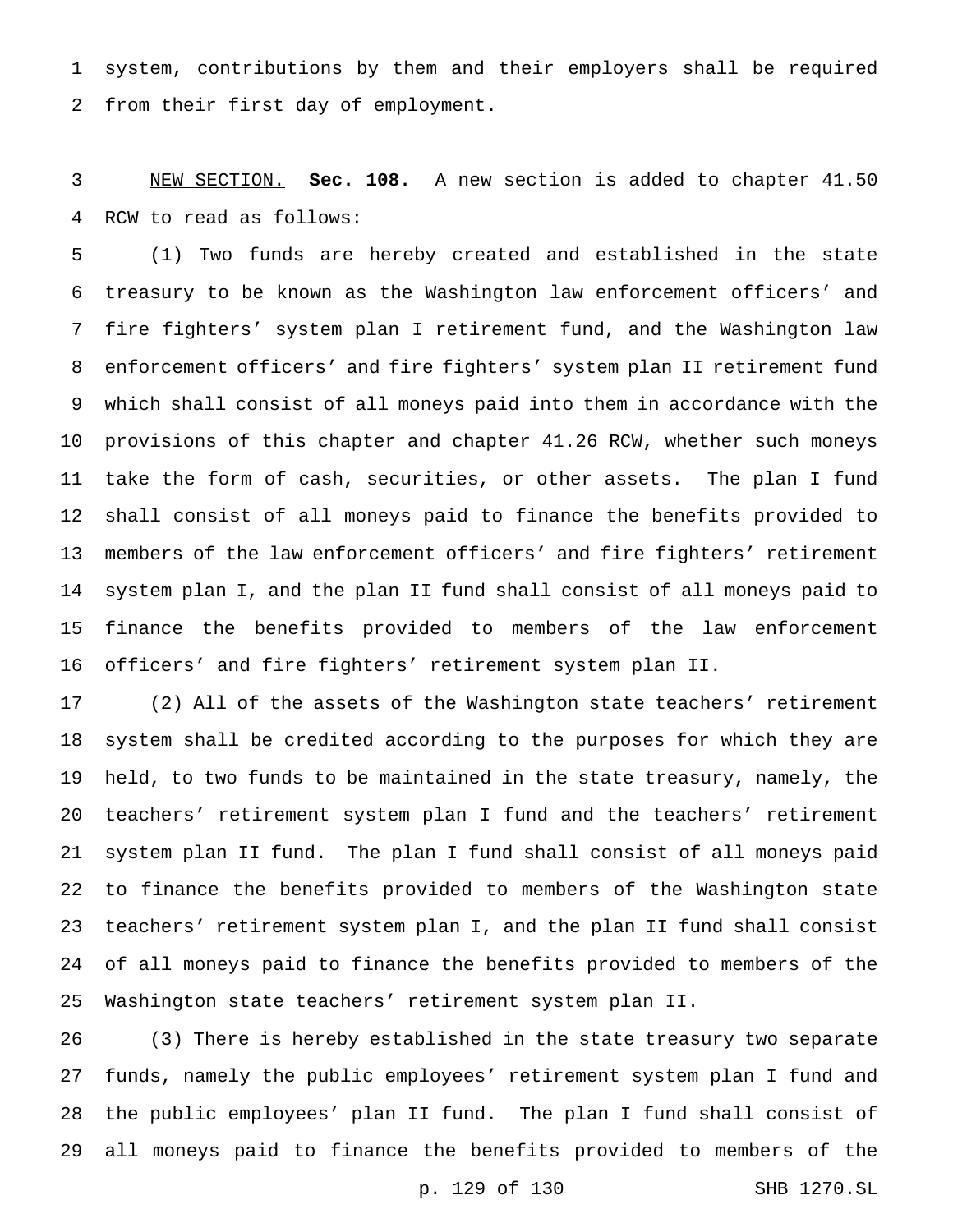system, contributions by them and their employers shall be required from their first day of employment.

 NEW SECTION. **Sec. 108.** A new section is added to chapter 41.50 RCW to read as follows:

 (1) Two funds are hereby created and established in the state treasury to be known as the Washington law enforcement officers' and fire fighters' system plan I retirement fund, and the Washington law enforcement officers' and fire fighters' system plan II retirement fund which shall consist of all moneys paid into them in accordance with the provisions of this chapter and chapter 41.26 RCW, whether such moneys take the form of cash, securities, or other assets. The plan I fund shall consist of all moneys paid to finance the benefits provided to members of the law enforcement officers' and fire fighters' retirement system plan I, and the plan II fund shall consist of all moneys paid to finance the benefits provided to members of the law enforcement officers' and fire fighters' retirement system plan II.

 (2) All of the assets of the Washington state teachers' retirement system shall be credited according to the purposes for which they are held, to two funds to be maintained in the state treasury, namely, the teachers' retirement system plan I fund and the teachers' retirement system plan II fund. The plan I fund shall consist of all moneys paid to finance the benefits provided to members of the Washington state teachers' retirement system plan I, and the plan II fund shall consist of all moneys paid to finance the benefits provided to members of the Washington state teachers' retirement system plan II.

 (3) There is hereby established in the state treasury two separate funds, namely the public employees' retirement system plan I fund and the public employees' plan II fund. The plan I fund shall consist of all moneys paid to finance the benefits provided to members of the

p. 129 of 130 SHB 1270.SL